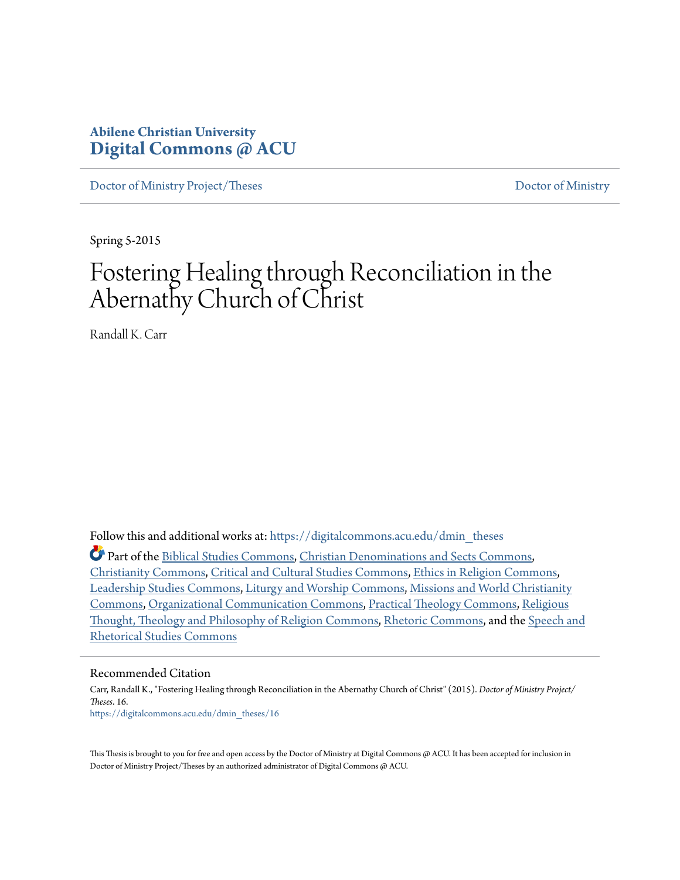# **Abilene Christian University [Digital Commons @ ACU](https://digitalcommons.acu.edu?utm_source=digitalcommons.acu.edu%2Fdmin_theses%2F16&utm_medium=PDF&utm_campaign=PDFCoverPages)**

[Doctor of Ministry Project/Theses](https://digitalcommons.acu.edu/dmin_theses?utm_source=digitalcommons.acu.edu%2Fdmin_theses%2F16&utm_medium=PDF&utm_campaign=PDFCoverPages) [Doctor of Ministry](https://digitalcommons.acu.edu/dmin?utm_source=digitalcommons.acu.edu%2Fdmin_theses%2F16&utm_medium=PDF&utm_campaign=PDFCoverPages)

Spring 5-2015

# Fostering Healing through Reconciliation in the Abernathy Church of Christ

Randall K. Carr

Follow this and additional works at: [https://digitalcommons.acu.edu/dmin\\_theses](https://digitalcommons.acu.edu/dmin_theses?utm_source=digitalcommons.acu.edu%2Fdmin_theses%2F16&utm_medium=PDF&utm_campaign=PDFCoverPages) Part of the [Biblical Studies Commons,](http://network.bepress.com/hgg/discipline/539?utm_source=digitalcommons.acu.edu%2Fdmin_theses%2F16&utm_medium=PDF&utm_campaign=PDFCoverPages) [Christian Denominations and Sects Commons](http://network.bepress.com/hgg/discipline/1184?utm_source=digitalcommons.acu.edu%2Fdmin_theses%2F16&utm_medium=PDF&utm_campaign=PDFCoverPages), [Christianity Commons](http://network.bepress.com/hgg/discipline/1181?utm_source=digitalcommons.acu.edu%2Fdmin_theses%2F16&utm_medium=PDF&utm_campaign=PDFCoverPages), [Critical and Cultural Studies Commons,](http://network.bepress.com/hgg/discipline/328?utm_source=digitalcommons.acu.edu%2Fdmin_theses%2F16&utm_medium=PDF&utm_campaign=PDFCoverPages) [Ethics in Religion Commons,](http://network.bepress.com/hgg/discipline/541?utm_source=digitalcommons.acu.edu%2Fdmin_theses%2F16&utm_medium=PDF&utm_campaign=PDFCoverPages) [Leadership Studies Commons](http://network.bepress.com/hgg/discipline/1250?utm_source=digitalcommons.acu.edu%2Fdmin_theses%2F16&utm_medium=PDF&utm_campaign=PDFCoverPages), [Liturgy and Worship Commons](http://network.bepress.com/hgg/discipline/1188?utm_source=digitalcommons.acu.edu%2Fdmin_theses%2F16&utm_medium=PDF&utm_campaign=PDFCoverPages), [Missions and World Christianity](http://network.bepress.com/hgg/discipline/1187?utm_source=digitalcommons.acu.edu%2Fdmin_theses%2F16&utm_medium=PDF&utm_campaign=PDFCoverPages) [Commons,](http://network.bepress.com/hgg/discipline/1187?utm_source=digitalcommons.acu.edu%2Fdmin_theses%2F16&utm_medium=PDF&utm_campaign=PDFCoverPages) [Organizational Communication Commons](http://network.bepress.com/hgg/discipline/335?utm_source=digitalcommons.acu.edu%2Fdmin_theses%2F16&utm_medium=PDF&utm_campaign=PDFCoverPages), [Practical Theology Commons](http://network.bepress.com/hgg/discipline/1186?utm_source=digitalcommons.acu.edu%2Fdmin_theses%2F16&utm_medium=PDF&utm_campaign=PDFCoverPages), [Religious](http://network.bepress.com/hgg/discipline/544?utm_source=digitalcommons.acu.edu%2Fdmin_theses%2F16&utm_medium=PDF&utm_campaign=PDFCoverPages) [Thought, Theology and Philosophy of Religion Commons,](http://network.bepress.com/hgg/discipline/544?utm_source=digitalcommons.acu.edu%2Fdmin_theses%2F16&utm_medium=PDF&utm_campaign=PDFCoverPages) [Rhetoric Commons](http://network.bepress.com/hgg/discipline/575?utm_source=digitalcommons.acu.edu%2Fdmin_theses%2F16&utm_medium=PDF&utm_campaign=PDFCoverPages), and the [Speech and](http://network.bepress.com/hgg/discipline/338?utm_source=digitalcommons.acu.edu%2Fdmin_theses%2F16&utm_medium=PDF&utm_campaign=PDFCoverPages) [Rhetorical Studies Commons](http://network.bepress.com/hgg/discipline/338?utm_source=digitalcommons.acu.edu%2Fdmin_theses%2F16&utm_medium=PDF&utm_campaign=PDFCoverPages)

#### Recommended Citation

Carr, Randall K., "Fostering Healing through Reconciliation in the Abernathy Church of Christ" (2015). *Doctor of Ministry Project/ Theses*. 16. [https://digitalcommons.acu.edu/dmin\\_theses/16](https://digitalcommons.acu.edu/dmin_theses/16?utm_source=digitalcommons.acu.edu%2Fdmin_theses%2F16&utm_medium=PDF&utm_campaign=PDFCoverPages)

This Thesis is brought to you for free and open access by the Doctor of Ministry at Digital Commons @ ACU. It has been accepted for inclusion in Doctor of Ministry Project/Theses by an authorized administrator of Digital Commons @ ACU.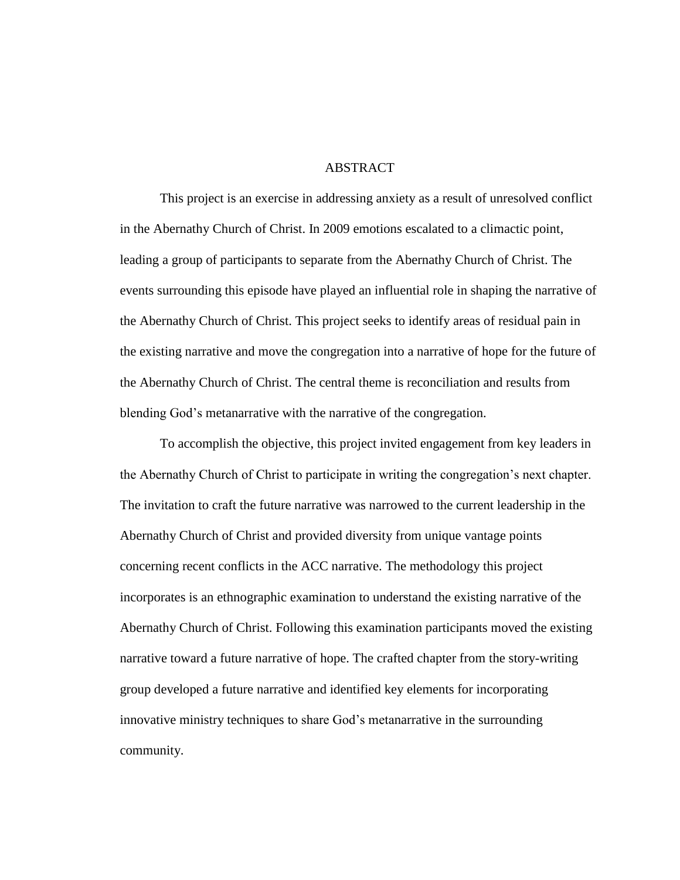# **ABSTRACT**

This project is an exercise in addressing anxiety as a result of unresolved conflict in the Abernathy Church of Christ. In 2009 emotions escalated to a climactic point, leading a group of participants to separate from the Abernathy Church of Christ. The events surrounding this episode have played an influential role in shaping the narrative of the Abernathy Church of Christ. This project seeks to identify areas of residual pain in the existing narrative and move the congregation into a narrative of hope for the future of the Abernathy Church of Christ. The central theme is reconciliation and results from blending God's metanarrative with the narrative of the congregation.

To accomplish the objective, this project invited engagement from key leaders in the Abernathy Church of Christ to participate in writing the congregation's next chapter. The invitation to craft the future narrative was narrowed to the current leadership in the Abernathy Church of Christ and provided diversity from unique vantage points concerning recent conflicts in the ACC narrative. The methodology this project incorporates is an ethnographic examination to understand the existing narrative of the Abernathy Church of Christ. Following this examination participants moved the existing narrative toward a future narrative of hope. The crafted chapter from the story-writing group developed a future narrative and identified key elements for incorporating innovative ministry techniques to share God's metanarrative in the surrounding community.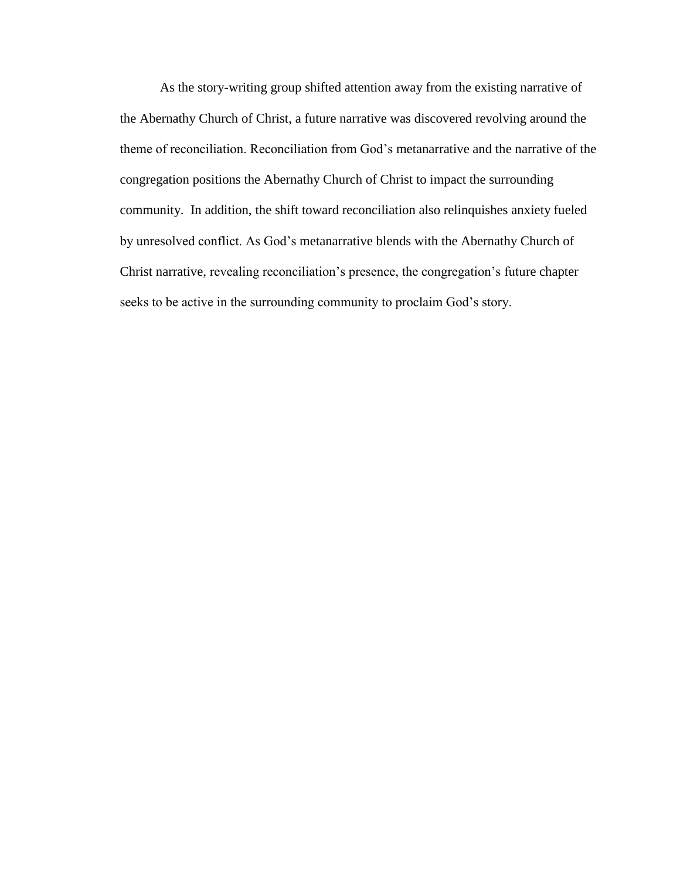As the story-writing group shifted attention away from the existing narrative of the Abernathy Church of Christ, a future narrative was discovered revolving around the theme of reconciliation. Reconciliation from God's metanarrative and the narrative of the congregation positions the Abernathy Church of Christ to impact the surrounding community. In addition, the shift toward reconciliation also relinquishes anxiety fueled by unresolved conflict. As God's metanarrative blends with the Abernathy Church of Christ narrative, revealing reconciliation's presence, the congregation's future chapter seeks to be active in the surrounding community to proclaim God's story.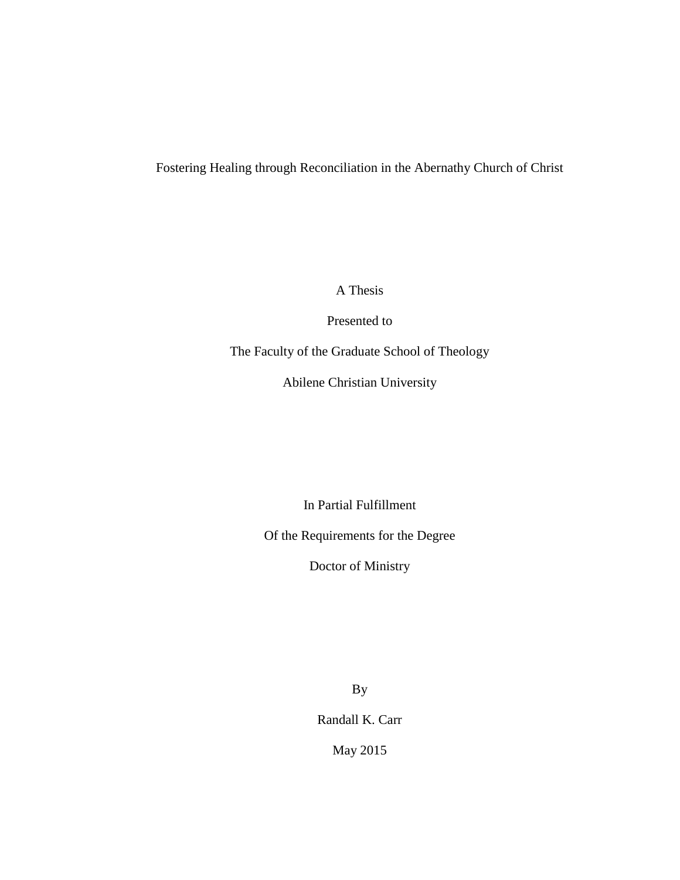# Fostering Healing through Reconciliation in the Abernathy Church of Christ

A Thesis

Presented to

The Faculty of the Graduate School of Theology

Abilene Christian University

In Partial Fulfillment

Of the Requirements for the Degree

Doctor of Ministry

By

Randall K. Carr

May 2015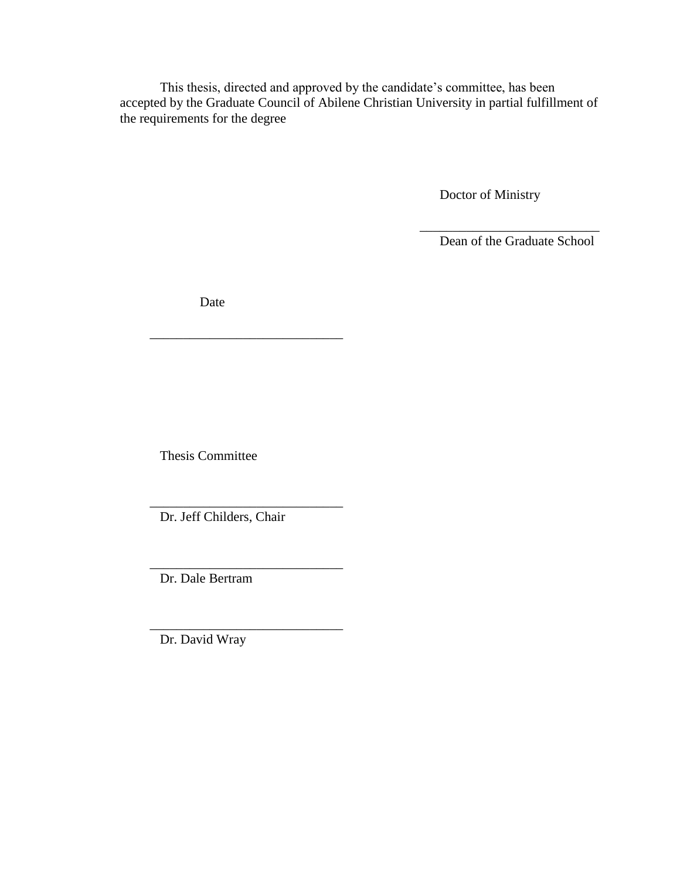This thesis, directed and approved by the candidate's committee, has been accepted by the Graduate Council of Abilene Christian University in partial fulfillment of the requirements for the degree

Doctor of Ministry

Dean of the Graduate School

\_\_\_\_\_\_\_\_\_\_\_\_\_\_\_\_\_\_\_\_\_\_\_\_\_\_\_

Date

\_\_\_\_\_\_\_\_\_\_\_\_\_\_\_\_\_\_\_\_\_\_\_\_\_\_\_\_\_

Thesis Committee

Dr. Jeff Childers, Chair

\_\_\_\_\_\_\_\_\_\_\_\_\_\_\_\_\_\_\_\_\_\_\_\_\_\_\_\_\_

\_\_\_\_\_\_\_\_\_\_\_\_\_\_\_\_\_\_\_\_\_\_\_\_\_\_\_\_\_

\_\_\_\_\_\_\_\_\_\_\_\_\_\_\_\_\_\_\_\_\_\_\_\_\_\_\_\_\_ Dr. Dale Bertram

Dr. David Wray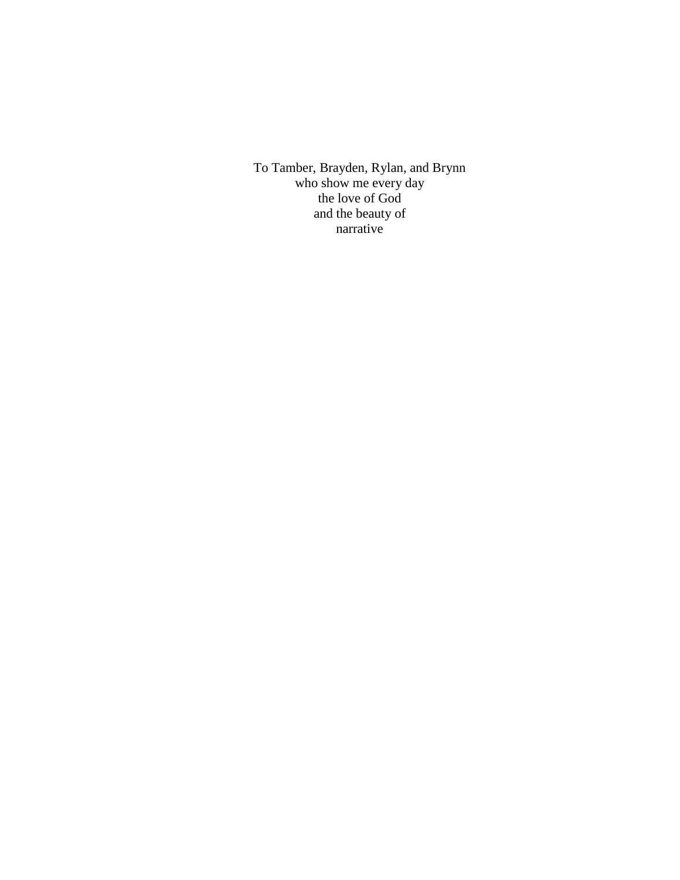To Tamber, Brayden, Rylan, and Brynn who show me every day the love of God and the beauty of narrative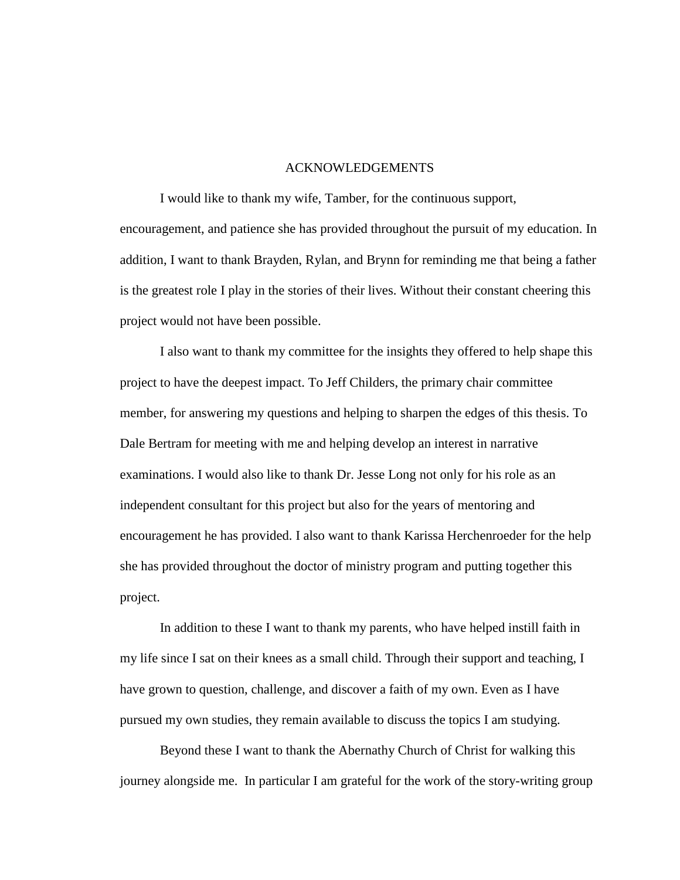#### ACKNOWLEDGEMENTS

I would like to thank my wife, Tamber, for the continuous support, encouragement, and patience she has provided throughout the pursuit of my education. In addition, I want to thank Brayden, Rylan, and Brynn for reminding me that being a father is the greatest role I play in the stories of their lives. Without their constant cheering this project would not have been possible.

I also want to thank my committee for the insights they offered to help shape this project to have the deepest impact. To Jeff Childers, the primary chair committee member, for answering my questions and helping to sharpen the edges of this thesis. To Dale Bertram for meeting with me and helping develop an interest in narrative examinations. I would also like to thank Dr. Jesse Long not only for his role as an independent consultant for this project but also for the years of mentoring and encouragement he has provided. I also want to thank Karissa Herchenroeder for the help she has provided throughout the doctor of ministry program and putting together this project.

In addition to these I want to thank my parents, who have helped instill faith in my life since I sat on their knees as a small child. Through their support and teaching, I have grown to question, challenge, and discover a faith of my own. Even as I have pursued my own studies, they remain available to discuss the topics I am studying.

Beyond these I want to thank the Abernathy Church of Christ for walking this journey alongside me. In particular I am grateful for the work of the story-writing group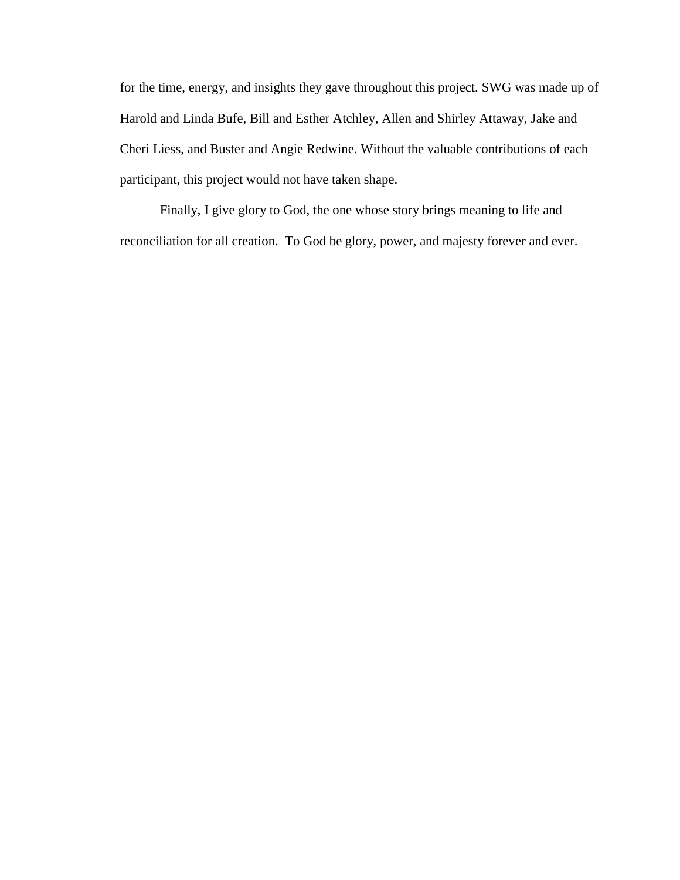for the time, energy, and insights they gave throughout this project. SWG was made up of Harold and Linda Bufe, Bill and Esther Atchley, Allen and Shirley Attaway, Jake and Cheri Liess, and Buster and Angie Redwine. Without the valuable contributions of each participant, this project would not have taken shape.

Finally, I give glory to God, the one whose story brings meaning to life and reconciliation for all creation. To God be glory, power, and majesty forever and ever.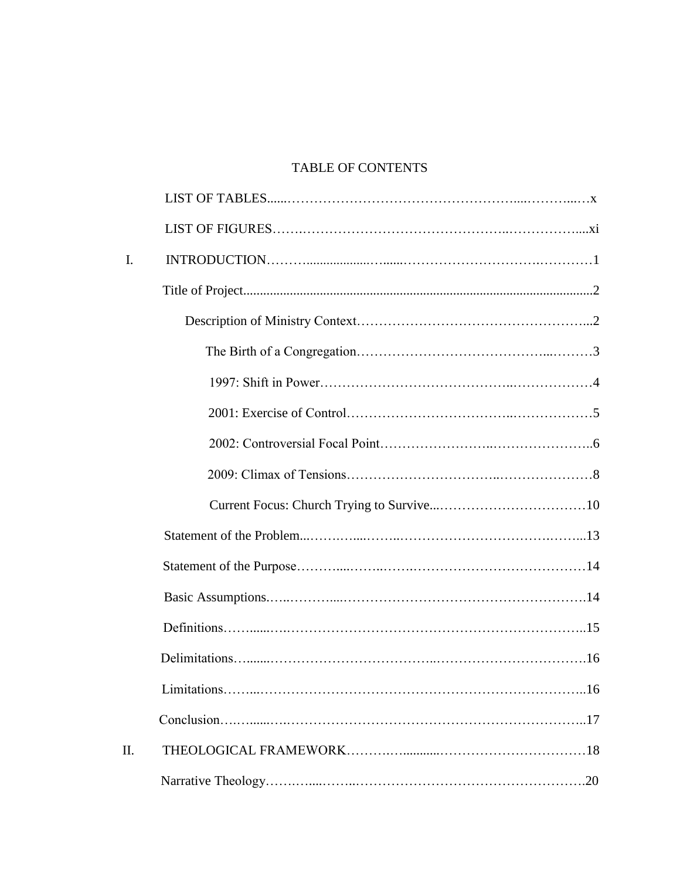# TABLE OF CONTENTS

| I.  |                    |  |
|-----|--------------------|--|
|     |                    |  |
|     |                    |  |
|     |                    |  |
|     |                    |  |
|     |                    |  |
|     |                    |  |
|     |                    |  |
|     |                    |  |
|     |                    |  |
|     |                    |  |
|     |                    |  |
|     |                    |  |
|     |                    |  |
|     | Limitations<br>.16 |  |
|     |                    |  |
| II. |                    |  |
|     |                    |  |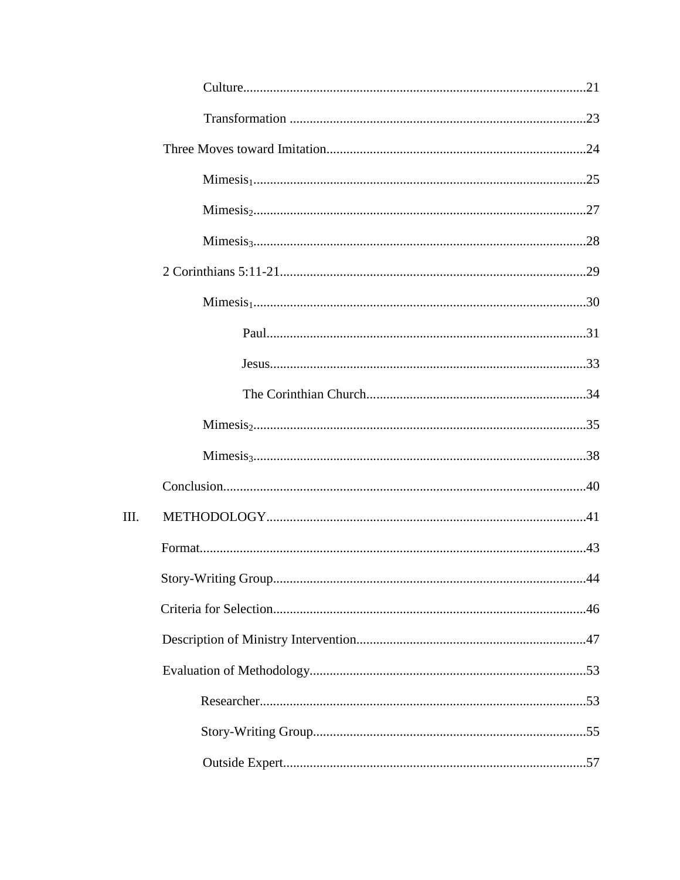| III. |  |
|------|--|
|      |  |
|      |  |
|      |  |
|      |  |
|      |  |
|      |  |
|      |  |
|      |  |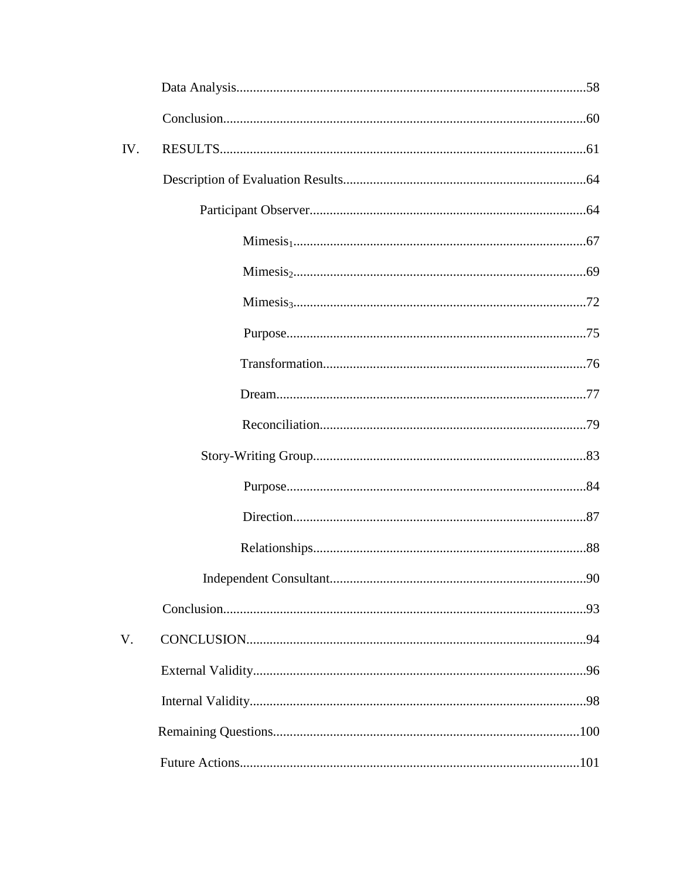| IV. |  |
|-----|--|
|     |  |
|     |  |
|     |  |
|     |  |
|     |  |
|     |  |
|     |  |
|     |  |
|     |  |
|     |  |
|     |  |
|     |  |
|     |  |
|     |  |
|     |  |
| V.  |  |
|     |  |
|     |  |
|     |  |
|     |  |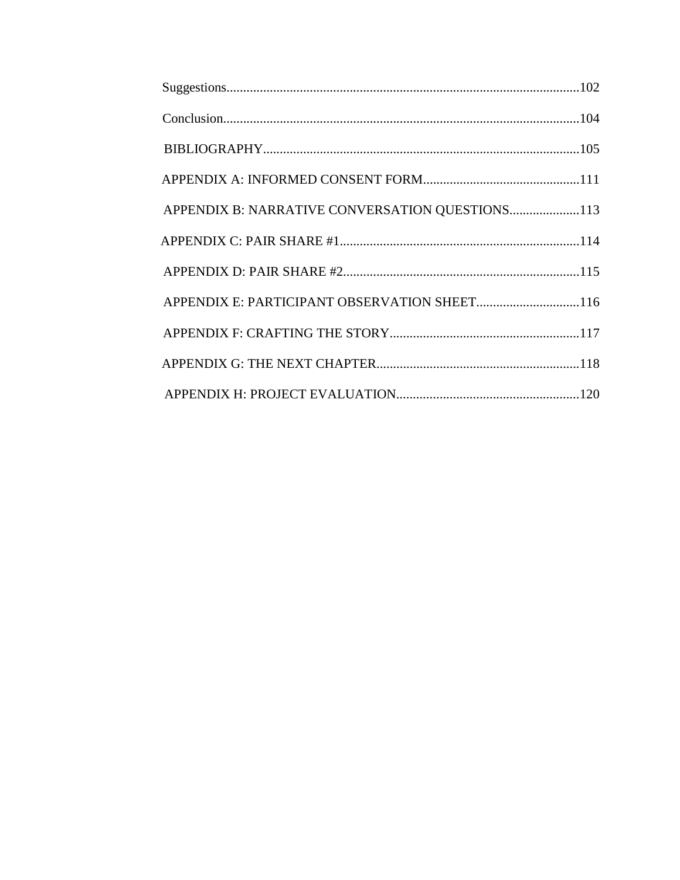| APPENDIX B: NARRATIVE CONVERSATION QUESTIONS113 |  |
|-------------------------------------------------|--|
|                                                 |  |
|                                                 |  |
| APPENDIX E: PARTICIPANT OBSERVATION SHEET116    |  |
|                                                 |  |
|                                                 |  |
|                                                 |  |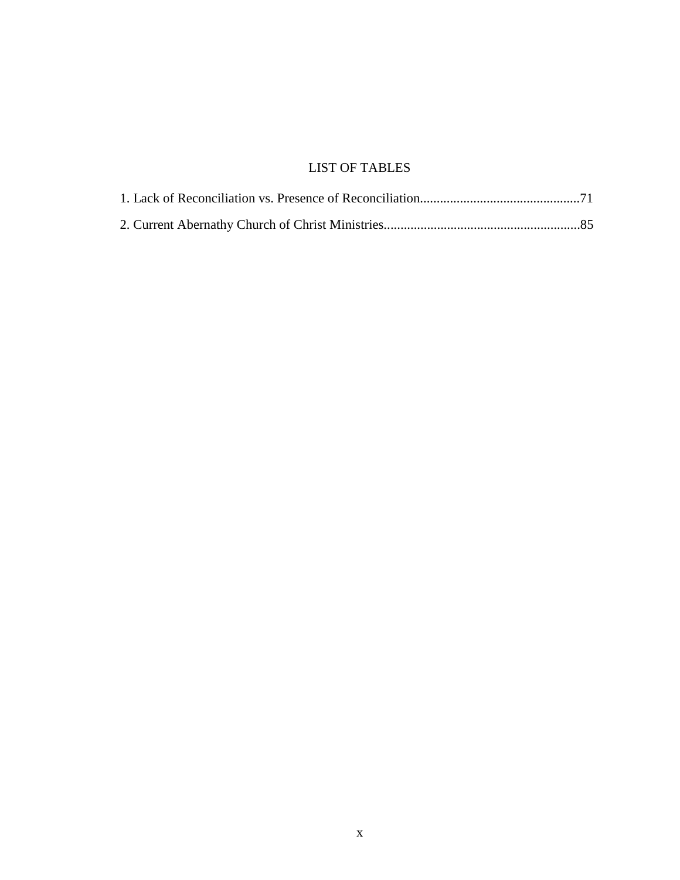# LIST OF TABLES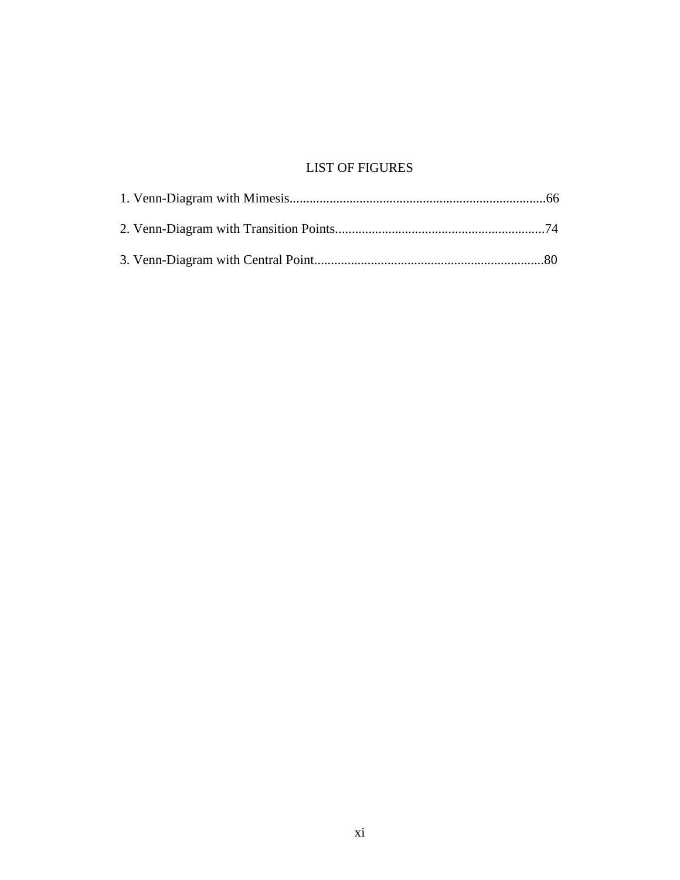# LIST OF FIGURES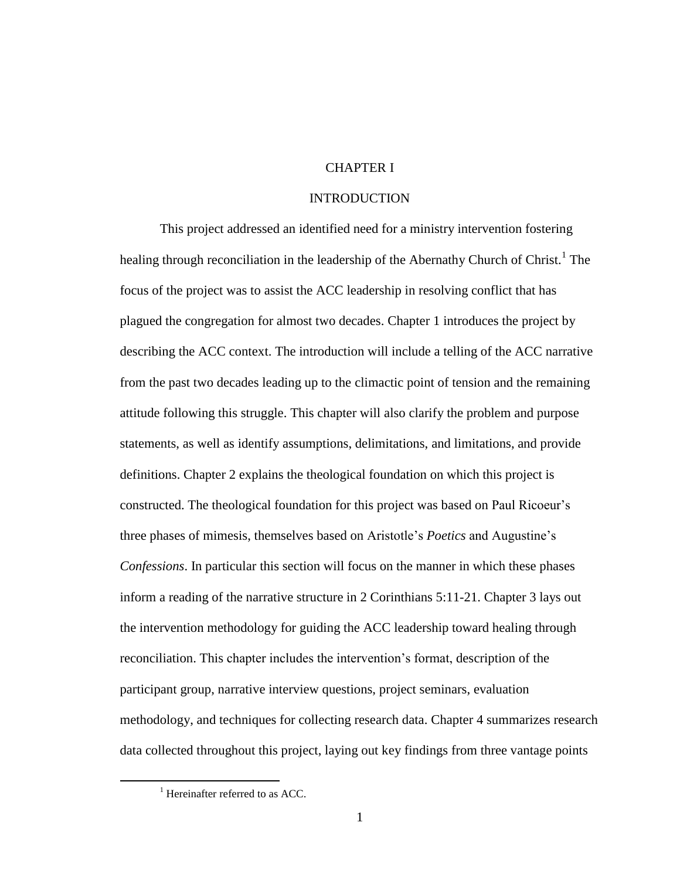# CHAPTER I

## INTRODUCTION

This project addressed an identified need for a ministry intervention fostering healing through reconciliation in the leadership of the Abernathy Church of Christ.<sup>1</sup> The focus of the project was to assist the ACC leadership in resolving conflict that has plagued the congregation for almost two decades. Chapter 1 introduces the project by describing the ACC context. The introduction will include a telling of the ACC narrative from the past two decades leading up to the climactic point of tension and the remaining attitude following this struggle. This chapter will also clarify the problem and purpose statements, as well as identify assumptions, delimitations, and limitations, and provide definitions. Chapter 2 explains the theological foundation on which this project is constructed. The theological foundation for this project was based on Paul Ricoeur's three phases of mimesis, themselves based on Aristotle's *Poetics* and Augustine's *Confessions*. In particular this section will focus on the manner in which these phases inform a reading of the narrative structure in 2 Corinthians 5:11-21. Chapter 3 lays out the intervention methodology for guiding the ACC leadership toward healing through reconciliation. This chapter includes the intervention's format, description of the participant group, narrative interview questions, project seminars, evaluation methodology, and techniques for collecting research data. Chapter 4 summarizes research data collected throughout this project, laying out key findings from three vantage points

 $<sup>1</sup>$  Hereinafter referred to as ACC.</sup>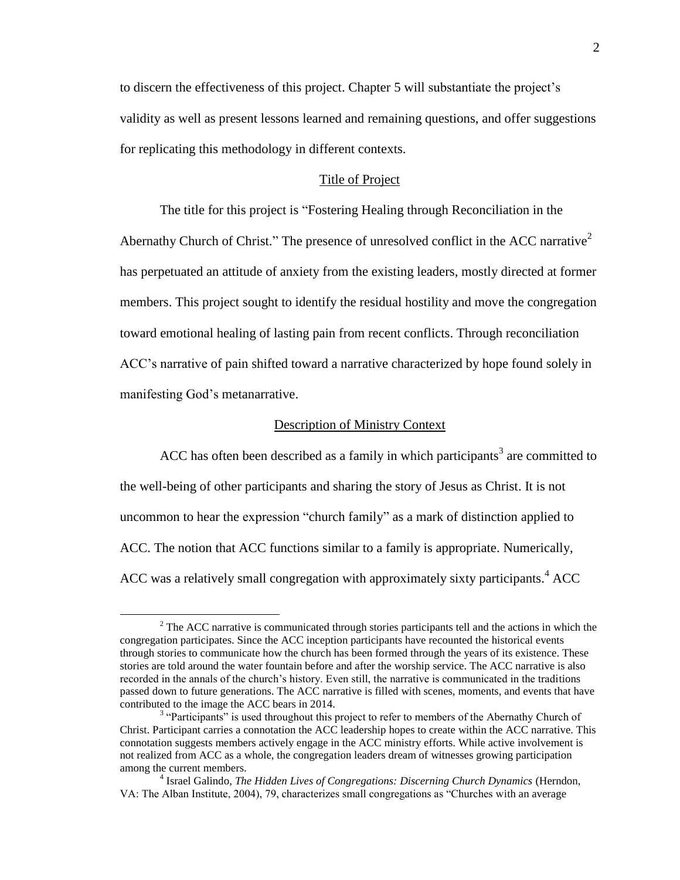to discern the effectiveness of this project. Chapter 5 will substantiate the project's validity as well as present lessons learned and remaining questions, and offer suggestions for replicating this methodology in different contexts.

## Title of Project

The title for this project is "Fostering Healing through Reconciliation in the Abernathy Church of Christ." The presence of unresolved conflict in the ACC narrative<sup>2</sup> has perpetuated an attitude of anxiety from the existing leaders, mostly directed at former members. This project sought to identify the residual hostility and move the congregation toward emotional healing of lasting pain from recent conflicts. Through reconciliation ACC's narrative of pain shifted toward a narrative characterized by hope found solely in manifesting God's metanarrative.

#### Description of Ministry Context

ACC has often been described as a family in which participants<sup>3</sup> are committed to the well-being of other participants and sharing the story of Jesus as Christ. It is not uncommon to hear the expression "church family" as a mark of distinction applied to ACC. The notion that ACC functions similar to a family is appropriate. Numerically, ACC was a relatively small congregation with approximately sixty participants.<sup>4</sup> ACC

<sup>&</sup>lt;sup>2</sup> The ACC narrative is communicated through stories participants tell and the actions in which the congregation participates. Since the ACC inception participants have recounted the historical events through stories to communicate how the church has been formed through the years of its existence. These stories are told around the water fountain before and after the worship service. The ACC narrative is also recorded in the annals of the church's history. Even still, the narrative is communicated in the traditions passed down to future generations. The ACC narrative is filled with scenes, moments, and events that have contributed to the image the ACC bears in 2014.

 $3$  "Participants" is used throughout this project to refer to members of the Abernathy Church of Christ. Participant carries a connotation the ACC leadership hopes to create within the ACC narrative. This connotation suggests members actively engage in the ACC ministry efforts. While active involvement is not realized from ACC as a whole, the congregation leaders dream of witnesses growing participation among the current members.

<sup>4</sup> Israel Galindo, *The Hidden Lives of Congregations: Discerning Church Dynamics* (Herndon, VA: The Alban Institute, 2004), 79, characterizes small congregations as "Churches with an average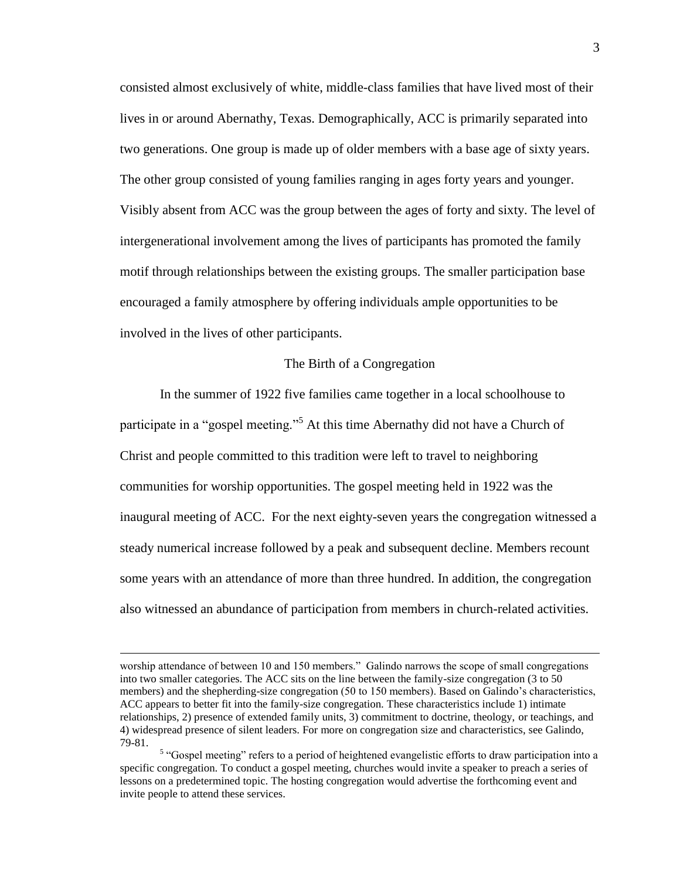consisted almost exclusively of white, middle-class families that have lived most of their lives in or around Abernathy, Texas. Demographically, ACC is primarily separated into two generations. One group is made up of older members with a base age of sixty years. The other group consisted of young families ranging in ages forty years and younger. Visibly absent from ACC was the group between the ages of forty and sixty. The level of intergenerational involvement among the lives of participants has promoted the family motif through relationships between the existing groups. The smaller participation base encouraged a family atmosphere by offering individuals ample opportunities to be involved in the lives of other participants.

#### The Birth of a Congregation

In the summer of 1922 five families came together in a local schoolhouse to participate in a "gospel meeting."<sup>5</sup> At this time Abernathy did not have a Church of Christ and people committed to this tradition were left to travel to neighboring communities for worship opportunities. The gospel meeting held in 1922 was the inaugural meeting of ACC. For the next eighty-seven years the congregation witnessed a steady numerical increase followed by a peak and subsequent decline. Members recount some years with an attendance of more than three hundred. In addition, the congregation also witnessed an abundance of participation from members in church-related activities.

worship attendance of between 10 and 150 members." Galindo narrows the scope of small congregations into two smaller categories. The ACC sits on the line between the family-size congregation (3 to 50 members) and the shepherding-size congregation (50 to 150 members). Based on Galindo's characteristics, ACC appears to better fit into the family-size congregation. These characteristics include 1) intimate relationships, 2) presence of extended family units, 3) commitment to doctrine, theology, or teachings, and 4) widespread presence of silent leaders. For more on congregation size and characteristics, see Galindo, 79-81.

<sup>&</sup>lt;sup>5</sup> "Gospel meeting" refers to a period of heightened evangelistic efforts to draw participation into a specific congregation. To conduct a gospel meeting, churches would invite a speaker to preach a series of lessons on a predetermined topic. The hosting congregation would advertise the forthcoming event and invite people to attend these services.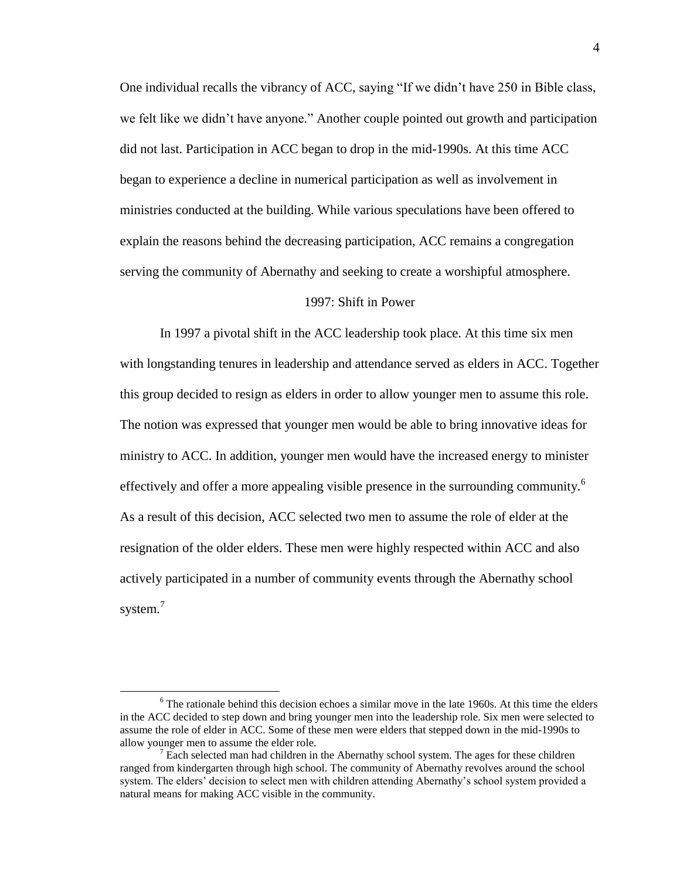One individual recalls the vibrancy of ACC, saying "If we didn't have 250 in Bible class, we felt like we didn't have anyone." Another couple pointed out growth and participation did not last. Participation in ACC began to drop in the mid-1990s. At this time ACC began to experience a decline in numerical participation as well as involvement in ministries conducted at the building. While various speculations have been offered to explain the reasons behind the decreasing participation, ACC remains a congregation serving the community of Abernathy and seeking to create a worshipful atmosphere.

## 1997: Shift in Power

In 1997 a pivotal shift in the ACC leadership took place. At this time six men with longstanding tenures in leadership and attendance served as elders in ACC. Together this group decided to resign as elders in order to allow younger men to assume this role. The notion was expressed that younger men would be able to bring innovative ideas for ministry to ACC. In addition, younger men would have the increased energy to minister effectively and offer a more appealing visible presence in the surrounding community.<sup>6</sup> As a result of this decision, ACC selected two men to assume the role of elder at the resignation of the older elders. These men were highly respected within ACC and also actively participated in a number of community events through the Abernathy school system.<sup>7</sup>

 $6$  The rationale behind this decision echoes a similar move in the late 1960s. At this time the elders in the ACC decided to step down and bring younger men into the leadership role. Six men were selected to assume the role of elder in ACC. Some of these men were elders that stepped down in the mid-1990s to allow younger men to assume the elder role.

 $<sup>7</sup>$  Each selected man had children in the Abernathy school system. The ages for these children</sup> ranged from kindergarten through high school. The community of Abernathy revolves around the school system. The elders' decision to select men with children attending Abernathy's school system provided a natural means for making ACC visible in the community.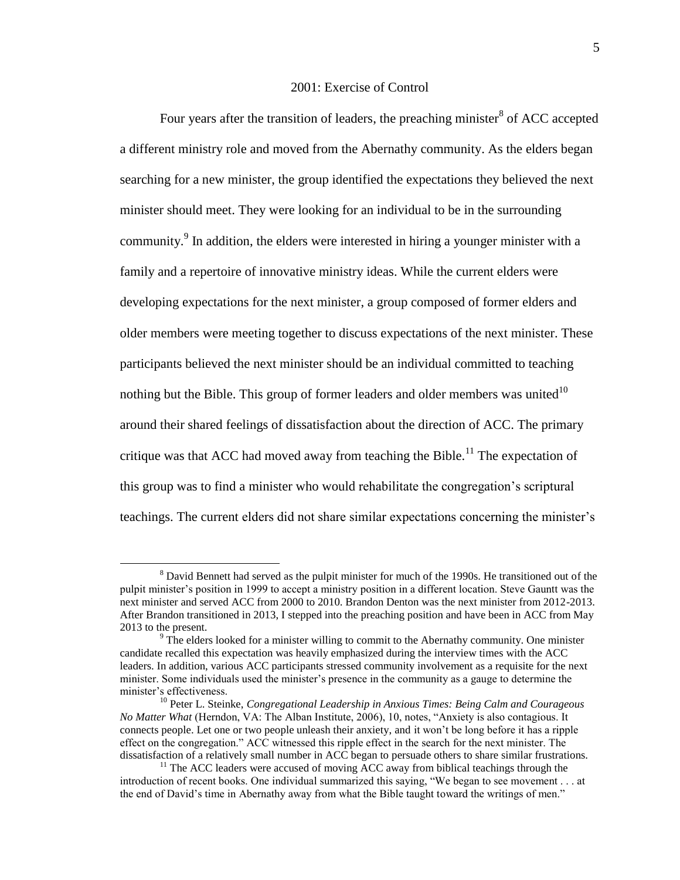## 2001: Exercise of Control

Four years after the transition of leaders, the preaching minister<sup>8</sup> of ACC accepted a different ministry role and moved from the Abernathy community. As the elders began searching for a new minister, the group identified the expectations they believed the next minister should meet. They were looking for an individual to be in the surrounding community.<sup>9</sup> In addition, the elders were interested in hiring a younger minister with a family and a repertoire of innovative ministry ideas. While the current elders were developing expectations for the next minister, a group composed of former elders and older members were meeting together to discuss expectations of the next minister. These participants believed the next minister should be an individual committed to teaching nothing but the Bible. This group of former leaders and older members was united $10$ around their shared feelings of dissatisfaction about the direction of ACC. The primary critique was that ACC had moved away from teaching the Bible.<sup>11</sup> The expectation of this group was to find a minister who would rehabilitate the congregation's scriptural teachings. The current elders did not share similar expectations concerning the minister's

<sup>8</sup> David Bennett had served as the pulpit minister for much of the 1990s. He transitioned out of the pulpit minister's position in 1999 to accept a ministry position in a different location. Steve Gauntt was the next minister and served ACC from 2000 to 2010. Brandon Denton was the next minister from 2012-2013. After Brandon transitioned in 2013, I stepped into the preaching position and have been in ACC from May 2013 to the present.

 $9<sup>9</sup>$  The elders looked for a minister willing to commit to the Abernathy community. One minister candidate recalled this expectation was heavily emphasized during the interview times with the ACC leaders. In addition, various ACC participants stressed community involvement as a requisite for the next minister. Some individuals used the minister's presence in the community as a gauge to determine the minister's effectiveness.

<sup>10</sup> Peter L. Steinke, *Congregational Leadership in Anxious Times: Being Calm and Courageous No Matter What* (Herndon, VA: The Alban Institute, 2006), 10, notes, "Anxiety is also contagious. It connects people. Let one or two people unleash their anxiety, and it won't be long before it has a ripple effect on the congregation." ACC witnessed this ripple effect in the search for the next minister. The dissatisfaction of a relatively small number in ACC began to persuade others to share similar frustrations.

 $11$ <sup>11</sup> The ACC leaders were accused of moving ACC away from biblical teachings through the introduction of recent books. One individual summarized this saying, "We began to see movement . . . at the end of David's time in Abernathy away from what the Bible taught toward the writings of men."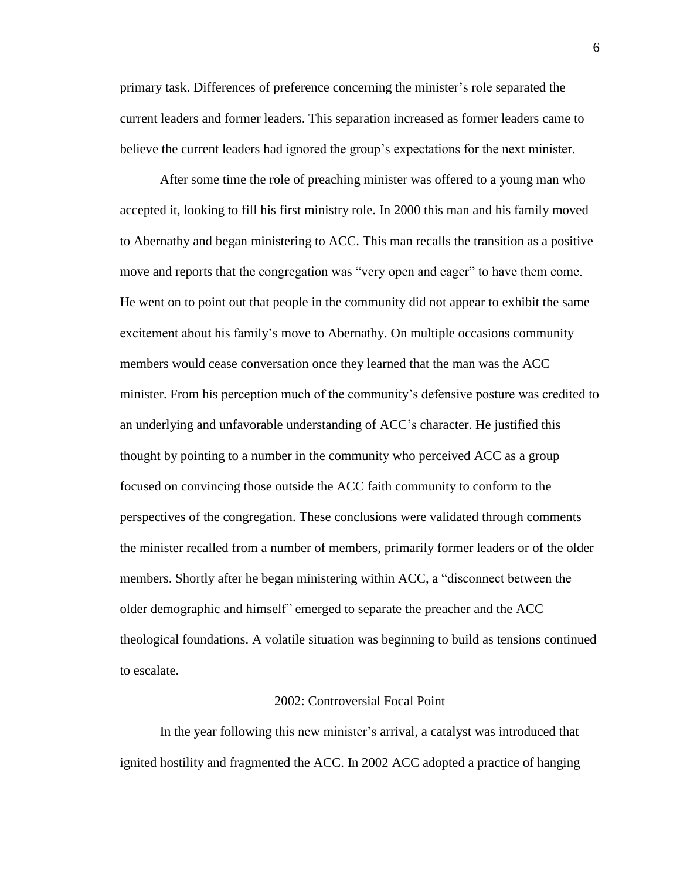primary task. Differences of preference concerning the minister's role separated the current leaders and former leaders. This separation increased as former leaders came to believe the current leaders had ignored the group's expectations for the next minister.

After some time the role of preaching minister was offered to a young man who accepted it, looking to fill his first ministry role. In 2000 this man and his family moved to Abernathy and began ministering to ACC. This man recalls the transition as a positive move and reports that the congregation was "very open and eager" to have them come. He went on to point out that people in the community did not appear to exhibit the same excitement about his family's move to Abernathy. On multiple occasions community members would cease conversation once they learned that the man was the ACC minister. From his perception much of the community's defensive posture was credited to an underlying and unfavorable understanding of ACC's character. He justified this thought by pointing to a number in the community who perceived ACC as a group focused on convincing those outside the ACC faith community to conform to the perspectives of the congregation. These conclusions were validated through comments the minister recalled from a number of members, primarily former leaders or of the older members. Shortly after he began ministering within ACC, a "disconnect between the older demographic and himself" emerged to separate the preacher and the ACC theological foundations. A volatile situation was beginning to build as tensions continued to escalate.

#### 2002: Controversial Focal Point

In the year following this new minister's arrival, a catalyst was introduced that ignited hostility and fragmented the ACC. In 2002 ACC adopted a practice of hanging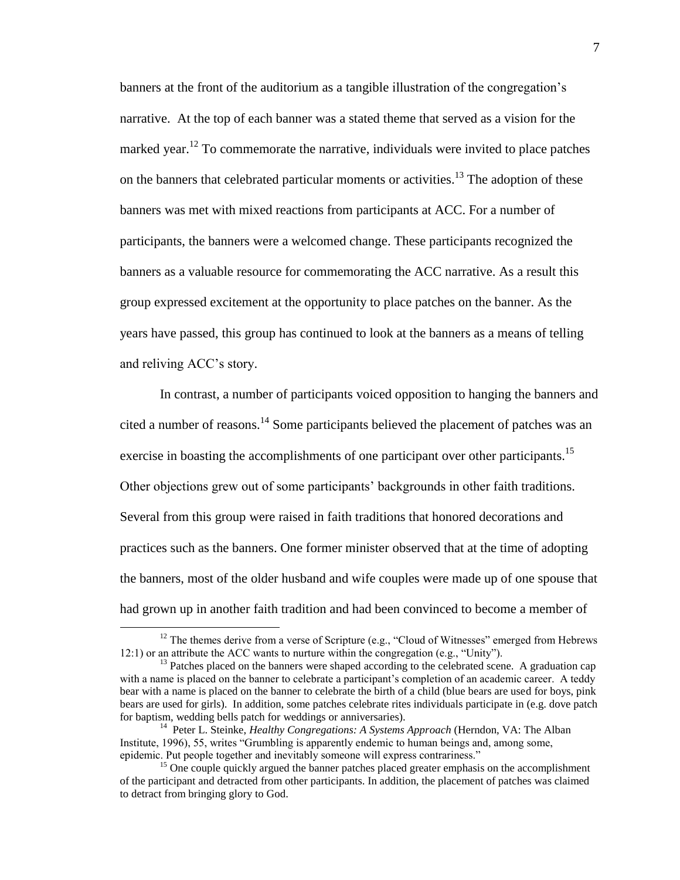banners at the front of the auditorium as a tangible illustration of the congregation's narrative. At the top of each banner was a stated theme that served as a vision for the marked year.<sup>12</sup> To commemorate the narrative, individuals were invited to place patches on the banners that celebrated particular moments or activities.<sup>13</sup> The adoption of these banners was met with mixed reactions from participants at ACC. For a number of participants, the banners were a welcomed change. These participants recognized the banners as a valuable resource for commemorating the ACC narrative. As a result this group expressed excitement at the opportunity to place patches on the banner. As the years have passed, this group has continued to look at the banners as a means of telling and reliving ACC's story.

In contrast, a number of participants voiced opposition to hanging the banners and cited a number of reasons.<sup>14</sup> Some participants believed the placement of patches was an exercise in boasting the accomplishments of one participant over other participants.<sup>15</sup> Other objections grew out of some participants' backgrounds in other faith traditions. Several from this group were raised in faith traditions that honored decorations and practices such as the banners. One former minister observed that at the time of adopting the banners, most of the older husband and wife couples were made up of one spouse that had grown up in another faith tradition and had been convinced to become a member of

 $12$  The themes derive from a verse of Scripture (e.g., "Cloud of Witnesses" emerged from Hebrews 12:1) or an attribute the ACC wants to nurture within the congregation (e.g., "Unity").

<sup>&</sup>lt;sup>13</sup> Patches placed on the banners were shaped according to the celebrated scene. A graduation cap with a name is placed on the banner to celebrate a participant's completion of an academic career. A teddy bear with a name is placed on the banner to celebrate the birth of a child (blue bears are used for boys, pink bears are used for girls). In addition, some patches celebrate rites individuals participate in (e.g. dove patch for baptism, wedding bells patch for weddings or anniversaries).

<sup>&</sup>lt;sup>14</sup> Peter L. Steinke, *Healthy Congregations: A Systems Approach* (Herndon, VA: The Alban Institute, 1996), 55, writes "Grumbling is apparently endemic to human beings and, among some, epidemic. Put people together and inevitably someone will express contrariness."

<sup>&</sup>lt;sup>15</sup> One couple quickly argued the banner patches placed greater emphasis on the accomplishment of the participant and detracted from other participants. In addition, the placement of patches was claimed to detract from bringing glory to God.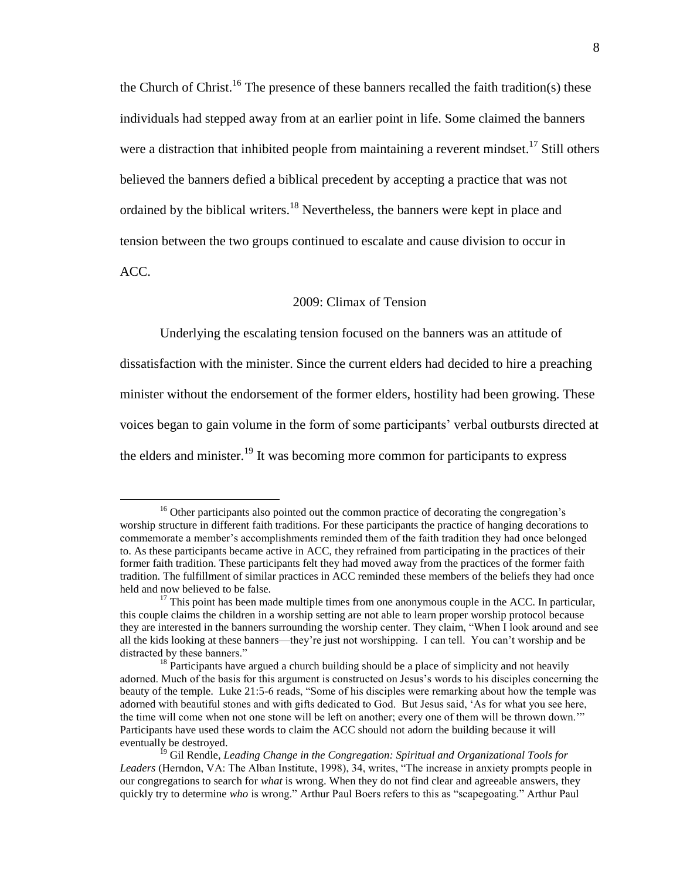the Church of Christ.<sup>16</sup> The presence of these banners recalled the faith tradition(s) these individuals had stepped away from at an earlier point in life. Some claimed the banners were a distraction that inhibited people from maintaining a reverent mindset.<sup>17</sup> Still others believed the banners defied a biblical precedent by accepting a practice that was not ordained by the biblical writers.<sup>18</sup> Nevertheless, the banners were kept in place and tension between the two groups continued to escalate and cause division to occur in ACC.

# 2009: Climax of Tension

Underlying the escalating tension focused on the banners was an attitude of dissatisfaction with the minister. Since the current elders had decided to hire a preaching minister without the endorsement of the former elders, hostility had been growing. These voices began to gain volume in the form of some participants' verbal outbursts directed at the elders and minister.<sup>19</sup> It was becoming more common for participants to express

<sup>&</sup>lt;sup>16</sup> Other participants also pointed out the common practice of decorating the congregation's worship structure in different faith traditions. For these participants the practice of hanging decorations to commemorate a member's accomplishments reminded them of the faith tradition they had once belonged to. As these participants became active in ACC, they refrained from participating in the practices of their former faith tradition. These participants felt they had moved away from the practices of the former faith tradition. The fulfillment of similar practices in ACC reminded these members of the beliefs they had once held and now believed to be false.

 $17$  This point has been made multiple times from one anonymous couple in the ACC. In particular, this couple claims the children in a worship setting are not able to learn proper worship protocol because they are interested in the banners surrounding the worship center. They claim, "When I look around and see all the kids looking at these banners—they're just not worshipping. I can tell. You can't worship and be distracted by these banners."

 $18$  Participants have argued a church building should be a place of simplicity and not heavily adorned. Much of the basis for this argument is constructed on Jesus's words to his disciples concerning the beauty of the temple. Luke 21:5-6 reads, "Some of his disciples were remarking about how the temple was adorned with beautiful stones and with gifts dedicated to God. But Jesus said, 'As for what you see here, the time will come when not one stone will be left on another; every one of them will be thrown down.'" Participants have used these words to claim the ACC should not adorn the building because it will eventually be destroyed.

<sup>&</sup>lt;sup>19</sup> Gil Rendle, *Leading Change in the Congregation: Spiritual and Organizational Tools for Leaders* (Herndon, VA: The Alban Institute, 1998), 34, writes, "The increase in anxiety prompts people in our congregations to search for *what* is wrong. When they do not find clear and agreeable answers, they quickly try to determine *who* is wrong." Arthur Paul Boers refers to this as "scapegoating." Arthur Paul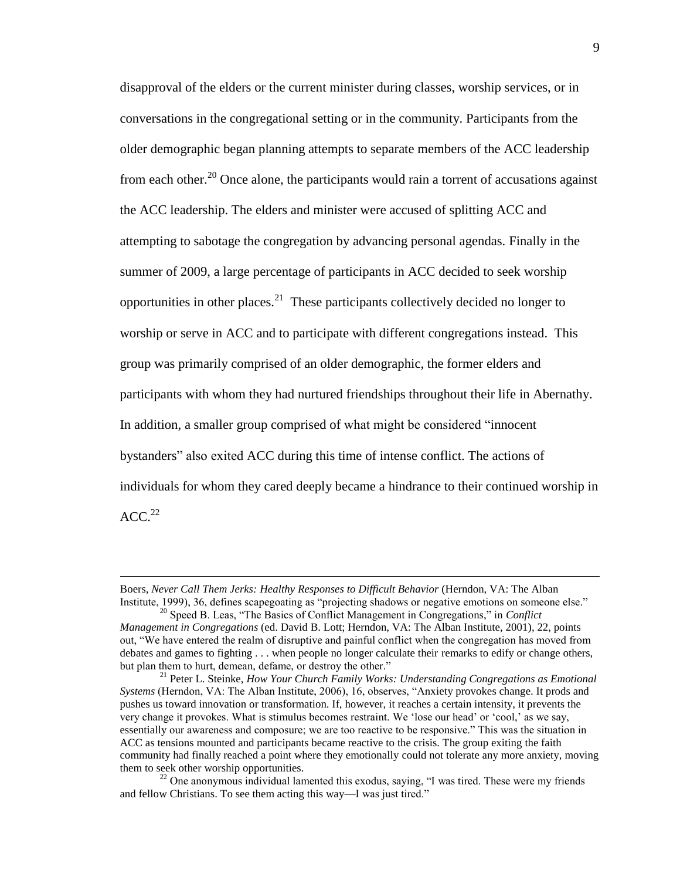disapproval of the elders or the current minister during classes, worship services, or in conversations in the congregational setting or in the community. Participants from the older demographic began planning attempts to separate members of the ACC leadership from each other.<sup>20</sup> Once alone, the participants would rain a torrent of accusations against the ACC leadership. The elders and minister were accused of splitting ACC and attempting to sabotage the congregation by advancing personal agendas. Finally in the summer of 2009, a large percentage of participants in ACC decided to seek worship opportunities in other places.<sup>21</sup> These participants collectively decided no longer to worship or serve in ACC and to participate with different congregations instead. This group was primarily comprised of an older demographic, the former elders and participants with whom they had nurtured friendships throughout their life in Abernathy. In addition, a smaller group comprised of what might be considered "innocent bystanders" also exited ACC during this time of intense conflict. The actions of individuals for whom they cared deeply became a hindrance to their continued worship in  $ACC.<sup>22</sup>$ 

Boers, *Never Call Them Jerks: Healthy Responses to Difficult Behavior* (Herndon, VA: The Alban Institute, 1999), 36, defines scapegoating as "projecting shadows or negative emotions on someone else."

<sup>20</sup> Speed B. Leas, "The Basics of Conflict Management in Congregations," in *Conflict Management in Congregations* (ed. David B. Lott; Herndon, VA: The Alban Institute, 2001), 22, points out, "We have entered the realm of disruptive and painful conflict when the congregation has moved from debates and games to fighting . . . when people no longer calculate their remarks to edify or change others, but plan them to hurt, demean, defame, or destroy the other."

<sup>21</sup> Peter L. Steinke, *How Your Church Family Works: Understanding Congregations as Emotional Systems* (Herndon, VA: The Alban Institute, 2006), 16, observes, "Anxiety provokes change. It prods and pushes us toward innovation or transformation. If, however, it reaches a certain intensity, it prevents the very change it provokes. What is stimulus becomes restraint. We 'lose our head' or 'cool,' as we say, essentially our awareness and composure; we are too reactive to be responsive." This was the situation in ACC as tensions mounted and participants became reactive to the crisis. The group exiting the faith community had finally reached a point where they emotionally could not tolerate any more anxiety, moving them to seek other worship opportunities.

<sup>&</sup>lt;sup>22</sup> One anonymous individual lamented this exodus, saying, "I was tired. These were my friends and fellow Christians. To see them acting this way—I was just tired."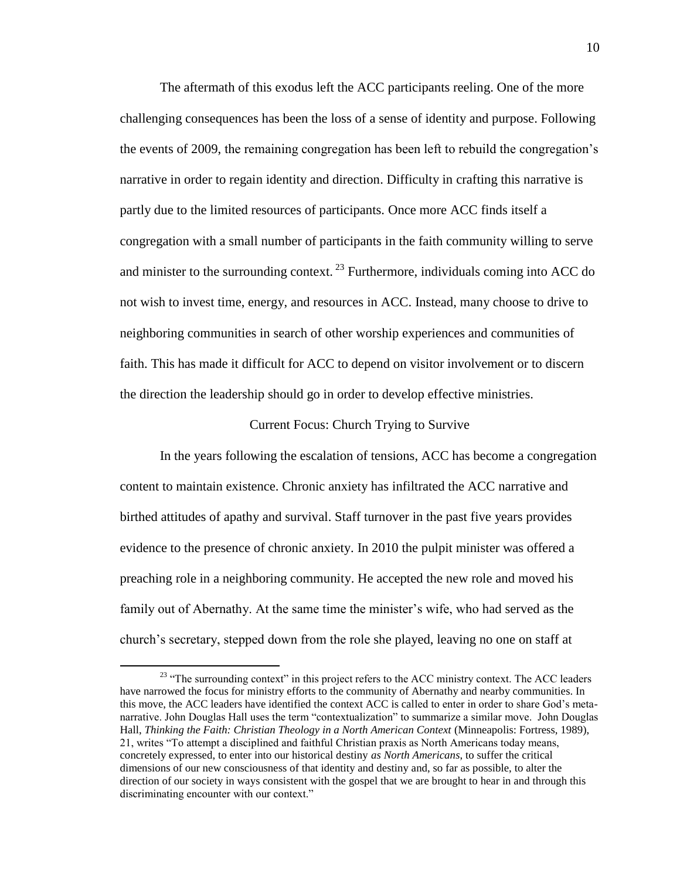The aftermath of this exodus left the ACC participants reeling. One of the more challenging consequences has been the loss of a sense of identity and purpose. Following the events of 2009, the remaining congregation has been left to rebuild the congregation's narrative in order to regain identity and direction. Difficulty in crafting this narrative is partly due to the limited resources of participants. Once more ACC finds itself a congregation with a small number of participants in the faith community willing to serve and minister to the surrounding context.  $^{23}$  Furthermore, individuals coming into ACC do not wish to invest time, energy, and resources in ACC. Instead, many choose to drive to neighboring communities in search of other worship experiences and communities of faith. This has made it difficult for ACC to depend on visitor involvement or to discern the direction the leadership should go in order to develop effective ministries.

#### Current Focus: Church Trying to Survive

In the years following the escalation of tensions, ACC has become a congregation content to maintain existence. Chronic anxiety has infiltrated the ACC narrative and birthed attitudes of apathy and survival. Staff turnover in the past five years provides evidence to the presence of chronic anxiety. In 2010 the pulpit minister was offered a preaching role in a neighboring community. He accepted the new role and moved his family out of Abernathy. At the same time the minister's wife, who had served as the church's secretary, stepped down from the role she played, leaving no one on staff at

<sup>&</sup>lt;sup>23</sup> "The surrounding context" in this project refers to the ACC ministry context. The ACC leaders have narrowed the focus for ministry efforts to the community of Abernathy and nearby communities. In this move, the ACC leaders have identified the context ACC is called to enter in order to share God's metanarrative. John Douglas Hall uses the term "contextualization" to summarize a similar move. John Douglas Hall, *Thinking the Faith: Christian Theology in a North American Context* (Minneapolis: Fortress, 1989), 21, writes "To attempt a disciplined and faithful Christian praxis as North Americans today means, concretely expressed, to enter into our historical destiny *as North Americans*, to suffer the critical dimensions of our new consciousness of that identity and destiny and, so far as possible, to alter the direction of our society in ways consistent with the gospel that we are brought to hear in and through this discriminating encounter with our context."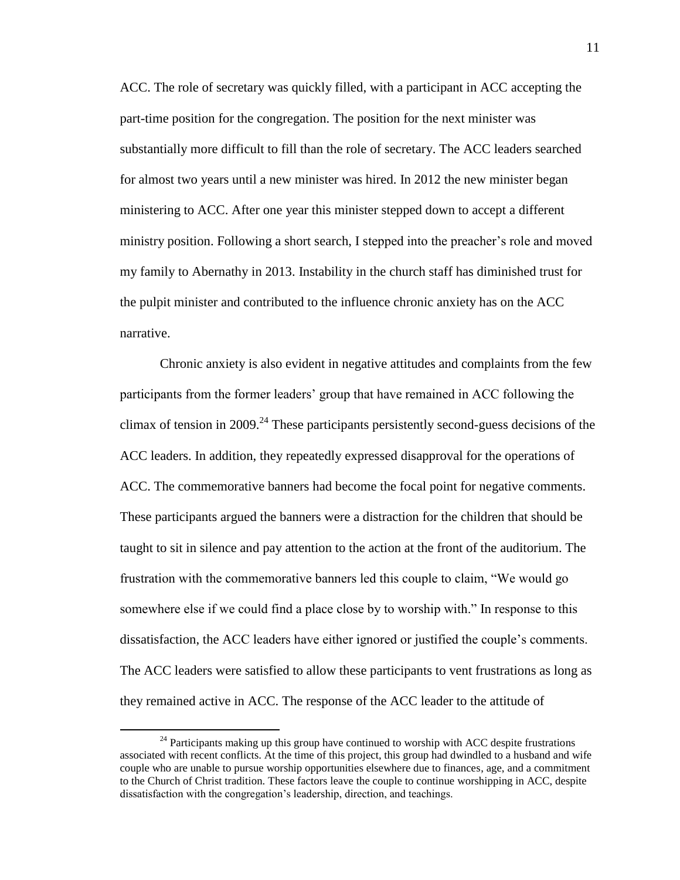ACC. The role of secretary was quickly filled, with a participant in ACC accepting the part-time position for the congregation. The position for the next minister was substantially more difficult to fill than the role of secretary. The ACC leaders searched for almost two years until a new minister was hired. In 2012 the new minister began ministering to ACC. After one year this minister stepped down to accept a different ministry position. Following a short search, I stepped into the preacher's role and moved my family to Abernathy in 2013. Instability in the church staff has diminished trust for the pulpit minister and contributed to the influence chronic anxiety has on the ACC narrative.

Chronic anxiety is also evident in negative attitudes and complaints from the few participants from the former leaders' group that have remained in ACC following the climax of tension in 2009.<sup>24</sup> These participants persistently second-guess decisions of the ACC leaders. In addition, they repeatedly expressed disapproval for the operations of ACC. The commemorative banners had become the focal point for negative comments. These participants argued the banners were a distraction for the children that should be taught to sit in silence and pay attention to the action at the front of the auditorium. The frustration with the commemorative banners led this couple to claim, "We would go somewhere else if we could find a place close by to worship with." In response to this dissatisfaction, the ACC leaders have either ignored or justified the couple's comments. The ACC leaders were satisfied to allow these participants to vent frustrations as long as they remained active in ACC. The response of the ACC leader to the attitude of

<sup>&</sup>lt;sup>24</sup> Participants making up this group have continued to worship with ACC despite frustrations associated with recent conflicts. At the time of this project, this group had dwindled to a husband and wife couple who are unable to pursue worship opportunities elsewhere due to finances, age, and a commitment to the Church of Christ tradition. These factors leave the couple to continue worshipping in ACC, despite dissatisfaction with the congregation's leadership, direction, and teachings.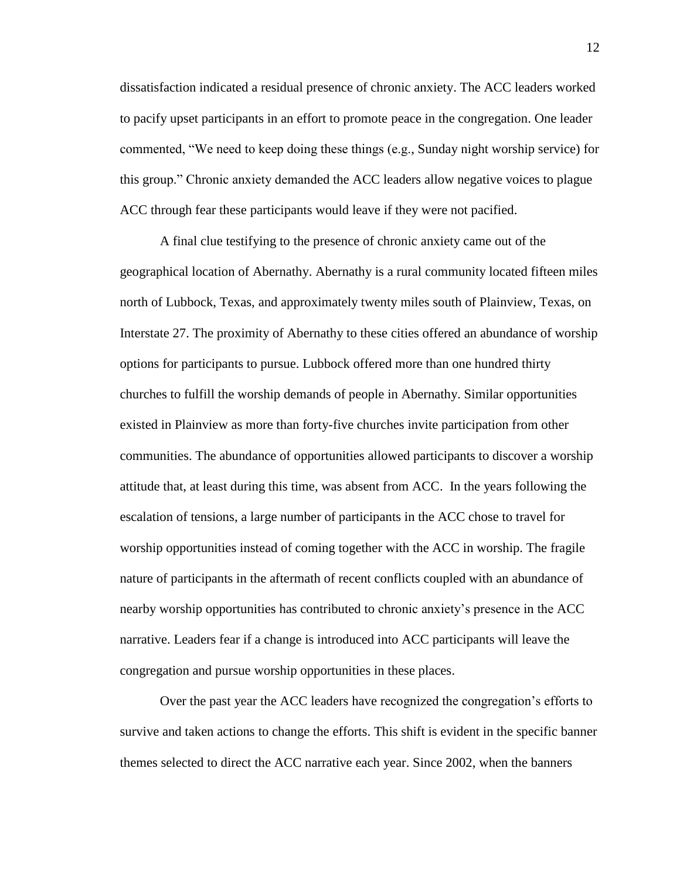dissatisfaction indicated a residual presence of chronic anxiety. The ACC leaders worked to pacify upset participants in an effort to promote peace in the congregation. One leader commented, "We need to keep doing these things (e.g., Sunday night worship service) for this group." Chronic anxiety demanded the ACC leaders allow negative voices to plague ACC through fear these participants would leave if they were not pacified.

A final clue testifying to the presence of chronic anxiety came out of the geographical location of Abernathy. Abernathy is a rural community located fifteen miles north of Lubbock, Texas, and approximately twenty miles south of Plainview, Texas, on Interstate 27. The proximity of Abernathy to these cities offered an abundance of worship options for participants to pursue. Lubbock offered more than one hundred thirty churches to fulfill the worship demands of people in Abernathy. Similar opportunities existed in Plainview as more than forty-five churches invite participation from other communities. The abundance of opportunities allowed participants to discover a worship attitude that, at least during this time, was absent from ACC. In the years following the escalation of tensions, a large number of participants in the ACC chose to travel for worship opportunities instead of coming together with the ACC in worship. The fragile nature of participants in the aftermath of recent conflicts coupled with an abundance of nearby worship opportunities has contributed to chronic anxiety's presence in the ACC narrative. Leaders fear if a change is introduced into ACC participants will leave the congregation and pursue worship opportunities in these places.

Over the past year the ACC leaders have recognized the congregation's efforts to survive and taken actions to change the efforts. This shift is evident in the specific banner themes selected to direct the ACC narrative each year. Since 2002, when the banners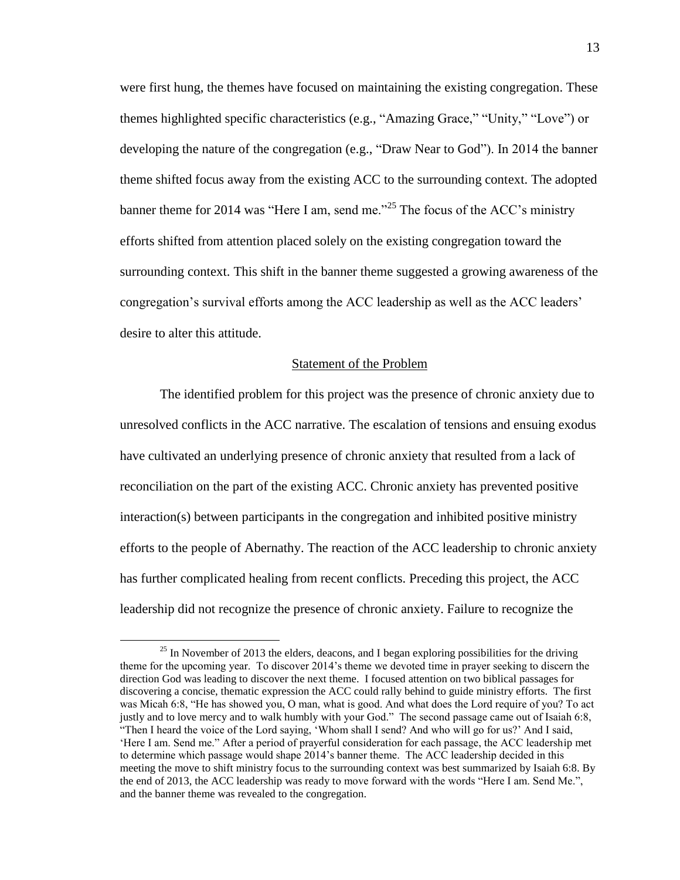were first hung, the themes have focused on maintaining the existing congregation. These themes highlighted specific characteristics (e.g., "Amazing Grace," "Unity," "Love") or developing the nature of the congregation (e.g., "Draw Near to God"). In 2014 the banner theme shifted focus away from the existing ACC to the surrounding context. The adopted banner theme for 2014 was "Here I am, send me."<sup>25</sup> The focus of the ACC's ministry efforts shifted from attention placed solely on the existing congregation toward the surrounding context. This shift in the banner theme suggested a growing awareness of the congregation's survival efforts among the ACC leadership as well as the ACC leaders' desire to alter this attitude.

#### Statement of the Problem

The identified problem for this project was the presence of chronic anxiety due to unresolved conflicts in the ACC narrative. The escalation of tensions and ensuing exodus have cultivated an underlying presence of chronic anxiety that resulted from a lack of reconciliation on the part of the existing ACC. Chronic anxiety has prevented positive interaction(s) between participants in the congregation and inhibited positive ministry efforts to the people of Abernathy. The reaction of the ACC leadership to chronic anxiety has further complicated healing from recent conflicts. Preceding this project, the ACC leadership did not recognize the presence of chronic anxiety. Failure to recognize the

<sup>&</sup>lt;sup>25</sup> In November of 2013 the elders, deacons, and I began exploring possibilities for the driving theme for the upcoming year. To discover 2014's theme we devoted time in prayer seeking to discern the direction God was leading to discover the next theme. I focused attention on two biblical passages for discovering a concise, thematic expression the ACC could rally behind to guide ministry efforts. The first was Micah 6:8, "He has showed you, O man, what is good. And what does the Lord require of you? To act justly and to love mercy and to walk humbly with your God." The second passage came out of Isaiah 6:8, "Then I heard the voice of the Lord saying, 'Whom shall I send? And who will go for us?' And I said, 'Here I am. Send me." After a period of prayerful consideration for each passage, the ACC leadership met to determine which passage would shape 2014's banner theme. The ACC leadership decided in this meeting the move to shift ministry focus to the surrounding context was best summarized by Isaiah 6:8. By the end of 2013, the ACC leadership was ready to move forward with the words "Here I am. Send Me.", and the banner theme was revealed to the congregation.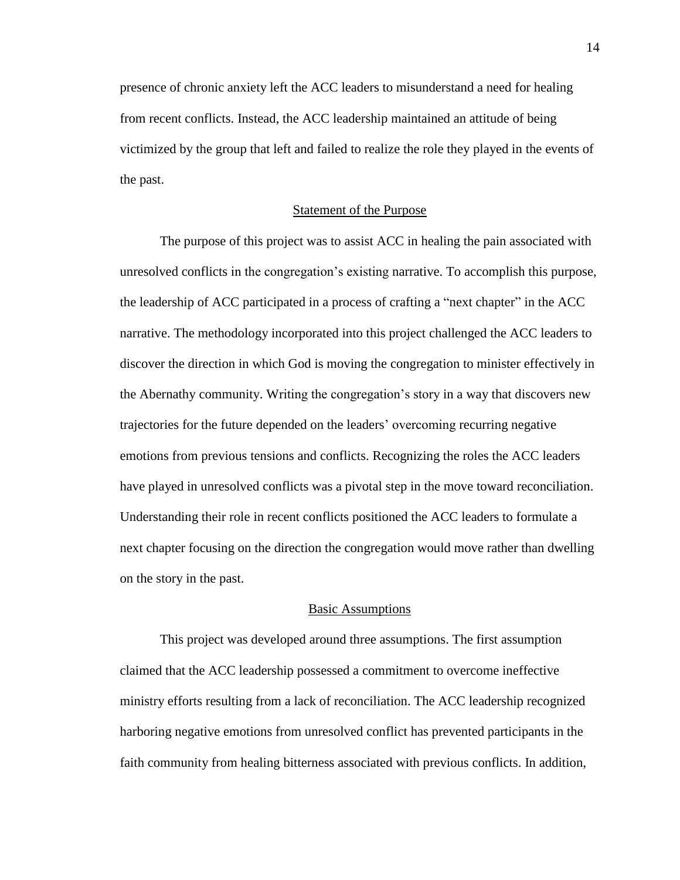presence of chronic anxiety left the ACC leaders to misunderstand a need for healing from recent conflicts. Instead, the ACC leadership maintained an attitude of being victimized by the group that left and failed to realize the role they played in the events of the past.

#### Statement of the Purpose

The purpose of this project was to assist ACC in healing the pain associated with unresolved conflicts in the congregation's existing narrative. To accomplish this purpose, the leadership of ACC participated in a process of crafting a "next chapter" in the ACC narrative. The methodology incorporated into this project challenged the ACC leaders to discover the direction in which God is moving the congregation to minister effectively in the Abernathy community. Writing the congregation's story in a way that discovers new trajectories for the future depended on the leaders' overcoming recurring negative emotions from previous tensions and conflicts. Recognizing the roles the ACC leaders have played in unresolved conflicts was a pivotal step in the move toward reconciliation. Understanding their role in recent conflicts positioned the ACC leaders to formulate a next chapter focusing on the direction the congregation would move rather than dwelling on the story in the past.

#### Basic Assumptions

This project was developed around three assumptions. The first assumption claimed that the ACC leadership possessed a commitment to overcome ineffective ministry efforts resulting from a lack of reconciliation. The ACC leadership recognized harboring negative emotions from unresolved conflict has prevented participants in the faith community from healing bitterness associated with previous conflicts. In addition,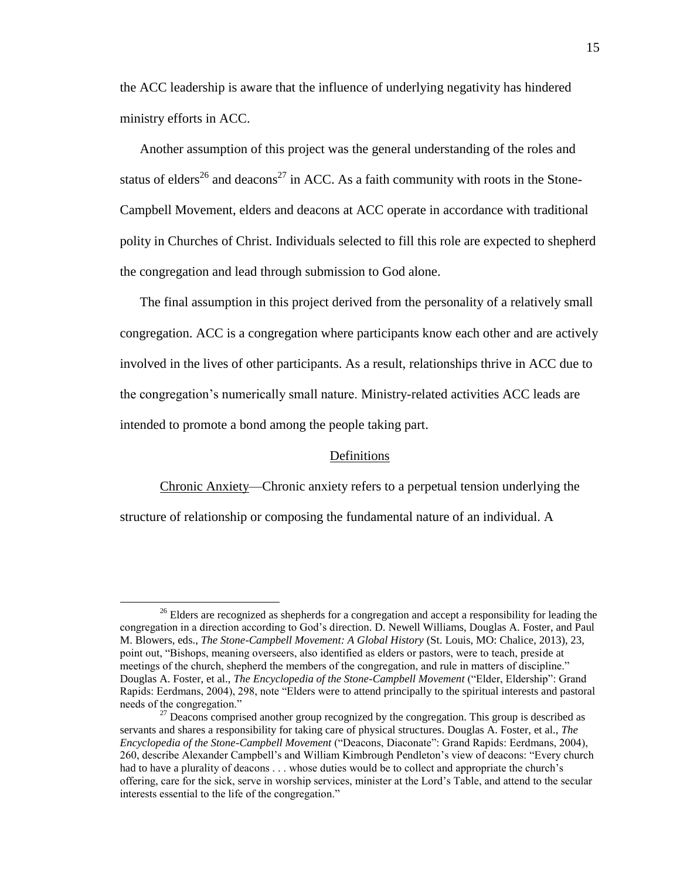the ACC leadership is aware that the influence of underlying negativity has hindered ministry efforts in ACC.

Another assumption of this project was the general understanding of the roles and status of elders<sup>26</sup> and deacons<sup>27</sup> in ACC. As a faith community with roots in the Stone-Campbell Movement, elders and deacons at ACC operate in accordance with traditional polity in Churches of Christ. Individuals selected to fill this role are expected to shepherd the congregation and lead through submission to God alone.

The final assumption in this project derived from the personality of a relatively small congregation. ACC is a congregation where participants know each other and are actively involved in the lives of other participants. As a result, relationships thrive in ACC due to the congregation's numerically small nature. Ministry-related activities ACC leads are intended to promote a bond among the people taking part.

#### Definitions

Chronic Anxiety—Chronic anxiety refers to a perpetual tension underlying the

structure of relationship or composing the fundamental nature of an individual. A

<sup>&</sup>lt;sup>26</sup> Elders are recognized as shepherds for a congregation and accept a responsibility for leading the congregation in a direction according to God's direction. D. Newell Williams, Douglas A. Foster, and Paul M. Blowers, eds., *The Stone-Campbell Movement: A Global History* (St. Louis, MO: Chalice, 2013), 23, point out, "Bishops, meaning overseers, also identified as elders or pastors, were to teach, preside at meetings of the church, shepherd the members of the congregation, and rule in matters of discipline." Douglas A. Foster, et al., *The Encyclopedia of the Stone-Campbell Movement* ("Elder, Eldership": Grand Rapids: Eerdmans, 2004), 298, note "Elders were to attend principally to the spiritual interests and pastoral needs of the congregation."

 $2<sup>27</sup>$  Deacons comprised another group recognized by the congregation. This group is described as servants and shares a responsibility for taking care of physical structures. Douglas A. Foster, et al., *The Encyclopedia of the Stone-Campbell Movement* ("Deacons, Diaconate": Grand Rapids: Eerdmans, 2004), 260, describe Alexander Campbell's and William Kimbrough Pendleton's view of deacons: "Every church had to have a plurality of deacons . . . whose duties would be to collect and appropriate the church's offering, care for the sick, serve in worship services, minister at the Lord's Table, and attend to the secular interests essential to the life of the congregation."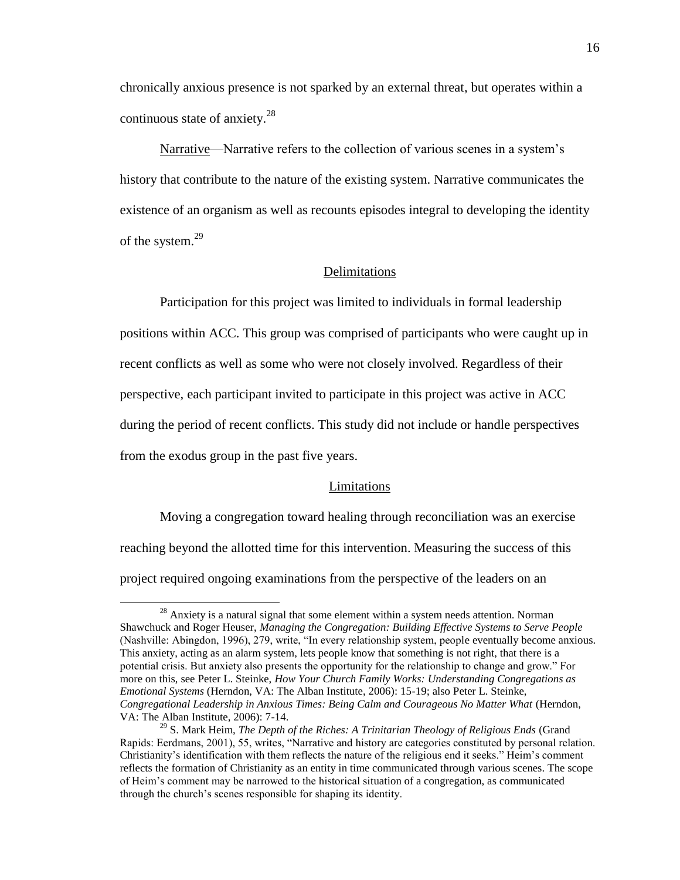chronically anxious presence is not sparked by an external threat, but operates within a continuous state of anxiety.<sup>28</sup>

Narrative—Narrative refers to the collection of various scenes in a system's history that contribute to the nature of the existing system. Narrative communicates the existence of an organism as well as recounts episodes integral to developing the identity of the system.<sup>29</sup>

#### Delimitations

Participation for this project was limited to individuals in formal leadership positions within ACC. This group was comprised of participants who were caught up in recent conflicts as well as some who were not closely involved. Regardless of their perspective, each participant invited to participate in this project was active in ACC during the period of recent conflicts. This study did not include or handle perspectives from the exodus group in the past five years.

#### Limitations

Moving a congregation toward healing through reconciliation was an exercise reaching beyond the allotted time for this intervention. Measuring the success of this project required ongoing examinations from the perspective of the leaders on an

 $^{28}$  Anxiety is a natural signal that some element within a system needs attention. Norman Shawchuck and Roger Heuser, *Managing the Congregation: Building Effective Systems to Serve People* (Nashville: Abingdon, 1996), 279, write, "In every relationship system, people eventually become anxious. This anxiety, acting as an alarm system, lets people know that something is not right, that there is a potential crisis. But anxiety also presents the opportunity for the relationship to change and grow." For more on this, see Peter L. Steinke, *How Your Church Family Works: Understanding Congregations as Emotional Systems* (Herndon, VA: The Alban Institute, 2006): 15-19; also Peter L. Steinke, *Congregational Leadership in Anxious Times: Being Calm and Courageous No Matter What* (Herndon, VA: The Alban Institute, 2006): 7-14.

<sup>29</sup> S. Mark Heim, *The Depth of the Riches: A Trinitarian Theology of Religious Ends* (Grand Rapids: Eerdmans, 2001), 55, writes, "Narrative and history are categories constituted by personal relation. Christianity's identification with them reflects the nature of the religious end it seeks." Heim's comment reflects the formation of Christianity as an entity in time communicated through various scenes. The scope of Heim's comment may be narrowed to the historical situation of a congregation, as communicated through the church's scenes responsible for shaping its identity.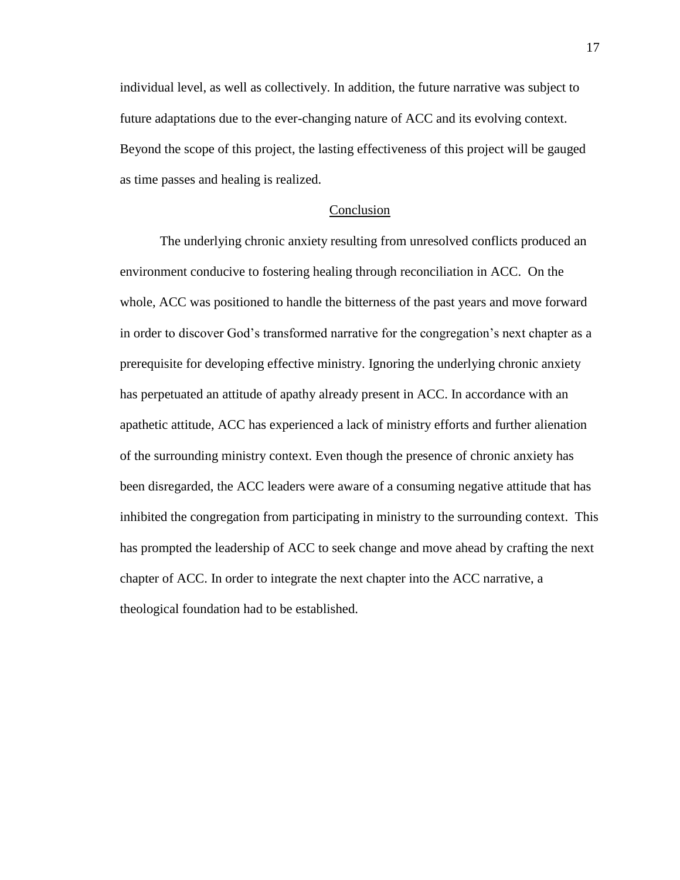individual level, as well as collectively. In addition, the future narrative was subject to future adaptations due to the ever-changing nature of ACC and its evolving context. Beyond the scope of this project, the lasting effectiveness of this project will be gauged as time passes and healing is realized.

#### Conclusion

The underlying chronic anxiety resulting from unresolved conflicts produced an environment conducive to fostering healing through reconciliation in ACC. On the whole, ACC was positioned to handle the bitterness of the past years and move forward in order to discover God's transformed narrative for the congregation's next chapter as a prerequisite for developing effective ministry. Ignoring the underlying chronic anxiety has perpetuated an attitude of apathy already present in ACC. In accordance with an apathetic attitude, ACC has experienced a lack of ministry efforts and further alienation of the surrounding ministry context. Even though the presence of chronic anxiety has been disregarded, the ACC leaders were aware of a consuming negative attitude that has inhibited the congregation from participating in ministry to the surrounding context. This has prompted the leadership of ACC to seek change and move ahead by crafting the next chapter of ACC. In order to integrate the next chapter into the ACC narrative, a theological foundation had to be established.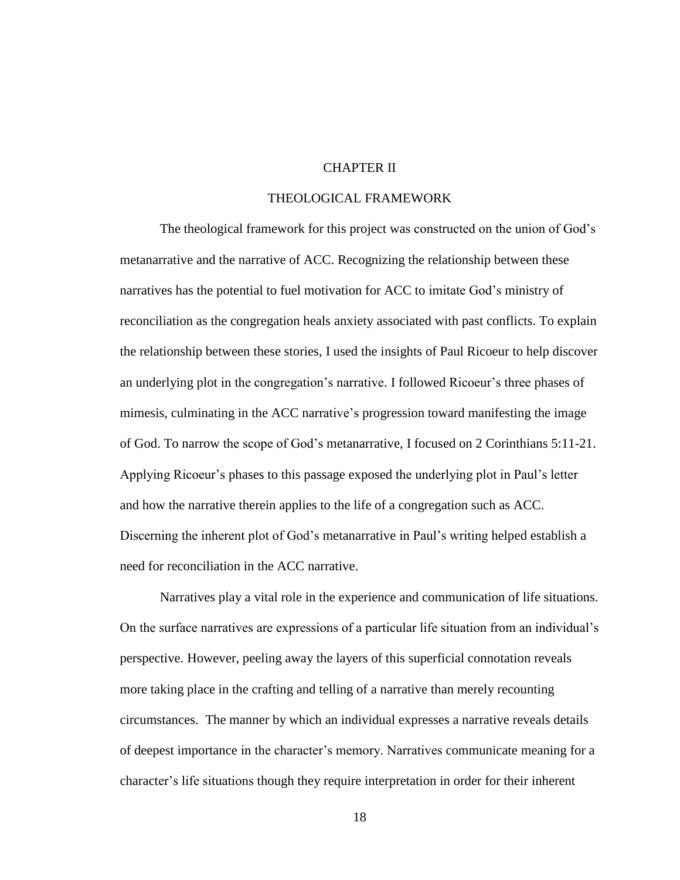# CHAPTER II

## THEOLOGICAL FRAMEWORK

The theological framework for this project was constructed on the union of God's metanarrative and the narrative of ACC. Recognizing the relationship between these narratives has the potential to fuel motivation for ACC to imitate God's ministry of reconciliation as the congregation heals anxiety associated with past conflicts. To explain the relationship between these stories, I used the insights of Paul Ricoeur to help discover an underlying plot in the congregation's narrative. I followed Ricoeur's three phases of mimesis, culminating in the ACC narrative's progression toward manifesting the image of God. To narrow the scope of God's metanarrative, I focused on 2 Corinthians 5:11-21. Applying Ricoeur's phases to this passage exposed the underlying plot in Paul's letter and how the narrative therein applies to the life of a congregation such as ACC. Discerning the inherent plot of God's metanarrative in Paul's writing helped establish a need for reconciliation in the ACC narrative.

Narratives play a vital role in the experience and communication of life situations. On the surface narratives are expressions of a particular life situation from an individual's perspective. However, peeling away the layers of this superficial connotation reveals more taking place in the crafting and telling of a narrative than merely recounting circumstances. The manner by which an individual expresses a narrative reveals details of deepest importance in the character's memory. Narratives communicate meaning for a character's life situations though they require interpretation in order for their inherent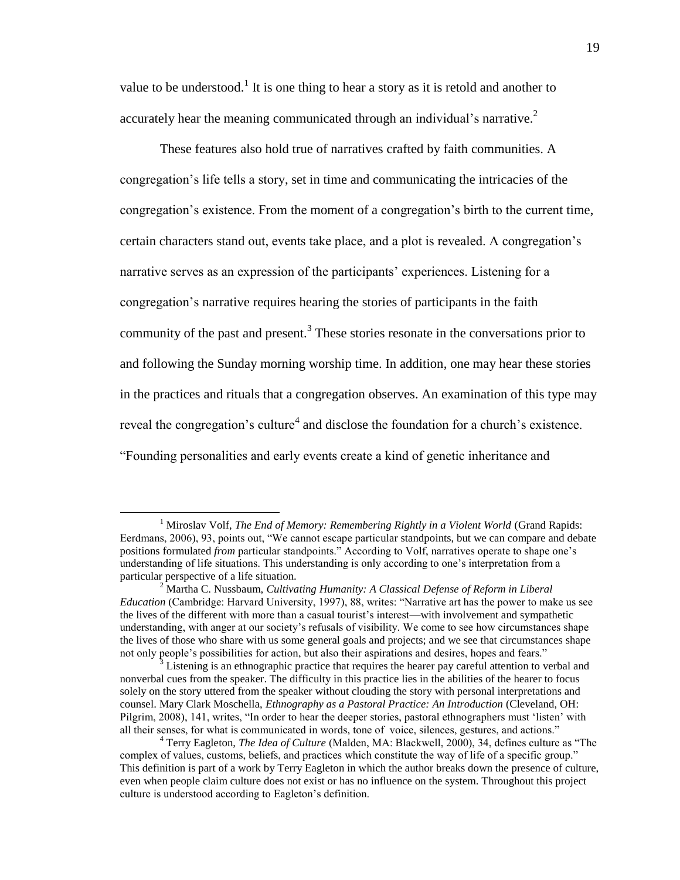value to be understood.<sup>1</sup> It is one thing to hear a story as it is retold and another to accurately hear the meaning communicated through an individual's narrative.<sup>2</sup>

These features also hold true of narratives crafted by faith communities. A congregation's life tells a story, set in time and communicating the intricacies of the congregation's existence. From the moment of a congregation's birth to the current time, certain characters stand out, events take place, and a plot is revealed. A congregation's narrative serves as an expression of the participants' experiences. Listening for a congregation's narrative requires hearing the stories of participants in the faith community of the past and present.<sup>3</sup> These stories resonate in the conversations prior to and following the Sunday morning worship time. In addition, one may hear these stories in the practices and rituals that a congregation observes. An examination of this type may reveal the congregation's culture<sup>4</sup> and disclose the foundation for a church's existence. "Founding personalities and early events create a kind of genetic inheritance and

<sup>&</sup>lt;sup>1</sup> Miroslav Volf, *The End of Memory: Remembering Rightly in a Violent World* (Grand Rapids: Eerdmans, 2006), 93, points out, "We cannot escape particular standpoints, but we can compare and debate positions formulated *from* particular standpoints." According to Volf, narratives operate to shape one's understanding of life situations. This understanding is only according to one's interpretation from a particular perspective of a life situation.

<sup>2</sup> Martha C. Nussbaum, *Cultivating Humanity: A Classical Defense of Reform in Liberal Education* (Cambridge: Harvard University, 1997), 88, writes: "Narrative art has the power to make us see the lives of the different with more than a casual tourist's interest—with involvement and sympathetic understanding, with anger at our society's refusals of visibility. We come to see how circumstances shape the lives of those who share with us some general goals and projects; and we see that circumstances shape not only people's possibilities for action, but also their aspirations and desires, hopes and fears."

Listening is an ethnographic practice that requires the hearer pay careful attention to verbal and nonverbal cues from the speaker. The difficulty in this practice lies in the abilities of the hearer to focus solely on the story uttered from the speaker without clouding the story with personal interpretations and counsel. Mary Clark Moschella, *Ethnography as a Pastoral Practice: An Introduction* (Cleveland, OH: Pilgrim, 2008), 141, writes, "In order to hear the deeper stories, pastoral ethnographers must 'listen' with all their senses, for what is communicated in words, tone of voice, silences, gestures, and actions."

<sup>4</sup> Terry Eagleton, *The Idea of Culture* (Malden, MA: Blackwell, 2000), 34, defines culture as "The complex of values, customs, beliefs, and practices which constitute the way of life of a specific group." This definition is part of a work by Terry Eagleton in which the author breaks down the presence of culture, even when people claim culture does not exist or has no influence on the system. Throughout this project culture is understood according to Eagleton's definition.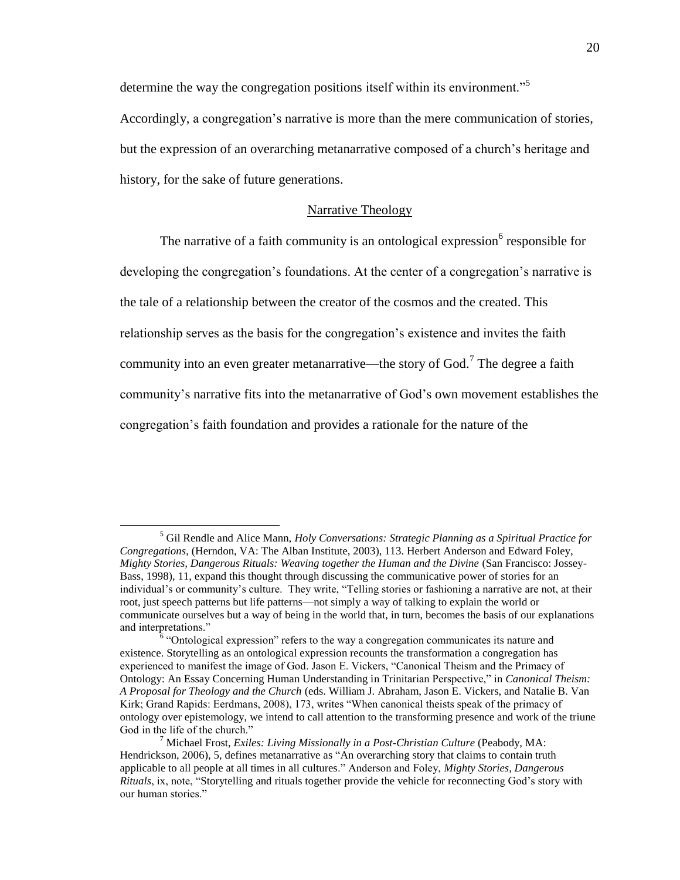determine the way the congregation positions itself within its environment.<sup>35</sup>

Accordingly, a congregation's narrative is more than the mere communication of stories, but the expression of an overarching metanarrative composed of a church's heritage and history, for the sake of future generations.

## Narrative Theology

The narrative of a faith community is an ontological expression  $6$  responsible for

developing the congregation's foundations. At the center of a congregation's narrative is

the tale of a relationship between the creator of the cosmos and the created. This

relationship serves as the basis for the congregation's existence and invites the faith

community into an even greater metanarrative—the story of God.<sup>7</sup> The degree a faith

community's narrative fits into the metanarrative of God's own movement establishes the

congregation's faith foundation and provides a rationale for the nature of the

<sup>5</sup> Gil Rendle and Alice Mann, *Holy Conversations: Strategic Planning as a Spiritual Practice for Congregations*, (Herndon, VA: The Alban Institute, 2003), 113. Herbert Anderson and Edward Foley, *Mighty Stories, Dangerous Rituals: Weaving together the Human and the Divine* (San Francisco: Jossey-Bass, 1998), 11, expand this thought through discussing the communicative power of stories for an individual's or community's culture. They write, "Telling stories or fashioning a narrative are not, at their root, just speech patterns but life patterns—not simply a way of talking to explain the world or communicate ourselves but a way of being in the world that, in turn, becomes the basis of our explanations and interpretations."

<sup>&</sup>lt;sup>6</sup> "Ontological expression" refers to the way a congregation communicates its nature and existence. Storytelling as an ontological expression recounts the transformation a congregation has experienced to manifest the image of God. Jason E. Vickers, "Canonical Theism and the Primacy of Ontology: An Essay Concerning Human Understanding in Trinitarian Perspective," in *Canonical Theism: A Proposal for Theology and the Church* (eds. William J. Abraham, Jason E. Vickers, and Natalie B. Van Kirk; Grand Rapids: Eerdmans, 2008), 173, writes "When canonical theists speak of the primacy of ontology over epistemology, we intend to call attention to the transforming presence and work of the triune God in the life of the church."

<sup>7</sup> Michael Frost, *Exiles: Living Missionally in a Post-Christian Culture* (Peabody, MA: Hendrickson, 2006), 5, defines metanarrative as "An overarching story that claims to contain truth applicable to all people at all times in all cultures." Anderson and Foley, *Mighty Stories, Dangerous Rituals*, ix, note, "Storytelling and rituals together provide the vehicle for reconnecting God's story with our human stories."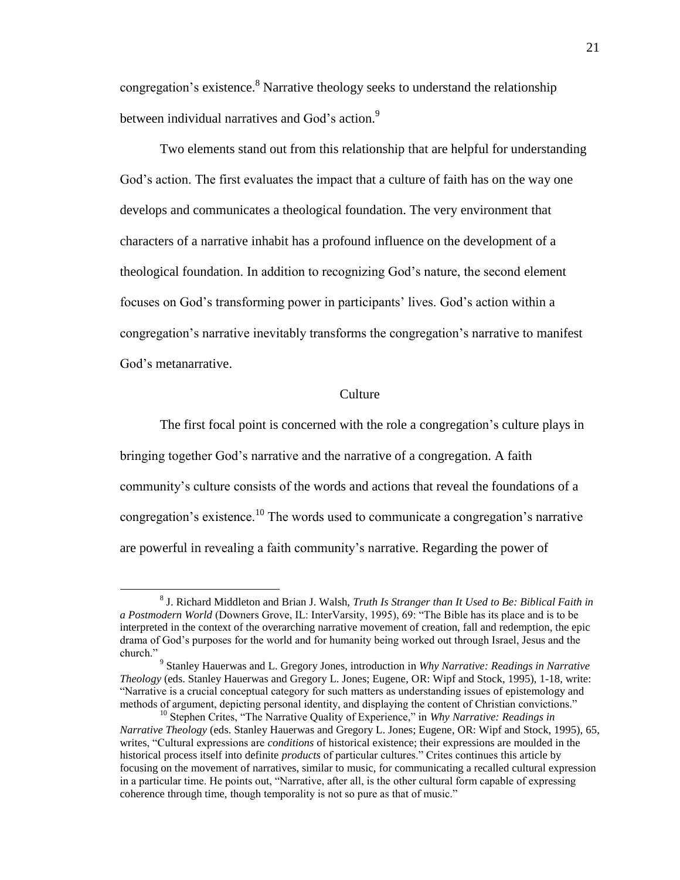congregation's existence.<sup>8</sup> Narrative theology seeks to understand the relationship between individual narratives and God's action.<sup>9</sup>

Two elements stand out from this relationship that are helpful for understanding God's action. The first evaluates the impact that a culture of faith has on the way one develops and communicates a theological foundation. The very environment that characters of a narrative inhabit has a profound influence on the development of a theological foundation. In addition to recognizing God's nature, the second element focuses on God's transforming power in participants' lives. God's action within a congregation's narrative inevitably transforms the congregation's narrative to manifest God's metanarrative.

#### Culture

The first focal point is concerned with the role a congregation's culture plays in bringing together God's narrative and the narrative of a congregation. A faith community's culture consists of the words and actions that reveal the foundations of a congregation's existence.<sup>10</sup> The words used to communicate a congregation's narrative are powerful in revealing a faith community's narrative. Regarding the power of

<sup>8</sup> J. Richard Middleton and Brian J. Walsh, *Truth Is Stranger than It Used to Be: Biblical Faith in a Postmodern World* (Downers Grove, IL: InterVarsity, 1995), 69: "The Bible has its place and is to be interpreted in the context of the overarching narrative movement of creation, fall and redemption, the epic drama of God's purposes for the world and for humanity being worked out through Israel, Jesus and the church."

<sup>9</sup> Stanley Hauerwas and L. Gregory Jones, introduction in *Why Narrative: Readings in Narrative Theology* (eds. Stanley Hauerwas and Gregory L. Jones; Eugene, OR: Wipf and Stock, 1995), 1-18, write: "Narrative is a crucial conceptual category for such matters as understanding issues of epistemology and methods of argument, depicting personal identity, and displaying the content of Christian convictions."

<sup>&</sup>lt;sup>10</sup> Stephen Crites, "The Narrative Quality of Experience," in *Why Narrative: Readings in Narrative Theology* (eds. Stanley Hauerwas and Gregory L. Jones; Eugene, OR: Wipf and Stock, 1995), 65, writes, "Cultural expressions are *conditions* of historical existence; their expressions are moulded in the historical process itself into definite *products* of particular cultures." Crites continues this article by focusing on the movement of narratives, similar to music, for communicating a recalled cultural expression in a particular time. He points out, "Narrative, after all, is the other cultural form capable of expressing coherence through time, though temporality is not so pure as that of music."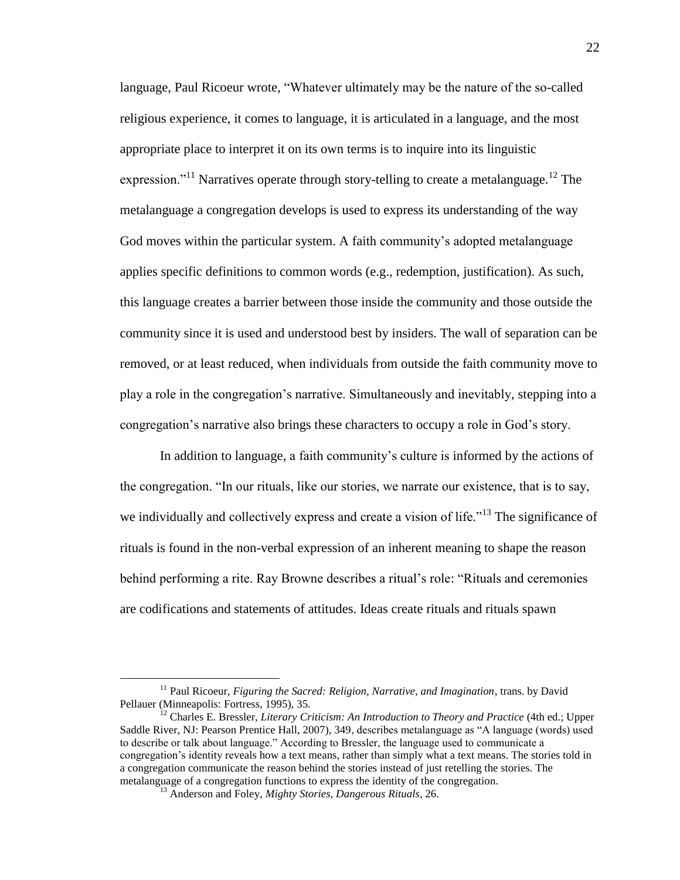language, Paul Ricoeur wrote, "Whatever ultimately may be the nature of the so-called religious experience, it comes to language, it is articulated in a language, and the most appropriate place to interpret it on its own terms is to inquire into its linguistic expression."<sup>11</sup> Narratives operate through story-telling to create a metalanguage.<sup>12</sup> The metalanguage a congregation develops is used to express its understanding of the way God moves within the particular system. A faith community's adopted metalanguage applies specific definitions to common words (e.g., redemption, justification). As such, this language creates a barrier between those inside the community and those outside the community since it is used and understood best by insiders. The wall of separation can be removed, or at least reduced, when individuals from outside the faith community move to play a role in the congregation's narrative. Simultaneously and inevitably, stepping into a congregation's narrative also brings these characters to occupy a role in God's story.

In addition to language, a faith community's culture is informed by the actions of the congregation. "In our rituals, like our stories, we narrate our existence, that is to say, we individually and collectively express and create a vision of life."<sup>13</sup> The significance of rituals is found in the non-verbal expression of an inherent meaning to shape the reason behind performing a rite. Ray Browne describes a ritual's role: "Rituals and ceremonies are codifications and statements of attitudes. Ideas create rituals and rituals spawn

<sup>&</sup>lt;sup>11</sup> Paul Ricoeur, *Figuring the Sacred: Religion, Narrative, and Imagination*, trans. by David Pellauer (Minneapolis: Fortress, 1995), 35.

<sup>12</sup> Charles E. Bressler, *Literary Criticism: An Introduction to Theory and Practice* (4th ed.; Upper Saddle River, NJ: Pearson Prentice Hall, 2007), 349, describes metalanguage as "A language (words) used to describe or talk about language." According to Bressler, the language used to communicate a congregation's identity reveals how a text means, rather than simply what a text means. The stories told in a congregation communicate the reason behind the stories instead of just retelling the stories. The metalanguage of a congregation functions to express the identity of the congregation.

<sup>13</sup> Anderson and Foley, *Mighty Stories, Dangerous Rituals*, 26.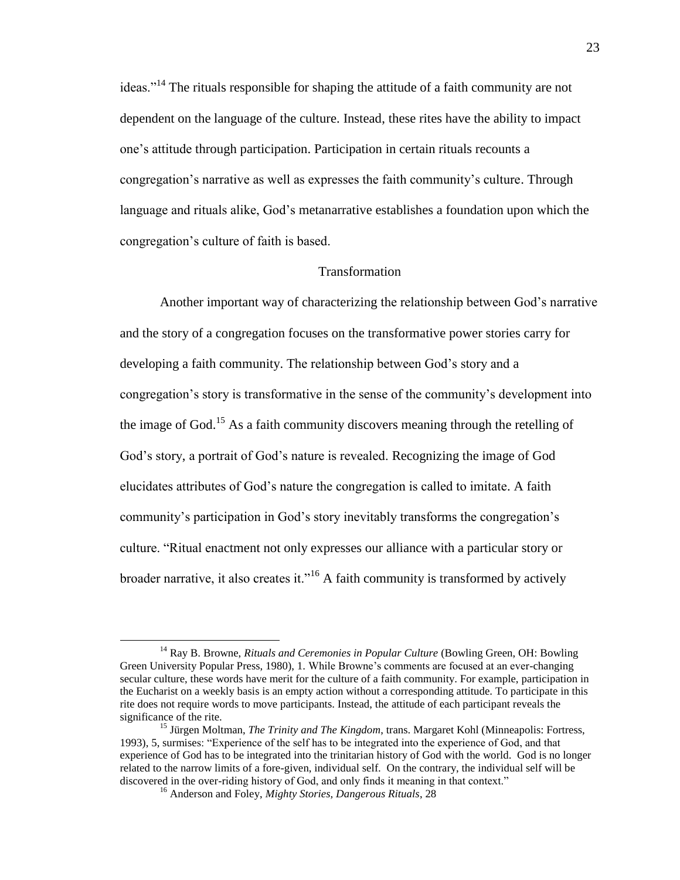ideas."<sup>14</sup> The rituals responsible for shaping the attitude of a faith community are not dependent on the language of the culture. Instead, these rites have the ability to impact one's attitude through participation. Participation in certain rituals recounts a congregation's narrative as well as expresses the faith community's culture. Through language and rituals alike, God's metanarrative establishes a foundation upon which the congregation's culture of faith is based.

# Transformation

Another important way of characterizing the relationship between God's narrative and the story of a congregation focuses on the transformative power stories carry for developing a faith community. The relationship between God's story and a congregation's story is transformative in the sense of the community's development into the image of God.<sup>15</sup> As a faith community discovers meaning through the retelling of God's story, a portrait of God's nature is revealed. Recognizing the image of God elucidates attributes of God's nature the congregation is called to imitate. A faith community's participation in God's story inevitably transforms the congregation's culture. "Ritual enactment not only expresses our alliance with a particular story or broader narrative, it also creates it."<sup>16</sup> A faith community is transformed by actively

<sup>14</sup> Ray B. Browne, *Rituals and Ceremonies in Popular Culture* (Bowling Green, OH: Bowling Green University Popular Press, 1980), 1. While Browne's comments are focused at an ever-changing secular culture, these words have merit for the culture of a faith community. For example, participation in the Eucharist on a weekly basis is an empty action without a corresponding attitude. To participate in this rite does not require words to move participants. Instead, the attitude of each participant reveals the significance of the rite.

<sup>15</sup> Jürgen Moltman, *The Trinity and The Kingdom*, trans. Margaret Kohl (Minneapolis: Fortress, 1993), 5, surmises: "Experience of the self has to be integrated into the experience of God, and that experience of God has to be integrated into the trinitarian history of God with the world. God is no longer related to the narrow limits of a fore-given, individual self. On the contrary, the individual self will be discovered in the over-riding history of God, and only finds it meaning in that context."

<sup>16</sup> Anderson and Foley, *Mighty Stories, Dangerous Rituals*, 28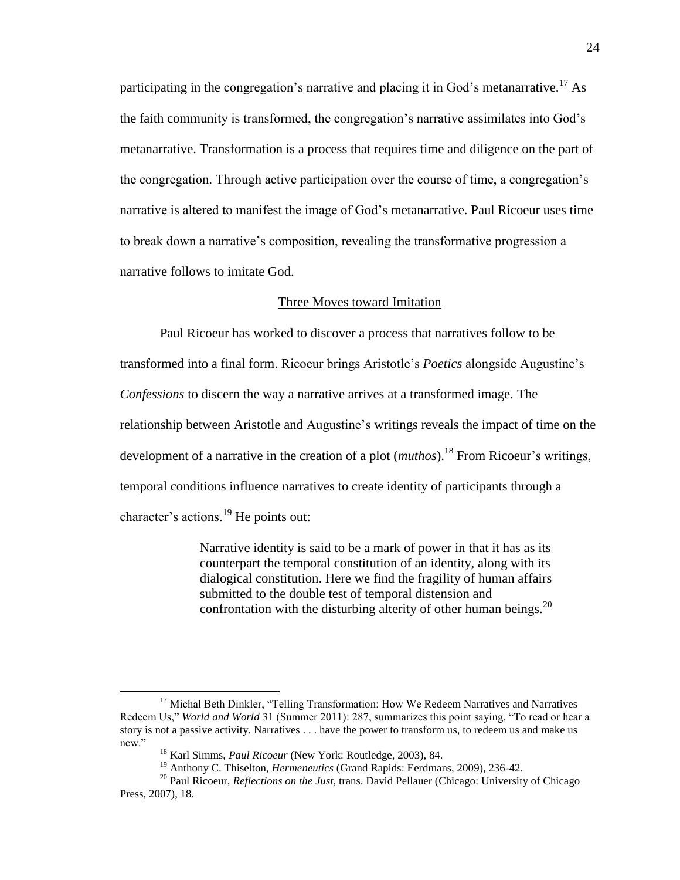participating in the congregation's narrative and placing it in God's metanarrative.<sup>17</sup> As the faith community is transformed, the congregation's narrative assimilates into God's metanarrative. Transformation is a process that requires time and diligence on the part of the congregation. Through active participation over the course of time, a congregation's narrative is altered to manifest the image of God's metanarrative. Paul Ricoeur uses time to break down a narrative's composition, revealing the transformative progression a narrative follows to imitate God.

## Three Moves toward Imitation

Paul Ricoeur has worked to discover a process that narratives follow to be transformed into a final form. Ricoeur brings Aristotle's *Poetics* alongside Augustine's *Confessions* to discern the way a narrative arrives at a transformed image. The relationship between Aristotle and Augustine's writings reveals the impact of time on the development of a narrative in the creation of a plot *(muthos)*.<sup>18</sup> From Ricoeur's writings, temporal conditions influence narratives to create identity of participants through a character's actions.<sup>19</sup> He points out:

> Narrative identity is said to be a mark of power in that it has as its counterpart the temporal constitution of an identity, along with its dialogical constitution. Here we find the fragility of human affairs submitted to the double test of temporal distension and confrontation with the disturbing alterity of other human beings. $^{20}$

<sup>&</sup>lt;sup>17</sup> Michal Beth Dinkler, "Telling Transformation: How We Redeem Narratives and Narratives Redeem Us," *World and World* 31 (Summer 2011): 287, summarizes this point saying, "To read or hear a story is not a passive activity. Narratives . . . have the power to transform us, to redeem us and make us new."

<sup>18</sup> Karl Simms, *Paul Ricoeur* (New York: Routledge, 2003), 84.

<sup>19</sup> Anthony C. Thiselton, *Hermeneutics* (Grand Rapids: Eerdmans, 2009), 236-42.

<sup>20</sup> Paul Ricoeur, *Reflections on the Just*, trans. David Pellauer (Chicago: University of Chicago Press, 2007), 18.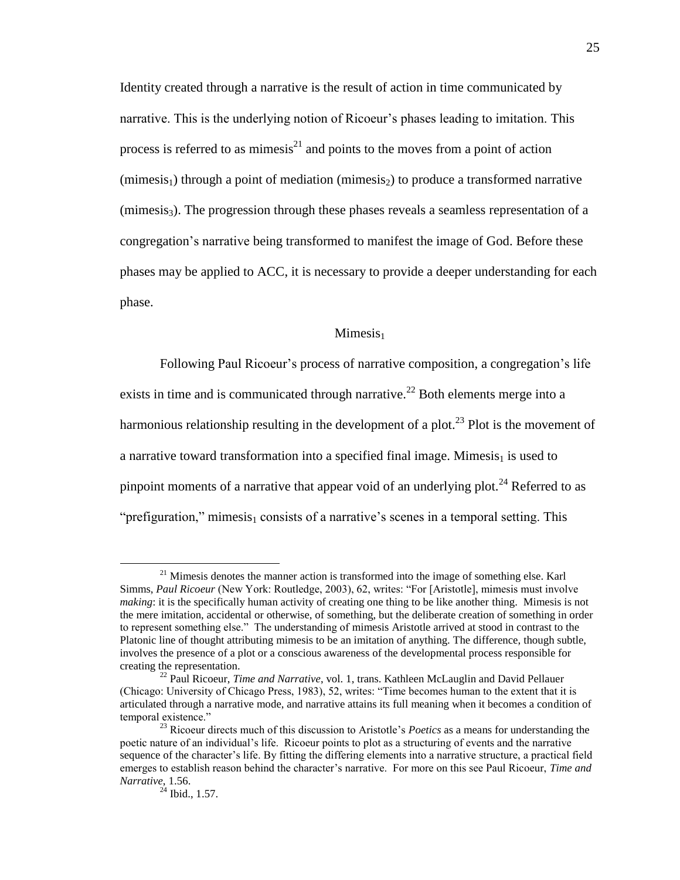Identity created through a narrative is the result of action in time communicated by narrative. This is the underlying notion of Ricoeur's phases leading to imitation. This process is referred to as mimesis $^{21}$  and points to the moves from a point of action  $(\text{mimesis}_1)$  through a point of mediation  $(\text{mimesis}_2)$  to produce a transformed narrative  $(\text{mimesis}_3)$ . The progression through these phases reveals a seamless representation of a congregation's narrative being transformed to manifest the image of God. Before these phases may be applied to ACC, it is necessary to provide a deeper understanding for each phase.

## $Minesis<sub>1</sub>$

Following Paul Ricoeur's process of narrative composition, a congregation's life exists in time and is communicated through narrative.<sup>22</sup> Both elements merge into a harmonious relationship resulting in the development of a plot.<sup>23</sup> Plot is the movement of a narrative toward transformation into a specified final image. Mimesis<sub>1</sub> is used to pinpoint moments of a narrative that appear void of an underlying plot.<sup>24</sup> Referred to as "prefiguration," mimesis<sub>1</sub> consists of a narrative's scenes in a temporal setting. This

 $21$  Mimesis denotes the manner action is transformed into the image of something else. Karl Simms, *Paul Ricoeur* (New York: Routledge, 2003), 62, writes: "For [Aristotle], mimesis must involve *making*: it is the specifically human activity of creating one thing to be like another thing. Mimesis is not the mere imitation, accidental or otherwise, of something, but the deliberate creation of something in order to represent something else." The understanding of mimesis Aristotle arrived at stood in contrast to the Platonic line of thought attributing mimesis to be an imitation of anything. The difference, though subtle, involves the presence of a plot or a conscious awareness of the developmental process responsible for creating the representation.

<sup>22</sup> Paul Ricoeur, *Time and Narrative*, vol. 1, trans. Kathleen McLauglin and David Pellauer (Chicago: University of Chicago Press, 1983), 52, writes: "Time becomes human to the extent that it is articulated through a narrative mode, and narrative attains its full meaning when it becomes a condition of temporal existence."

<sup>&</sup>lt;sup>23</sup> Ricoeur directs much of this discussion to Aristotle's *Poetics* as a means for understanding the poetic nature of an individual's life. Ricoeur points to plot as a structuring of events and the narrative sequence of the character's life. By fitting the differing elements into a narrative structure, a practical field emerges to establish reason behind the character's narrative. For more on this see Paul Ricoeur, *Time and Narrative*, 1.56.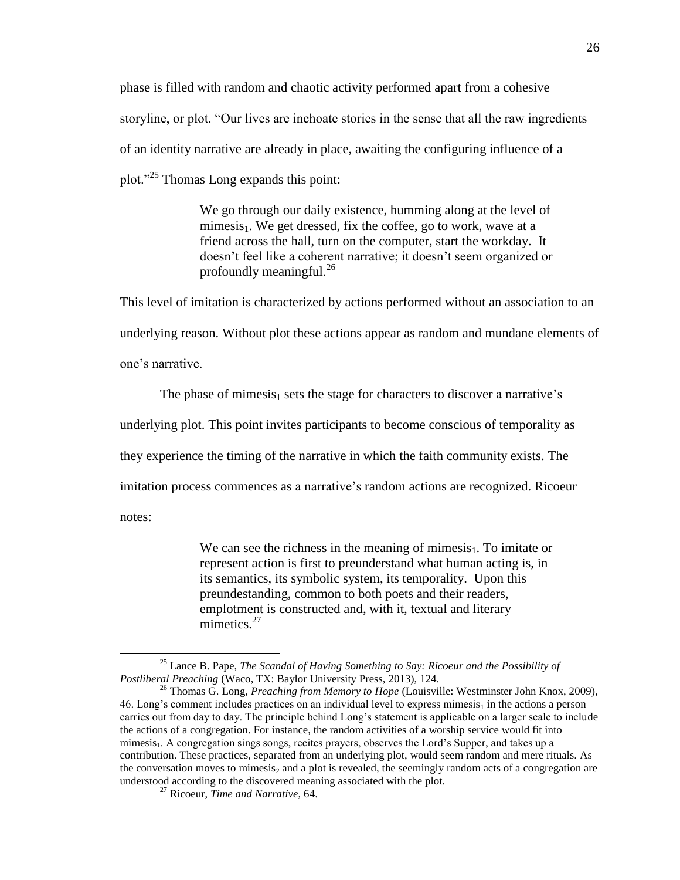phase is filled with random and chaotic activity performed apart from a cohesive storyline, or plot. "Our lives are inchoate stories in the sense that all the raw ingredients of an identity narrative are already in place, awaiting the configuring influence of a plot."<sup>25</sup> Thomas Long expands this point:

> We go through our daily existence, humming along at the level of mimesis<sub>1</sub>. We get dressed, fix the coffee, go to work, wave at a friend across the hall, turn on the computer, start the workday. It doesn't feel like a coherent narrative; it doesn't seem organized or profoundly meaningful. $^{26}$

This level of imitation is characterized by actions performed without an association to an underlying reason. Without plot these actions appear as random and mundane elements of one's narrative.

The phase of mimesis<sub>1</sub> sets the stage for characters to discover a narrative's underlying plot. This point invites participants to become conscious of temporality as they experience the timing of the narrative in which the faith community exists. The imitation process commences as a narrative's random actions are recognized. Ricoeur notes:

> We can see the richness in the meaning of mimesis $_1$ . To imitate or represent action is first to preunderstand what human acting is, in its semantics, its symbolic system, its temporality. Upon this preundestanding, common to both poets and their readers, emplotment is constructed and, with it, textual and literary mimetics.<sup>27</sup>

<sup>25</sup> Lance B. Pape, *The Scandal of Having Something to Say: Ricoeur and the Possibility of Postliberal Preaching* (Waco, TX: Baylor University Press, 2013), 124.

<sup>26</sup> Thomas G. Long, *Preaching from Memory to Hope* (Louisville: Westminster John Knox, 2009), 46. Long's comment includes practices on an individual level to express mimesis<sub>1</sub> in the actions a person carries out from day to day. The principle behind Long's statement is applicable on a larger scale to include the actions of a congregation. For instance, the random activities of a worship service would fit into mimesis<sub>1</sub>. A congregation sings songs, recites prayers, observes the Lord's Supper, and takes up a contribution. These practices, separated from an underlying plot, would seem random and mere rituals. As the conversation moves to mimesis, and a plot is revealed, the seemingly random acts of a congregation are understood according to the discovered meaning associated with the plot.

<sup>27</sup> Ricoeur, *Time and Narrative*, 64.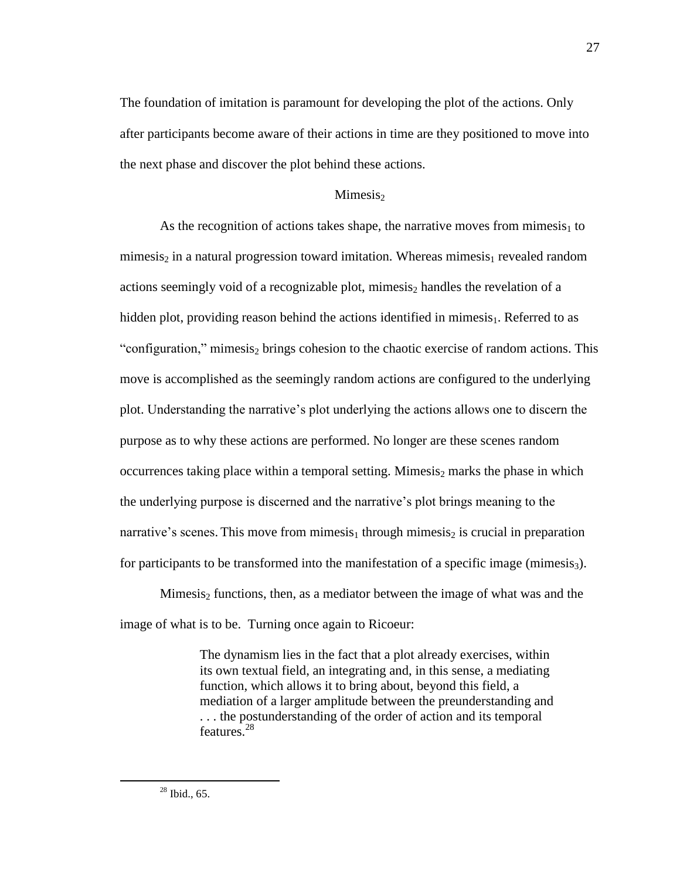The foundation of imitation is paramount for developing the plot of the actions. Only after participants become aware of their actions in time are they positioned to move into the next phase and discover the plot behind these actions.

# $Minesis<sub>2</sub>$

As the recognition of actions takes shape, the narrative moves from mimesis<sub>1</sub> to mimesis<sub>2</sub> in a natural progression toward imitation. Whereas mimesis<sub>1</sub> revealed random actions seemingly void of a recognizable plot, mimesis<sub>2</sub> handles the revelation of a hidden plot, providing reason behind the actions identified in mimesis $_1$ . Referred to as "configuration," mimesis<sub>2</sub> brings cohesion to the chaotic exercise of random actions. This move is accomplished as the seemingly random actions are configured to the underlying plot. Understanding the narrative's plot underlying the actions allows one to discern the purpose as to why these actions are performed. No longer are these scenes random occurrences taking place within a temporal setting. Mimesis<sub>2</sub> marks the phase in which the underlying purpose is discerned and the narrative's plot brings meaning to the narrative's scenes. This move from mimesis<sub>1</sub> through mimesis<sub>2</sub> is crucial in preparation for participants to be transformed into the manifestation of a specific image (mimesis<sub>3</sub>).

Mimesis<sub>2</sub> functions, then, as a mediator between the image of what was and the image of what is to be. Turning once again to Ricoeur:

> The dynamism lies in the fact that a plot already exercises, within its own textual field, an integrating and, in this sense, a mediating function, which allows it to bring about, beyond this field, a mediation of a larger amplitude between the preunderstanding and . . . the postunderstanding of the order of action and its temporal features.<sup>28</sup>

27

 $28$  Ibid., 65.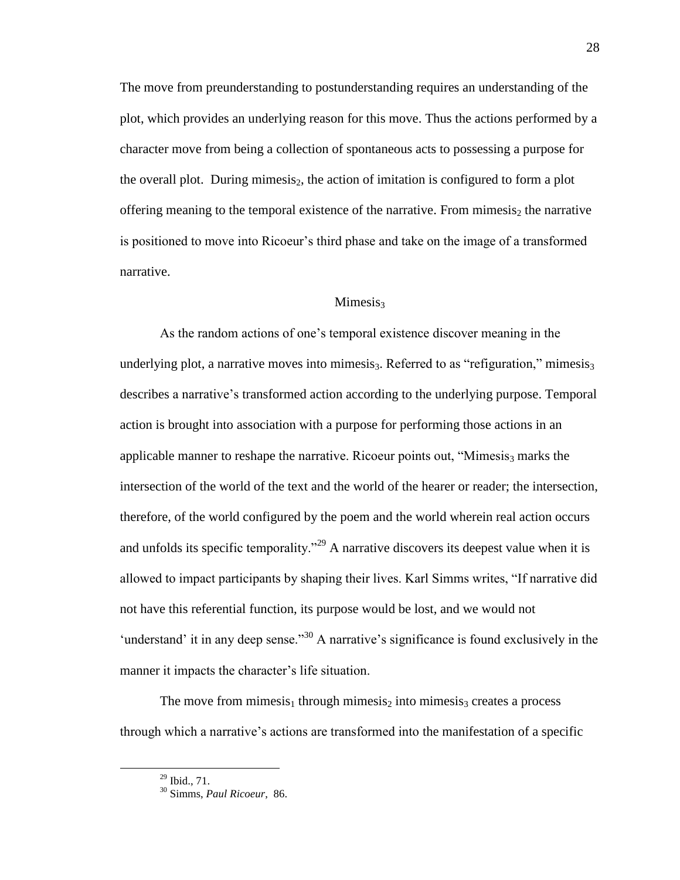The move from preunderstanding to postunderstanding requires an understanding of the plot, which provides an underlying reason for this move. Thus the actions performed by a character move from being a collection of spontaneous acts to possessing a purpose for the overall plot. During mimesis<sub>2</sub>, the action of imitation is configured to form a plot offering meaning to the temporal existence of the narrative. From mimesis<sub>2</sub> the narrative is positioned to move into Ricoeur's third phase and take on the image of a transformed narrative.

## Mimesis<sub>3</sub>

As the random actions of one's temporal existence discover meaning in the underlying plot, a narrative moves into mimesis<sub>3</sub>. Referred to as "refiguration," mimesis<sub>3</sub> describes a narrative's transformed action according to the underlying purpose. Temporal action is brought into association with a purpose for performing those actions in an applicable manner to reshape the narrative. Ricoeur points out, "Mimesis<sub>3</sub> marks the intersection of the world of the text and the world of the hearer or reader; the intersection, therefore, of the world configured by the poem and the world wherein real action occurs and unfolds its specific temporality."<sup>29</sup> A narrative discovers its deepest value when it is allowed to impact participants by shaping their lives. Karl Simms writes, "If narrative did not have this referential function, its purpose would be lost, and we would not 'understand' it in any deep sense."<sup>30</sup> A narrative's significance is found exclusively in the manner it impacts the character's life situation.

The move from mimesis<sub>1</sub> through mimesis<sub>2</sub> into mimesis<sub>3</sub> creates a process through which a narrative's actions are transformed into the manifestation of a specific

 $^{29}$  Ibid., 71.

<sup>30</sup> Simms, *Paul Ricoeur*, 86.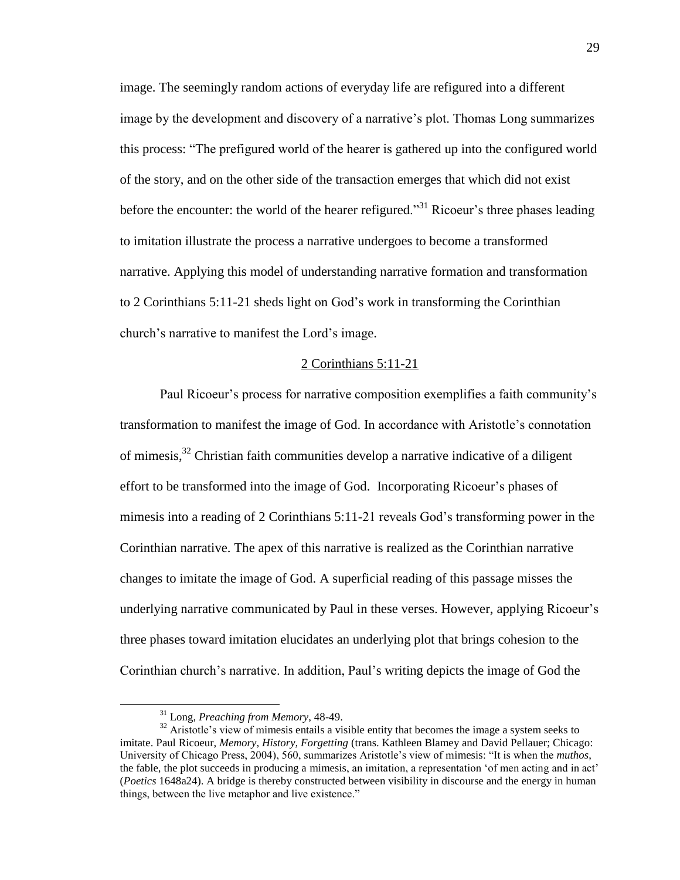image. The seemingly random actions of everyday life are refigured into a different image by the development and discovery of a narrative's plot. Thomas Long summarizes this process: "The prefigured world of the hearer is gathered up into the configured world of the story, and on the other side of the transaction emerges that which did not exist before the encounter: the world of the hearer refigured."<sup>31</sup> Ricoeur's three phases leading to imitation illustrate the process a narrative undergoes to become a transformed narrative. Applying this model of understanding narrative formation and transformation to 2 Corinthians 5:11-21 sheds light on God's work in transforming the Corinthian church's narrative to manifest the Lord's image.

## 2 Corinthians 5:11-21

Paul Ricoeur's process for narrative composition exemplifies a faith community's transformation to manifest the image of God. In accordance with Aristotle's connotation of mimesis,<sup>32</sup> Christian faith communities develop a narrative indicative of a diligent effort to be transformed into the image of God. Incorporating Ricoeur's phases of mimesis into a reading of 2 Corinthians 5:11-21 reveals God's transforming power in the Corinthian narrative. The apex of this narrative is realized as the Corinthian narrative changes to imitate the image of God. A superficial reading of this passage misses the underlying narrative communicated by Paul in these verses. However, applying Ricoeur's three phases toward imitation elucidates an underlying plot that brings cohesion to the Corinthian church's narrative. In addition, Paul's writing depicts the image of God the

<sup>31</sup> Long, *Preaching from Memory*, 48-49.

 $32$  Aristotle's view of mimesis entails a visible entity that becomes the image a system seeks to imitate. Paul Ricoeur, *Memory, History, Forgetting* (trans. Kathleen Blamey and David Pellauer; Chicago: University of Chicago Press, 2004), 560, summarizes Aristotle's view of mimesis: "It is when the *muthos*, the fable, the plot succeeds in producing a mimesis, an imitation, a representation 'of men acting and in act' (*Poetics* 1648a24). A bridge is thereby constructed between visibility in discourse and the energy in human things, between the live metaphor and live existence."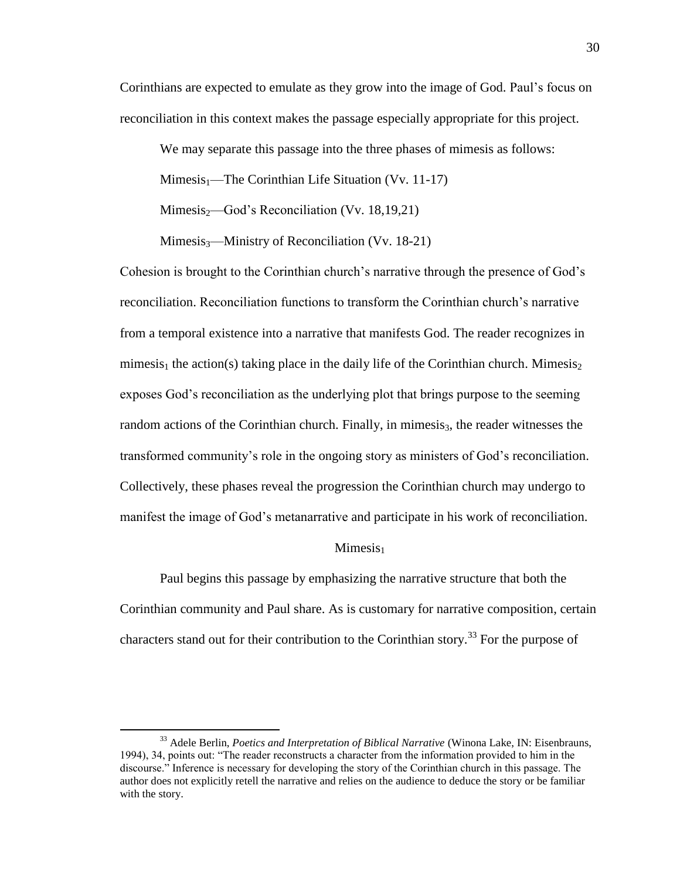Corinthians are expected to emulate as they grow into the image of God. Paul's focus on reconciliation in this context makes the passage especially appropriate for this project.

We may separate this passage into the three phases of mimesis as follows:

 $Mimesis<sub>1</sub>$ —The Corinthian Life Situation (Vv. 11-17)

 $Mimesis<sub>2</sub>$ —God's Reconciliation (Vv. 18,19,21)

 $Mimesis_3$ —Ministry of Reconciliation (Vv. 18-21)

Cohesion is brought to the Corinthian church's narrative through the presence of God's reconciliation. Reconciliation functions to transform the Corinthian church's narrative from a temporal existence into a narrative that manifests God. The reader recognizes in mimesis<sub>1</sub> the action(s) taking place in the daily life of the Corinthian church. Mimesis<sub>2</sub> exposes God's reconciliation as the underlying plot that brings purpose to the seeming random actions of the Corinthian church. Finally, in mimesis<sub>3</sub>, the reader witnesses the transformed community's role in the ongoing story as ministers of God's reconciliation. Collectively, these phases reveal the progression the Corinthian church may undergo to manifest the image of God's metanarrative and participate in his work of reconciliation.

## $Minesis<sub>1</sub>$

Paul begins this passage by emphasizing the narrative structure that both the Corinthian community and Paul share. As is customary for narrative composition, certain characters stand out for their contribution to the Corinthian story.<sup>33</sup> For the purpose of

<sup>33</sup> Adele Berlin, *Poetics and Interpretation of Biblical Narrative* (Winona Lake, IN: Eisenbrauns, 1994), 34, points out: "The reader reconstructs a character from the information provided to him in the discourse." Inference is necessary for developing the story of the Corinthian church in this passage. The author does not explicitly retell the narrative and relies on the audience to deduce the story or be familiar with the story.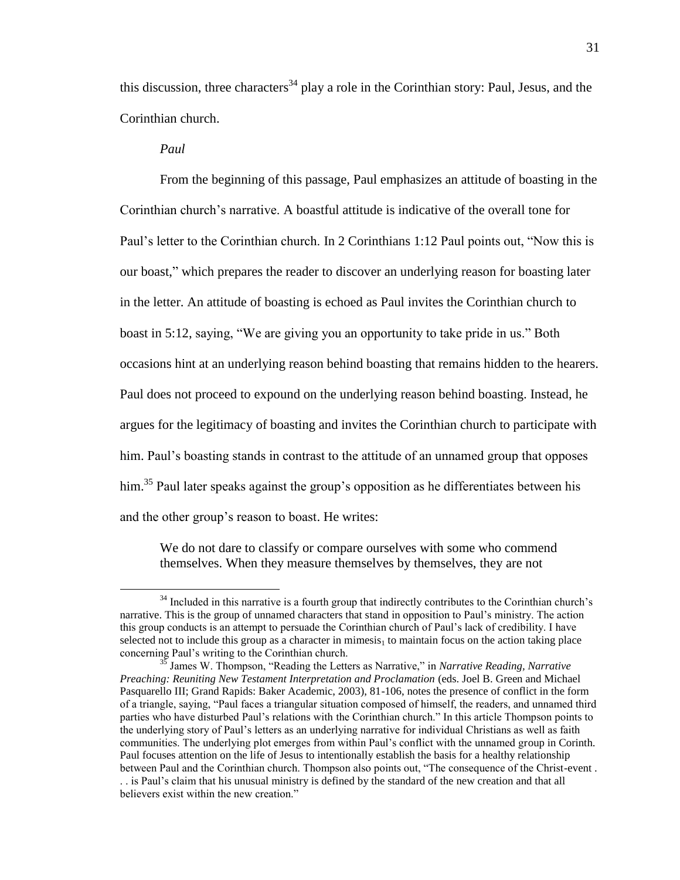this discussion, three characters<sup>34</sup> play a role in the Corinthian story: Paul, Jesus, and the Corinthian church.

## *Paul*

 $\overline{a}$ 

From the beginning of this passage, Paul emphasizes an attitude of boasting in the Corinthian church's narrative. A boastful attitude is indicative of the overall tone for Paul's letter to the Corinthian church. In 2 Corinthians 1:12 Paul points out, "Now this is our boast," which prepares the reader to discover an underlying reason for boasting later in the letter. An attitude of boasting is echoed as Paul invites the Corinthian church to boast in 5:12, saying, "We are giving you an opportunity to take pride in us." Both occasions hint at an underlying reason behind boasting that remains hidden to the hearers. Paul does not proceed to expound on the underlying reason behind boasting. Instead, he argues for the legitimacy of boasting and invites the Corinthian church to participate with him. Paul's boasting stands in contrast to the attitude of an unnamed group that opposes him.<sup>35</sup> Paul later speaks against the group's opposition as he differentiates between his and the other group's reason to boast. He writes:

We do not dare to classify or compare ourselves with some who commend themselves. When they measure themselves by themselves, they are not

<sup>&</sup>lt;sup>34</sup> Included in this narrative is a fourth group that indirectly contributes to the Corinthian church's narrative. This is the group of unnamed characters that stand in opposition to Paul's ministry. The action this group conducts is an attempt to persuade the Corinthian church of Paul's lack of credibility. I have selected not to include this group as a character in mimesis $_1$  to maintain focus on the action taking place concerning Paul's writing to the Corinthian church.

<sup>35</sup> James W. Thompson, "Reading the Letters as Narrative," in *Narrative Reading, Narrative Preaching: Reuniting New Testament Interpretation and Proclamation* (eds. Joel B. Green and Michael Pasquarello III; Grand Rapids: Baker Academic, 2003), 81-106, notes the presence of conflict in the form of a triangle, saying, "Paul faces a triangular situation composed of himself, the readers, and unnamed third parties who have disturbed Paul's relations with the Corinthian church." In this article Thompson points to the underlying story of Paul's letters as an underlying narrative for individual Christians as well as faith communities. The underlying plot emerges from within Paul's conflict with the unnamed group in Corinth. Paul focuses attention on the life of Jesus to intentionally establish the basis for a healthy relationship between Paul and the Corinthian church. Thompson also points out, "The consequence of the Christ-event . . . is Paul's claim that his unusual ministry is defined by the standard of the new creation and that all believers exist within the new creation."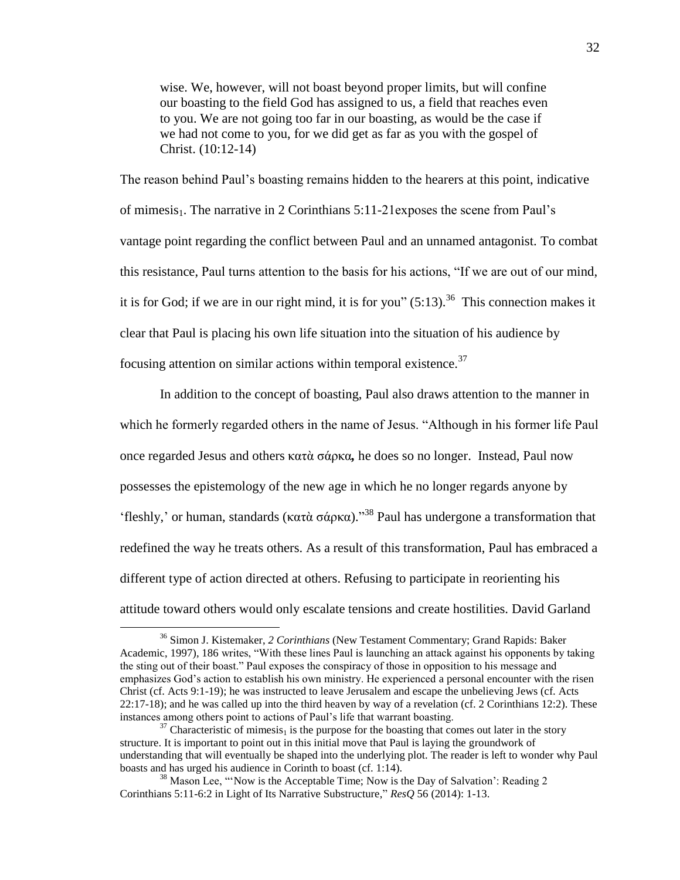wise. We, however, will not boast beyond proper limits, but will confine our boasting to the field God has assigned to us, a field that reaches even to you. We are not going too far in our boasting, as would be the case if we had not come to you, for we did get as far as you with the gospel of Christ. (10:12-14)

The reason behind Paul's boasting remains hidden to the hearers at this point, indicative of mimesis<sub>1</sub>. The narrative in 2 Corinthians  $5:11-21$  exposes the scene from Paul's vantage point regarding the conflict between Paul and an unnamed antagonist. To combat this resistance, Paul turns attention to the basis for his actions, "If we are out of our mind, it is for God; if we are in our right mind, it is for you"  $(5:13)$ .<sup>36</sup> This connection makes it clear that Paul is placing his own life situation into the situation of his audience by focusing attention on similar actions within temporal existence. $37$ 

In addition to the concept of boasting, Paul also draws attention to the manner in which he formerly regarded others in the name of Jesus. "Although in his former life Paul once regarded Jesus and others κατὰ σάρκα*,* he does so no longer. Instead, Paul now possesses the epistemology of the new age in which he no longer regards anyone by 'fleshly,' or human, standards (κατὰ σάρκα)."<sup>38</sup> Paul has undergone a transformation that redefined the way he treats others. As a result of this transformation, Paul has embraced a different type of action directed at others. Refusing to participate in reorienting his attitude toward others would only escalate tensions and create hostilities. David Garland

<sup>36</sup> Simon J. Kistemaker, *2 Corinthians* (New Testament Commentary; Grand Rapids: Baker Academic, 1997), 186 writes, "With these lines Paul is launching an attack against his opponents by taking the sting out of their boast." Paul exposes the conspiracy of those in opposition to his message and emphasizes God's action to establish his own ministry. He experienced a personal encounter with the risen Christ (cf. Acts 9:1-19); he was instructed to leave Jerusalem and escape the unbelieving Jews (cf. Acts 22:17-18); and he was called up into the third heaven by way of a revelation (cf. 2 Corinthians 12:2). These instances among others point to actions of Paul's life that warrant boasting.

<sup>&</sup>lt;sup>37</sup> Characteristic of mimesis<sub>1</sub> is the purpose for the boasting that comes out later in the story structure. It is important to point out in this initial move that Paul is laying the groundwork of understanding that will eventually be shaped into the underlying plot. The reader is left to wonder why Paul boasts and has urged his audience in Corinth to boast (cf. 1:14).

<sup>&</sup>lt;sup>38</sup> Mason Lee, "'Now is the Acceptable Time; Now is the Day of Salvation': Reading 2 Corinthians 5:11-6:2 in Light of Its Narrative Substructure," *ResQ* 56 (2014): 1-13.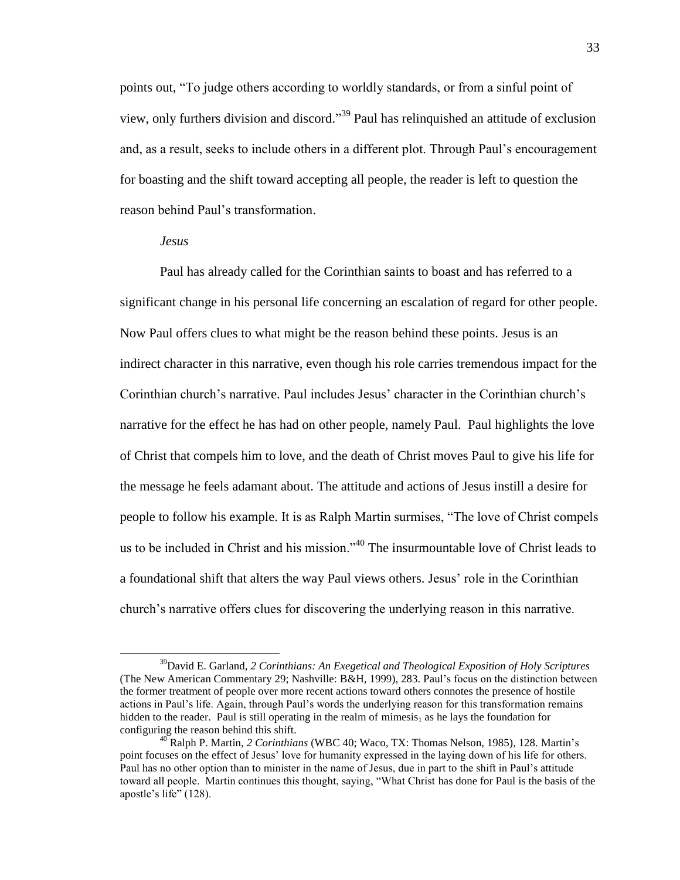points out, "To judge others according to worldly standards, or from a sinful point of view, only furthers division and discord."<sup>39</sup> Paul has relinquished an attitude of exclusion and, as a result, seeks to include others in a different plot. Through Paul's encouragement for boasting and the shift toward accepting all people, the reader is left to question the reason behind Paul's transformation.

#### *Jesus*

 $\overline{a}$ 

Paul has already called for the Corinthian saints to boast and has referred to a significant change in his personal life concerning an escalation of regard for other people. Now Paul offers clues to what might be the reason behind these points. Jesus is an indirect character in this narrative, even though his role carries tremendous impact for the Corinthian church's narrative. Paul includes Jesus' character in the Corinthian church's narrative for the effect he has had on other people, namely Paul. Paul highlights the love of Christ that compels him to love, and the death of Christ moves Paul to give his life for the message he feels adamant about. The attitude and actions of Jesus instill a desire for people to follow his example. It is as Ralph Martin surmises, "The love of Christ compels us to be included in Christ and his mission."<sup>40</sup> The insurmountable love of Christ leads to a foundational shift that alters the way Paul views others. Jesus' role in the Corinthian church's narrative offers clues for discovering the underlying reason in this narrative.

<sup>39</sup>David E. Garland, *2 Corinthians: An Exegetical and Theological Exposition of Holy Scriptures* (The New American Commentary 29; Nashville: B&H, 1999), 283. Paul's focus on the distinction between the former treatment of people over more recent actions toward others connotes the presence of hostile actions in Paul's life. Again, through Paul's words the underlying reason for this transformation remains hidden to the reader. Paul is still operating in the realm of mimesis<sub>1</sub> as he lays the foundation for configuring the reason behind this shift.

<sup>40</sup> Ralph P. Martin, *2 Corinthians* (WBC 40; Waco, TX: Thomas Nelson, 1985), 128. Martin's point focuses on the effect of Jesus' love for humanity expressed in the laying down of his life for others. Paul has no other option than to minister in the name of Jesus, due in part to the shift in Paul's attitude toward all people. Martin continues this thought, saying, "What Christ has done for Paul is the basis of the apostle's life" (128).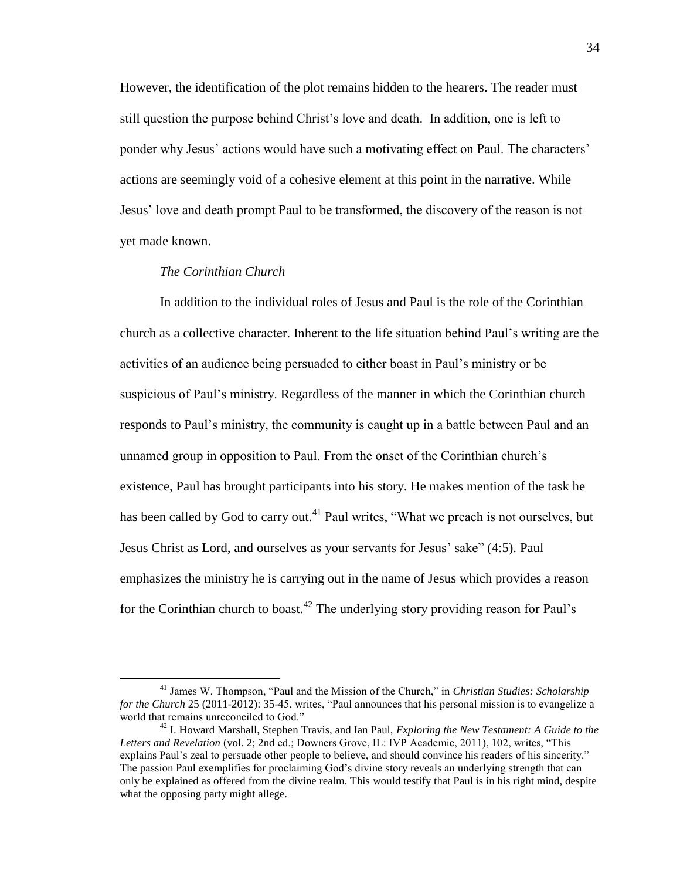However, the identification of the plot remains hidden to the hearers. The reader must still question the purpose behind Christ's love and death. In addition, one is left to ponder why Jesus' actions would have such a motivating effect on Paul. The characters' actions are seemingly void of a cohesive element at this point in the narrative. While Jesus' love and death prompt Paul to be transformed, the discovery of the reason is not yet made known.

## *The Corinthian Church*

 $\overline{a}$ 

In addition to the individual roles of Jesus and Paul is the role of the Corinthian church as a collective character. Inherent to the life situation behind Paul's writing are the activities of an audience being persuaded to either boast in Paul's ministry or be suspicious of Paul's ministry. Regardless of the manner in which the Corinthian church responds to Paul's ministry, the community is caught up in a battle between Paul and an unnamed group in opposition to Paul. From the onset of the Corinthian church's existence, Paul has brought participants into his story. He makes mention of the task he has been called by God to carry out.<sup>41</sup> Paul writes, "What we preach is not ourselves, but Jesus Christ as Lord, and ourselves as your servants for Jesus' sake" (4:5). Paul emphasizes the ministry he is carrying out in the name of Jesus which provides a reason for the Corinthian church to boast.<sup>42</sup> The underlying story providing reason for Paul's

<sup>41</sup> James W. Thompson, "Paul and the Mission of the Church," in *Christian Studies: Scholarship for the Church* 25 (2011-2012): 35-45, writes, "Paul announces that his personal mission is to evangelize a world that remains unreconciled to God."

<sup>42</sup> I. Howard Marshall, Stephen Travis, and Ian Paul, *Exploring the New Testament: A Guide to the Letters and Revelation* (vol. 2; 2nd ed.; Downers Grove, IL: IVP Academic, 2011), 102, writes, "This explains Paul's zeal to persuade other people to believe, and should convince his readers of his sincerity." The passion Paul exemplifies for proclaiming God's divine story reveals an underlying strength that can only be explained as offered from the divine realm. This would testify that Paul is in his right mind, despite what the opposing party might allege.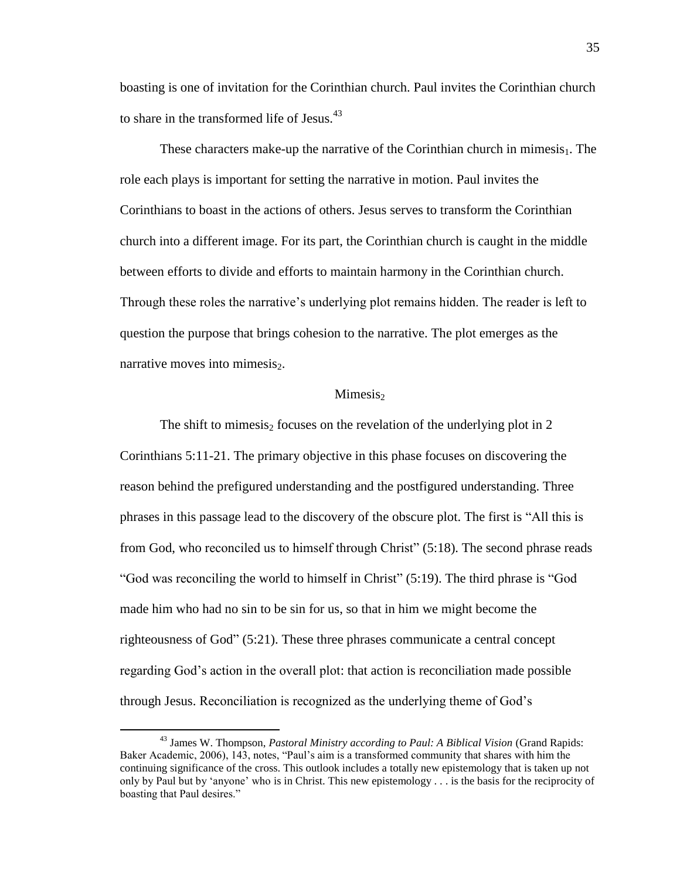boasting is one of invitation for the Corinthian church. Paul invites the Corinthian church to share in the transformed life of Jesus.<sup>43</sup>

These characters make-up the narrative of the Corinthian church in mimesis<sub>1</sub>. The role each plays is important for setting the narrative in motion. Paul invites the Corinthians to boast in the actions of others. Jesus serves to transform the Corinthian church into a different image. For its part, the Corinthian church is caught in the middle between efforts to divide and efforts to maintain harmony in the Corinthian church. Through these roles the narrative's underlying plot remains hidden. The reader is left to question the purpose that brings cohesion to the narrative. The plot emerges as the narrative moves into mimesis $_2$ .

## Mimesis<sub>2</sub>

The shift to mimesis<sub>2</sub> focuses on the revelation of the underlying plot in 2 Corinthians 5:11-21. The primary objective in this phase focuses on discovering the reason behind the prefigured understanding and the postfigured understanding. Three phrases in this passage lead to the discovery of the obscure plot. The first is "All this is from God, who reconciled us to himself through Christ" (5:18). The second phrase reads "God was reconciling the world to himself in Christ" (5:19). The third phrase is "God made him who had no sin to be sin for us, so that in him we might become the righteousness of God" (5:21). These three phrases communicate a central concept regarding God's action in the overall plot: that action is reconciliation made possible through Jesus. Reconciliation is recognized as the underlying theme of God's

<sup>43</sup> James W. Thompson, *Pastoral Ministry according to Paul: A Biblical Vision* (Grand Rapids: Baker Academic, 2006), 143, notes, "Paul's aim is a transformed community that shares with him the continuing significance of the cross. This outlook includes a totally new epistemology that is taken up not only by Paul but by 'anyone' who is in Christ. This new epistemology . . . is the basis for the reciprocity of boasting that Paul desires."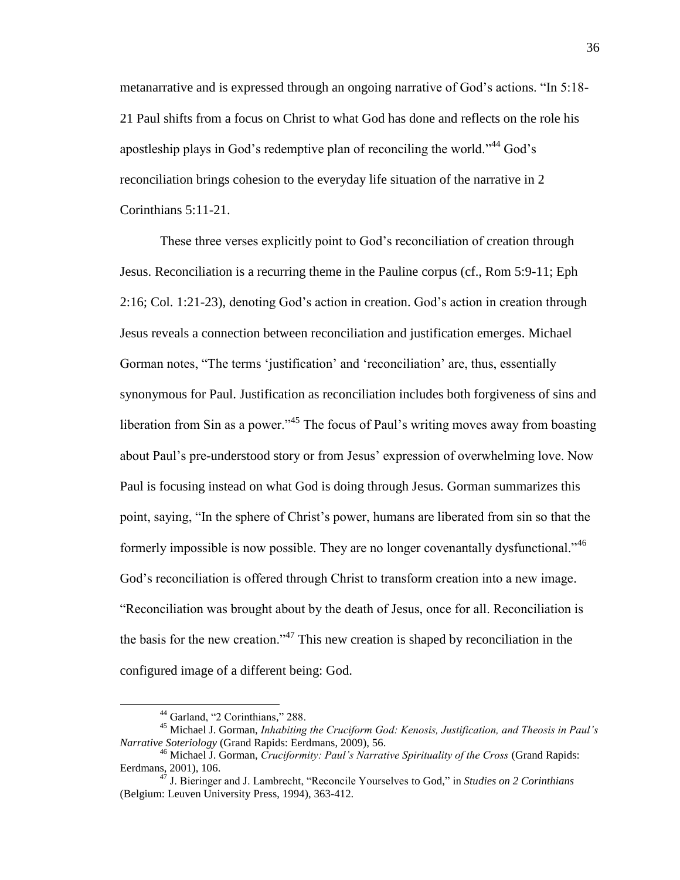metanarrative and is expressed through an ongoing narrative of God's actions. "In 5:18- 21 Paul shifts from a focus on Christ to what God has done and reflects on the role his apostleship plays in God's redemptive plan of reconciling the world."<sup>44</sup> God's reconciliation brings cohesion to the everyday life situation of the narrative in 2 Corinthians 5:11-21.

These three verses explicitly point to God's reconciliation of creation through Jesus. Reconciliation is a recurring theme in the Pauline corpus (cf., Rom 5:9-11; Eph 2:16; Col. 1:21-23), denoting God's action in creation. God's action in creation through Jesus reveals a connection between reconciliation and justification emerges. Michael Gorman notes, "The terms 'justification' and 'reconciliation' are, thus, essentially synonymous for Paul. Justification as reconciliation includes both forgiveness of sins and liberation from Sin as a power."<sup>45</sup> The focus of Paul's writing moves away from boasting about Paul's pre-understood story or from Jesus' expression of overwhelming love. Now Paul is focusing instead on what God is doing through Jesus. Gorman summarizes this point, saying, "In the sphere of Christ's power, humans are liberated from sin so that the formerly impossible is now possible. They are no longer covenantally dysfunctional."<sup>46</sup> God's reconciliation is offered through Christ to transform creation into a new image. "Reconciliation was brought about by the death of Jesus, once for all. Reconciliation is the basis for the new creation."<sup>47</sup> This new creation is shaped by reconciliation in the configured image of a different being: God.

<sup>44</sup> Garland, "2 Corinthians," 288.

<sup>45</sup> Michael J. Gorman, *Inhabiting the Cruciform God: Kenosis, Justification, and Theosis in Paul's Narrative Soteriology* (Grand Rapids: Eerdmans, 2009), 56.

<sup>46</sup> Michael J. Gorman, *Cruciformity: Paul's Narrative Spirituality of the Cross* (Grand Rapids: Eerdmans, 2001), 106.

<sup>47</sup> J. Bieringer and J. Lambrecht, "Reconcile Yourselves to God," in *Studies on 2 Corinthians* (Belgium: Leuven University Press, 1994), 363-412.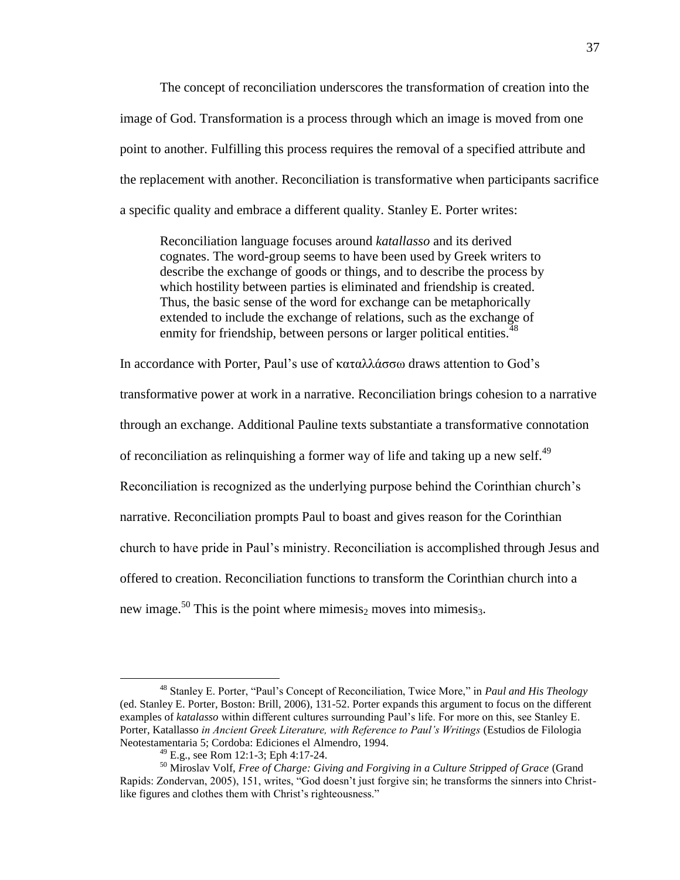The concept of reconciliation underscores the transformation of creation into the image of God. Transformation is a process through which an image is moved from one point to another. Fulfilling this process requires the removal of a specified attribute and the replacement with another. Reconciliation is transformative when participants sacrifice a specific quality and embrace a different quality. Stanley E. Porter writes:

Reconciliation language focuses around *katallasso* and its derived cognates. The word-group seems to have been used by Greek writers to describe the exchange of goods or things, and to describe the process by which hostility between parties is eliminated and friendship is created. Thus, the basic sense of the word for exchange can be metaphorically extended to include the exchange of relations, such as the exchange of enmity for friendship, between persons or larger political entities.<sup>48</sup>

In accordance with Porter, Paul's use of καταλλάσσω draws attention to God's transformative power at work in a narrative. Reconciliation brings cohesion to a narrative through an exchange. Additional Pauline texts substantiate a transformative connotation of reconciliation as relinquishing a former way of life and taking up a new self.<sup>49</sup> Reconciliation is recognized as the underlying purpose behind the Corinthian church's narrative. Reconciliation prompts Paul to boast and gives reason for the Corinthian church to have pride in Paul's ministry. Reconciliation is accomplished through Jesus and offered to creation. Reconciliation functions to transform the Corinthian church into a new image.<sup>50</sup> This is the point where mimesis<sub>2</sub> moves into mimesis<sub>3</sub>.

<sup>48</sup> Stanley E. Porter, "Paul's Concept of Reconciliation, Twice More," in *Paul and His Theology* (ed. Stanley E. Porter, Boston: Brill, 2006), 131-52. Porter expands this argument to focus on the different examples of *katalasso* within different cultures surrounding Paul's life. For more on this, see Stanley E. Porter, Katallasso *in Ancient Greek Literature, with Reference to Paul's Writings* (Estudios de Filologia Neotestamentaria 5; Cordoba: Ediciones el Almendro, 1994.

 $^{49}$  E.g., see Rom 12:1-3; Eph 4:17-24.

<sup>50</sup> Miroslav Volf, *Free of Charge: Giving and Forgiving in a Culture Stripped of Grace* (Grand Rapids: Zondervan, 2005), 151, writes, "God doesn't just forgive sin; he transforms the sinners into Christlike figures and clothes them with Christ's righteousness."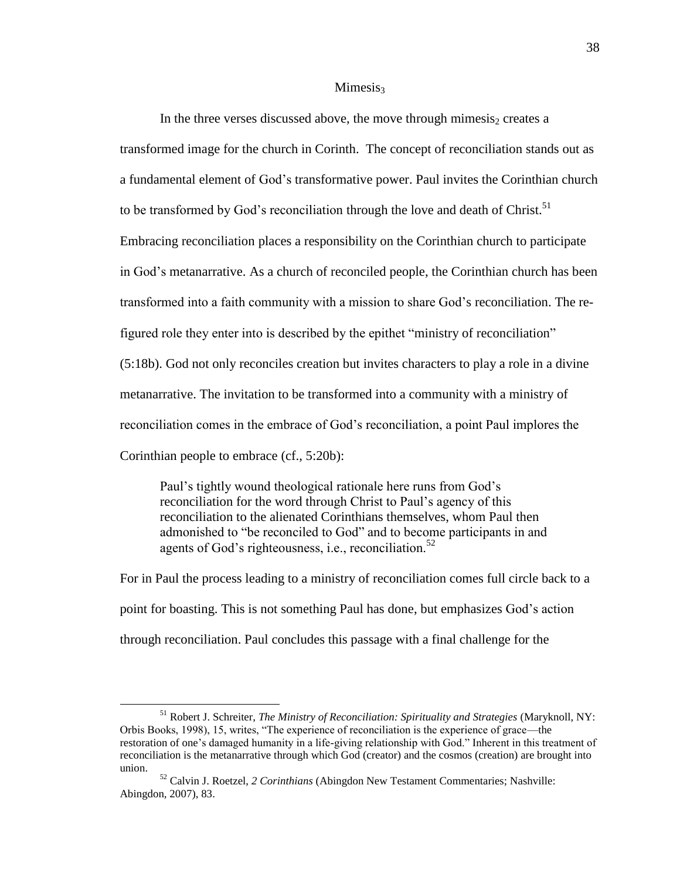#### $Minesis<sub>3</sub>$

In the three verses discussed above, the move through mimesis, creates a transformed image for the church in Corinth. The concept of reconciliation stands out as a fundamental element of God's transformative power. Paul invites the Corinthian church to be transformed by God's reconciliation through the love and death of Christ.<sup>51</sup> Embracing reconciliation places a responsibility on the Corinthian church to participate in God's metanarrative. As a church of reconciled people, the Corinthian church has been transformed into a faith community with a mission to share God's reconciliation. The refigured role they enter into is described by the epithet "ministry of reconciliation" (5:18b). God not only reconciles creation but invites characters to play a role in a divine metanarrative. The invitation to be transformed into a community with a ministry of reconciliation comes in the embrace of God's reconciliation, a point Paul implores the Corinthian people to embrace (cf., 5:20b):

Paul's tightly wound theological rationale here runs from God's reconciliation for the word through Christ to Paul's agency of this reconciliation to the alienated Corinthians themselves, whom Paul then admonished to "be reconciled to God" and to become participants in and agents of God's righteousness, i.e., reconciliation.<sup>52</sup>

For in Paul the process leading to a ministry of reconciliation comes full circle back to a point for boasting. This is not something Paul has done, but emphasizes God's action through reconciliation. Paul concludes this passage with a final challenge for the

<sup>51</sup> Robert J. Schreiter, *The Ministry of Reconciliation: Spirituality and Strategies* (Maryknoll, NY: Orbis Books, 1998), 15, writes, "The experience of reconciliation is the experience of grace—the restoration of one's damaged humanity in a life-giving relationship with God." Inherent in this treatment of reconciliation is the metanarrative through which God (creator) and the cosmos (creation) are brought into union.

<sup>52</sup> Calvin J. Roetzel, *2 Corinthians* (Abingdon New Testament Commentaries; Nashville: Abingdon, 2007), 83.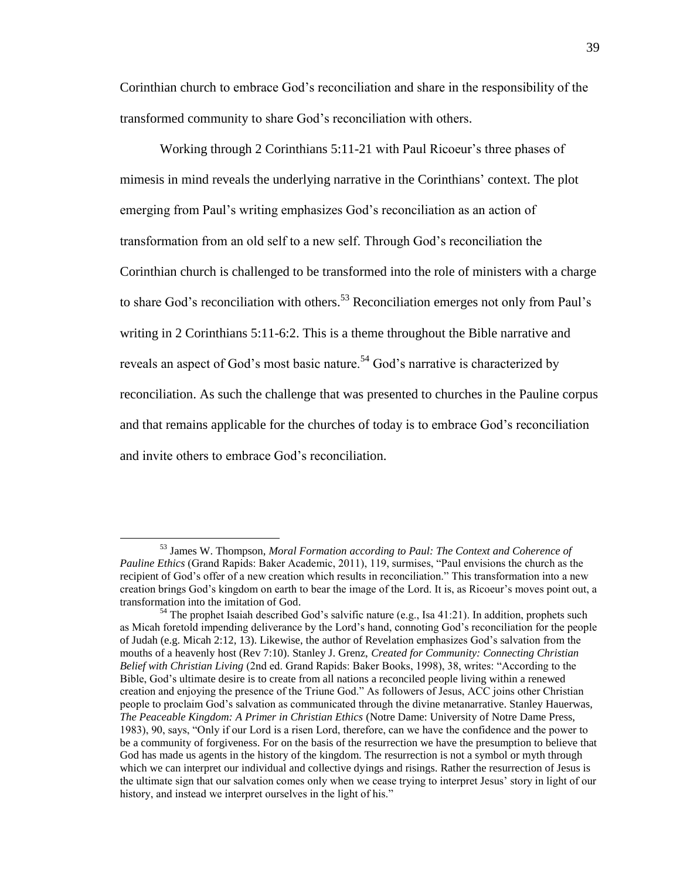Corinthian church to embrace God's reconciliation and share in the responsibility of the transformed community to share God's reconciliation with others.

Working through 2 Corinthians 5:11-21 with Paul Ricoeur's three phases of mimesis in mind reveals the underlying narrative in the Corinthians' context. The plot emerging from Paul's writing emphasizes God's reconciliation as an action of transformation from an old self to a new self. Through God's reconciliation the Corinthian church is challenged to be transformed into the role of ministers with a charge to share God's reconciliation with others.<sup>53</sup> Reconciliation emerges not only from Paul's writing in 2 Corinthians 5:11-6:2. This is a theme throughout the Bible narrative and reveals an aspect of God's most basic nature.<sup>54</sup> God's narrative is characterized by reconciliation. As such the challenge that was presented to churches in the Pauline corpus and that remains applicable for the churches of today is to embrace God's reconciliation and invite others to embrace God's reconciliation.

<sup>53</sup> James W. Thompson, *Moral Formation according to Paul: The Context and Coherence of Pauline Ethics* (Grand Rapids: Baker Academic, 2011), 119, surmises, "Paul envisions the church as the recipient of God's offer of a new creation which results in reconciliation." This transformation into a new creation brings God's kingdom on earth to bear the image of the Lord. It is, as Ricoeur's moves point out, a transformation into the imitation of God.

<sup>&</sup>lt;sup>54</sup> The prophet Isaiah described God's salvific nature (e.g., Isa 41:21). In addition, prophets such as Micah foretold impending deliverance by the Lord's hand, connoting God's reconciliation for the people of Judah (e.g. Micah 2:12, 13). Likewise, the author of Revelation emphasizes God's salvation from the mouths of a heavenly host (Rev 7:10). Stanley J. Grenz, *Created for Community: Connecting Christian Belief with Christian Living* (2nd ed. Grand Rapids: Baker Books, 1998), 38, writes: "According to the Bible, God's ultimate desire is to create from all nations a reconciled people living within a renewed creation and enjoying the presence of the Triune God." As followers of Jesus, ACC joins other Christian people to proclaim God's salvation as communicated through the divine metanarrative. Stanley Hauerwas, *The Peaceable Kingdom: A Primer in Christian Ethics* (Notre Dame: University of Notre Dame Press, 1983), 90, says, "Only if our Lord is a risen Lord, therefore, can we have the confidence and the power to be a community of forgiveness. For on the basis of the resurrection we have the presumption to believe that God has made us agents in the history of the kingdom. The resurrection is not a symbol or myth through which we can interpret our individual and collective dyings and risings. Rather the resurrection of Jesus is the ultimate sign that our salvation comes only when we cease trying to interpret Jesus' story in light of our history, and instead we interpret ourselves in the light of his."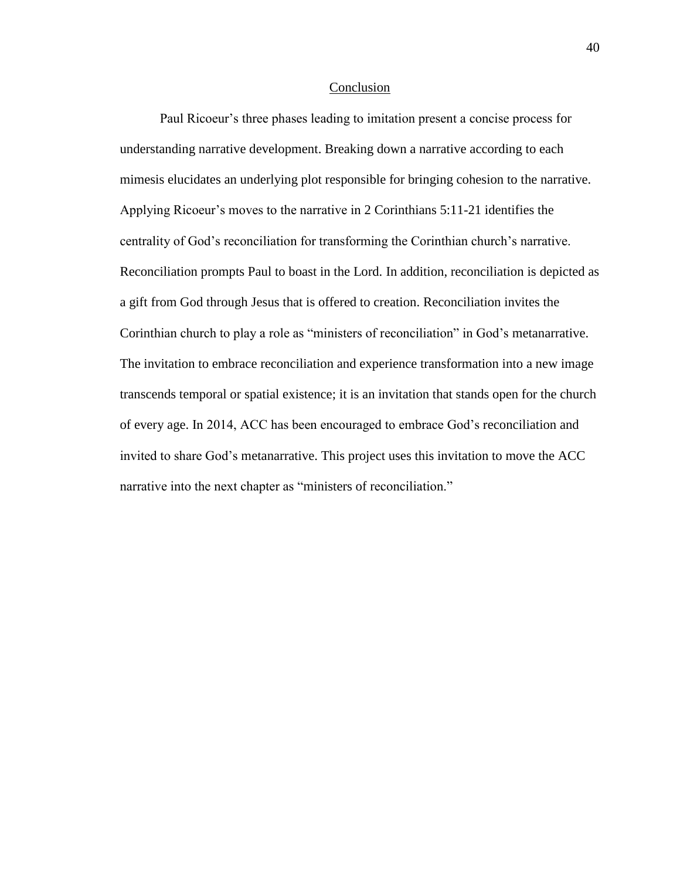#### Conclusion

Paul Ricoeur's three phases leading to imitation present a concise process for understanding narrative development. Breaking down a narrative according to each mimesis elucidates an underlying plot responsible for bringing cohesion to the narrative. Applying Ricoeur's moves to the narrative in 2 Corinthians 5:11-21 identifies the centrality of God's reconciliation for transforming the Corinthian church's narrative. Reconciliation prompts Paul to boast in the Lord. In addition, reconciliation is depicted as a gift from God through Jesus that is offered to creation. Reconciliation invites the Corinthian church to play a role as "ministers of reconciliation" in God's metanarrative. The invitation to embrace reconciliation and experience transformation into a new image transcends temporal or spatial existence; it is an invitation that stands open for the church of every age. In 2014, ACC has been encouraged to embrace God's reconciliation and invited to share God's metanarrative. This project uses this invitation to move the ACC narrative into the next chapter as "ministers of reconciliation."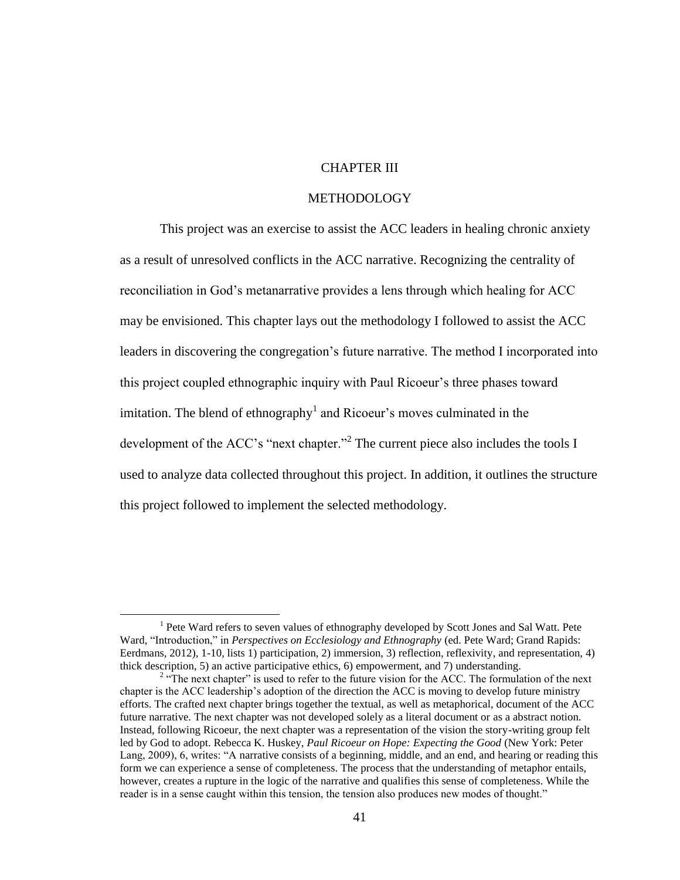# CHAPTER III

## METHODOLOGY

This project was an exercise to assist the ACC leaders in healing chronic anxiety as a result of unresolved conflicts in the ACC narrative. Recognizing the centrality of reconciliation in God's metanarrative provides a lens through which healing for ACC may be envisioned. This chapter lays out the methodology I followed to assist the ACC leaders in discovering the congregation's future narrative. The method I incorporated into this project coupled ethnographic inquiry with Paul Ricoeur's three phases toward imitation. The blend of ethnography<sup>1</sup> and Ricoeur's moves culminated in the development of the ACC's "next chapter."<sup>2</sup> The current piece also includes the tools I used to analyze data collected throughout this project. In addition, it outlines the structure this project followed to implement the selected methodology.

<sup>&</sup>lt;sup>1</sup> Pete Ward refers to seven values of ethnography developed by Scott Jones and Sal Watt. Pete Ward, "Introduction," in *Perspectives on Ecclesiology and Ethnography* (ed. Pete Ward; Grand Rapids: Eerdmans, 2012), 1-10, lists 1) participation, 2) immersion, 3) reflection, reflexivity, and representation, 4) thick description, 5) an active participative ethics, 6) empowerment, and 7) understanding.

<sup>&</sup>lt;sup>2</sup> "The next chapter" is used to refer to the future vision for the ACC. The formulation of the next chapter is the ACC leadership's adoption of the direction the ACC is moving to develop future ministry efforts. The crafted next chapter brings together the textual, as well as metaphorical, document of the ACC future narrative. The next chapter was not developed solely as a literal document or as a abstract notion. Instead, following Ricoeur, the next chapter was a representation of the vision the story-writing group felt led by God to adopt. Rebecca K. Huskey, *Paul Ricoeur on Hope: Expecting the Good* (New York: Peter Lang, 2009), 6, writes: "A narrative consists of a beginning, middle, and an end, and hearing or reading this form we can experience a sense of completeness. The process that the understanding of metaphor entails, however, creates a rupture in the logic of the narrative and qualifies this sense of completeness. While the reader is in a sense caught within this tension, the tension also produces new modes of thought."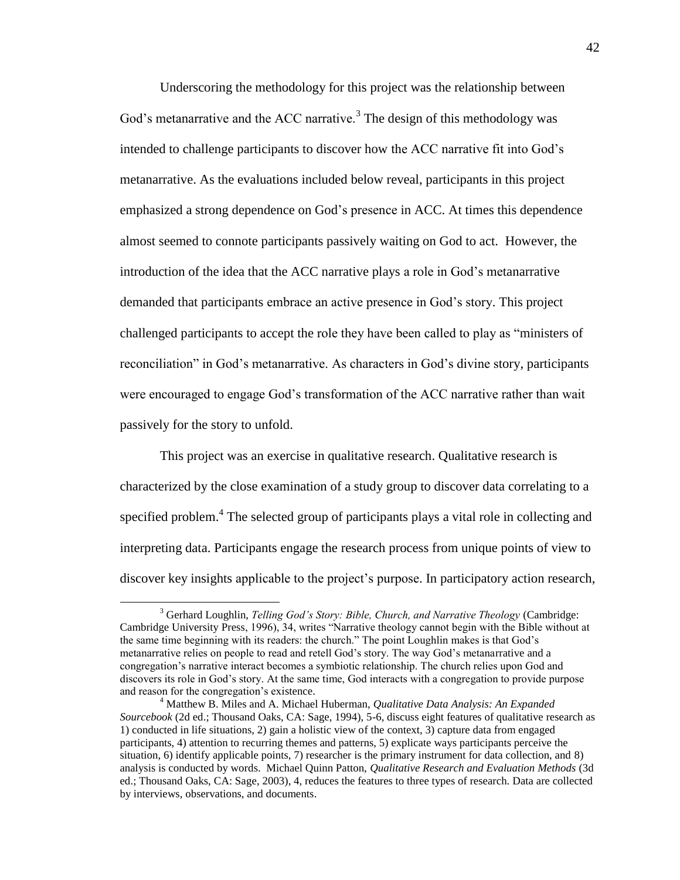Underscoring the methodology for this project was the relationship between God's metanarrative and the ACC narrative.<sup>3</sup> The design of this methodology was intended to challenge participants to discover how the ACC narrative fit into God's metanarrative. As the evaluations included below reveal, participants in this project emphasized a strong dependence on God's presence in ACC. At times this dependence almost seemed to connote participants passively waiting on God to act. However, the introduction of the idea that the ACC narrative plays a role in God's metanarrative demanded that participants embrace an active presence in God's story. This project challenged participants to accept the role they have been called to play as "ministers of reconciliation" in God's metanarrative. As characters in God's divine story, participants were encouraged to engage God's transformation of the ACC narrative rather than wait passively for the story to unfold.

This project was an exercise in qualitative research. Qualitative research is characterized by the close examination of a study group to discover data correlating to a specified problem.<sup>4</sup> The selected group of participants plays a vital role in collecting and interpreting data. Participants engage the research process from unique points of view to discover key insights applicable to the project's purpose. In participatory action research,

<sup>3</sup> Gerhard Loughlin, *Telling God's Story: Bible, Church, and Narrative Theology* (Cambridge: Cambridge University Press, 1996), 34, writes "Narrative theology cannot begin with the Bible without at the same time beginning with its readers: the church." The point Loughlin makes is that God's metanarrative relies on people to read and retell God's story. The way God's metanarrative and a congregation's narrative interact becomes a symbiotic relationship. The church relies upon God and discovers its role in God's story. At the same time, God interacts with a congregation to provide purpose and reason for the congregation's existence.

<sup>4</sup> Matthew B. Miles and A. Michael Huberman, *Qualitative Data Analysis: An Expanded Sourcebook* (2d ed.; Thousand Oaks, CA: Sage, 1994), 5-6, discuss eight features of qualitative research as 1) conducted in life situations, 2) gain a holistic view of the context, 3) capture data from engaged participants, 4) attention to recurring themes and patterns, 5) explicate ways participants perceive the situation, 6) identify applicable points, 7) researcher is the primary instrument for data collection, and 8) analysis is conducted by words. Michael Quinn Patton, *Qualitative Research and Evaluation Methods* (3d ed.; Thousand Oaks, CA: Sage, 2003), 4, reduces the features to three types of research. Data are collected by interviews, observations, and documents.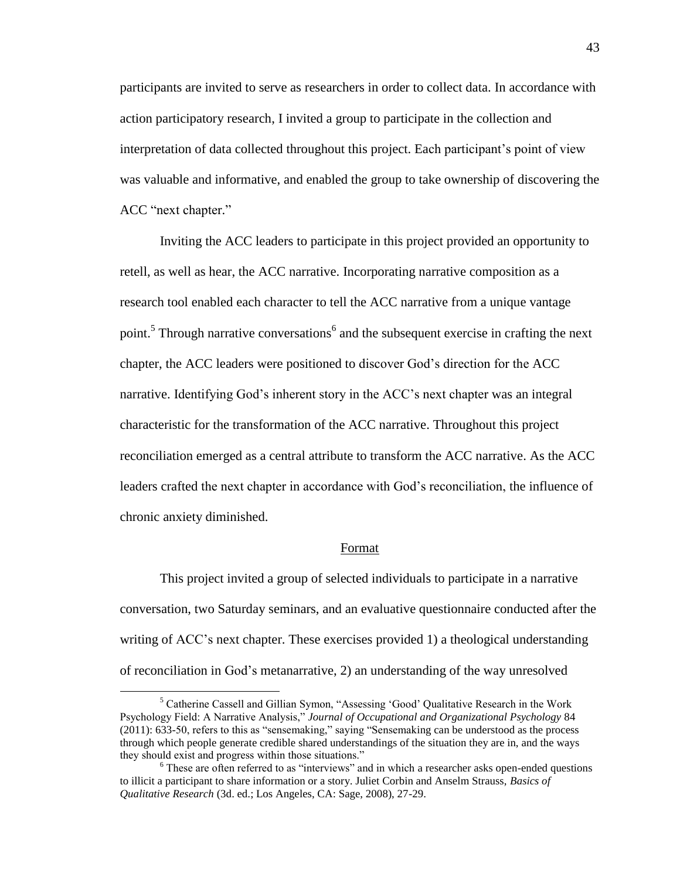participants are invited to serve as researchers in order to collect data. In accordance with action participatory research, I invited a group to participate in the collection and interpretation of data collected throughout this project. Each participant's point of view was valuable and informative, and enabled the group to take ownership of discovering the ACC "next chapter."

Inviting the ACC leaders to participate in this project provided an opportunity to retell, as well as hear, the ACC narrative. Incorporating narrative composition as a research tool enabled each character to tell the ACC narrative from a unique vantage point.<sup>5</sup> Through narrative conversations<sup>6</sup> and the subsequent exercise in crafting the next chapter, the ACC leaders were positioned to discover God's direction for the ACC narrative. Identifying God's inherent story in the ACC's next chapter was an integral characteristic for the transformation of the ACC narrative. Throughout this project reconciliation emerged as a central attribute to transform the ACC narrative. As the ACC leaders crafted the next chapter in accordance with God's reconciliation, the influence of chronic anxiety diminished.

#### Format

This project invited a group of selected individuals to participate in a narrative conversation, two Saturday seminars, and an evaluative questionnaire conducted after the writing of ACC's next chapter. These exercises provided 1) a theological understanding of reconciliation in God's metanarrative, 2) an understanding of the way unresolved

<sup>5</sup> Catherine Cassell and Gillian Symon, "Assessing 'Good' Qualitative Research in the Work Psychology Field: A Narrative Analysis," *Journal of Occupational and Organizational Psychology* 84 (2011): 633-50, refers to this as "sensemaking," saying "Sensemaking can be understood as the process through which people generate credible shared understandings of the situation they are in, and the ways they should exist and progress within those situations."

<sup>6</sup> These are often referred to as "interviews" and in which a researcher asks open-ended questions to illicit a participant to share information or a story. Juliet Corbin and Anselm Strauss, *Basics of Qualitative Research* (3d. ed.; Los Angeles, CA: Sage, 2008), 27-29.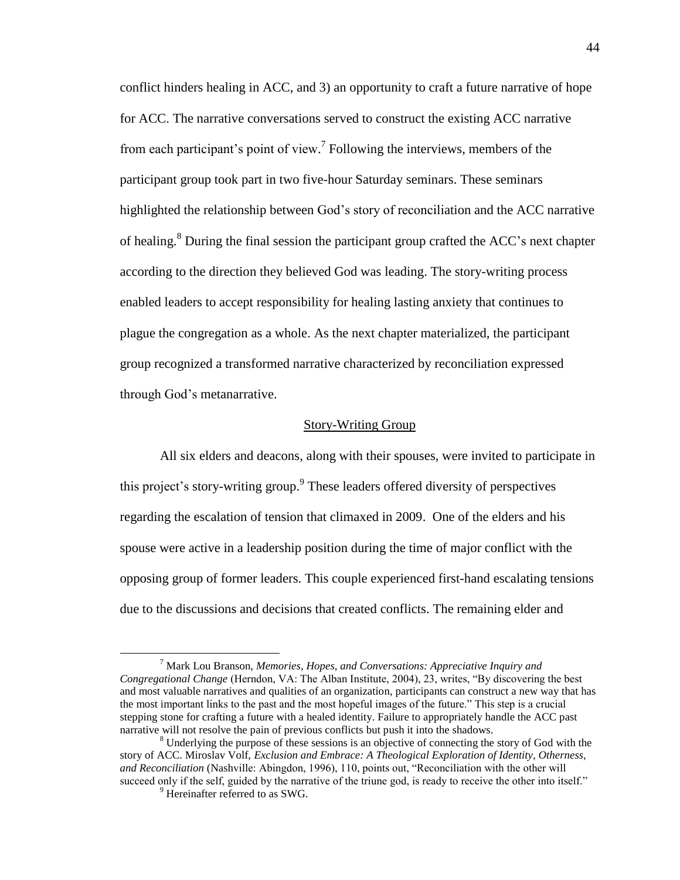conflict hinders healing in ACC, and 3) an opportunity to craft a future narrative of hope for ACC. The narrative conversations served to construct the existing ACC narrative from each participant's point of view. 7 Following the interviews, members of the participant group took part in two five-hour Saturday seminars. These seminars highlighted the relationship between God's story of reconciliation and the ACC narrative of healing.<sup>8</sup> During the final session the participant group crafted the ACC's next chapter according to the direction they believed God was leading. The story-writing process enabled leaders to accept responsibility for healing lasting anxiety that continues to plague the congregation as a whole. As the next chapter materialized, the participant group recognized a transformed narrative characterized by reconciliation expressed through God's metanarrative.

### Story-Writing Group

All six elders and deacons, along with their spouses, were invited to participate in this project's story-writing group.<sup>9</sup> These leaders offered diversity of perspectives regarding the escalation of tension that climaxed in 2009. One of the elders and his spouse were active in a leadership position during the time of major conflict with the opposing group of former leaders. This couple experienced first-hand escalating tensions due to the discussions and decisions that created conflicts. The remaining elder and

<sup>7</sup> Mark Lou Branson, *Memories, Hopes, and Conversations: Appreciative Inquiry and Congregational Change* (Herndon, VA: The Alban Institute, 2004), 23, writes, "By discovering the best and most valuable narratives and qualities of an organization, participants can construct a new way that has the most important links to the past and the most hopeful images of the future." This step is a crucial stepping stone for crafting a future with a healed identity. Failure to appropriately handle the ACC past narrative will not resolve the pain of previous conflicts but push it into the shadows.

<sup>&</sup>lt;sup>8</sup> Underlying the purpose of these sessions is an objective of connecting the story of God with the story of ACC. Miroslav Volf, *Exclusion and Embrace: A Theological Exploration of Identity, Otherness, and Reconciliation* (Nashville: Abingdon, 1996), 110, points out, "Reconciliation with the other will succeed only if the self, guided by the narrative of the triune god, is ready to receive the other into itself."

<sup>&</sup>lt;sup>9</sup> Hereinafter referred to as SWG.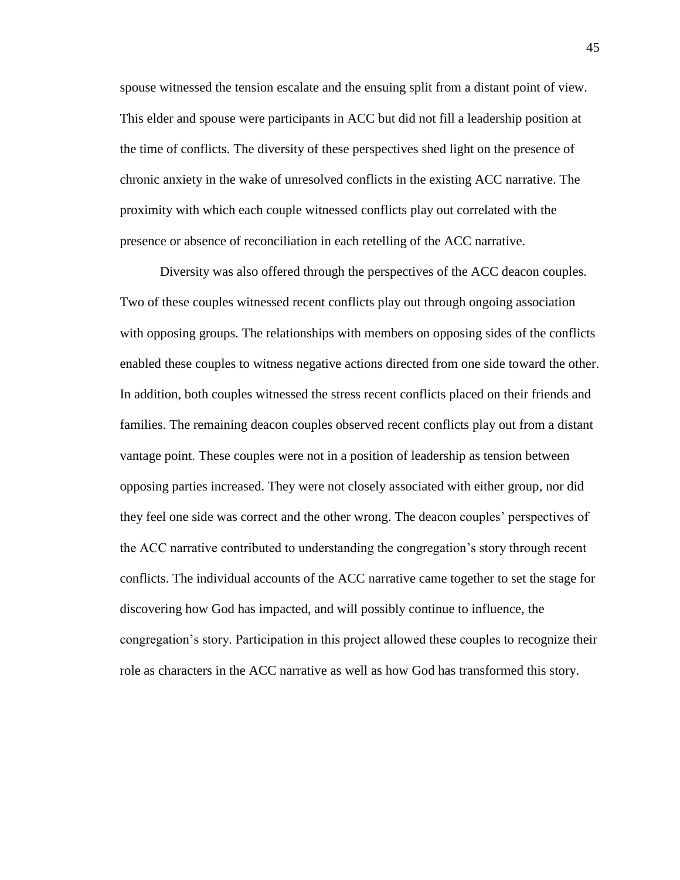spouse witnessed the tension escalate and the ensuing split from a distant point of view. This elder and spouse were participants in ACC but did not fill a leadership position at the time of conflicts. The diversity of these perspectives shed light on the presence of chronic anxiety in the wake of unresolved conflicts in the existing ACC narrative. The proximity with which each couple witnessed conflicts play out correlated with the presence or absence of reconciliation in each retelling of the ACC narrative.

Diversity was also offered through the perspectives of the ACC deacon couples. Two of these couples witnessed recent conflicts play out through ongoing association with opposing groups. The relationships with members on opposing sides of the conflicts enabled these couples to witness negative actions directed from one side toward the other. In addition, both couples witnessed the stress recent conflicts placed on their friends and families. The remaining deacon couples observed recent conflicts play out from a distant vantage point. These couples were not in a position of leadership as tension between opposing parties increased. They were not closely associated with either group, nor did they feel one side was correct and the other wrong. The deacon couples' perspectives of the ACC narrative contributed to understanding the congregation's story through recent conflicts. The individual accounts of the ACC narrative came together to set the stage for discovering how God has impacted, and will possibly continue to influence, the congregation's story. Participation in this project allowed these couples to recognize their role as characters in the ACC narrative as well as how God has transformed this story.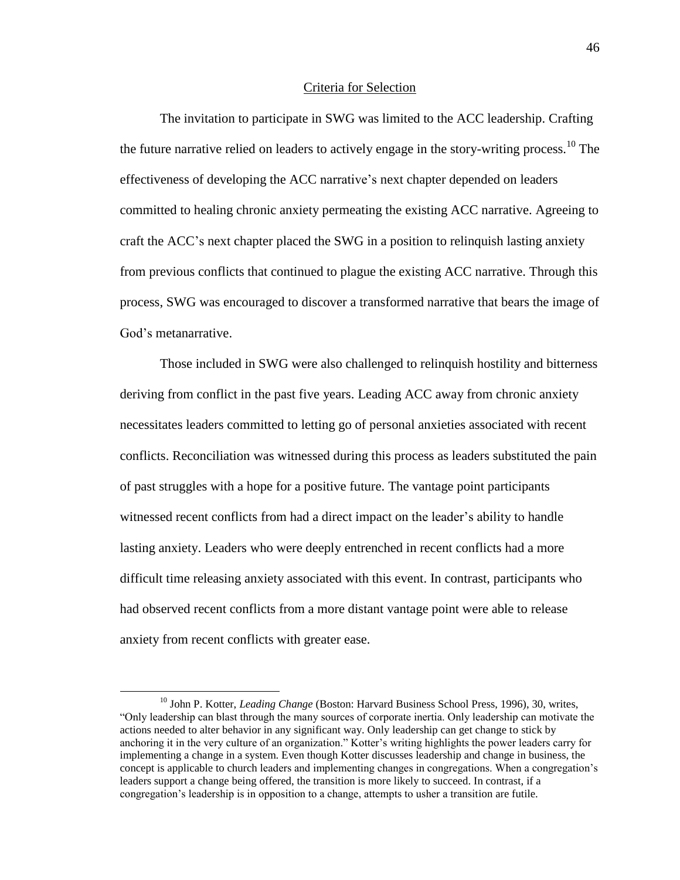## Criteria for Selection

The invitation to participate in SWG was limited to the ACC leadership. Crafting the future narrative relied on leaders to actively engage in the story-writing process.<sup>10</sup> The effectiveness of developing the ACC narrative's next chapter depended on leaders committed to healing chronic anxiety permeating the existing ACC narrative. Agreeing to craft the ACC's next chapter placed the SWG in a position to relinquish lasting anxiety from previous conflicts that continued to plague the existing ACC narrative. Through this process, SWG was encouraged to discover a transformed narrative that bears the image of God's metanarrative.

Those included in SWG were also challenged to relinquish hostility and bitterness deriving from conflict in the past five years. Leading ACC away from chronic anxiety necessitates leaders committed to letting go of personal anxieties associated with recent conflicts. Reconciliation was witnessed during this process as leaders substituted the pain of past struggles with a hope for a positive future. The vantage point participants witnessed recent conflicts from had a direct impact on the leader's ability to handle lasting anxiety. Leaders who were deeply entrenched in recent conflicts had a more difficult time releasing anxiety associated with this event. In contrast, participants who had observed recent conflicts from a more distant vantage point were able to release anxiety from recent conflicts with greater ease.

<sup>&</sup>lt;sup>10</sup> John P. Kotter, *Leading Change* (Boston: Harvard Business School Press, 1996), 30, writes, "Only leadership can blast through the many sources of corporate inertia. Only leadership can motivate the actions needed to alter behavior in any significant way. Only leadership can get change to stick by anchoring it in the very culture of an organization." Kotter's writing highlights the power leaders carry for implementing a change in a system. Even though Kotter discusses leadership and change in business, the concept is applicable to church leaders and implementing changes in congregations. When a congregation's leaders support a change being offered, the transition is more likely to succeed. In contrast, if a congregation's leadership is in opposition to a change, attempts to usher a transition are futile.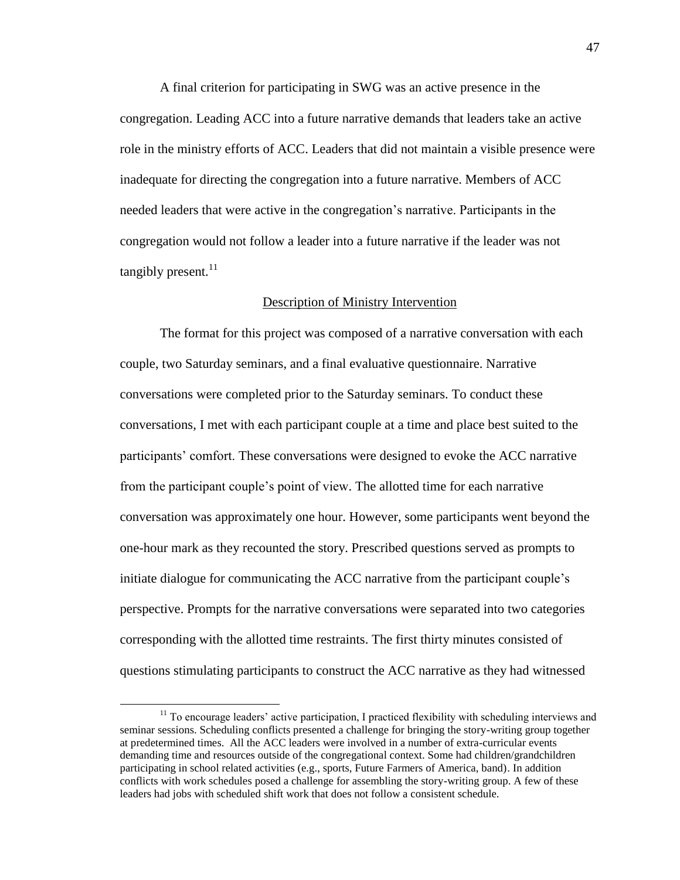A final criterion for participating in SWG was an active presence in the congregation. Leading ACC into a future narrative demands that leaders take an active role in the ministry efforts of ACC. Leaders that did not maintain a visible presence were inadequate for directing the congregation into a future narrative. Members of ACC needed leaders that were active in the congregation's narrative. Participants in the congregation would not follow a leader into a future narrative if the leader was not tangibly present. $^{11}$ 

## Description of Ministry Intervention

The format for this project was composed of a narrative conversation with each couple, two Saturday seminars, and a final evaluative questionnaire. Narrative conversations were completed prior to the Saturday seminars. To conduct these conversations, I met with each participant couple at a time and place best suited to the participants' comfort. These conversations were designed to evoke the ACC narrative from the participant couple's point of view. The allotted time for each narrative conversation was approximately one hour. However, some participants went beyond the one-hour mark as they recounted the story. Prescribed questions served as prompts to initiate dialogue for communicating the ACC narrative from the participant couple's perspective. Prompts for the narrative conversations were separated into two categories corresponding with the allotted time restraints. The first thirty minutes consisted of questions stimulating participants to construct the ACC narrative as they had witnessed

<sup>&</sup>lt;sup>11</sup> To encourage leaders' active participation, I practiced flexibility with scheduling interviews and seminar sessions. Scheduling conflicts presented a challenge for bringing the story-writing group together at predetermined times. All the ACC leaders were involved in a number of extra-curricular events demanding time and resources outside of the congregational context. Some had children/grandchildren participating in school related activities (e.g., sports, Future Farmers of America, band). In addition conflicts with work schedules posed a challenge for assembling the story-writing group. A few of these leaders had jobs with scheduled shift work that does not follow a consistent schedule.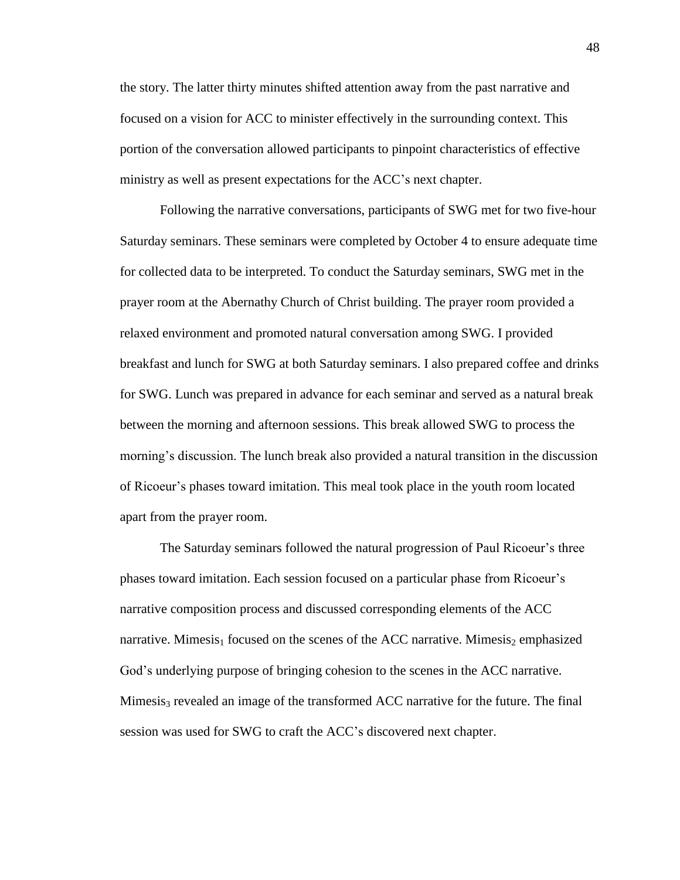the story. The latter thirty minutes shifted attention away from the past narrative and focused on a vision for ACC to minister effectively in the surrounding context. This portion of the conversation allowed participants to pinpoint characteristics of effective ministry as well as present expectations for the ACC's next chapter.

Following the narrative conversations, participants of SWG met for two five-hour Saturday seminars. These seminars were completed by October 4 to ensure adequate time for collected data to be interpreted. To conduct the Saturday seminars, SWG met in the prayer room at the Abernathy Church of Christ building. The prayer room provided a relaxed environment and promoted natural conversation among SWG. I provided breakfast and lunch for SWG at both Saturday seminars. I also prepared coffee and drinks for SWG. Lunch was prepared in advance for each seminar and served as a natural break between the morning and afternoon sessions. This break allowed SWG to process the morning's discussion. The lunch break also provided a natural transition in the discussion of Ricoeur's phases toward imitation. This meal took place in the youth room located apart from the prayer room.

The Saturday seminars followed the natural progression of Paul Ricoeur's three phases toward imitation. Each session focused on a particular phase from Ricoeur's narrative composition process and discussed corresponding elements of the ACC narrative. Mimesis<sub>1</sub> focused on the scenes of the ACC narrative. Mimesis<sub>2</sub> emphasized God's underlying purpose of bringing cohesion to the scenes in the ACC narrative. Mimesis<sub>3</sub> revealed an image of the transformed ACC narrative for the future. The final session was used for SWG to craft the ACC's discovered next chapter.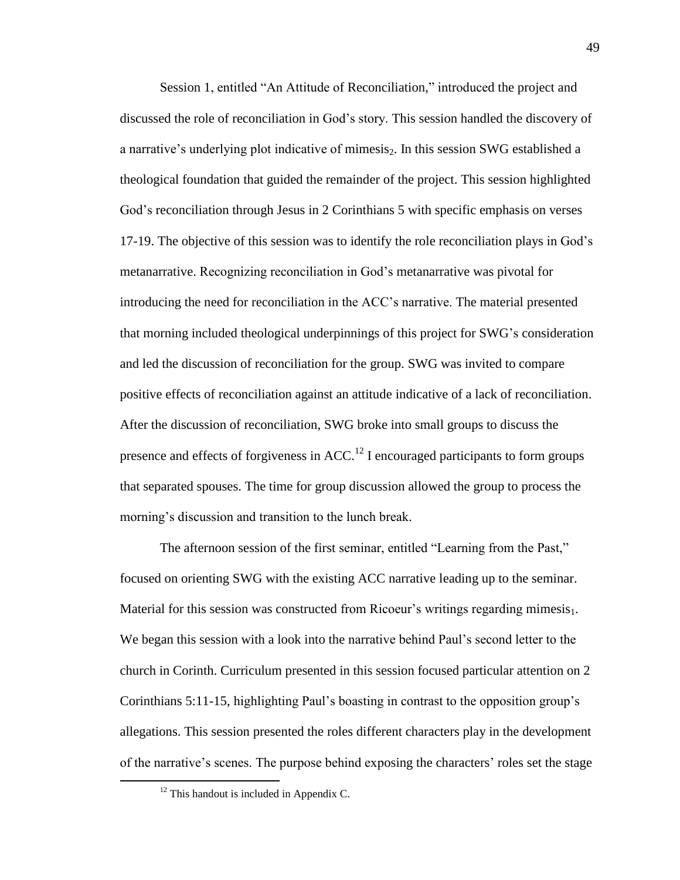Session 1, entitled "An Attitude of Reconciliation," introduced the project and discussed the role of reconciliation in God's story. This session handled the discovery of a narrative's underlying plot indicative of mimesis<sub>2</sub>. In this session SWG established a theological foundation that guided the remainder of the project. This session highlighted God's reconciliation through Jesus in 2 Corinthians 5 with specific emphasis on verses 17-19. The objective of this session was to identify the role reconciliation plays in God's metanarrative. Recognizing reconciliation in God's metanarrative was pivotal for introducing the need for reconciliation in the ACC's narrative. The material presented that morning included theological underpinnings of this project for SWG's consideration and led the discussion of reconciliation for the group. SWG was invited to compare positive effects of reconciliation against an attitude indicative of a lack of reconciliation. After the discussion of reconciliation, SWG broke into small groups to discuss the presence and effects of forgiveness in  $ACC<sup>12</sup>$  I encouraged participants to form groups that separated spouses. The time for group discussion allowed the group to process the morning's discussion and transition to the lunch break.

The afternoon session of the first seminar, entitled "Learning from the Past," focused on orienting SWG with the existing ACC narrative leading up to the seminar. Material for this session was constructed from Ricoeur's writings regarding mimesis $_1$ . We began this session with a look into the narrative behind Paul's second letter to the church in Corinth. Curriculum presented in this session focused particular attention on 2 Corinthians 5:11-15, highlighting Paul's boasting in contrast to the opposition group's allegations. This session presented the roles different characters play in the development of the narrative's scenes. The purpose behind exposing the characters' roles set the stage

 $12$  This handout is included in Appendix C.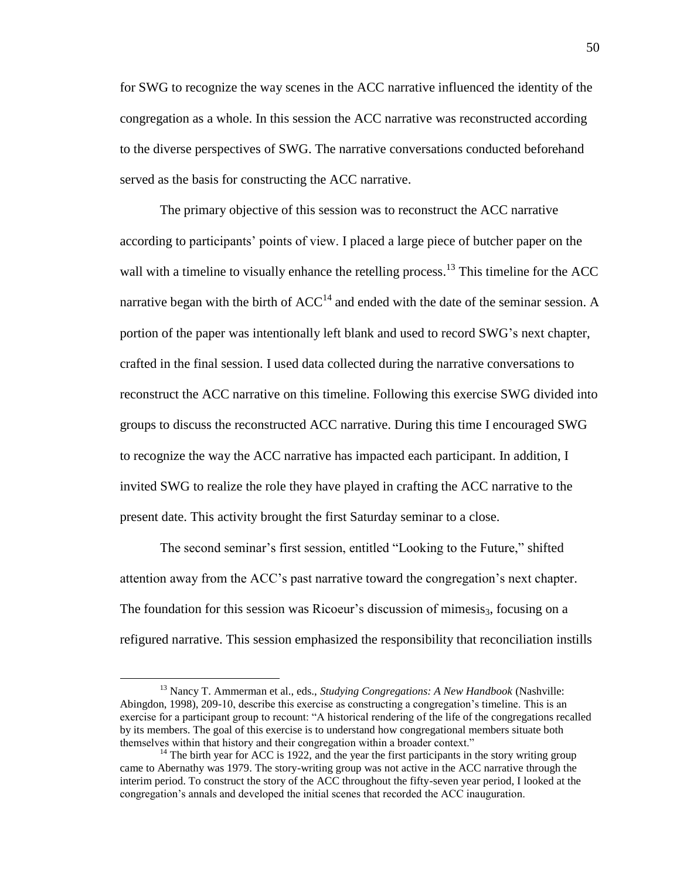for SWG to recognize the way scenes in the ACC narrative influenced the identity of the congregation as a whole. In this session the ACC narrative was reconstructed according to the diverse perspectives of SWG. The narrative conversations conducted beforehand served as the basis for constructing the ACC narrative.

The primary objective of this session was to reconstruct the ACC narrative according to participants' points of view. I placed a large piece of butcher paper on the wall with a timeline to visually enhance the retelling process.<sup>13</sup> This timeline for the ACC narrative began with the birth of  $ACC^{14}$  and ended with the date of the seminar session. A portion of the paper was intentionally left blank and used to record SWG's next chapter, crafted in the final session. I used data collected during the narrative conversations to reconstruct the ACC narrative on this timeline. Following this exercise SWG divided into groups to discuss the reconstructed ACC narrative. During this time I encouraged SWG to recognize the way the ACC narrative has impacted each participant. In addition, I invited SWG to realize the role they have played in crafting the ACC narrative to the present date. This activity brought the first Saturday seminar to a close.

The second seminar's first session, entitled "Looking to the Future," shifted attention away from the ACC's past narrative toward the congregation's next chapter. The foundation for this session was Ricoeur's discussion of mimesis<sub>3</sub>, focusing on a refigured narrative. This session emphasized the responsibility that reconciliation instills

<sup>13</sup> Nancy T. Ammerman et al., eds., *Studying Congregations: A New Handbook* (Nashville: Abingdon, 1998), 209-10, describe this exercise as constructing a congregation's timeline. This is an exercise for a participant group to recount: "A historical rendering of the life of the congregations recalled by its members. The goal of this exercise is to understand how congregational members situate both themselves within that history and their congregation within a broader context."

 $14$  The birth year for ACC is 1922, and the year the first participants in the story writing group came to Abernathy was 1979. The story-writing group was not active in the ACC narrative through the interim period. To construct the story of the ACC throughout the fifty-seven year period, I looked at the congregation's annals and developed the initial scenes that recorded the ACC inauguration.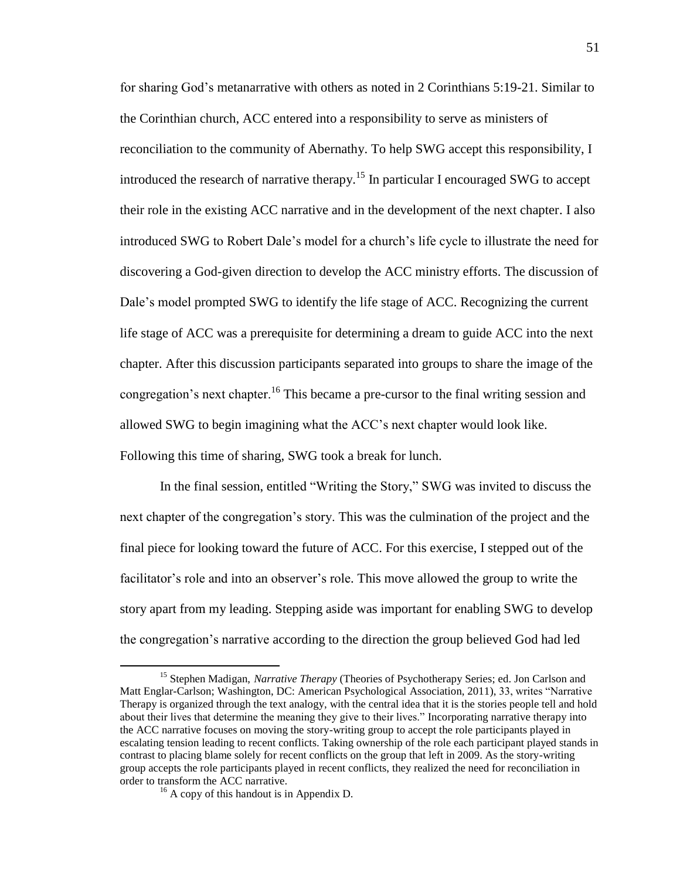for sharing God's metanarrative with others as noted in 2 Corinthians 5:19-21. Similar to the Corinthian church, ACC entered into a responsibility to serve as ministers of reconciliation to the community of Abernathy. To help SWG accept this responsibility, I introduced the research of narrative therapy.<sup>15</sup> In particular I encouraged SWG to accept their role in the existing ACC narrative and in the development of the next chapter. I also introduced SWG to Robert Dale's model for a church's life cycle to illustrate the need for discovering a God-given direction to develop the ACC ministry efforts. The discussion of Dale's model prompted SWG to identify the life stage of ACC. Recognizing the current life stage of ACC was a prerequisite for determining a dream to guide ACC into the next chapter. After this discussion participants separated into groups to share the image of the congregation's next chapter.<sup>16</sup> This became a pre-cursor to the final writing session and allowed SWG to begin imagining what the ACC's next chapter would look like. Following this time of sharing, SWG took a break for lunch.

In the final session, entitled "Writing the Story," SWG was invited to discuss the next chapter of the congregation's story. This was the culmination of the project and the final piece for looking toward the future of ACC. For this exercise, I stepped out of the facilitator's role and into an observer's role. This move allowed the group to write the story apart from my leading. Stepping aside was important for enabling SWG to develop the congregation's narrative according to the direction the group believed God had led

<sup>&</sup>lt;sup>15</sup> Stephen Madigan, *Narrative Therapy* (Theories of Psychotherapy Series; ed. Jon Carlson and Matt Englar-Carlson; Washington, DC: American Psychological Association, 2011), 33, writes "Narrative Therapy is organized through the text analogy, with the central idea that it is the stories people tell and hold about their lives that determine the meaning they give to their lives." Incorporating narrative therapy into the ACC narrative focuses on moving the story-writing group to accept the role participants played in escalating tension leading to recent conflicts. Taking ownership of the role each participant played stands in contrast to placing blame solely for recent conflicts on the group that left in 2009. As the story-writing group accepts the role participants played in recent conflicts, they realized the need for reconciliation in order to transform the ACC narrative.

 $16$  A copy of this handout is in Appendix D.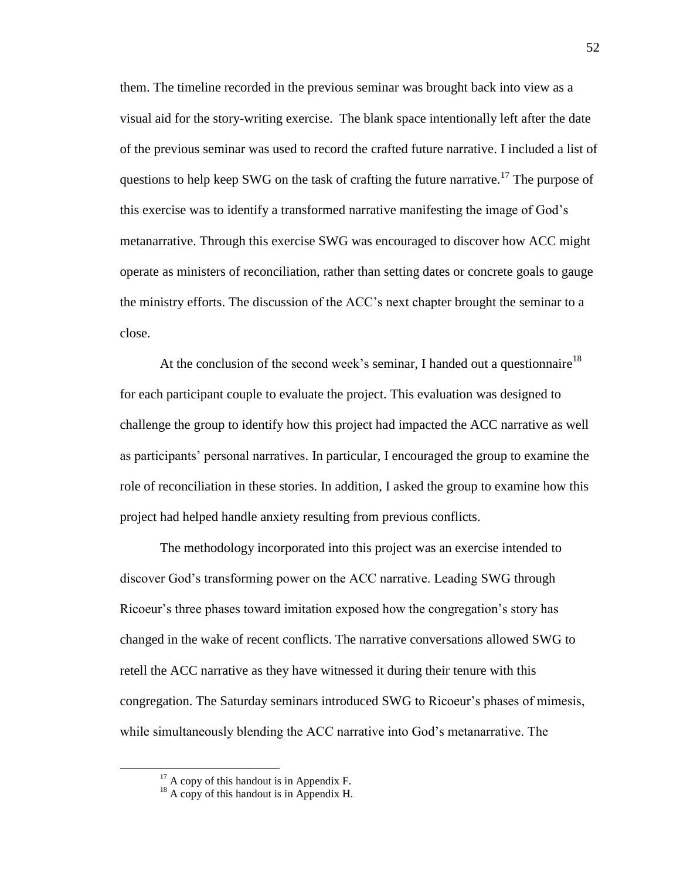them. The timeline recorded in the previous seminar was brought back into view as a visual aid for the story-writing exercise. The blank space intentionally left after the date of the previous seminar was used to record the crafted future narrative. I included a list of questions to help keep SWG on the task of crafting the future narrative.<sup>17</sup> The purpose of this exercise was to identify a transformed narrative manifesting the image of God's metanarrative. Through this exercise SWG was encouraged to discover how ACC might operate as ministers of reconciliation, rather than setting dates or concrete goals to gauge the ministry efforts. The discussion of the ACC's next chapter brought the seminar to a close.

At the conclusion of the second week's seminar, I handed out a questionnaire<sup>18</sup> for each participant couple to evaluate the project. This evaluation was designed to challenge the group to identify how this project had impacted the ACC narrative as well as participants' personal narratives. In particular, I encouraged the group to examine the role of reconciliation in these stories. In addition, I asked the group to examine how this project had helped handle anxiety resulting from previous conflicts.

The methodology incorporated into this project was an exercise intended to discover God's transforming power on the ACC narrative. Leading SWG through Ricoeur's three phases toward imitation exposed how the congregation's story has changed in the wake of recent conflicts. The narrative conversations allowed SWG to retell the ACC narrative as they have witnessed it during their tenure with this congregation. The Saturday seminars introduced SWG to Ricoeur's phases of mimesis, while simultaneously blending the ACC narrative into God's metanarrative. The

 $17$  A copy of this handout is in Appendix F.

 $18$  A copy of this handout is in Appendix H.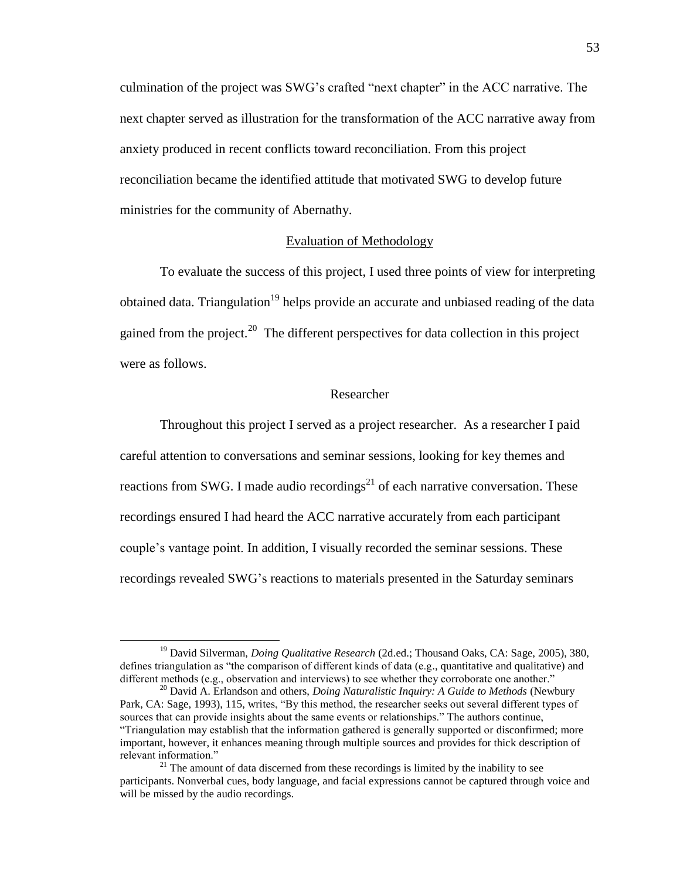culmination of the project was SWG's crafted "next chapter" in the ACC narrative. The next chapter served as illustration for the transformation of the ACC narrative away from anxiety produced in recent conflicts toward reconciliation. From this project reconciliation became the identified attitude that motivated SWG to develop future ministries for the community of Abernathy.

## Evaluation of Methodology

To evaluate the success of this project, I used three points of view for interpreting obtained data. Triangulation<sup>19</sup> helps provide an accurate and unbiased reading of the data gained from the project.<sup>20</sup> The different perspectives for data collection in this project were as follows.

## Researcher

Throughout this project I served as a project researcher. As a researcher I paid careful attention to conversations and seminar sessions, looking for key themes and reactions from SWG. I made audio recordings<sup>21</sup> of each narrative conversation. These recordings ensured I had heard the ACC narrative accurately from each participant couple's vantage point. In addition, I visually recorded the seminar sessions. These recordings revealed SWG's reactions to materials presented in the Saturday seminars

<sup>19</sup> David Silverman, *Doing Qualitative Research* (2d.ed.; Thousand Oaks, CA: Sage, 2005), 380, defines triangulation as "the comparison of different kinds of data (e.g., quantitative and qualitative) and different methods (e.g., observation and interviews) to see whether they corroborate one another."

<sup>20</sup> David A. Erlandson and others, *Doing Naturalistic Inquiry: A Guide to Methods* (Newbury Park, CA: Sage, 1993), 115, writes, "By this method, the researcher seeks out several different types of sources that can provide insights about the same events or relationships." The authors continue, "Triangulation may establish that the information gathered is generally supported or disconfirmed; more important, however, it enhances meaning through multiple sources and provides for thick description of relevant information."

 $21$  The amount of data discerned from these recordings is limited by the inability to see participants. Nonverbal cues, body language, and facial expressions cannot be captured through voice and will be missed by the audio recordings.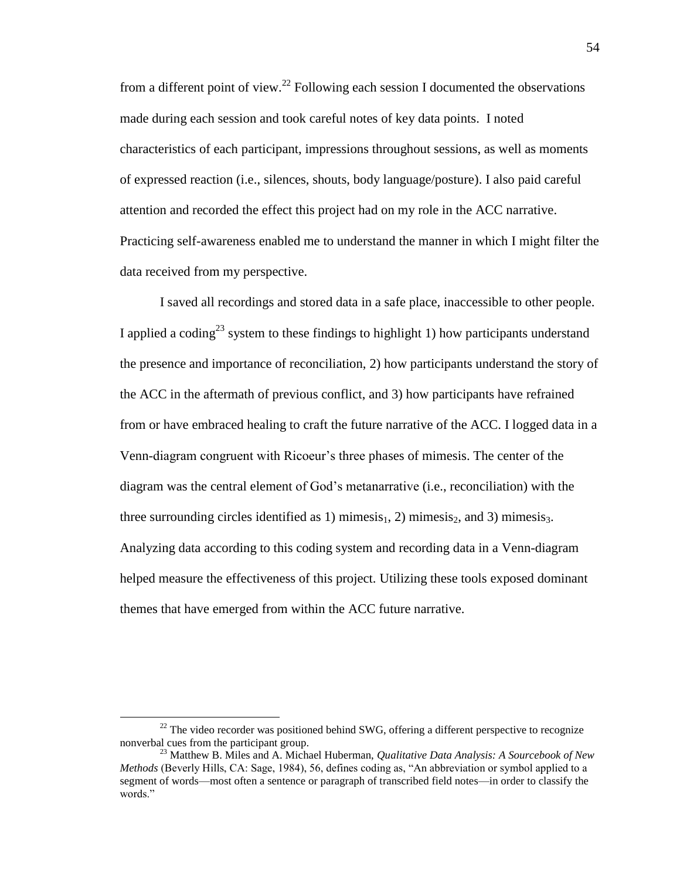from a different point of view.<sup>22</sup> Following each session I documented the observations made during each session and took careful notes of key data points. I noted characteristics of each participant, impressions throughout sessions, as well as moments of expressed reaction (i.e., silences, shouts, body language/posture). I also paid careful attention and recorded the effect this project had on my role in the ACC narrative. Practicing self-awareness enabled me to understand the manner in which I might filter the data received from my perspective.

I saved all recordings and stored data in a safe place, inaccessible to other people. I applied a coding<sup>23</sup> system to these findings to highlight 1) how participants understand the presence and importance of reconciliation, 2) how participants understand the story of the ACC in the aftermath of previous conflict, and 3) how participants have refrained from or have embraced healing to craft the future narrative of the ACC. I logged data in a Venn-diagram congruent with Ricoeur's three phases of mimesis. The center of the diagram was the central element of God's metanarrative (i.e., reconciliation) with the three surrounding circles identified as 1) mimesis<sub>1</sub>, 2) mimesis<sub>2</sub>, and 3) mimesis<sub>3</sub>. Analyzing data according to this coding system and recording data in a Venn-diagram helped measure the effectiveness of this project. Utilizing these tools exposed dominant themes that have emerged from within the ACC future narrative.

 $^{22}$  The video recorder was positioned behind SWG, offering a different perspective to recognize nonverbal cues from the participant group.

<sup>23</sup> Matthew B. Miles and A. Michael Huberman, *Qualitative Data Analysis: A Sourcebook of New Methods* (Beverly Hills, CA: Sage, 1984), 56, defines coding as, "An abbreviation or symbol applied to a segment of words—most often a sentence or paragraph of transcribed field notes—in order to classify the words."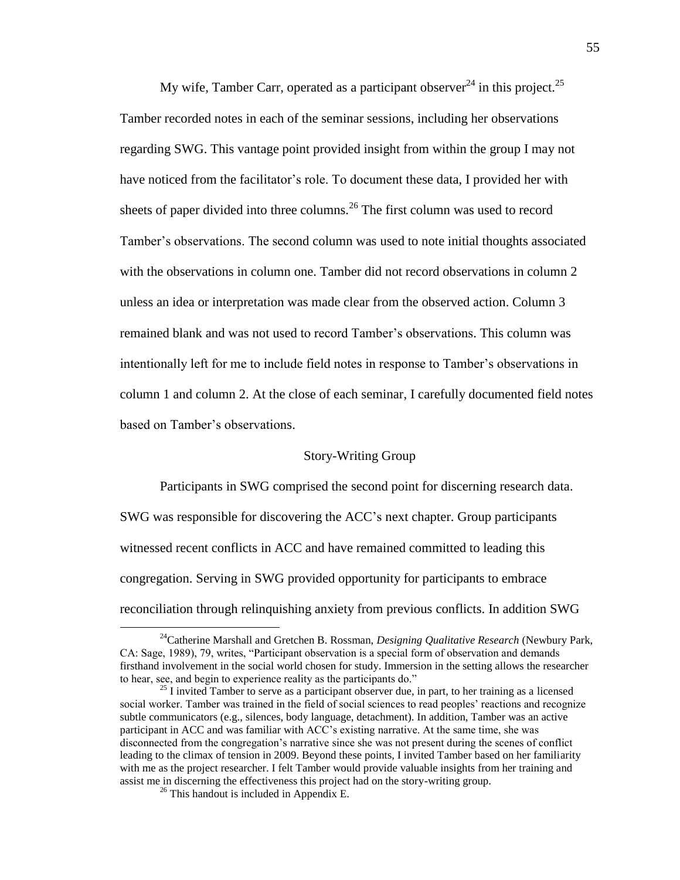My wife, Tamber Carr, operated as a participant observer<sup>24</sup> in this project.<sup>25</sup> Tamber recorded notes in each of the seminar sessions, including her observations regarding SWG. This vantage point provided insight from within the group I may not have noticed from the facilitator's role. To document these data, I provided her with sheets of paper divided into three columns.<sup>26</sup> The first column was used to record Tamber's observations. The second column was used to note initial thoughts associated with the observations in column one. Tamber did not record observations in column 2 unless an idea or interpretation was made clear from the observed action. Column 3 remained blank and was not used to record Tamber's observations. This column was intentionally left for me to include field notes in response to Tamber's observations in column 1 and column 2. At the close of each seminar, I carefully documented field notes based on Tamber's observations.

## Story-Writing Group

Participants in SWG comprised the second point for discerning research data. SWG was responsible for discovering the ACC's next chapter. Group participants witnessed recent conflicts in ACC and have remained committed to leading this congregation. Serving in SWG provided opportunity for participants to embrace reconciliation through relinquishing anxiety from previous conflicts. In addition SWG

<sup>24</sup>Catherine Marshall and Gretchen B. Rossman, *Designing Qualitative Research* (Newbury Park, CA: Sage, 1989), 79, writes, "Participant observation is a special form of observation and demands firsthand involvement in the social world chosen for study. Immersion in the setting allows the researcher to hear, see, and begin to experience reality as the participants do."

 $^{25}$  I invited Tamber to serve as a participant observer due, in part, to her training as a licensed social worker. Tamber was trained in the field of social sciences to read peoples' reactions and recognize subtle communicators (e.g., silences, body language, detachment). In addition, Tamber was an active participant in ACC and was familiar with ACC's existing narrative. At the same time, she was disconnected from the congregation's narrative since she was not present during the scenes of conflict leading to the climax of tension in 2009. Beyond these points, I invited Tamber based on her familiarity with me as the project researcher. I felt Tamber would provide valuable insights from her training and assist me in discerning the effectiveness this project had on the story-writing group.

 $26$  This handout is included in Appendix E.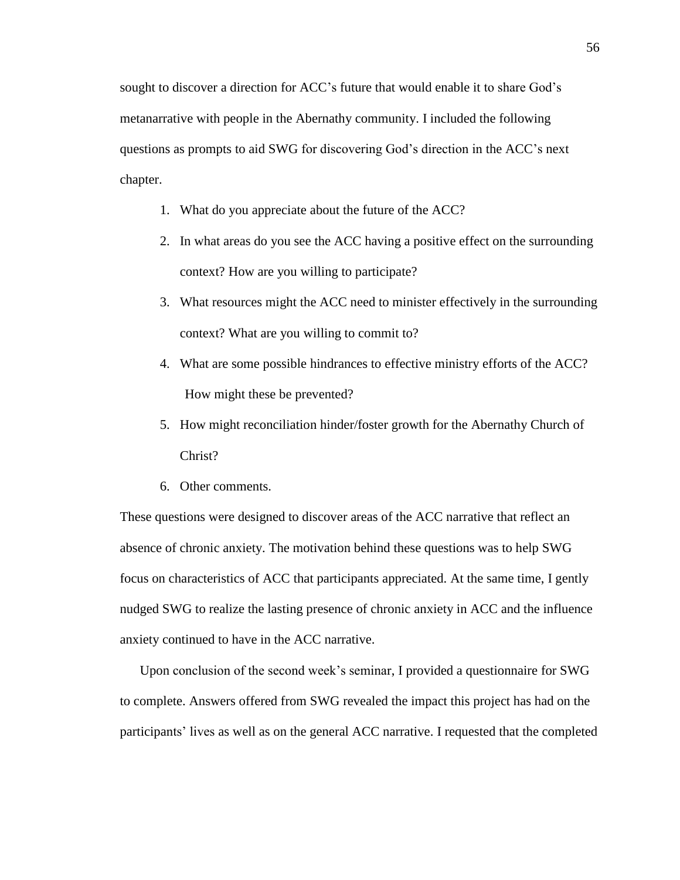sought to discover a direction for ACC's future that would enable it to share God's metanarrative with people in the Abernathy community. I included the following questions as prompts to aid SWG for discovering God's direction in the ACC's next chapter.

- 1. What do you appreciate about the future of the ACC?
- 2. In what areas do you see the ACC having a positive effect on the surrounding context? How are you willing to participate?
- 3. What resources might the ACC need to minister effectively in the surrounding context? What are you willing to commit to?
- 4. What are some possible hindrances to effective ministry efforts of the ACC? How might these be prevented?
- 5. How might reconciliation hinder/foster growth for the Abernathy Church of Christ?
- 6. Other comments.

These questions were designed to discover areas of the ACC narrative that reflect an absence of chronic anxiety. The motivation behind these questions was to help SWG focus on characteristics of ACC that participants appreciated. At the same time, I gently nudged SWG to realize the lasting presence of chronic anxiety in ACC and the influence anxiety continued to have in the ACC narrative.

Upon conclusion of the second week's seminar, I provided a questionnaire for SWG to complete. Answers offered from SWG revealed the impact this project has had on the participants' lives as well as on the general ACC narrative. I requested that the completed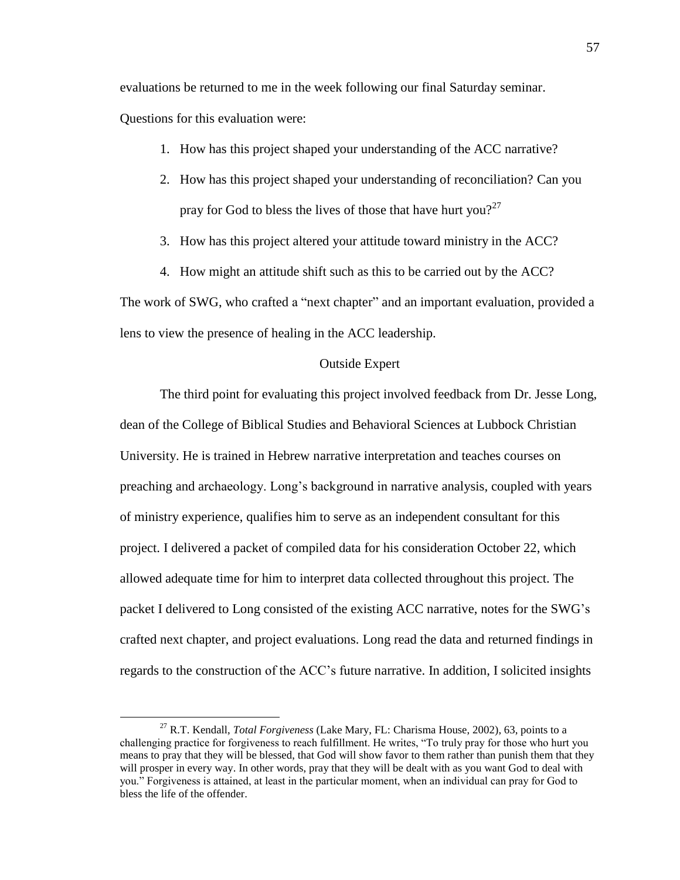evaluations be returned to me in the week following our final Saturday seminar.

Questions for this evaluation were:

 $\overline{a}$ 

- 1. How has this project shaped your understanding of the ACC narrative?
- 2. How has this project shaped your understanding of reconciliation? Can you pray for God to bless the lives of those that have hurt you?<sup>27</sup>
- 3. How has this project altered your attitude toward ministry in the ACC?
- 4. How might an attitude shift such as this to be carried out by the ACC?

The work of SWG, who crafted a "next chapter" and an important evaluation, provided a lens to view the presence of healing in the ACC leadership.

## Outside Expert

The third point for evaluating this project involved feedback from Dr. Jesse Long, dean of the College of Biblical Studies and Behavioral Sciences at Lubbock Christian University. He is trained in Hebrew narrative interpretation and teaches courses on preaching and archaeology. Long's background in narrative analysis, coupled with years of ministry experience, qualifies him to serve as an independent consultant for this project. I delivered a packet of compiled data for his consideration October 22, which allowed adequate time for him to interpret data collected throughout this project. The packet I delivered to Long consisted of the existing ACC narrative, notes for the SWG's crafted next chapter, and project evaluations. Long read the data and returned findings in regards to the construction of the ACC's future narrative. In addition, I solicited insights

<sup>27</sup> R.T. Kendall, *Total Forgiveness* (Lake Mary, FL: Charisma House, 2002), 63, points to a challenging practice for forgiveness to reach fulfillment. He writes, "To truly pray for those who hurt you means to pray that they will be blessed, that God will show favor to them rather than punish them that they will prosper in every way. In other words, pray that they will be dealt with as you want God to deal with you." Forgiveness is attained, at least in the particular moment, when an individual can pray for God to bless the life of the offender.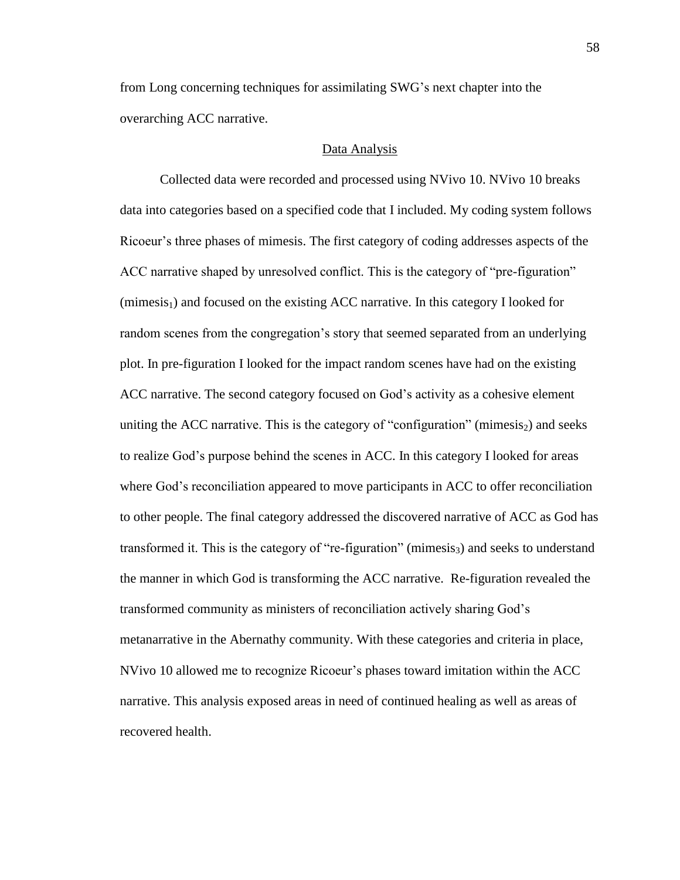from Long concerning techniques for assimilating SWG's next chapter into the overarching ACC narrative.

### Data Analysis

Collected data were recorded and processed using NVivo 10. NVivo 10 breaks data into categories based on a specified code that I included. My coding system follows Ricoeur's three phases of mimesis. The first category of coding addresses aspects of the ACC narrative shaped by unresolved conflict. This is the category of "pre-figuration"  $(\text{mimesis}_1)$  and focused on the existing ACC narrative. In this category I looked for random scenes from the congregation's story that seemed separated from an underlying plot. In pre-figuration I looked for the impact random scenes have had on the existing ACC narrative. The second category focused on God's activity as a cohesive element uniting the ACC narrative. This is the category of "configuration" (mimesis<sub>2</sub>) and seeks to realize God's purpose behind the scenes in ACC. In this category I looked for areas where God's reconciliation appeared to move participants in ACC to offer reconciliation to other people. The final category addressed the discovered narrative of ACC as God has transformed it. This is the category of "re-figuration" (mimesis<sub>3</sub>) and seeks to understand the manner in which God is transforming the ACC narrative. Re-figuration revealed the transformed community as ministers of reconciliation actively sharing God's metanarrative in the Abernathy community. With these categories and criteria in place, NVivo 10 allowed me to recognize Ricoeur's phases toward imitation within the ACC narrative. This analysis exposed areas in need of continued healing as well as areas of recovered health.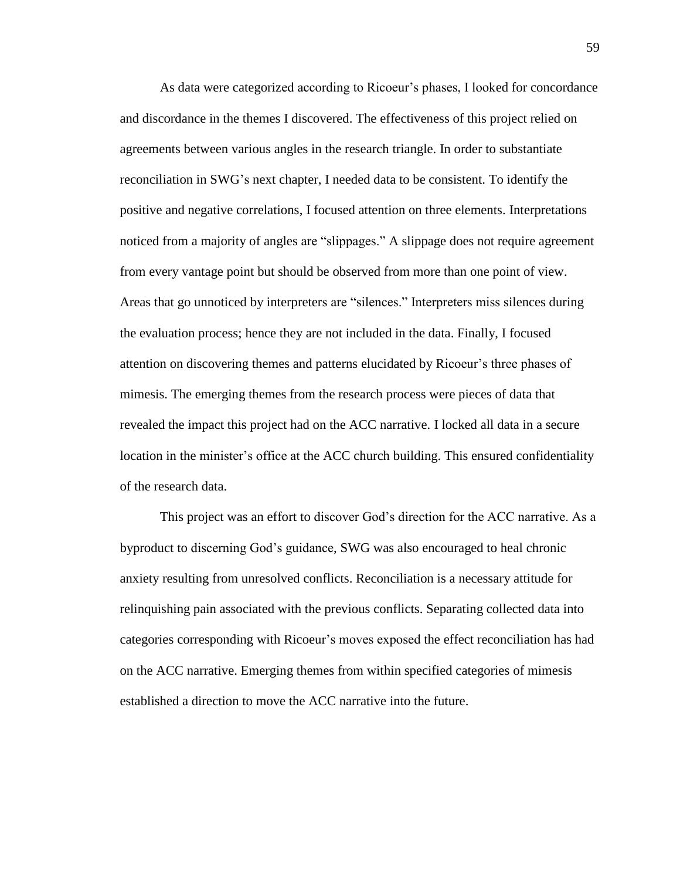As data were categorized according to Ricoeur's phases, I looked for concordance and discordance in the themes I discovered. The effectiveness of this project relied on agreements between various angles in the research triangle. In order to substantiate reconciliation in SWG's next chapter, I needed data to be consistent. To identify the positive and negative correlations, I focused attention on three elements. Interpretations noticed from a majority of angles are "slippages." A slippage does not require agreement from every vantage point but should be observed from more than one point of view. Areas that go unnoticed by interpreters are "silences." Interpreters miss silences during the evaluation process; hence they are not included in the data. Finally, I focused attention on discovering themes and patterns elucidated by Ricoeur's three phases of mimesis. The emerging themes from the research process were pieces of data that revealed the impact this project had on the ACC narrative. I locked all data in a secure location in the minister's office at the ACC church building. This ensured confidentiality of the research data.

This project was an effort to discover God's direction for the ACC narrative. As a byproduct to discerning God's guidance, SWG was also encouraged to heal chronic anxiety resulting from unresolved conflicts. Reconciliation is a necessary attitude for relinquishing pain associated with the previous conflicts. Separating collected data into categories corresponding with Ricoeur's moves exposed the effect reconciliation has had on the ACC narrative. Emerging themes from within specified categories of mimesis established a direction to move the ACC narrative into the future.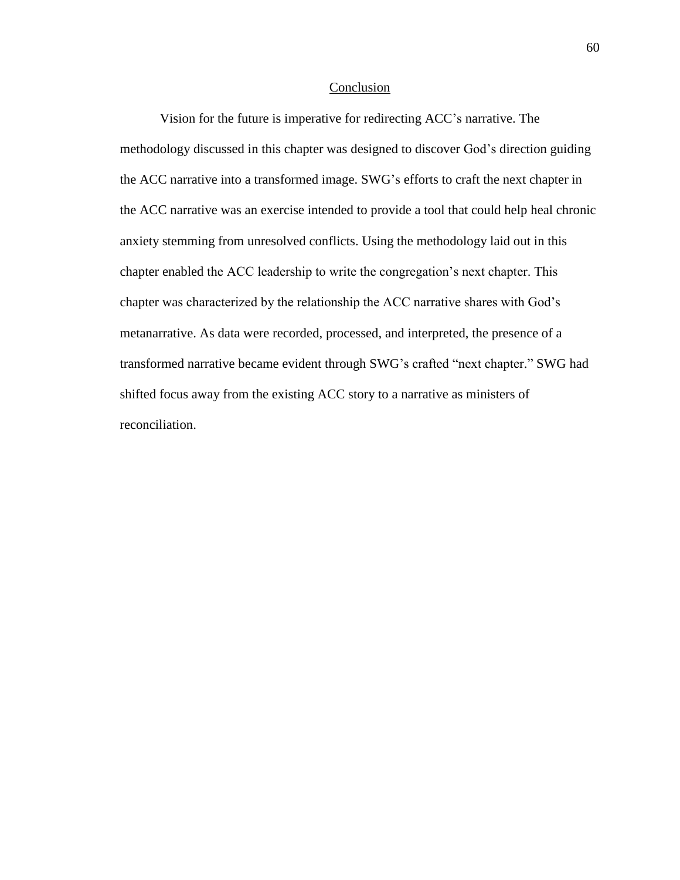#### Conclusion

Vision for the future is imperative for redirecting ACC's narrative. The methodology discussed in this chapter was designed to discover God's direction guiding the ACC narrative into a transformed image. SWG's efforts to craft the next chapter in the ACC narrative was an exercise intended to provide a tool that could help heal chronic anxiety stemming from unresolved conflicts. Using the methodology laid out in this chapter enabled the ACC leadership to write the congregation's next chapter. This chapter was characterized by the relationship the ACC narrative shares with God's metanarrative. As data were recorded, processed, and interpreted, the presence of a transformed narrative became evident through SWG's crafted "next chapter." SWG had shifted focus away from the existing ACC story to a narrative as ministers of reconciliation.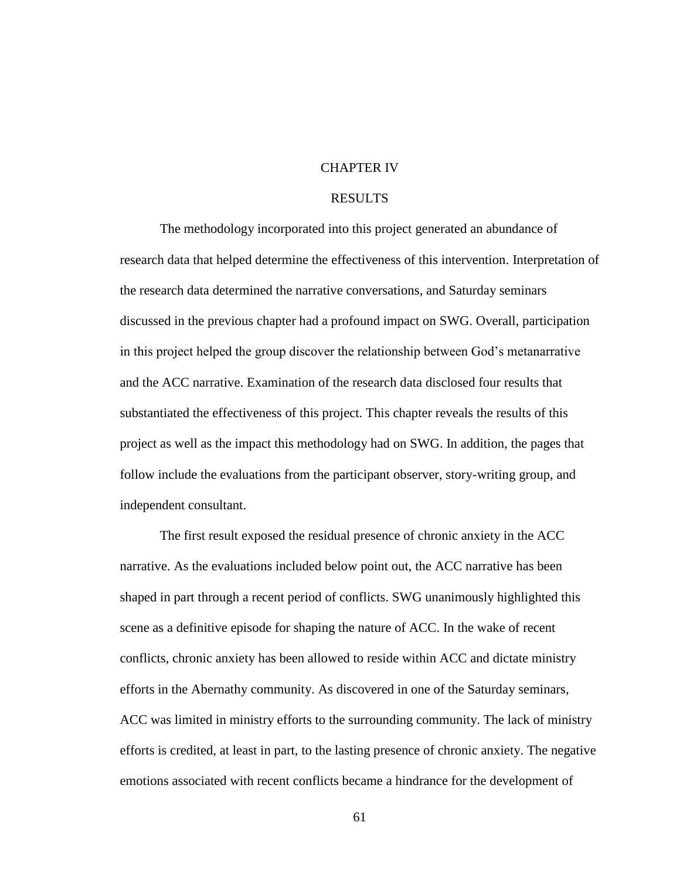## CHAPTER IV

# RESULTS

The methodology incorporated into this project generated an abundance of research data that helped determine the effectiveness of this intervention. Interpretation of the research data determined the narrative conversations, and Saturday seminars discussed in the previous chapter had a profound impact on SWG. Overall, participation in this project helped the group discover the relationship between God's metanarrative and the ACC narrative. Examination of the research data disclosed four results that substantiated the effectiveness of this project. This chapter reveals the results of this project as well as the impact this methodology had on SWG. In addition, the pages that follow include the evaluations from the participant observer, story-writing group, and independent consultant.

The first result exposed the residual presence of chronic anxiety in the ACC narrative. As the evaluations included below point out, the ACC narrative has been shaped in part through a recent period of conflicts. SWG unanimously highlighted this scene as a definitive episode for shaping the nature of ACC. In the wake of recent conflicts, chronic anxiety has been allowed to reside within ACC and dictate ministry efforts in the Abernathy community. As discovered in one of the Saturday seminars, ACC was limited in ministry efforts to the surrounding community. The lack of ministry efforts is credited, at least in part, to the lasting presence of chronic anxiety. The negative emotions associated with recent conflicts became a hindrance for the development of

61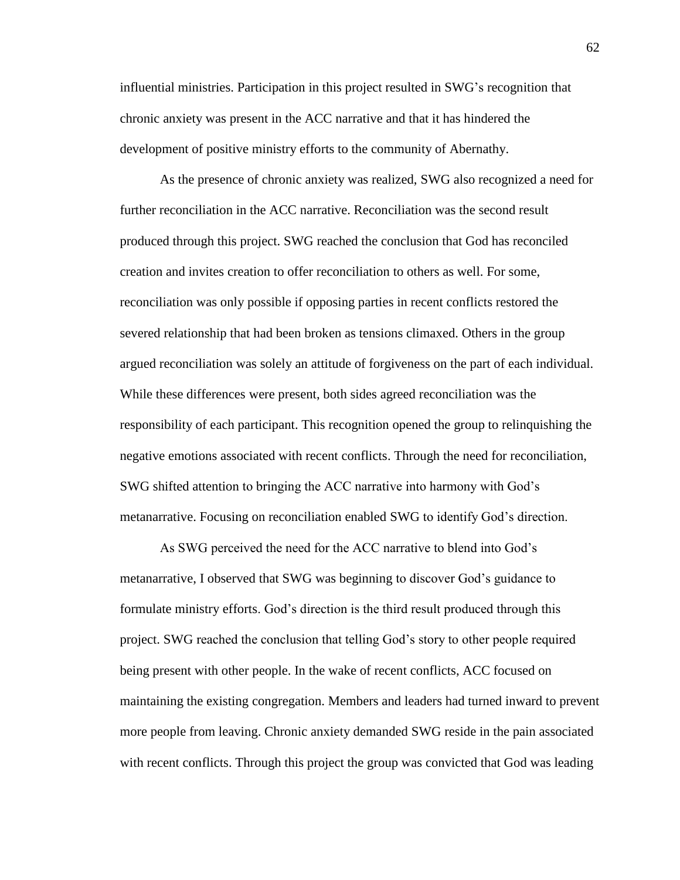influential ministries. Participation in this project resulted in SWG's recognition that chronic anxiety was present in the ACC narrative and that it has hindered the development of positive ministry efforts to the community of Abernathy.

As the presence of chronic anxiety was realized, SWG also recognized a need for further reconciliation in the ACC narrative. Reconciliation was the second result produced through this project. SWG reached the conclusion that God has reconciled creation and invites creation to offer reconciliation to others as well. For some, reconciliation was only possible if opposing parties in recent conflicts restored the severed relationship that had been broken as tensions climaxed. Others in the group argued reconciliation was solely an attitude of forgiveness on the part of each individual. While these differences were present, both sides agreed reconciliation was the responsibility of each participant. This recognition opened the group to relinquishing the negative emotions associated with recent conflicts. Through the need for reconciliation, SWG shifted attention to bringing the ACC narrative into harmony with God's metanarrative. Focusing on reconciliation enabled SWG to identify God's direction.

As SWG perceived the need for the ACC narrative to blend into God's metanarrative, I observed that SWG was beginning to discover God's guidance to formulate ministry efforts. God's direction is the third result produced through this project. SWG reached the conclusion that telling God's story to other people required being present with other people. In the wake of recent conflicts, ACC focused on maintaining the existing congregation. Members and leaders had turned inward to prevent more people from leaving. Chronic anxiety demanded SWG reside in the pain associated with recent conflicts. Through this project the group was convicted that God was leading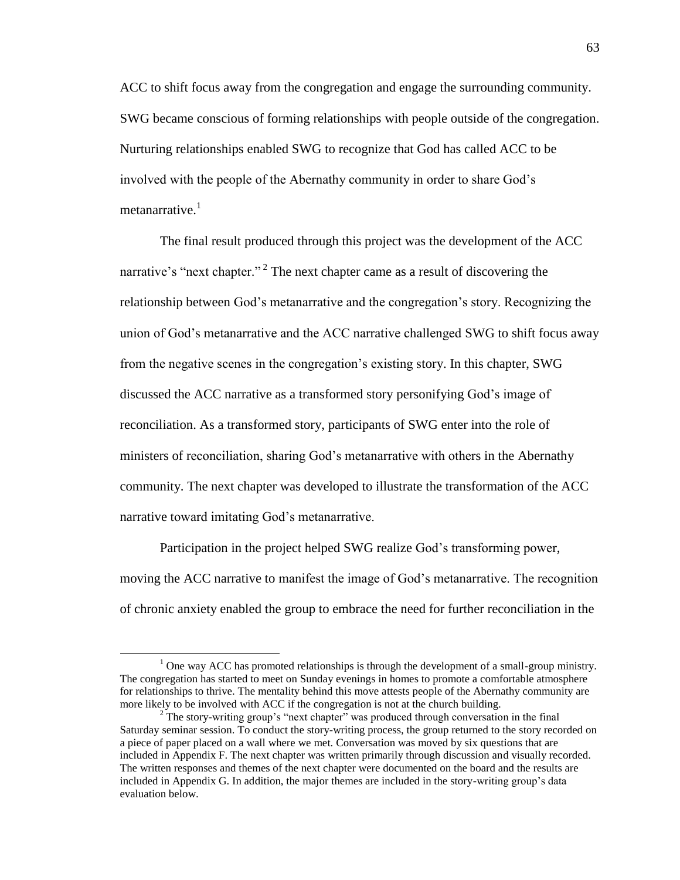ACC to shift focus away from the congregation and engage the surrounding community. SWG became conscious of forming relationships with people outside of the congregation. Nurturing relationships enabled SWG to recognize that God has called ACC to be involved with the people of the Abernathy community in order to share God's metanarrative. $<sup>1</sup>$ </sup>

The final result produced through this project was the development of the ACC narrative's "next chapter."<sup>2</sup> The next chapter came as a result of discovering the relationship between God's metanarrative and the congregation's story. Recognizing the union of God's metanarrative and the ACC narrative challenged SWG to shift focus away from the negative scenes in the congregation's existing story. In this chapter, SWG discussed the ACC narrative as a transformed story personifying God's image of reconciliation. As a transformed story, participants of SWG enter into the role of ministers of reconciliation, sharing God's metanarrative with others in the Abernathy community. The next chapter was developed to illustrate the transformation of the ACC narrative toward imitating God's metanarrative.

Participation in the project helped SWG realize God's transforming power, moving the ACC narrative to manifest the image of God's metanarrative. The recognition of chronic anxiety enabled the group to embrace the need for further reconciliation in the

 $\overline{a}$ 

<sup>&</sup>lt;sup>1</sup> One way ACC has promoted relationships is through the development of a small-group ministry. The congregation has started to meet on Sunday evenings in homes to promote a comfortable atmosphere for relationships to thrive. The mentality behind this move attests people of the Abernathy community are more likely to be involved with ACC if the congregation is not at the church building.

<sup>&</sup>lt;sup>2</sup> The story-writing group's "next chapter" was produced through conversation in the final Saturday seminar session. To conduct the story-writing process, the group returned to the story recorded on a piece of paper placed on a wall where we met. Conversation was moved by six questions that are included in Appendix F. The next chapter was written primarily through discussion and visually recorded. The written responses and themes of the next chapter were documented on the board and the results are included in Appendix G. In addition, the major themes are included in the story-writing group's data evaluation below.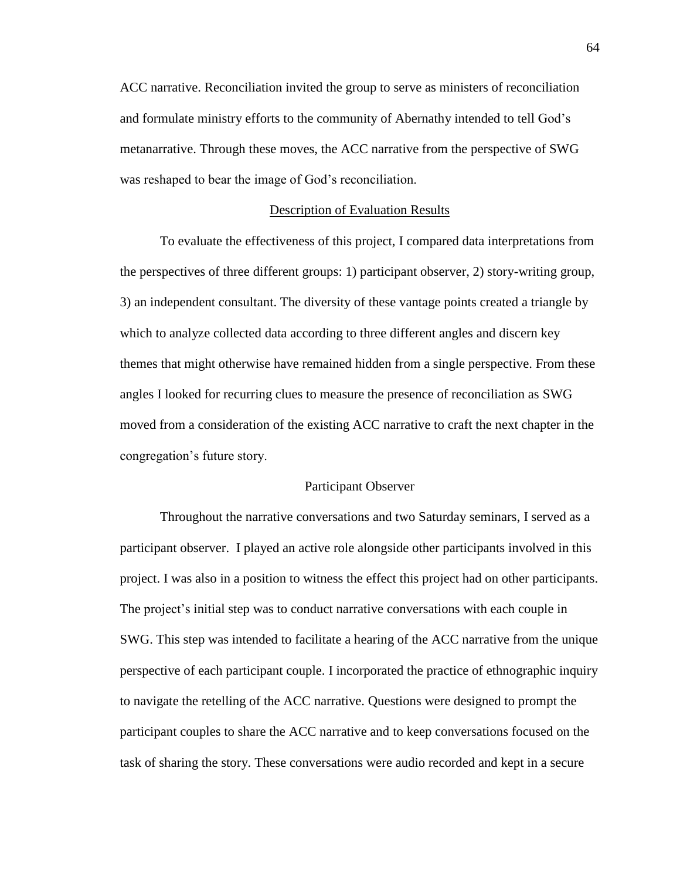ACC narrative. Reconciliation invited the group to serve as ministers of reconciliation and formulate ministry efforts to the community of Abernathy intended to tell God's metanarrative. Through these moves, the ACC narrative from the perspective of SWG was reshaped to bear the image of God's reconciliation.

## Description of Evaluation Results

To evaluate the effectiveness of this project, I compared data interpretations from the perspectives of three different groups: 1) participant observer, 2) story-writing group, 3) an independent consultant. The diversity of these vantage points created a triangle by which to analyze collected data according to three different angles and discern key themes that might otherwise have remained hidden from a single perspective. From these angles I looked for recurring clues to measure the presence of reconciliation as SWG moved from a consideration of the existing ACC narrative to craft the next chapter in the congregation's future story.

#### Participant Observer

Throughout the narrative conversations and two Saturday seminars, I served as a participant observer. I played an active role alongside other participants involved in this project. I was also in a position to witness the effect this project had on other participants. The project's initial step was to conduct narrative conversations with each couple in SWG. This step was intended to facilitate a hearing of the ACC narrative from the unique perspective of each participant couple. I incorporated the practice of ethnographic inquiry to navigate the retelling of the ACC narrative. Questions were designed to prompt the participant couples to share the ACC narrative and to keep conversations focused on the task of sharing the story. These conversations were audio recorded and kept in a secure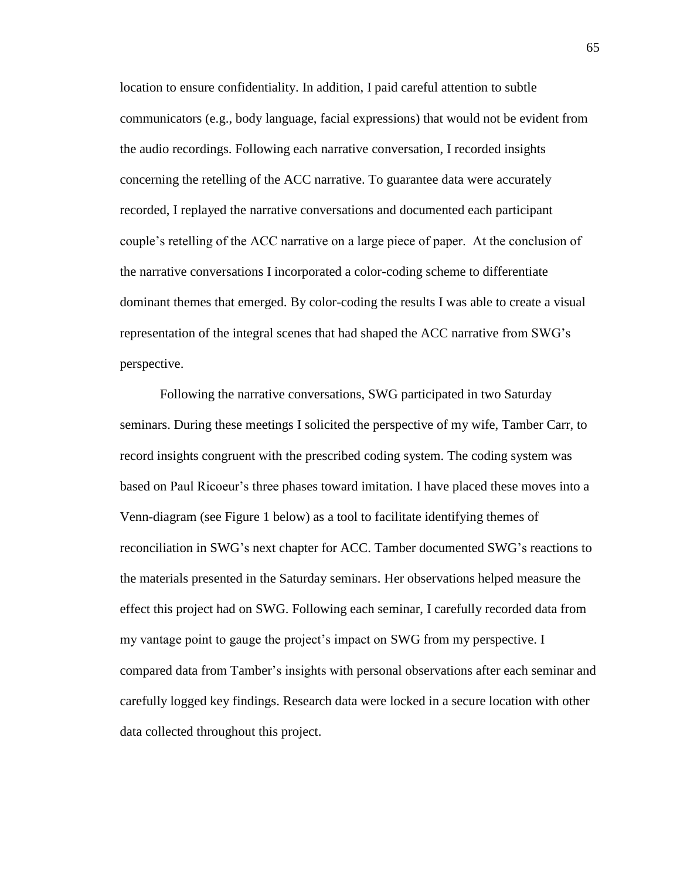location to ensure confidentiality. In addition, I paid careful attention to subtle communicators (e.g., body language, facial expressions) that would not be evident from the audio recordings. Following each narrative conversation, I recorded insights concerning the retelling of the ACC narrative. To guarantee data were accurately recorded, I replayed the narrative conversations and documented each participant couple's retelling of the ACC narrative on a large piece of paper. At the conclusion of the narrative conversations I incorporated a color-coding scheme to differentiate dominant themes that emerged. By color-coding the results I was able to create a visual representation of the integral scenes that had shaped the ACC narrative from SWG's perspective.

Following the narrative conversations, SWG participated in two Saturday seminars. During these meetings I solicited the perspective of my wife, Tamber Carr, to record insights congruent with the prescribed coding system. The coding system was based on Paul Ricoeur's three phases toward imitation. I have placed these moves into a Venn-diagram (see Figure 1 below) as a tool to facilitate identifying themes of reconciliation in SWG's next chapter for ACC. Tamber documented SWG's reactions to the materials presented in the Saturday seminars. Her observations helped measure the effect this project had on SWG. Following each seminar, I carefully recorded data from my vantage point to gauge the project's impact on SWG from my perspective. I compared data from Tamber's insights with personal observations after each seminar and carefully logged key findings. Research data were locked in a secure location with other data collected throughout this project.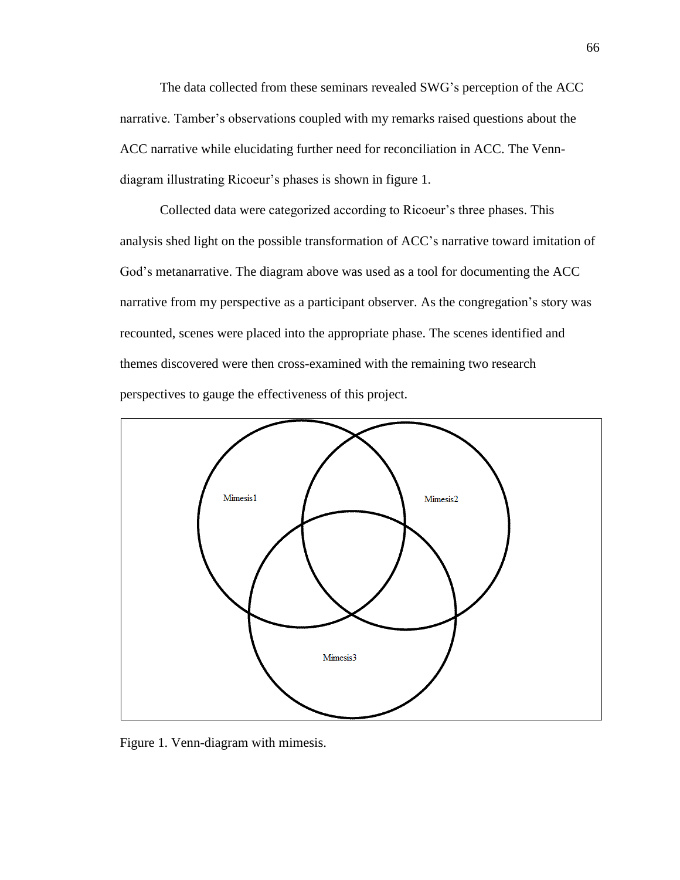The data collected from these seminars revealed SWG's perception of the ACC narrative. Tamber's observations coupled with my remarks raised questions about the ACC narrative while elucidating further need for reconciliation in ACC. The Venndiagram illustrating Ricoeur's phases is shown in figure 1.

Collected data were categorized according to Ricoeur's three phases. This analysis shed light on the possible transformation of ACC's narrative toward imitation of God's metanarrative. The diagram above was used as a tool for documenting the ACC narrative from my perspective as a participant observer. As the congregation's story was recounted, scenes were placed into the appropriate phase. The scenes identified and themes discovered were then cross-examined with the remaining two research perspectives to gauge the effectiveness of this project.



Figure 1. Venn-diagram with mimesis.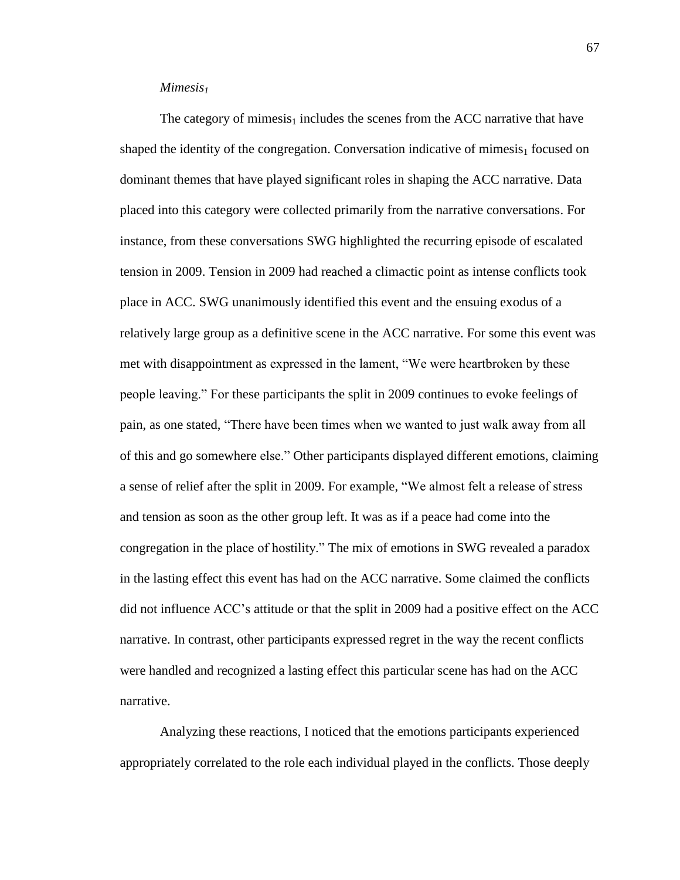## *Mimesis<sup>1</sup>*

The category of mimesis<sub>1</sub> includes the scenes from the ACC narrative that have shaped the identity of the congregation. Conversation indicative of mimesis<sub>1</sub> focused on dominant themes that have played significant roles in shaping the ACC narrative. Data placed into this category were collected primarily from the narrative conversations. For instance, from these conversations SWG highlighted the recurring episode of escalated tension in 2009. Tension in 2009 had reached a climactic point as intense conflicts took place in ACC. SWG unanimously identified this event and the ensuing exodus of a relatively large group as a definitive scene in the ACC narrative. For some this event was met with disappointment as expressed in the lament, "We were heartbroken by these people leaving." For these participants the split in 2009 continues to evoke feelings of pain, as one stated, "There have been times when we wanted to just walk away from all of this and go somewhere else." Other participants displayed different emotions, claiming a sense of relief after the split in 2009. For example, "We almost felt a release of stress and tension as soon as the other group left. It was as if a peace had come into the congregation in the place of hostility." The mix of emotions in SWG revealed a paradox in the lasting effect this event has had on the ACC narrative. Some claimed the conflicts did not influence ACC's attitude or that the split in 2009 had a positive effect on the ACC narrative. In contrast, other participants expressed regret in the way the recent conflicts were handled and recognized a lasting effect this particular scene has had on the ACC narrative.

Analyzing these reactions, I noticed that the emotions participants experienced appropriately correlated to the role each individual played in the conflicts. Those deeply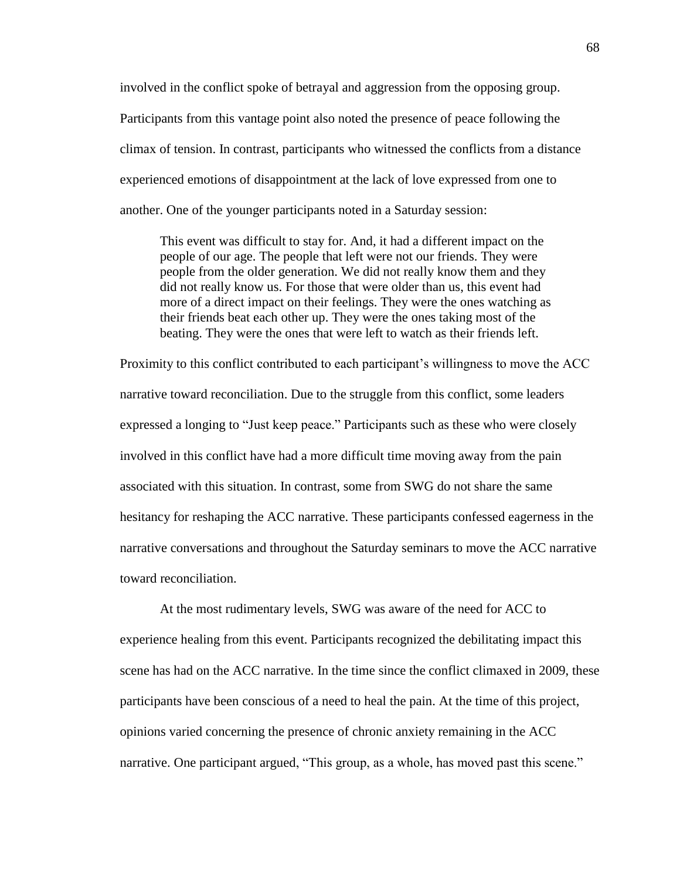involved in the conflict spoke of betrayal and aggression from the opposing group. Participants from this vantage point also noted the presence of peace following the climax of tension. In contrast, participants who witnessed the conflicts from a distance experienced emotions of disappointment at the lack of love expressed from one to another. One of the younger participants noted in a Saturday session:

This event was difficult to stay for. And, it had a different impact on the people of our age. The people that left were not our friends. They were people from the older generation. We did not really know them and they did not really know us. For those that were older than us, this event had more of a direct impact on their feelings. They were the ones watching as their friends beat each other up. They were the ones taking most of the beating. They were the ones that were left to watch as their friends left.

Proximity to this conflict contributed to each participant's willingness to move the ACC narrative toward reconciliation. Due to the struggle from this conflict, some leaders expressed a longing to "Just keep peace." Participants such as these who were closely involved in this conflict have had a more difficult time moving away from the pain associated with this situation. In contrast, some from SWG do not share the same hesitancy for reshaping the ACC narrative. These participants confessed eagerness in the narrative conversations and throughout the Saturday seminars to move the ACC narrative toward reconciliation.

At the most rudimentary levels, SWG was aware of the need for ACC to experience healing from this event. Participants recognized the debilitating impact this scene has had on the ACC narrative. In the time since the conflict climaxed in 2009, these participants have been conscious of a need to heal the pain. At the time of this project, opinions varied concerning the presence of chronic anxiety remaining in the ACC narrative. One participant argued, "This group, as a whole, has moved past this scene."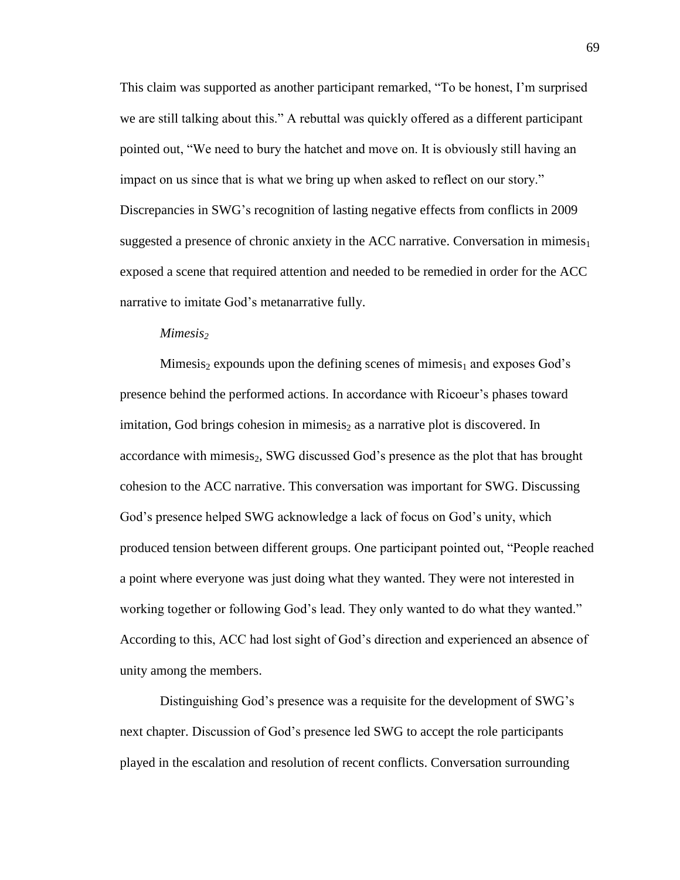This claim was supported as another participant remarked, "To be honest, I'm surprised we are still talking about this." A rebuttal was quickly offered as a different participant pointed out, "We need to bury the hatchet and move on. It is obviously still having an impact on us since that is what we bring up when asked to reflect on our story." Discrepancies in SWG's recognition of lasting negative effects from conflicts in 2009 suggested a presence of chronic anxiety in the ACC narrative. Conversation in mimesis<sub>1</sub> exposed a scene that required attention and needed to be remedied in order for the ACC narrative to imitate God's metanarrative fully.

#### *Mimesis<sup>2</sup>*

Mimesis<sub>2</sub> expounds upon the defining scenes of mimesis<sub>1</sub> and exposes God's presence behind the performed actions. In accordance with Ricoeur's phases toward imitation, God brings cohesion in mimesis<sub>2</sub> as a narrative plot is discovered. In accordance with mimesis<sub>2</sub>, SWG discussed God's presence as the plot that has brought cohesion to the ACC narrative. This conversation was important for SWG. Discussing God's presence helped SWG acknowledge a lack of focus on God's unity, which produced tension between different groups. One participant pointed out, "People reached a point where everyone was just doing what they wanted. They were not interested in working together or following God's lead. They only wanted to do what they wanted." According to this, ACC had lost sight of God's direction and experienced an absence of unity among the members.

Distinguishing God's presence was a requisite for the development of SWG's next chapter. Discussion of God's presence led SWG to accept the role participants played in the escalation and resolution of recent conflicts. Conversation surrounding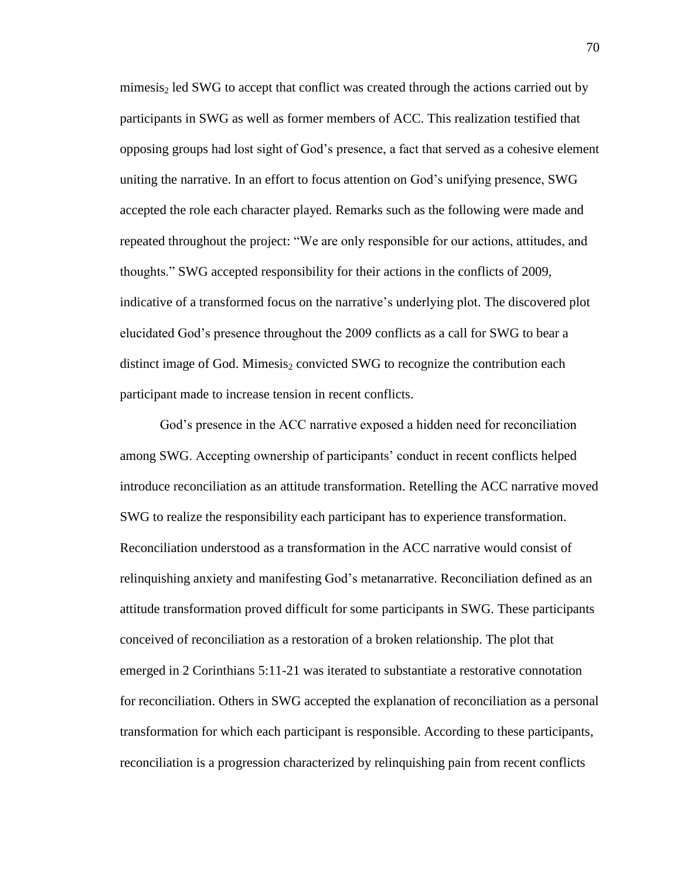mimesis<sub>2</sub> led SWG to accept that conflict was created through the actions carried out by participants in SWG as well as former members of ACC. This realization testified that opposing groups had lost sight of God's presence, a fact that served as a cohesive element uniting the narrative. In an effort to focus attention on God's unifying presence, SWG accepted the role each character played. Remarks such as the following were made and repeated throughout the project: "We are only responsible for our actions, attitudes, and thoughts." SWG accepted responsibility for their actions in the conflicts of 2009, indicative of a transformed focus on the narrative's underlying plot. The discovered plot elucidated God's presence throughout the 2009 conflicts as a call for SWG to bear a distinct image of God. Mimesis<sub>2</sub> convicted SWG to recognize the contribution each participant made to increase tension in recent conflicts.

God's presence in the ACC narrative exposed a hidden need for reconciliation among SWG. Accepting ownership of participants' conduct in recent conflicts helped introduce reconciliation as an attitude transformation. Retelling the ACC narrative moved SWG to realize the responsibility each participant has to experience transformation. Reconciliation understood as a transformation in the ACC narrative would consist of relinquishing anxiety and manifesting God's metanarrative. Reconciliation defined as an attitude transformation proved difficult for some participants in SWG. These participants conceived of reconciliation as a restoration of a broken relationship. The plot that emerged in 2 Corinthians 5:11-21 was iterated to substantiate a restorative connotation for reconciliation. Others in SWG accepted the explanation of reconciliation as a personal transformation for which each participant is responsible. According to these participants, reconciliation is a progression characterized by relinquishing pain from recent conflicts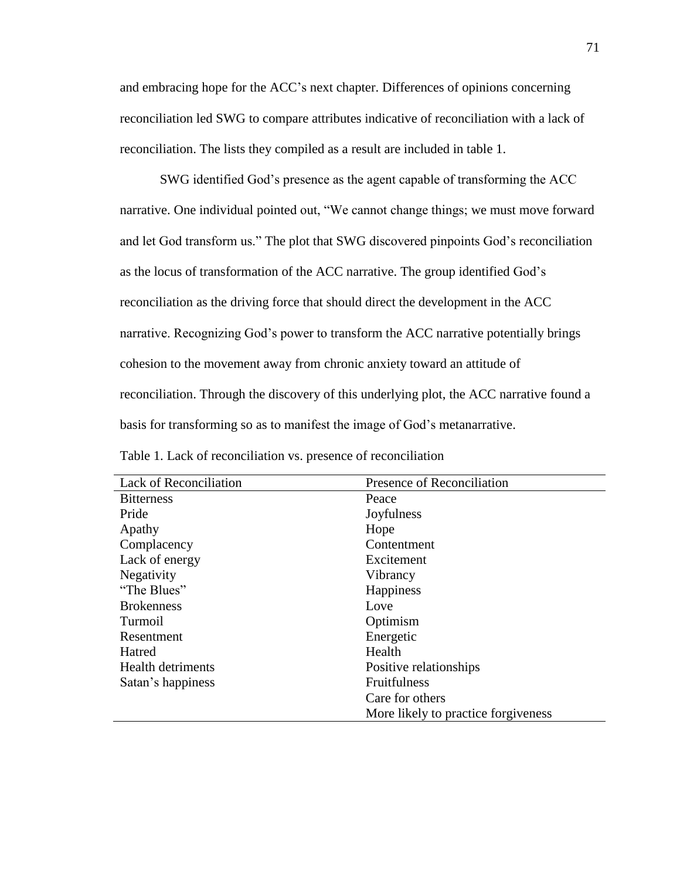and embracing hope for the ACC's next chapter. Differences of opinions concerning reconciliation led SWG to compare attributes indicative of reconciliation with a lack of reconciliation. The lists they compiled as a result are included in table 1.

SWG identified God's presence as the agent capable of transforming the ACC narrative. One individual pointed out, "We cannot change things; we must move forward and let God transform us." The plot that SWG discovered pinpoints God's reconciliation as the locus of transformation of the ACC narrative. The group identified God's reconciliation as the driving force that should direct the development in the ACC narrative. Recognizing God's power to transform the ACC narrative potentially brings cohesion to the movement away from chronic anxiety toward an attitude of reconciliation. Through the discovery of this underlying plot, the ACC narrative found a basis for transforming so as to manifest the image of God's metanarrative.

| <b>Lack of Reconciliation</b> | Presence of Reconciliation           |
|-------------------------------|--------------------------------------|
| <b>Bitterness</b>             | Peace                                |
| Pride                         | Joyfulness                           |
| Apathy                        | Hope                                 |
| Complacency                   | Contentment                          |
| Lack of energy                | Excitement                           |
| Negativity                    | Vibrancy                             |
| "The Blues"                   | Happiness                            |
| <b>Brokenness</b>             | Love                                 |
| Turmoil                       | Optimism                             |
| Resentment                    | Energetic                            |
| Hatred                        | Health                               |
| <b>Health detriments</b>      | Positive relationships               |
| Satan's happiness             | <b>Fruitfulness</b>                  |
|                               | Care for others                      |
|                               | More likely to practice for giveness |

Table 1. Lack of reconciliation vs. presence of reconciliation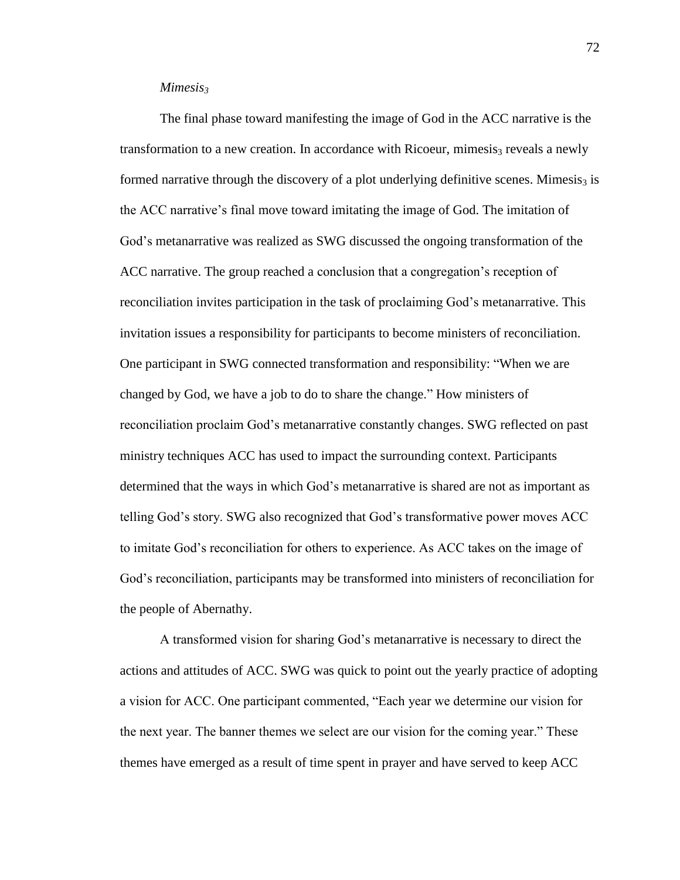### *Mimesis<sup>3</sup>*

The final phase toward manifesting the image of God in the ACC narrative is the transformation to a new creation. In accordance with Ricoeur, mimesis<sub>3</sub> reveals a newly formed narrative through the discovery of a plot underlying definitive scenes. Mimesis<sub>3</sub> is the ACC narrative's final move toward imitating the image of God. The imitation of God's metanarrative was realized as SWG discussed the ongoing transformation of the ACC narrative. The group reached a conclusion that a congregation's reception of reconciliation invites participation in the task of proclaiming God's metanarrative. This invitation issues a responsibility for participants to become ministers of reconciliation. One participant in SWG connected transformation and responsibility: "When we are changed by God, we have a job to do to share the change." How ministers of reconciliation proclaim God's metanarrative constantly changes. SWG reflected on past ministry techniques ACC has used to impact the surrounding context. Participants determined that the ways in which God's metanarrative is shared are not as important as telling God's story. SWG also recognized that God's transformative power moves ACC to imitate God's reconciliation for others to experience. As ACC takes on the image of God's reconciliation, participants may be transformed into ministers of reconciliation for the people of Abernathy.

A transformed vision for sharing God's metanarrative is necessary to direct the actions and attitudes of ACC. SWG was quick to point out the yearly practice of adopting a vision for ACC. One participant commented, "Each year we determine our vision for the next year. The banner themes we select are our vision for the coming year." These themes have emerged as a result of time spent in prayer and have served to keep ACC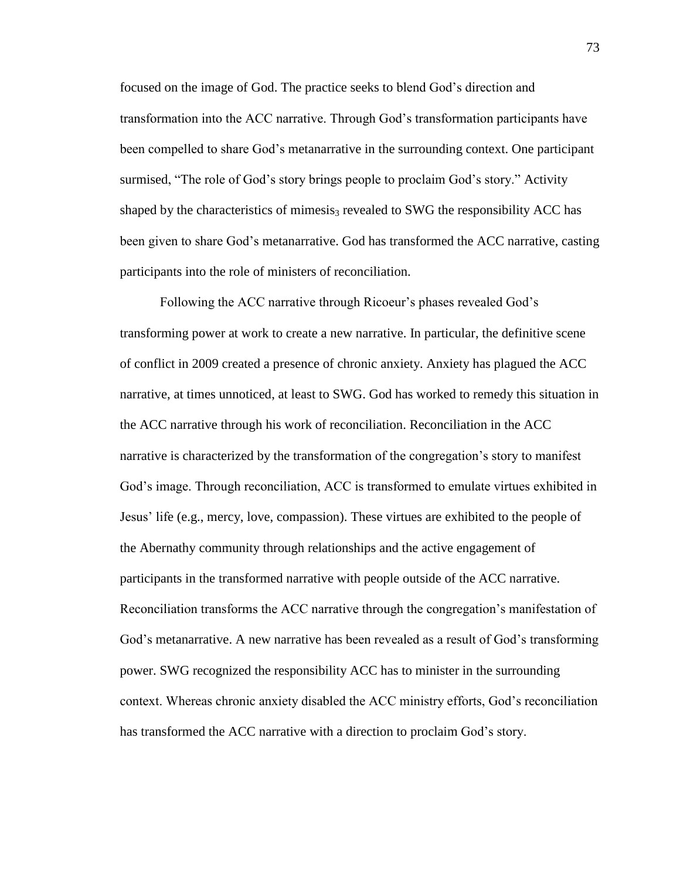focused on the image of God. The practice seeks to blend God's direction and transformation into the ACC narrative. Through God's transformation participants have been compelled to share God's metanarrative in the surrounding context. One participant surmised, "The role of God's story brings people to proclaim God's story." Activity shaped by the characteristics of mimesis<sub>3</sub> revealed to SWG the responsibility ACC has been given to share God's metanarrative. God has transformed the ACC narrative, casting participants into the role of ministers of reconciliation.

Following the ACC narrative through Ricoeur's phases revealed God's transforming power at work to create a new narrative. In particular, the definitive scene of conflict in 2009 created a presence of chronic anxiety. Anxiety has plagued the ACC narrative, at times unnoticed, at least to SWG. God has worked to remedy this situation in the ACC narrative through his work of reconciliation. Reconciliation in the ACC narrative is characterized by the transformation of the congregation's story to manifest God's image. Through reconciliation, ACC is transformed to emulate virtues exhibited in Jesus' life (e.g., mercy, love, compassion). These virtues are exhibited to the people of the Abernathy community through relationships and the active engagement of participants in the transformed narrative with people outside of the ACC narrative. Reconciliation transforms the ACC narrative through the congregation's manifestation of God's metanarrative. A new narrative has been revealed as a result of God's transforming power. SWG recognized the responsibility ACC has to minister in the surrounding context. Whereas chronic anxiety disabled the ACC ministry efforts, God's reconciliation has transformed the ACC narrative with a direction to proclaim God's story.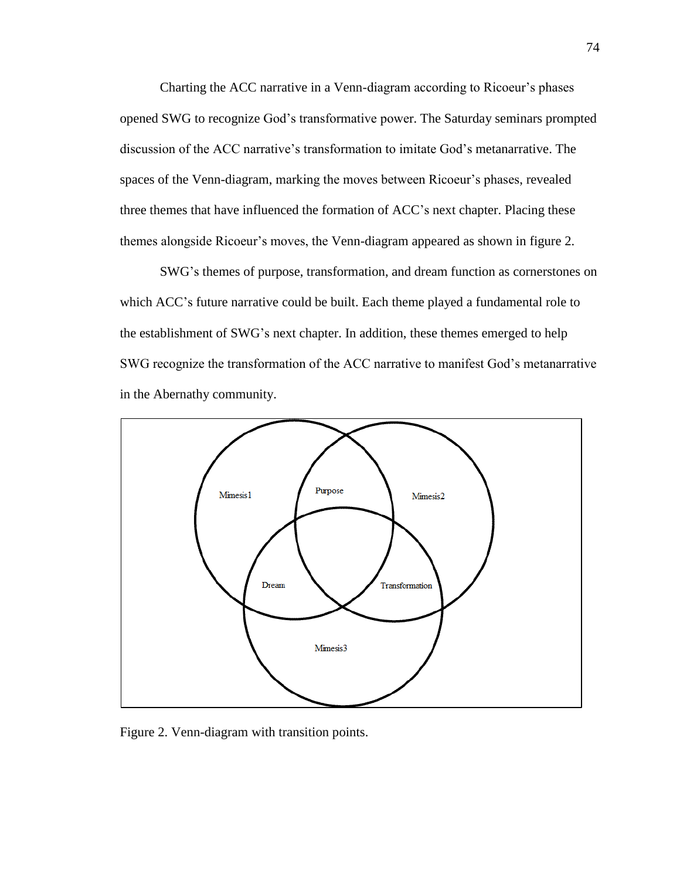Charting the ACC narrative in a Venn-diagram according to Ricoeur's phases opened SWG to recognize God's transformative power. The Saturday seminars prompted discussion of the ACC narrative's transformation to imitate God's metanarrative. The spaces of the Venn-diagram, marking the moves between Ricoeur's phases, revealed three themes that have influenced the formation of ACC's next chapter. Placing these themes alongside Ricoeur's moves, the Venn-diagram appeared as shown in figure 2.

SWG's themes of purpose, transformation, and dream function as cornerstones on which ACC's future narrative could be built. Each theme played a fundamental role to the establishment of SWG's next chapter. In addition, these themes emerged to help SWG recognize the transformation of the ACC narrative to manifest God's metanarrative in the Abernathy community.



Figure 2. Venn-diagram with transition points.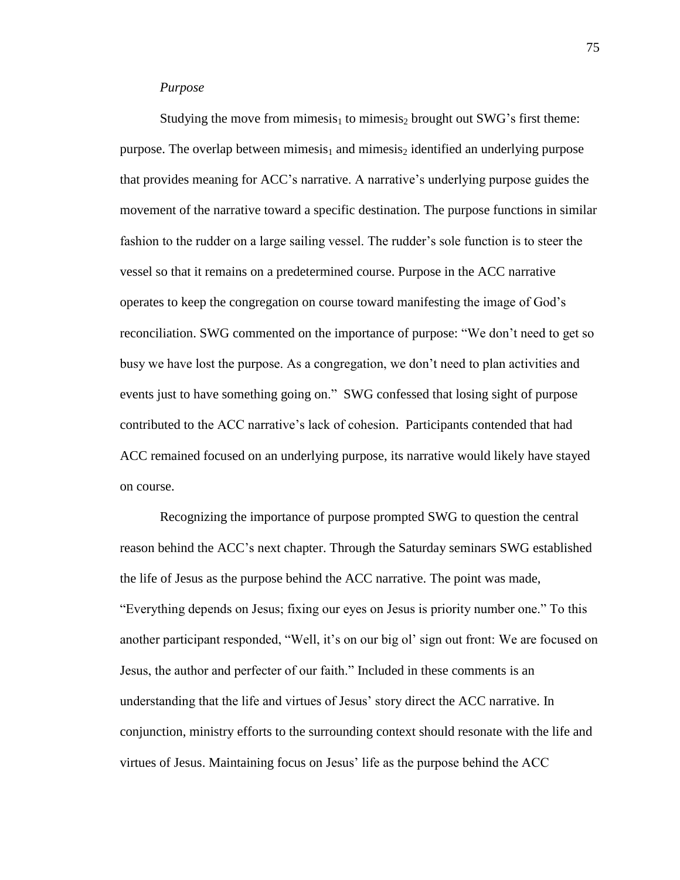#### *Purpose*

Studying the move from mimesis<sub>1</sub> to mimesis<sub>2</sub> brought out SWG's first theme: purpose. The overlap between mimesis<sub>1</sub> and mimesis<sub>2</sub> identified an underlying purpose that provides meaning for ACC's narrative. A narrative's underlying purpose guides the movement of the narrative toward a specific destination. The purpose functions in similar fashion to the rudder on a large sailing vessel. The rudder's sole function is to steer the vessel so that it remains on a predetermined course. Purpose in the ACC narrative operates to keep the congregation on course toward manifesting the image of God's reconciliation. SWG commented on the importance of purpose: "We don't need to get so busy we have lost the purpose. As a congregation, we don't need to plan activities and events just to have something going on." SWG confessed that losing sight of purpose contributed to the ACC narrative's lack of cohesion. Participants contended that had ACC remained focused on an underlying purpose, its narrative would likely have stayed on course.

Recognizing the importance of purpose prompted SWG to question the central reason behind the ACC's next chapter. Through the Saturday seminars SWG established the life of Jesus as the purpose behind the ACC narrative. The point was made, "Everything depends on Jesus; fixing our eyes on Jesus is priority number one." To this another participant responded, "Well, it's on our big ol' sign out front: We are focused on Jesus, the author and perfecter of our faith." Included in these comments is an understanding that the life and virtues of Jesus' story direct the ACC narrative. In conjunction, ministry efforts to the surrounding context should resonate with the life and virtues of Jesus. Maintaining focus on Jesus' life as the purpose behind the ACC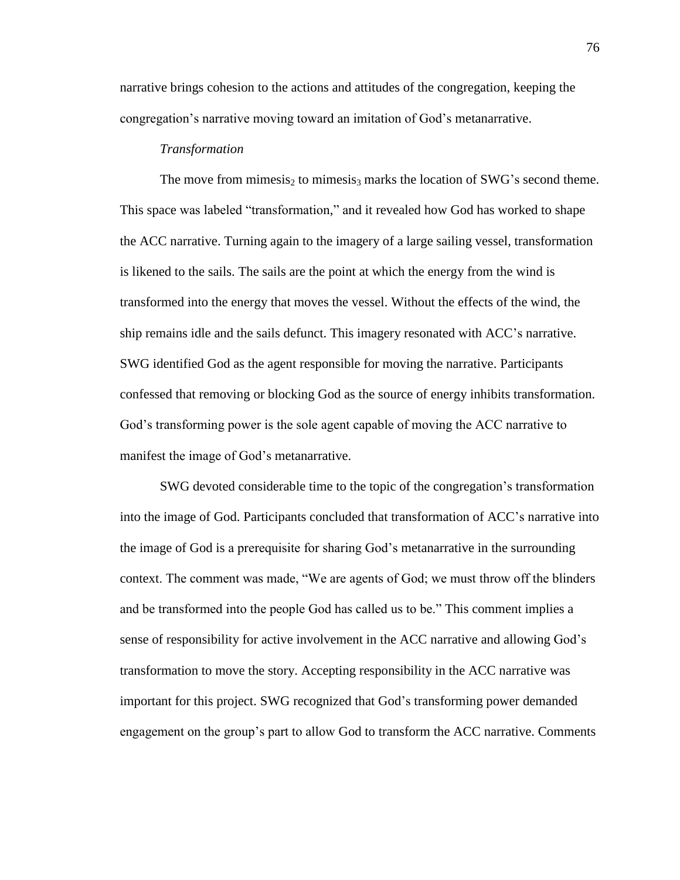narrative brings cohesion to the actions and attitudes of the congregation, keeping the congregation's narrative moving toward an imitation of God's metanarrative.

## *Transformation*

The move from mimesis<sub>2</sub> to mimesis<sub>3</sub> marks the location of SWG's second theme. This space was labeled "transformation," and it revealed how God has worked to shape the ACC narrative. Turning again to the imagery of a large sailing vessel, transformation is likened to the sails. The sails are the point at which the energy from the wind is transformed into the energy that moves the vessel. Without the effects of the wind, the ship remains idle and the sails defunct. This imagery resonated with ACC's narrative. SWG identified God as the agent responsible for moving the narrative. Participants confessed that removing or blocking God as the source of energy inhibits transformation. God's transforming power is the sole agent capable of moving the ACC narrative to manifest the image of God's metanarrative.

SWG devoted considerable time to the topic of the congregation's transformation into the image of God. Participants concluded that transformation of ACC's narrative into the image of God is a prerequisite for sharing God's metanarrative in the surrounding context. The comment was made, "We are agents of God; we must throw off the blinders and be transformed into the people God has called us to be." This comment implies a sense of responsibility for active involvement in the ACC narrative and allowing God's transformation to move the story. Accepting responsibility in the ACC narrative was important for this project. SWG recognized that God's transforming power demanded engagement on the group's part to allow God to transform the ACC narrative. Comments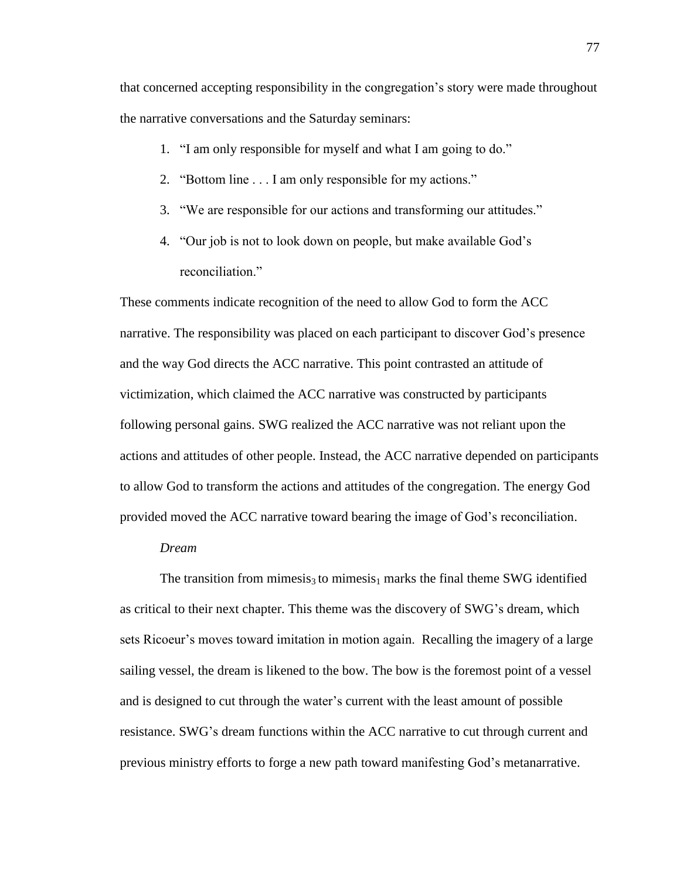that concerned accepting responsibility in the congregation's story were made throughout the narrative conversations and the Saturday seminars:

- 1. "I am only responsible for myself and what I am going to do."
- 2. "Bottom line . . . I am only responsible for my actions."
- 3. "We are responsible for our actions and transforming our attitudes."
- 4. "Our job is not to look down on people, but make available God's reconciliation."

These comments indicate recognition of the need to allow God to form the ACC narrative. The responsibility was placed on each participant to discover God's presence and the way God directs the ACC narrative. This point contrasted an attitude of victimization, which claimed the ACC narrative was constructed by participants following personal gains. SWG realized the ACC narrative was not reliant upon the actions and attitudes of other people. Instead, the ACC narrative depended on participants to allow God to transform the actions and attitudes of the congregation. The energy God provided moved the ACC narrative toward bearing the image of God's reconciliation.

## *Dream*

The transition from mimesis<sub>3</sub> to mimesis<sub>1</sub> marks the final theme SWG identified as critical to their next chapter. This theme was the discovery of SWG's dream, which sets Ricoeur's moves toward imitation in motion again. Recalling the imagery of a large sailing vessel, the dream is likened to the bow. The bow is the foremost point of a vessel and is designed to cut through the water's current with the least amount of possible resistance. SWG's dream functions within the ACC narrative to cut through current and previous ministry efforts to forge a new path toward manifesting God's metanarrative.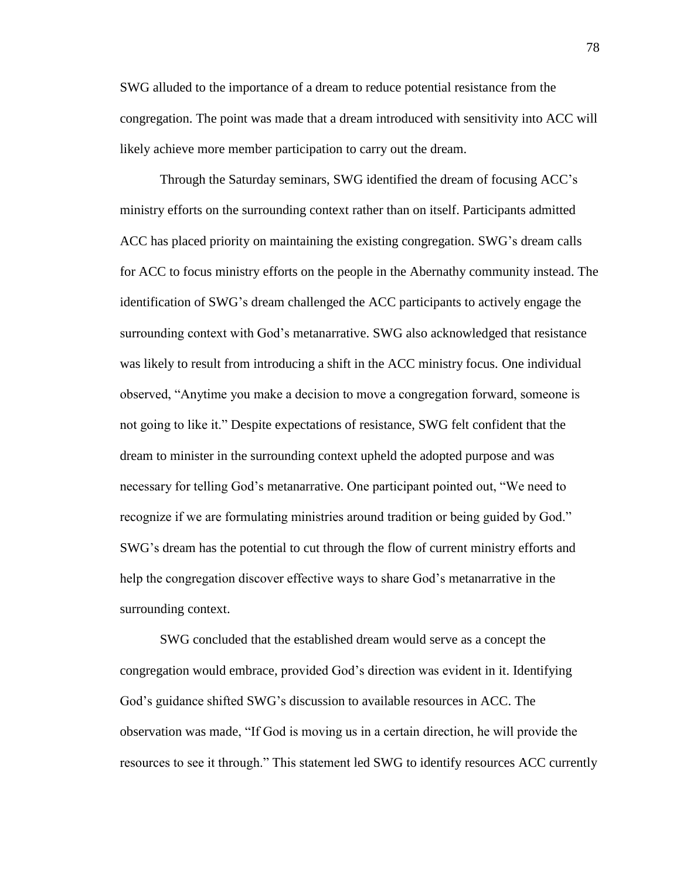SWG alluded to the importance of a dream to reduce potential resistance from the congregation. The point was made that a dream introduced with sensitivity into ACC will likely achieve more member participation to carry out the dream.

Through the Saturday seminars, SWG identified the dream of focusing ACC's ministry efforts on the surrounding context rather than on itself. Participants admitted ACC has placed priority on maintaining the existing congregation. SWG's dream calls for ACC to focus ministry efforts on the people in the Abernathy community instead. The identification of SWG's dream challenged the ACC participants to actively engage the surrounding context with God's metanarrative. SWG also acknowledged that resistance was likely to result from introducing a shift in the ACC ministry focus. One individual observed, "Anytime you make a decision to move a congregation forward, someone is not going to like it." Despite expectations of resistance, SWG felt confident that the dream to minister in the surrounding context upheld the adopted purpose and was necessary for telling God's metanarrative. One participant pointed out, "We need to recognize if we are formulating ministries around tradition or being guided by God." SWG's dream has the potential to cut through the flow of current ministry efforts and help the congregation discover effective ways to share God's metanarrative in the surrounding context.

SWG concluded that the established dream would serve as a concept the congregation would embrace, provided God's direction was evident in it. Identifying God's guidance shifted SWG's discussion to available resources in ACC. The observation was made, "If God is moving us in a certain direction, he will provide the resources to see it through." This statement led SWG to identify resources ACC currently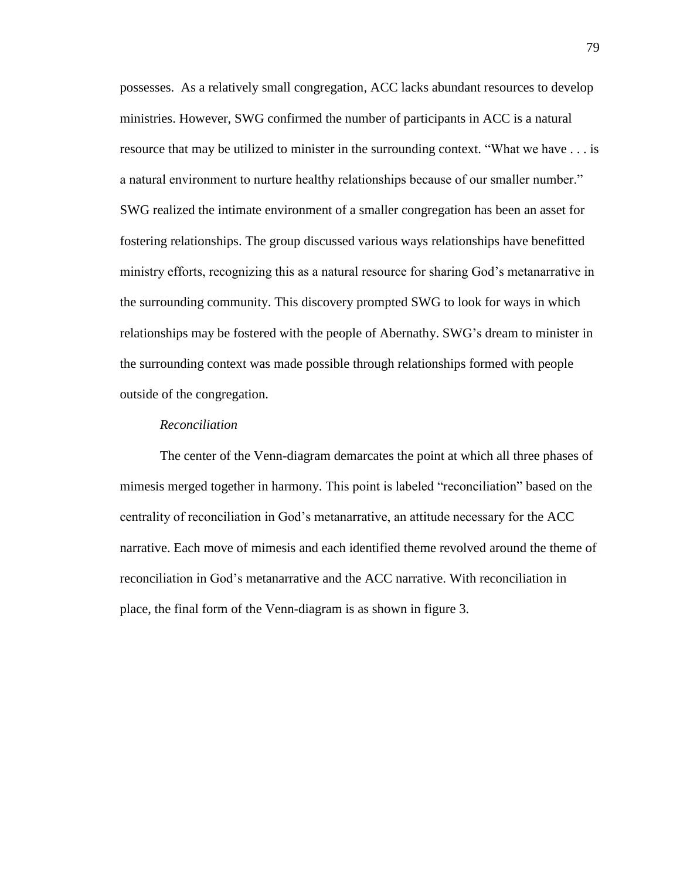possesses. As a relatively small congregation, ACC lacks abundant resources to develop ministries. However, SWG confirmed the number of participants in ACC is a natural resource that may be utilized to minister in the surrounding context. "What we have . . . is a natural environment to nurture healthy relationships because of our smaller number." SWG realized the intimate environment of a smaller congregation has been an asset for fostering relationships. The group discussed various ways relationships have benefitted ministry efforts, recognizing this as a natural resource for sharing God's metanarrative in the surrounding community. This discovery prompted SWG to look for ways in which relationships may be fostered with the people of Abernathy. SWG's dream to minister in the surrounding context was made possible through relationships formed with people outside of the congregation.

## *Reconciliation*

The center of the Venn-diagram demarcates the point at which all three phases of mimesis merged together in harmony. This point is labeled "reconciliation" based on the centrality of reconciliation in God's metanarrative, an attitude necessary for the ACC narrative. Each move of mimesis and each identified theme revolved around the theme of reconciliation in God's metanarrative and the ACC narrative. With reconciliation in place, the final form of the Venn-diagram is as shown in figure 3.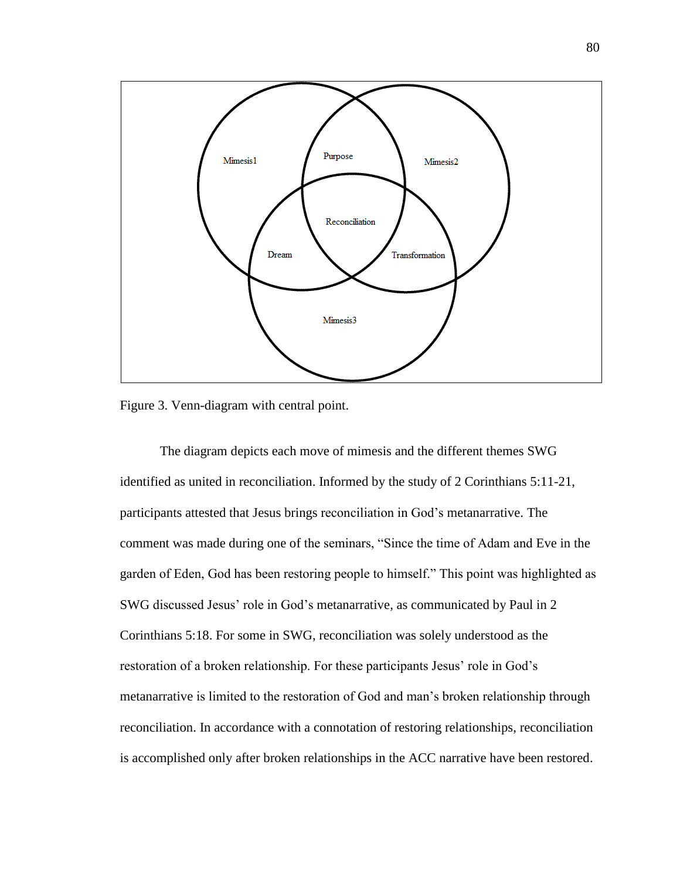

Figure 3. Venn-diagram with central point.

The diagram depicts each move of mimesis and the different themes SWG identified as united in reconciliation. Informed by the study of 2 Corinthians 5:11-21, participants attested that Jesus brings reconciliation in God's metanarrative. The comment was made during one of the seminars, "Since the time of Adam and Eve in the garden of Eden, God has been restoring people to himself." This point was highlighted as SWG discussed Jesus' role in God's metanarrative, as communicated by Paul in 2 Corinthians 5:18. For some in SWG, reconciliation was solely understood as the restoration of a broken relationship. For these participants Jesus' role in God's metanarrative is limited to the restoration of God and man's broken relationship through reconciliation. In accordance with a connotation of restoring relationships, reconciliation is accomplished only after broken relationships in the ACC narrative have been restored.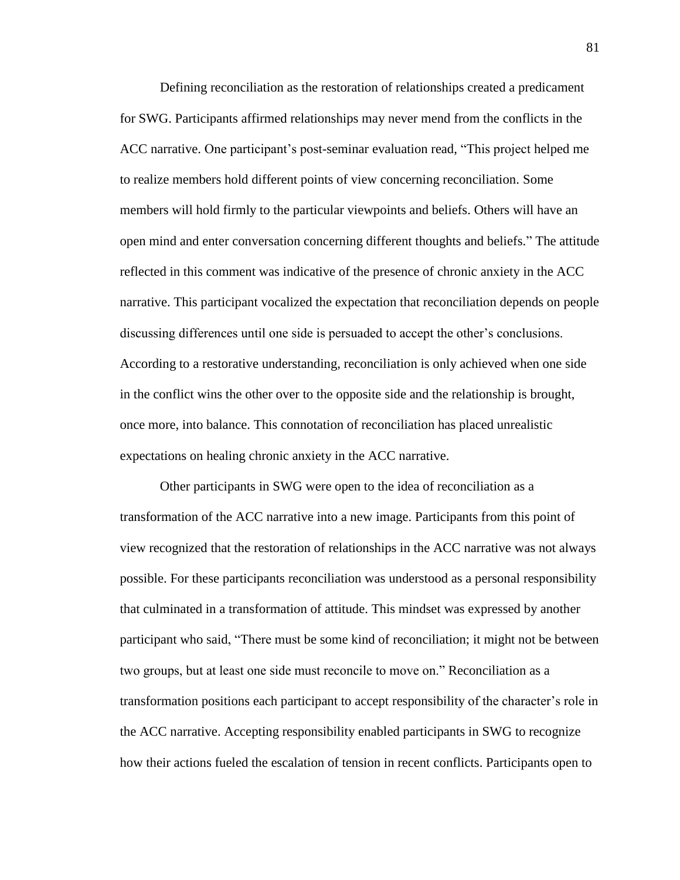Defining reconciliation as the restoration of relationships created a predicament for SWG. Participants affirmed relationships may never mend from the conflicts in the ACC narrative. One participant's post-seminar evaluation read, "This project helped me to realize members hold different points of view concerning reconciliation. Some members will hold firmly to the particular viewpoints and beliefs. Others will have an open mind and enter conversation concerning different thoughts and beliefs." The attitude reflected in this comment was indicative of the presence of chronic anxiety in the ACC narrative. This participant vocalized the expectation that reconciliation depends on people discussing differences until one side is persuaded to accept the other's conclusions. According to a restorative understanding, reconciliation is only achieved when one side in the conflict wins the other over to the opposite side and the relationship is brought, once more, into balance. This connotation of reconciliation has placed unrealistic expectations on healing chronic anxiety in the ACC narrative.

Other participants in SWG were open to the idea of reconciliation as a transformation of the ACC narrative into a new image. Participants from this point of view recognized that the restoration of relationships in the ACC narrative was not always possible. For these participants reconciliation was understood as a personal responsibility that culminated in a transformation of attitude. This mindset was expressed by another participant who said, "There must be some kind of reconciliation; it might not be between two groups, but at least one side must reconcile to move on." Reconciliation as a transformation positions each participant to accept responsibility of the character's role in the ACC narrative. Accepting responsibility enabled participants in SWG to recognize how their actions fueled the escalation of tension in recent conflicts. Participants open to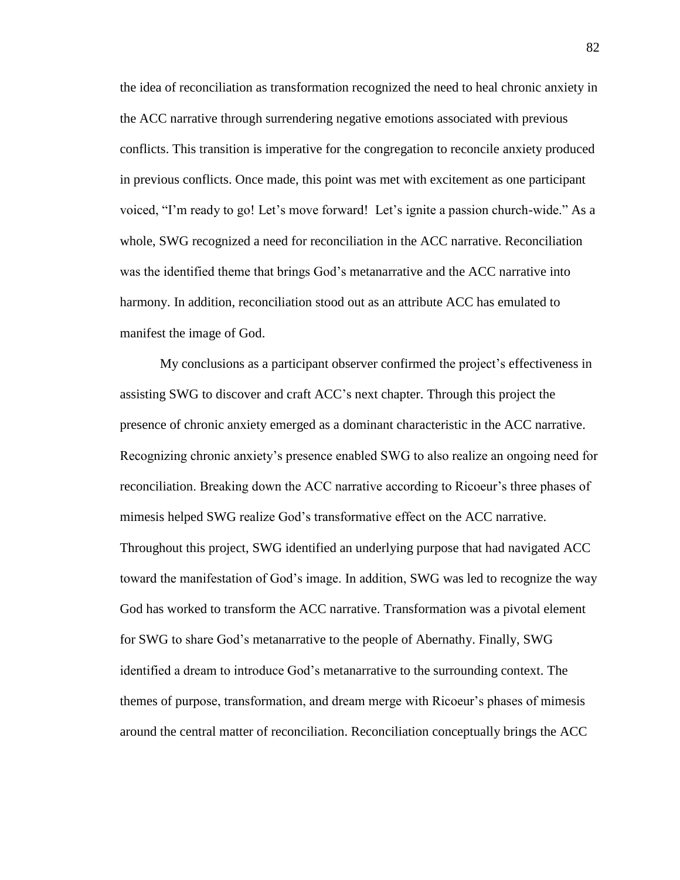the idea of reconciliation as transformation recognized the need to heal chronic anxiety in the ACC narrative through surrendering negative emotions associated with previous conflicts. This transition is imperative for the congregation to reconcile anxiety produced in previous conflicts. Once made, this point was met with excitement as one participant voiced, "I'm ready to go! Let's move forward! Let's ignite a passion church-wide." As a whole, SWG recognized a need for reconciliation in the ACC narrative. Reconciliation was the identified theme that brings God's metanarrative and the ACC narrative into harmony. In addition, reconciliation stood out as an attribute ACC has emulated to manifest the image of God.

My conclusions as a participant observer confirmed the project's effectiveness in assisting SWG to discover and craft ACC's next chapter. Through this project the presence of chronic anxiety emerged as a dominant characteristic in the ACC narrative. Recognizing chronic anxiety's presence enabled SWG to also realize an ongoing need for reconciliation. Breaking down the ACC narrative according to Ricoeur's three phases of mimesis helped SWG realize God's transformative effect on the ACC narrative. Throughout this project, SWG identified an underlying purpose that had navigated ACC toward the manifestation of God's image. In addition, SWG was led to recognize the way God has worked to transform the ACC narrative. Transformation was a pivotal element for SWG to share God's metanarrative to the people of Abernathy. Finally, SWG identified a dream to introduce God's metanarrative to the surrounding context. The themes of purpose, transformation, and dream merge with Ricoeur's phases of mimesis around the central matter of reconciliation. Reconciliation conceptually brings the ACC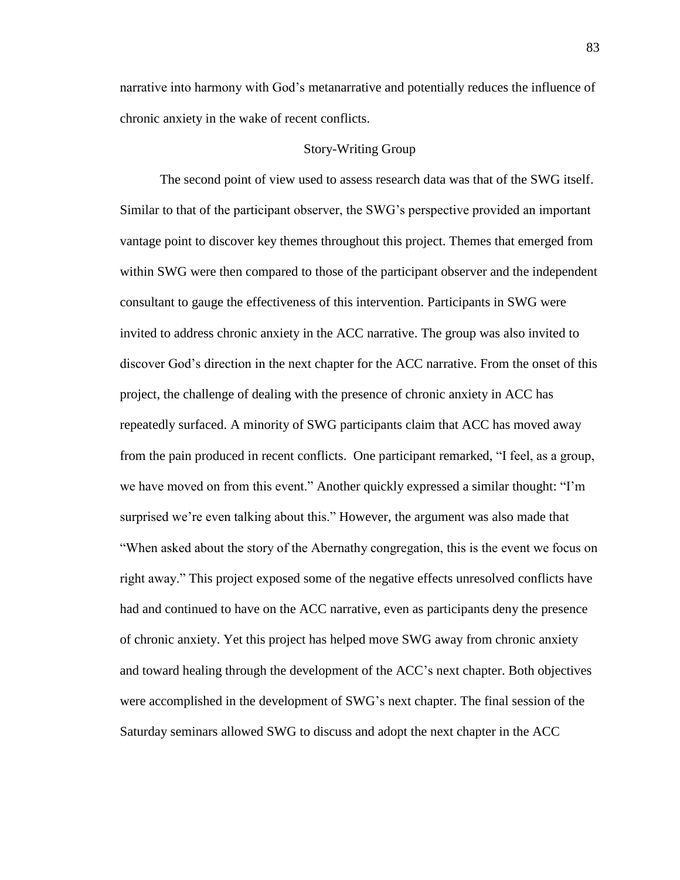narrative into harmony with God's metanarrative and potentially reduces the influence of chronic anxiety in the wake of recent conflicts.

## Story-Writing Group

The second point of view used to assess research data was that of the SWG itself. Similar to that of the participant observer, the SWG's perspective provided an important vantage point to discover key themes throughout this project. Themes that emerged from within SWG were then compared to those of the participant observer and the independent consultant to gauge the effectiveness of this intervention. Participants in SWG were invited to address chronic anxiety in the ACC narrative. The group was also invited to discover God's direction in the next chapter for the ACC narrative. From the onset of this project, the challenge of dealing with the presence of chronic anxiety in ACC has repeatedly surfaced. A minority of SWG participants claim that ACC has moved away from the pain produced in recent conflicts. One participant remarked, "I feel, as a group, we have moved on from this event." Another quickly expressed a similar thought: "I'm surprised we're even talking about this." However, the argument was also made that "When asked about the story of the Abernathy congregation, this is the event we focus on right away." This project exposed some of the negative effects unresolved conflicts have had and continued to have on the ACC narrative, even as participants deny the presence of chronic anxiety. Yet this project has helped move SWG away from chronic anxiety and toward healing through the development of the ACC's next chapter. Both objectives were accomplished in the development of SWG's next chapter. The final session of the Saturday seminars allowed SWG to discuss and adopt the next chapter in the ACC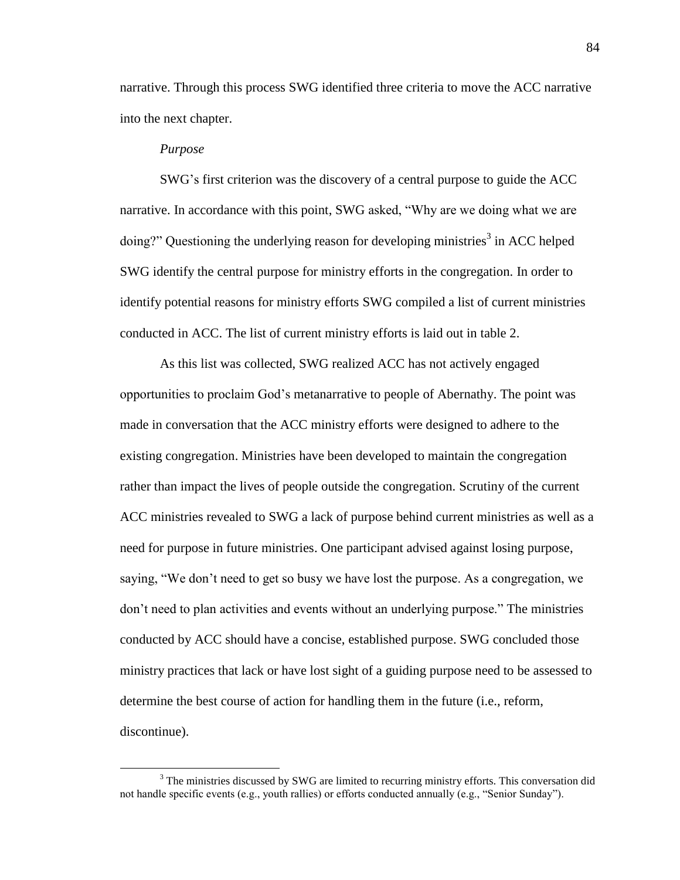narrative. Through this process SWG identified three criteria to move the ACC narrative into the next chapter.

### *Purpose*

 $\overline{a}$ 

SWG's first criterion was the discovery of a central purpose to guide the ACC narrative. In accordance with this point, SWG asked, "Why are we doing what we are doing?" Questioning the underlying reason for developing ministries<sup>3</sup> in ACC helped SWG identify the central purpose for ministry efforts in the congregation. In order to identify potential reasons for ministry efforts SWG compiled a list of current ministries conducted in ACC. The list of current ministry efforts is laid out in table 2.

As this list was collected, SWG realized ACC has not actively engaged opportunities to proclaim God's metanarrative to people of Abernathy. The point was made in conversation that the ACC ministry efforts were designed to adhere to the existing congregation. Ministries have been developed to maintain the congregation rather than impact the lives of people outside the congregation. Scrutiny of the current ACC ministries revealed to SWG a lack of purpose behind current ministries as well as a need for purpose in future ministries. One participant advised against losing purpose, saying, "We don't need to get so busy we have lost the purpose. As a congregation, we don't need to plan activities and events without an underlying purpose." The ministries conducted by ACC should have a concise, established purpose. SWG concluded those ministry practices that lack or have lost sight of a guiding purpose need to be assessed to determine the best course of action for handling them in the future (i.e., reform, discontinue).

<sup>&</sup>lt;sup>3</sup> The ministries discussed by SWG are limited to recurring ministry efforts. This conversation did not handle specific events (e.g., youth rallies) or efforts conducted annually (e.g., "Senior Sunday").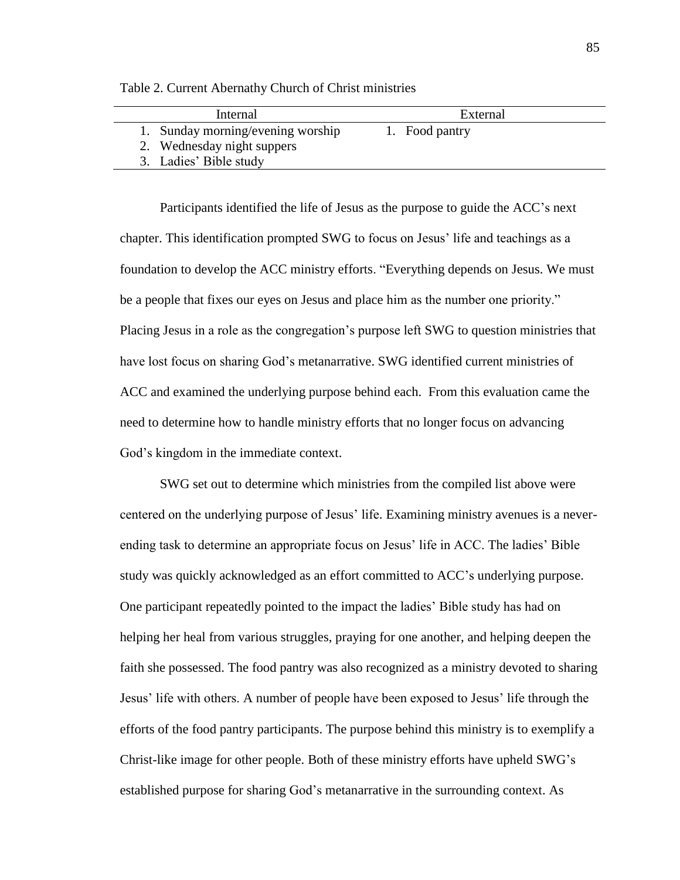| Internal                          | External       |
|-----------------------------------|----------------|
| 1. Sunday morning/evening worship | 1. Food pantry |
| 2. Wednesday night suppers        |                |
| 3. Ladies' Bible study            |                |

Table 2. Current Abernathy Church of Christ ministries

Participants identified the life of Jesus as the purpose to guide the ACC's next chapter. This identification prompted SWG to focus on Jesus' life and teachings as a foundation to develop the ACC ministry efforts. "Everything depends on Jesus. We must be a people that fixes our eyes on Jesus and place him as the number one priority." Placing Jesus in a role as the congregation's purpose left SWG to question ministries that have lost focus on sharing God's metanarrative. SWG identified current ministries of ACC and examined the underlying purpose behind each. From this evaluation came the need to determine how to handle ministry efforts that no longer focus on advancing God's kingdom in the immediate context.

SWG set out to determine which ministries from the compiled list above were centered on the underlying purpose of Jesus' life. Examining ministry avenues is a neverending task to determine an appropriate focus on Jesus' life in ACC. The ladies' Bible study was quickly acknowledged as an effort committed to ACC's underlying purpose. One participant repeatedly pointed to the impact the ladies' Bible study has had on helping her heal from various struggles, praying for one another, and helping deepen the faith she possessed. The food pantry was also recognized as a ministry devoted to sharing Jesus' life with others. A number of people have been exposed to Jesus' life through the efforts of the food pantry participants. The purpose behind this ministry is to exemplify a Christ-like image for other people. Both of these ministry efforts have upheld SWG's established purpose for sharing God's metanarrative in the surrounding context. As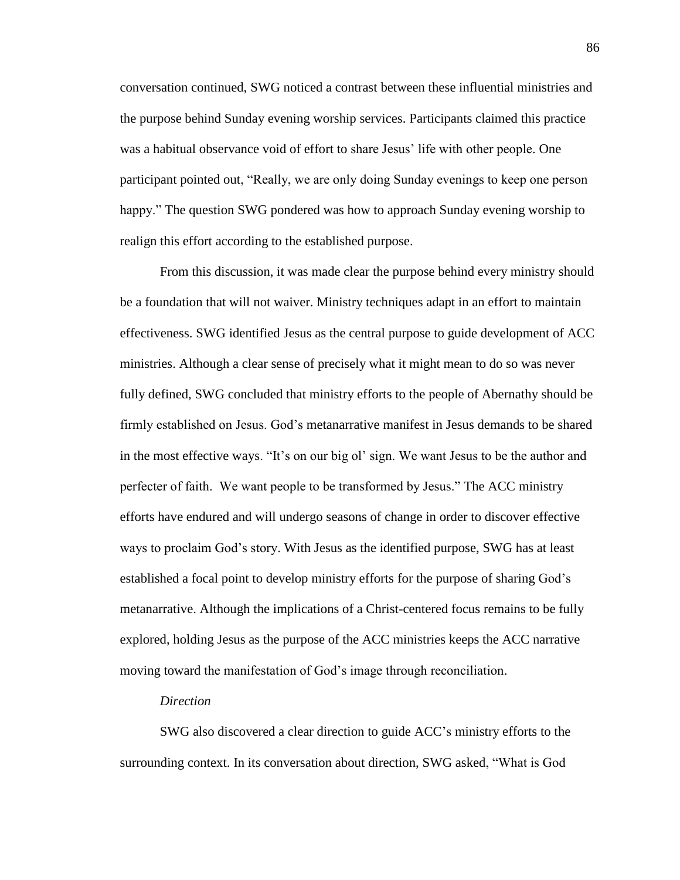conversation continued, SWG noticed a contrast between these influential ministries and the purpose behind Sunday evening worship services. Participants claimed this practice was a habitual observance void of effort to share Jesus' life with other people. One participant pointed out, "Really, we are only doing Sunday evenings to keep one person happy." The question SWG pondered was how to approach Sunday evening worship to realign this effort according to the established purpose.

From this discussion, it was made clear the purpose behind every ministry should be a foundation that will not waiver. Ministry techniques adapt in an effort to maintain effectiveness. SWG identified Jesus as the central purpose to guide development of ACC ministries. Although a clear sense of precisely what it might mean to do so was never fully defined, SWG concluded that ministry efforts to the people of Abernathy should be firmly established on Jesus. God's metanarrative manifest in Jesus demands to be shared in the most effective ways. "It's on our big ol' sign. We want Jesus to be the author and perfecter of faith. We want people to be transformed by Jesus." The ACC ministry efforts have endured and will undergo seasons of change in order to discover effective ways to proclaim God's story. With Jesus as the identified purpose, SWG has at least established a focal point to develop ministry efforts for the purpose of sharing God's metanarrative. Although the implications of a Christ-centered focus remains to be fully explored, holding Jesus as the purpose of the ACC ministries keeps the ACC narrative moving toward the manifestation of God's image through reconciliation.

#### *Direction*

SWG also discovered a clear direction to guide ACC's ministry efforts to the surrounding context. In its conversation about direction, SWG asked, "What is God

86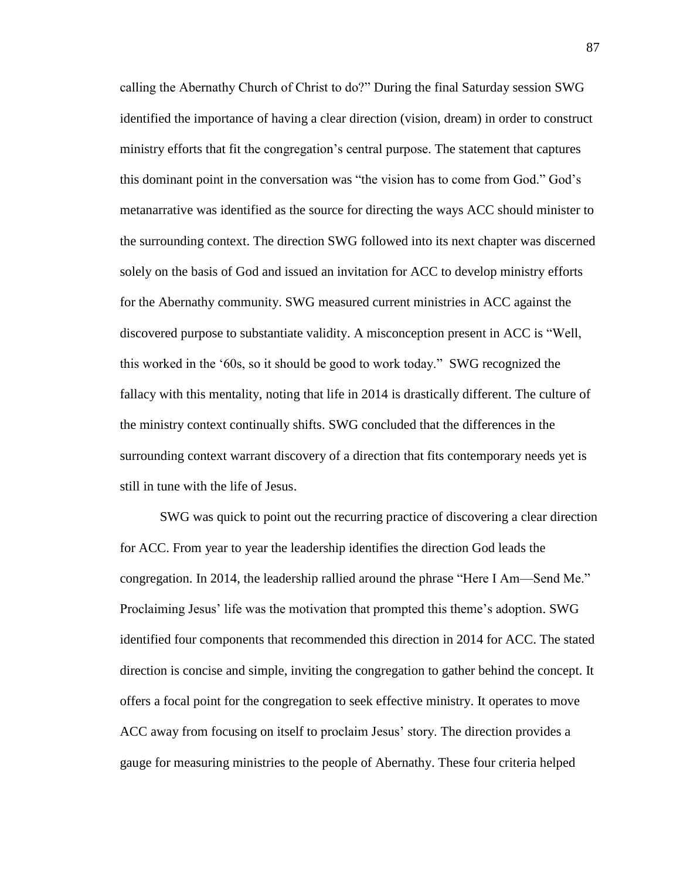calling the Abernathy Church of Christ to do?" During the final Saturday session SWG identified the importance of having a clear direction (vision, dream) in order to construct ministry efforts that fit the congregation's central purpose. The statement that captures this dominant point in the conversation was "the vision has to come from God." God's metanarrative was identified as the source for directing the ways ACC should minister to the surrounding context. The direction SWG followed into its next chapter was discerned solely on the basis of God and issued an invitation for ACC to develop ministry efforts for the Abernathy community. SWG measured current ministries in ACC against the discovered purpose to substantiate validity. A misconception present in ACC is "Well, this worked in the '60s, so it should be good to work today." SWG recognized the fallacy with this mentality, noting that life in 2014 is drastically different. The culture of the ministry context continually shifts. SWG concluded that the differences in the surrounding context warrant discovery of a direction that fits contemporary needs yet is still in tune with the life of Jesus.

SWG was quick to point out the recurring practice of discovering a clear direction for ACC. From year to year the leadership identifies the direction God leads the congregation. In 2014, the leadership rallied around the phrase "Here I Am—Send Me." Proclaiming Jesus' life was the motivation that prompted this theme's adoption. SWG identified four components that recommended this direction in 2014 for ACC. The stated direction is concise and simple, inviting the congregation to gather behind the concept. It offers a focal point for the congregation to seek effective ministry. It operates to move ACC away from focusing on itself to proclaim Jesus' story. The direction provides a gauge for measuring ministries to the people of Abernathy. These four criteria helped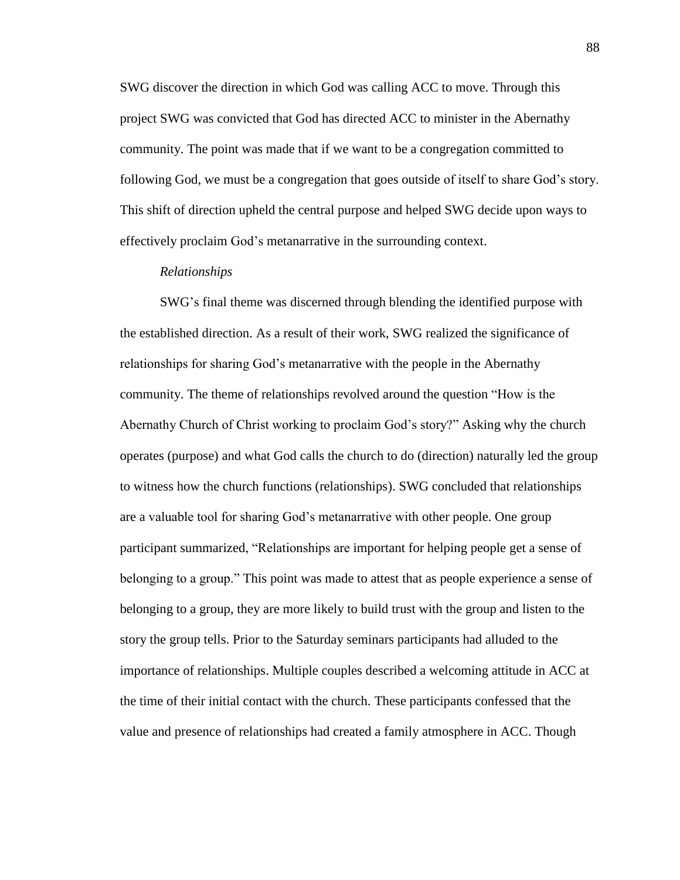SWG discover the direction in which God was calling ACC to move. Through this project SWG was convicted that God has directed ACC to minister in the Abernathy community. The point was made that if we want to be a congregation committed to following God, we must be a congregation that goes outside of itself to share God's story. This shift of direction upheld the central purpose and helped SWG decide upon ways to effectively proclaim God's metanarrative in the surrounding context.

# *Relationships*

SWG's final theme was discerned through blending the identified purpose with the established direction. As a result of their work, SWG realized the significance of relationships for sharing God's metanarrative with the people in the Abernathy community. The theme of relationships revolved around the question "How is the Abernathy Church of Christ working to proclaim God's story?" Asking why the church operates (purpose) and what God calls the church to do (direction) naturally led the group to witness how the church functions (relationships). SWG concluded that relationships are a valuable tool for sharing God's metanarrative with other people. One group participant summarized, "Relationships are important for helping people get a sense of belonging to a group." This point was made to attest that as people experience a sense of belonging to a group, they are more likely to build trust with the group and listen to the story the group tells. Prior to the Saturday seminars participants had alluded to the importance of relationships. Multiple couples described a welcoming attitude in ACC at the time of their initial contact with the church. These participants confessed that the value and presence of relationships had created a family atmosphere in ACC. Though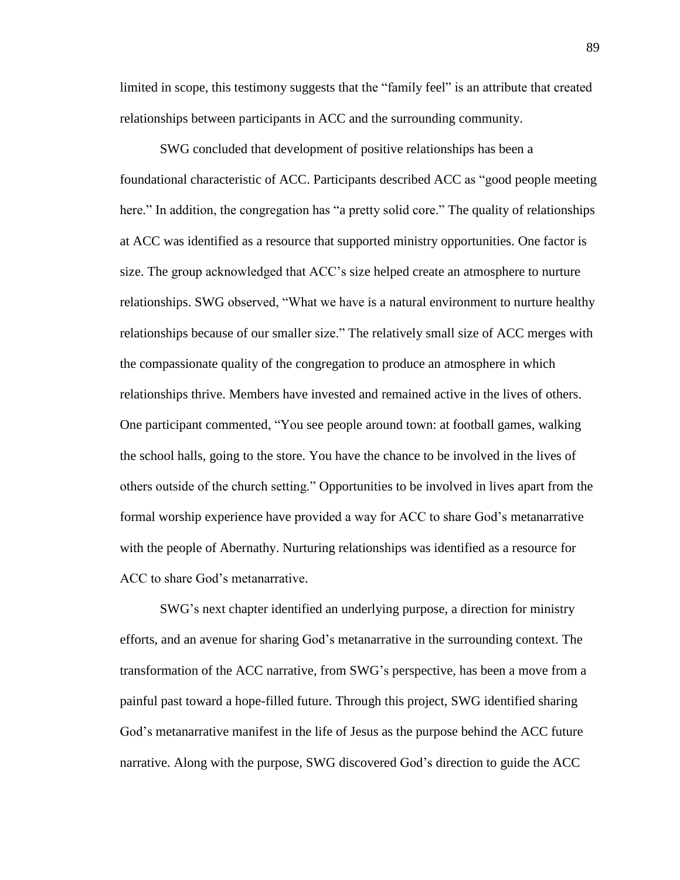limited in scope, this testimony suggests that the "family feel" is an attribute that created relationships between participants in ACC and the surrounding community.

SWG concluded that development of positive relationships has been a foundational characteristic of ACC. Participants described ACC as "good people meeting here." In addition, the congregation has "a pretty solid core." The quality of relationships at ACC was identified as a resource that supported ministry opportunities. One factor is size. The group acknowledged that ACC's size helped create an atmosphere to nurture relationships. SWG observed, "What we have is a natural environment to nurture healthy relationships because of our smaller size." The relatively small size of ACC merges with the compassionate quality of the congregation to produce an atmosphere in which relationships thrive. Members have invested and remained active in the lives of others. One participant commented, "You see people around town: at football games, walking the school halls, going to the store. You have the chance to be involved in the lives of others outside of the church setting." Opportunities to be involved in lives apart from the formal worship experience have provided a way for ACC to share God's metanarrative with the people of Abernathy. Nurturing relationships was identified as a resource for ACC to share God's metanarrative.

SWG's next chapter identified an underlying purpose, a direction for ministry efforts, and an avenue for sharing God's metanarrative in the surrounding context. The transformation of the ACC narrative, from SWG's perspective, has been a move from a painful past toward a hope-filled future. Through this project, SWG identified sharing God's metanarrative manifest in the life of Jesus as the purpose behind the ACC future narrative. Along with the purpose, SWG discovered God's direction to guide the ACC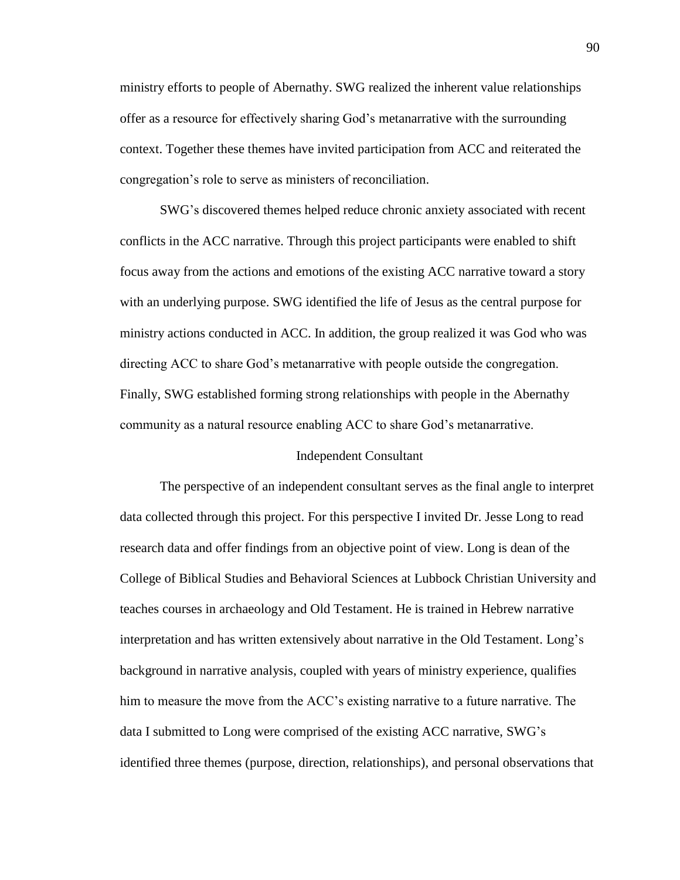ministry efforts to people of Abernathy. SWG realized the inherent value relationships offer as a resource for effectively sharing God's metanarrative with the surrounding context. Together these themes have invited participation from ACC and reiterated the congregation's role to serve as ministers of reconciliation.

SWG's discovered themes helped reduce chronic anxiety associated with recent conflicts in the ACC narrative. Through this project participants were enabled to shift focus away from the actions and emotions of the existing ACC narrative toward a story with an underlying purpose. SWG identified the life of Jesus as the central purpose for ministry actions conducted in ACC. In addition, the group realized it was God who was directing ACC to share God's metanarrative with people outside the congregation. Finally, SWG established forming strong relationships with people in the Abernathy community as a natural resource enabling ACC to share God's metanarrative.

#### Independent Consultant

The perspective of an independent consultant serves as the final angle to interpret data collected through this project. For this perspective I invited Dr. Jesse Long to read research data and offer findings from an objective point of view. Long is dean of the College of Biblical Studies and Behavioral Sciences at Lubbock Christian University and teaches courses in archaeology and Old Testament. He is trained in Hebrew narrative interpretation and has written extensively about narrative in the Old Testament. Long's background in narrative analysis, coupled with years of ministry experience, qualifies him to measure the move from the ACC's existing narrative to a future narrative. The data I submitted to Long were comprised of the existing ACC narrative, SWG's identified three themes (purpose, direction, relationships), and personal observations that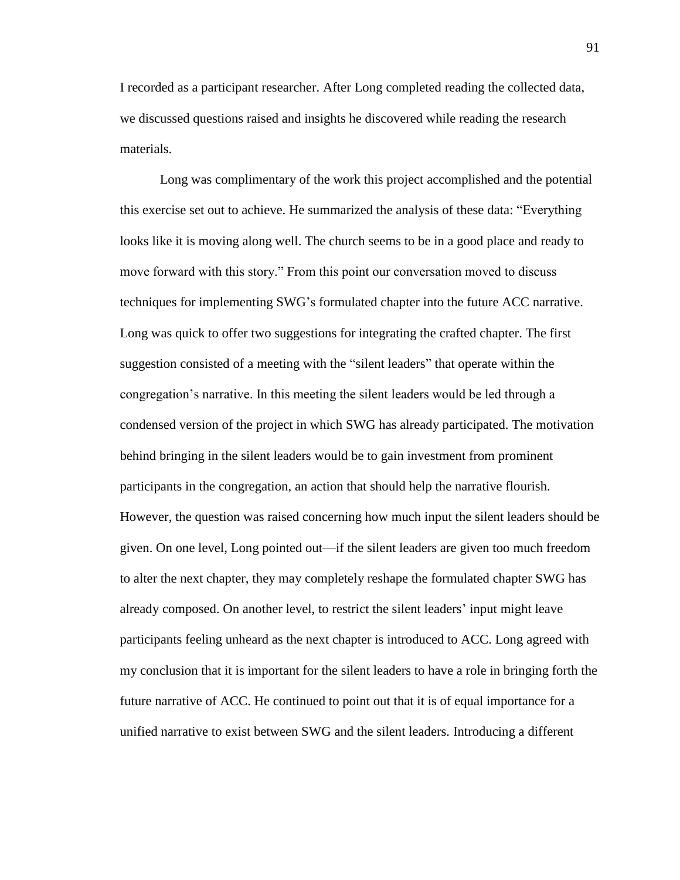I recorded as a participant researcher. After Long completed reading the collected data, we discussed questions raised and insights he discovered while reading the research materials.

Long was complimentary of the work this project accomplished and the potential this exercise set out to achieve. He summarized the analysis of these data: "Everything looks like it is moving along well. The church seems to be in a good place and ready to move forward with this story." From this point our conversation moved to discuss techniques for implementing SWG's formulated chapter into the future ACC narrative. Long was quick to offer two suggestions for integrating the crafted chapter. The first suggestion consisted of a meeting with the "silent leaders" that operate within the congregation's narrative. In this meeting the silent leaders would be led through a condensed version of the project in which SWG has already participated. The motivation behind bringing in the silent leaders would be to gain investment from prominent participants in the congregation, an action that should help the narrative flourish. However, the question was raised concerning how much input the silent leaders should be given. On one level, Long pointed out—if the silent leaders are given too much freedom to alter the next chapter, they may completely reshape the formulated chapter SWG has already composed. On another level, to restrict the silent leaders' input might leave participants feeling unheard as the next chapter is introduced to ACC. Long agreed with my conclusion that it is important for the silent leaders to have a role in bringing forth the future narrative of ACC. He continued to point out that it is of equal importance for a unified narrative to exist between SWG and the silent leaders. Introducing a different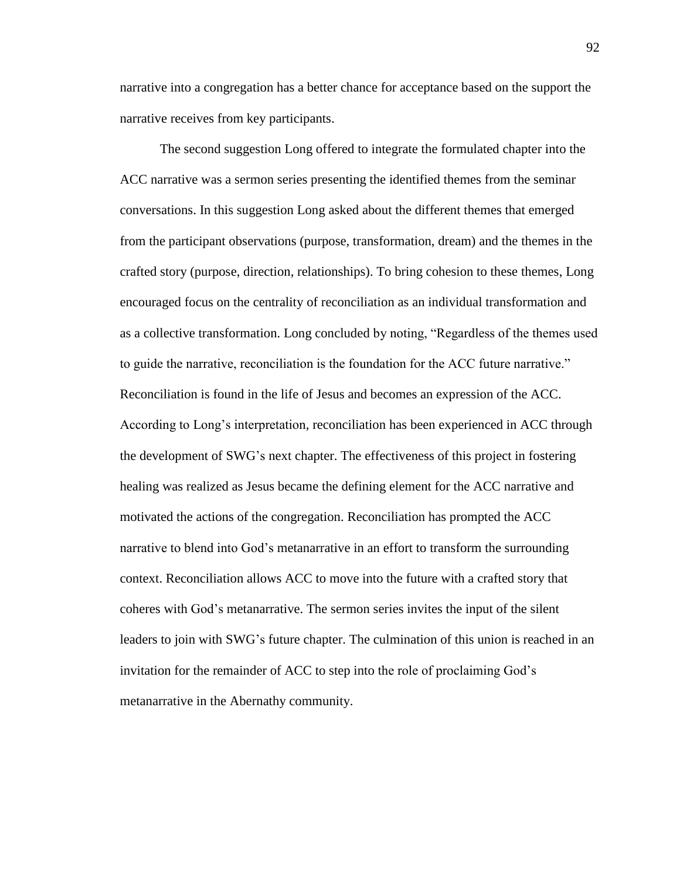narrative into a congregation has a better chance for acceptance based on the support the narrative receives from key participants.

The second suggestion Long offered to integrate the formulated chapter into the ACC narrative was a sermon series presenting the identified themes from the seminar conversations. In this suggestion Long asked about the different themes that emerged from the participant observations (purpose, transformation, dream) and the themes in the crafted story (purpose, direction, relationships). To bring cohesion to these themes, Long encouraged focus on the centrality of reconciliation as an individual transformation and as a collective transformation. Long concluded by noting, "Regardless of the themes used to guide the narrative, reconciliation is the foundation for the ACC future narrative." Reconciliation is found in the life of Jesus and becomes an expression of the ACC. According to Long's interpretation, reconciliation has been experienced in ACC through the development of SWG's next chapter. The effectiveness of this project in fostering healing was realized as Jesus became the defining element for the ACC narrative and motivated the actions of the congregation. Reconciliation has prompted the ACC narrative to blend into God's metanarrative in an effort to transform the surrounding context. Reconciliation allows ACC to move into the future with a crafted story that coheres with God's metanarrative. The sermon series invites the input of the silent leaders to join with SWG's future chapter. The culmination of this union is reached in an invitation for the remainder of ACC to step into the role of proclaiming God's metanarrative in the Abernathy community.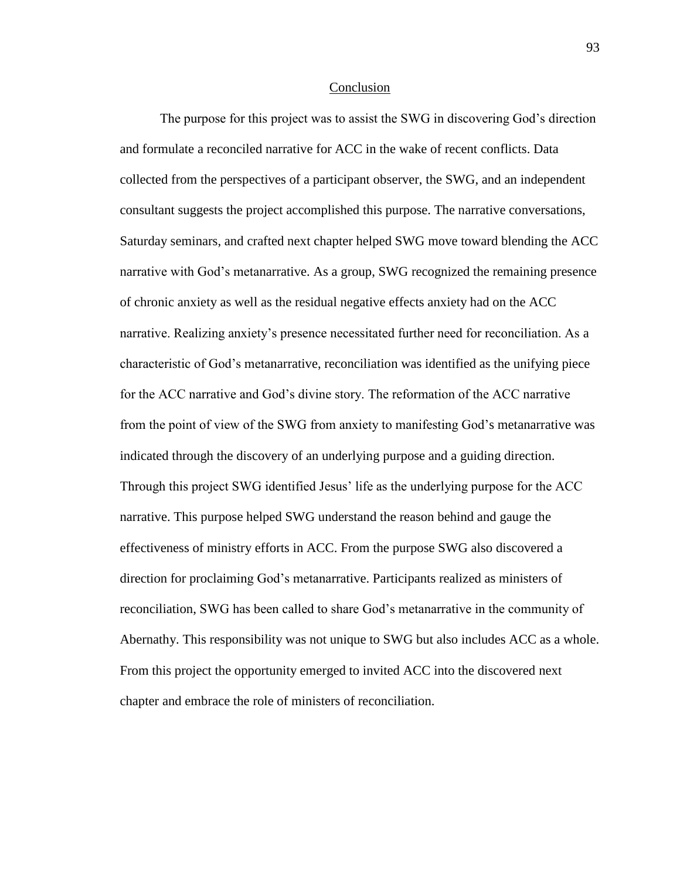#### Conclusion

The purpose for this project was to assist the SWG in discovering God's direction and formulate a reconciled narrative for ACC in the wake of recent conflicts. Data collected from the perspectives of a participant observer, the SWG, and an independent consultant suggests the project accomplished this purpose. The narrative conversations, Saturday seminars, and crafted next chapter helped SWG move toward blending the ACC narrative with God's metanarrative. As a group, SWG recognized the remaining presence of chronic anxiety as well as the residual negative effects anxiety had on the ACC narrative. Realizing anxiety's presence necessitated further need for reconciliation. As a characteristic of God's metanarrative, reconciliation was identified as the unifying piece for the ACC narrative and God's divine story. The reformation of the ACC narrative from the point of view of the SWG from anxiety to manifesting God's metanarrative was indicated through the discovery of an underlying purpose and a guiding direction. Through this project SWG identified Jesus' life as the underlying purpose for the ACC narrative. This purpose helped SWG understand the reason behind and gauge the effectiveness of ministry efforts in ACC. From the purpose SWG also discovered a direction for proclaiming God's metanarrative. Participants realized as ministers of reconciliation, SWG has been called to share God's metanarrative in the community of Abernathy. This responsibility was not unique to SWG but also includes ACC as a whole. From this project the opportunity emerged to invited ACC into the discovered next chapter and embrace the role of ministers of reconciliation.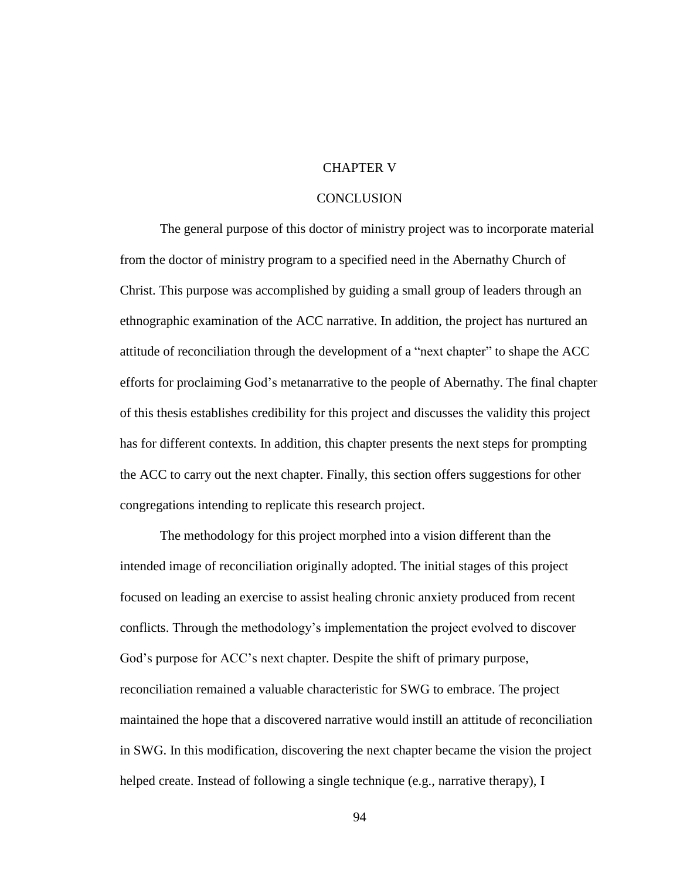#### CHAPTER V

#### **CONCLUSION**

The general purpose of this doctor of ministry project was to incorporate material from the doctor of ministry program to a specified need in the Abernathy Church of Christ. This purpose was accomplished by guiding a small group of leaders through an ethnographic examination of the ACC narrative. In addition, the project has nurtured an attitude of reconciliation through the development of a "next chapter" to shape the ACC efforts for proclaiming God's metanarrative to the people of Abernathy. The final chapter of this thesis establishes credibility for this project and discusses the validity this project has for different contexts. In addition, this chapter presents the next steps for prompting the ACC to carry out the next chapter. Finally, this section offers suggestions for other congregations intending to replicate this research project.

The methodology for this project morphed into a vision different than the intended image of reconciliation originally adopted. The initial stages of this project focused on leading an exercise to assist healing chronic anxiety produced from recent conflicts. Through the methodology's implementation the project evolved to discover God's purpose for ACC's next chapter. Despite the shift of primary purpose, reconciliation remained a valuable characteristic for SWG to embrace. The project maintained the hope that a discovered narrative would instill an attitude of reconciliation in SWG. In this modification, discovering the next chapter became the vision the project helped create. Instead of following a single technique (e.g., narrative therapy), I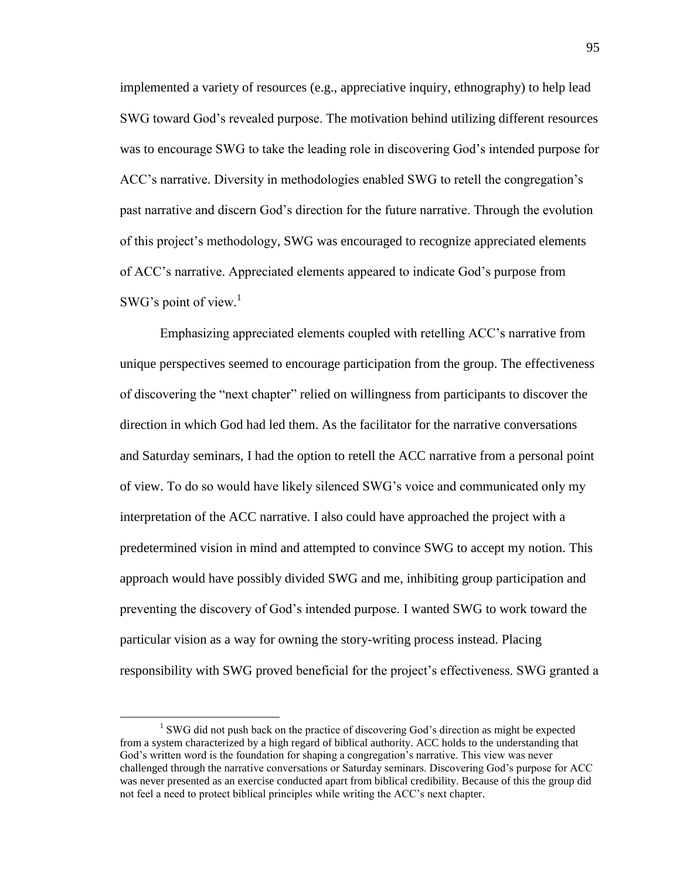implemented a variety of resources (e.g., appreciative inquiry, ethnography) to help lead SWG toward God's revealed purpose. The motivation behind utilizing different resources was to encourage SWG to take the leading role in discovering God's intended purpose for ACC's narrative. Diversity in methodologies enabled SWG to retell the congregation's past narrative and discern God's direction for the future narrative. Through the evolution of this project's methodology, SWG was encouraged to recognize appreciated elements of ACC's narrative. Appreciated elements appeared to indicate God's purpose from SWG's point of view. $<sup>1</sup>$ </sup>

Emphasizing appreciated elements coupled with retelling ACC's narrative from unique perspectives seemed to encourage participation from the group. The effectiveness of discovering the "next chapter" relied on willingness from participants to discover the direction in which God had led them. As the facilitator for the narrative conversations and Saturday seminars, I had the option to retell the ACC narrative from a personal point of view. To do so would have likely silenced SWG's voice and communicated only my interpretation of the ACC narrative. I also could have approached the project with a predetermined vision in mind and attempted to convince SWG to accept my notion. This approach would have possibly divided SWG and me, inhibiting group participation and preventing the discovery of God's intended purpose. I wanted SWG to work toward the particular vision as a way for owning the story-writing process instead. Placing responsibility with SWG proved beneficial for the project's effectiveness. SWG granted a

 $\overline{a}$ 

<sup>&</sup>lt;sup>1</sup> SWG did not push back on the practice of discovering God's direction as might be expected from a system characterized by a high regard of biblical authority. ACC holds to the understanding that God's written word is the foundation for shaping a congregation's narrative. This view was never challenged through the narrative conversations or Saturday seminars. Discovering God's purpose for ACC was never presented as an exercise conducted apart from biblical credibility. Because of this the group did not feel a need to protect biblical principles while writing the ACC's next chapter.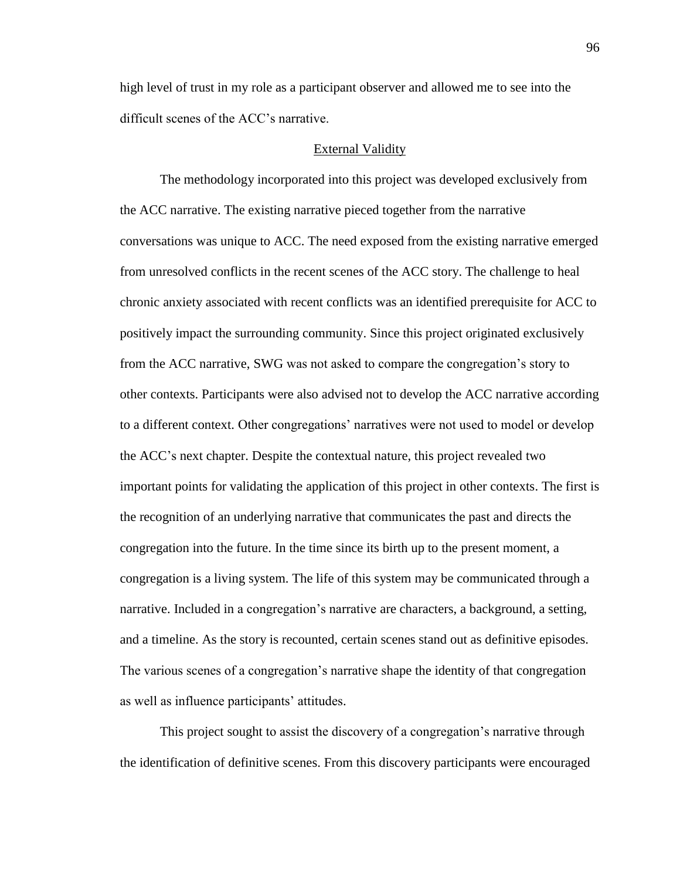high level of trust in my role as a participant observer and allowed me to see into the difficult scenes of the ACC's narrative.

#### External Validity

The methodology incorporated into this project was developed exclusively from the ACC narrative. The existing narrative pieced together from the narrative conversations was unique to ACC. The need exposed from the existing narrative emerged from unresolved conflicts in the recent scenes of the ACC story. The challenge to heal chronic anxiety associated with recent conflicts was an identified prerequisite for ACC to positively impact the surrounding community. Since this project originated exclusively from the ACC narrative, SWG was not asked to compare the congregation's story to other contexts. Participants were also advised not to develop the ACC narrative according to a different context. Other congregations' narratives were not used to model or develop the ACC's next chapter. Despite the contextual nature, this project revealed two important points for validating the application of this project in other contexts. The first is the recognition of an underlying narrative that communicates the past and directs the congregation into the future. In the time since its birth up to the present moment, a congregation is a living system. The life of this system may be communicated through a narrative. Included in a congregation's narrative are characters, a background, a setting, and a timeline. As the story is recounted, certain scenes stand out as definitive episodes. The various scenes of a congregation's narrative shape the identity of that congregation as well as influence participants' attitudes.

This project sought to assist the discovery of a congregation's narrative through the identification of definitive scenes. From this discovery participants were encouraged

96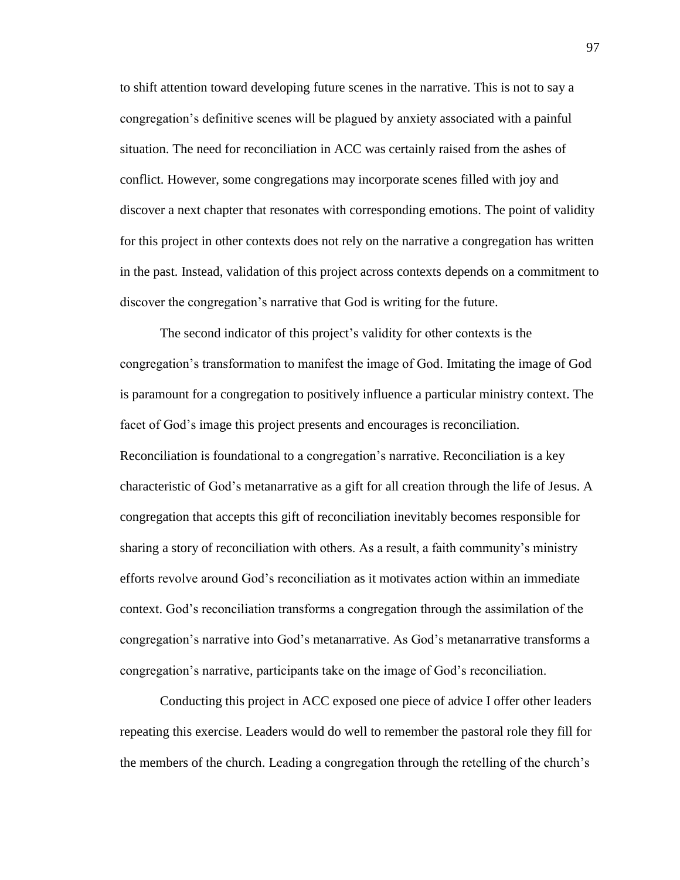to shift attention toward developing future scenes in the narrative. This is not to say a congregation's definitive scenes will be plagued by anxiety associated with a painful situation. The need for reconciliation in ACC was certainly raised from the ashes of conflict. However, some congregations may incorporate scenes filled with joy and discover a next chapter that resonates with corresponding emotions. The point of validity for this project in other contexts does not rely on the narrative a congregation has written in the past. Instead, validation of this project across contexts depends on a commitment to discover the congregation's narrative that God is writing for the future.

The second indicator of this project's validity for other contexts is the congregation's transformation to manifest the image of God. Imitating the image of God is paramount for a congregation to positively influence a particular ministry context. The facet of God's image this project presents and encourages is reconciliation. Reconciliation is foundational to a congregation's narrative. Reconciliation is a key characteristic of God's metanarrative as a gift for all creation through the life of Jesus. A congregation that accepts this gift of reconciliation inevitably becomes responsible for sharing a story of reconciliation with others. As a result, a faith community's ministry efforts revolve around God's reconciliation as it motivates action within an immediate context. God's reconciliation transforms a congregation through the assimilation of the congregation's narrative into God's metanarrative. As God's metanarrative transforms a congregation's narrative, participants take on the image of God's reconciliation.

Conducting this project in ACC exposed one piece of advice I offer other leaders repeating this exercise. Leaders would do well to remember the pastoral role they fill for the members of the church. Leading a congregation through the retelling of the church's

97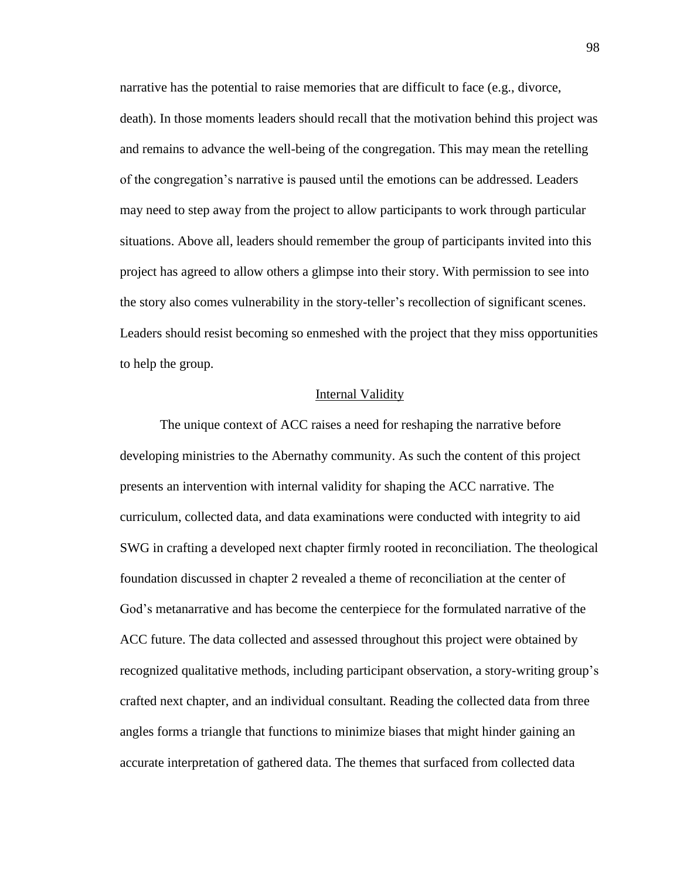narrative has the potential to raise memories that are difficult to face (e.g., divorce, death). In those moments leaders should recall that the motivation behind this project was and remains to advance the well-being of the congregation. This may mean the retelling of the congregation's narrative is paused until the emotions can be addressed. Leaders may need to step away from the project to allow participants to work through particular situations. Above all, leaders should remember the group of participants invited into this project has agreed to allow others a glimpse into their story. With permission to see into the story also comes vulnerability in the story-teller's recollection of significant scenes. Leaders should resist becoming so enmeshed with the project that they miss opportunities to help the group.

#### Internal Validity

The unique context of ACC raises a need for reshaping the narrative before developing ministries to the Abernathy community. As such the content of this project presents an intervention with internal validity for shaping the ACC narrative. The curriculum, collected data, and data examinations were conducted with integrity to aid SWG in crafting a developed next chapter firmly rooted in reconciliation. The theological foundation discussed in chapter 2 revealed a theme of reconciliation at the center of God's metanarrative and has become the centerpiece for the formulated narrative of the ACC future. The data collected and assessed throughout this project were obtained by recognized qualitative methods, including participant observation, a story-writing group's crafted next chapter, and an individual consultant. Reading the collected data from three angles forms a triangle that functions to minimize biases that might hinder gaining an accurate interpretation of gathered data. The themes that surfaced from collected data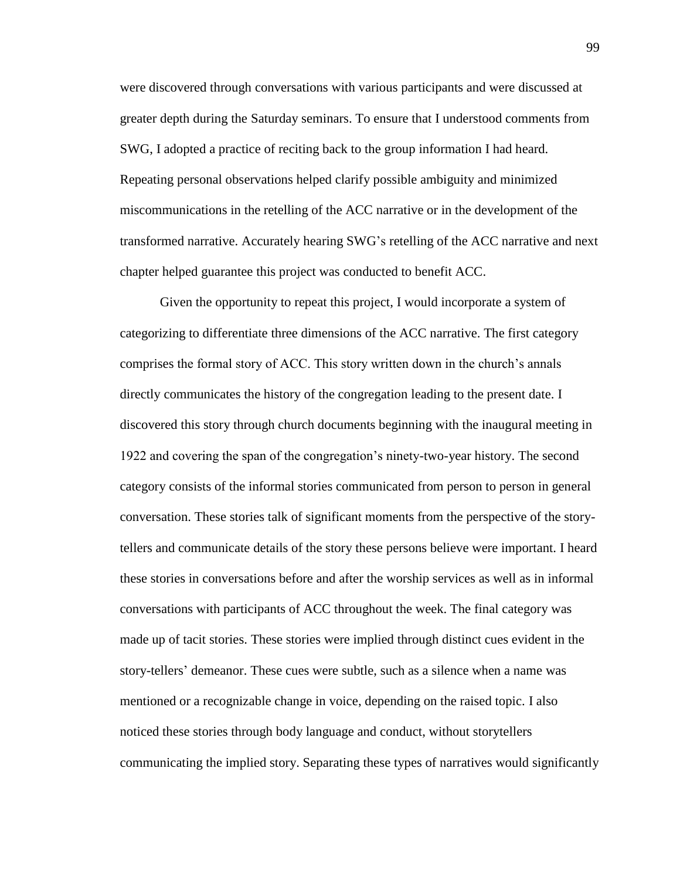were discovered through conversations with various participants and were discussed at greater depth during the Saturday seminars. To ensure that I understood comments from SWG, I adopted a practice of reciting back to the group information I had heard. Repeating personal observations helped clarify possible ambiguity and minimized miscommunications in the retelling of the ACC narrative or in the development of the transformed narrative. Accurately hearing SWG's retelling of the ACC narrative and next chapter helped guarantee this project was conducted to benefit ACC.

Given the opportunity to repeat this project, I would incorporate a system of categorizing to differentiate three dimensions of the ACC narrative. The first category comprises the formal story of ACC. This story written down in the church's annals directly communicates the history of the congregation leading to the present date. I discovered this story through church documents beginning with the inaugural meeting in 1922 and covering the span of the congregation's ninety-two-year history. The second category consists of the informal stories communicated from person to person in general conversation. These stories talk of significant moments from the perspective of the storytellers and communicate details of the story these persons believe were important. I heard these stories in conversations before and after the worship services as well as in informal conversations with participants of ACC throughout the week. The final category was made up of tacit stories. These stories were implied through distinct cues evident in the story-tellers' demeanor. These cues were subtle, such as a silence when a name was mentioned or a recognizable change in voice, depending on the raised topic. I also noticed these stories through body language and conduct, without storytellers communicating the implied story. Separating these types of narratives would significantly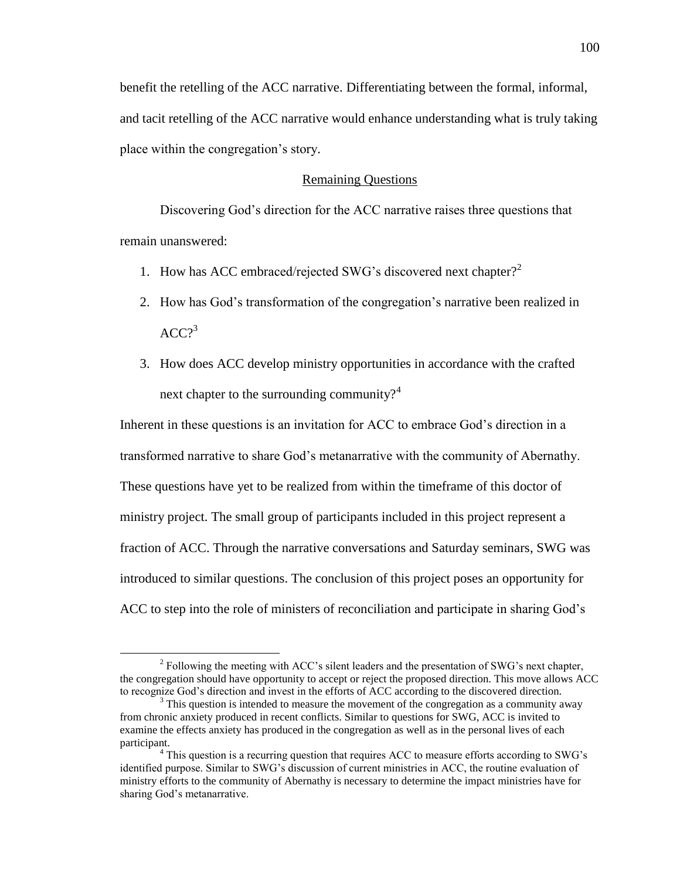benefit the retelling of the ACC narrative. Differentiating between the formal, informal, and tacit retelling of the ACC narrative would enhance understanding what is truly taking place within the congregation's story.

#### Remaining Questions

Discovering God's direction for the ACC narrative raises three questions that remain unanswered:

- 1. How has ACC embraced/rejected SWG's discovered next chapter? 2
- 2. How has God's transformation of the congregation's narrative been realized in  $ACC<sub>2</sub><sup>3</sup>$
- 3. How does ACC develop ministry opportunities in accordance with the crafted next chapter to the surrounding community? $4^4$

Inherent in these questions is an invitation for ACC to embrace God's direction in a transformed narrative to share God's metanarrative with the community of Abernathy. These questions have yet to be realized from within the timeframe of this doctor of ministry project. The small group of participants included in this project represent a fraction of ACC. Through the narrative conversations and Saturday seminars, SWG was introduced to similar questions. The conclusion of this project poses an opportunity for ACC to step into the role of ministers of reconciliation and participate in sharing God's

 $\overline{a}$ 

 $2^2$  Following the meeting with ACC's silent leaders and the presentation of SWG's next chapter, the congregation should have opportunity to accept or reject the proposed direction. This move allows ACC to recognize God's direction and invest in the efforts of ACC according to the discovered direction.

<sup>&</sup>lt;sup>3</sup> This question is intended to measure the movement of the congregation as a community away from chronic anxiety produced in recent conflicts. Similar to questions for SWG, ACC is invited to examine the effects anxiety has produced in the congregation as well as in the personal lives of each participant.

<sup>&</sup>lt;sup>4</sup> This question is a recurring question that requires ACC to measure efforts according to SWG's identified purpose. Similar to SWG's discussion of current ministries in ACC, the routine evaluation of ministry efforts to the community of Abernathy is necessary to determine the impact ministries have for sharing God's metanarrative.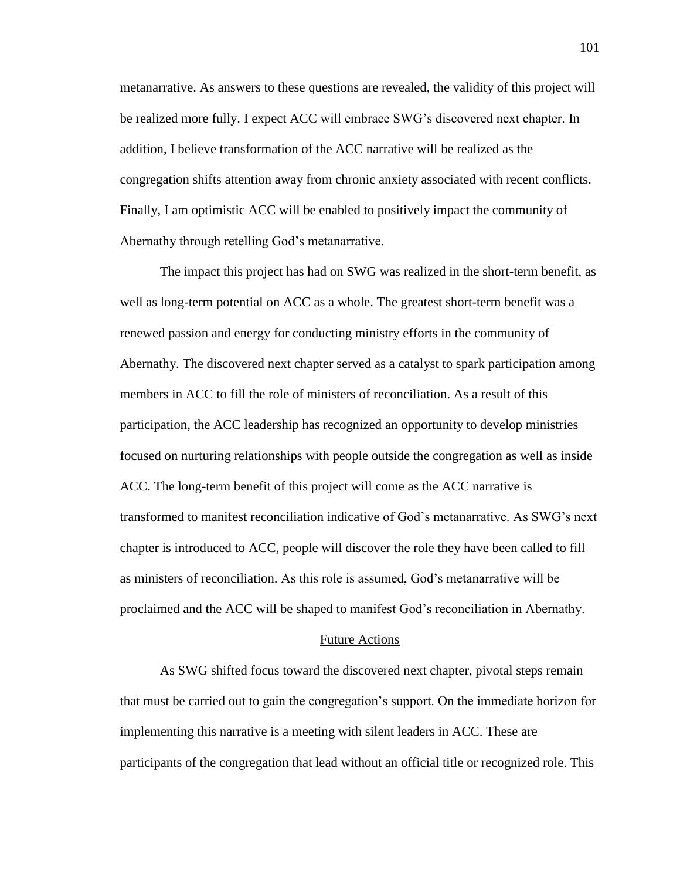metanarrative. As answers to these questions are revealed, the validity of this project will be realized more fully. I expect ACC will embrace SWG's discovered next chapter. In addition, I believe transformation of the ACC narrative will be realized as the congregation shifts attention away from chronic anxiety associated with recent conflicts. Finally, I am optimistic ACC will be enabled to positively impact the community of Abernathy through retelling God's metanarrative.

The impact this project has had on SWG was realized in the short-term benefit, as well as long-term potential on ACC as a whole. The greatest short-term benefit was a renewed passion and energy for conducting ministry efforts in the community of Abernathy. The discovered next chapter served as a catalyst to spark participation among members in ACC to fill the role of ministers of reconciliation. As a result of this participation, the ACC leadership has recognized an opportunity to develop ministries focused on nurturing relationships with people outside the congregation as well as inside ACC. The long-term benefit of this project will come as the ACC narrative is transformed to manifest reconciliation indicative of God's metanarrative. As SWG's next chapter is introduced to ACC, people will discover the role they have been called to fill as ministers of reconciliation. As this role is assumed, God's metanarrative will be proclaimed and the ACC will be shaped to manifest God's reconciliation in Abernathy.

#### Future Actions

As SWG shifted focus toward the discovered next chapter, pivotal steps remain that must be carried out to gain the congregation's support. On the immediate horizon for implementing this narrative is a meeting with silent leaders in ACC. These are participants of the congregation that lead without an official title or recognized role. This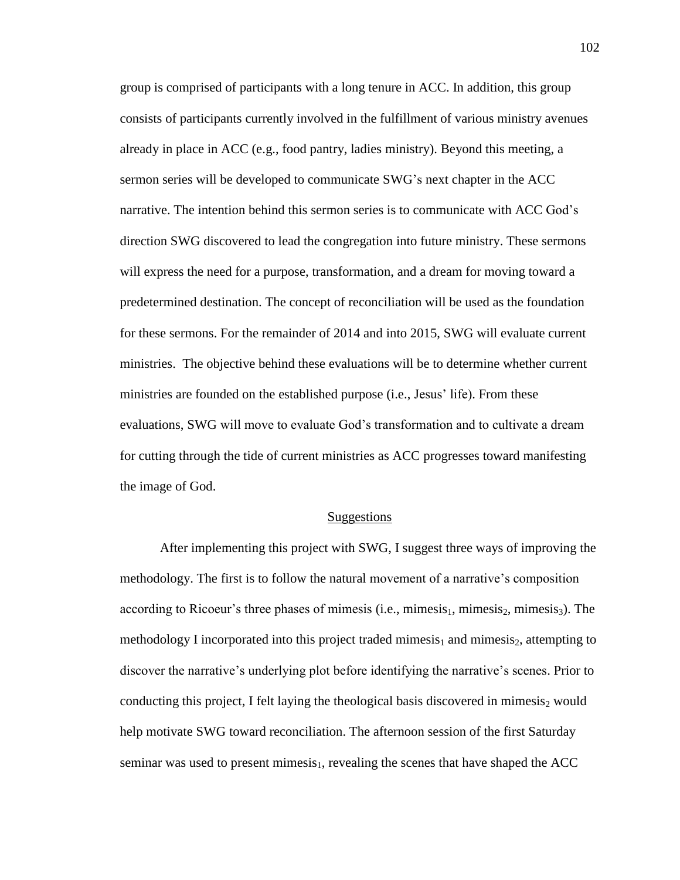group is comprised of participants with a long tenure in ACC. In addition, this group consists of participants currently involved in the fulfillment of various ministry avenues already in place in ACC (e.g., food pantry, ladies ministry). Beyond this meeting, a sermon series will be developed to communicate SWG's next chapter in the ACC narrative. The intention behind this sermon series is to communicate with ACC God's direction SWG discovered to lead the congregation into future ministry. These sermons will express the need for a purpose, transformation, and a dream for moving toward a predetermined destination. The concept of reconciliation will be used as the foundation for these sermons. For the remainder of 2014 and into 2015, SWG will evaluate current ministries. The objective behind these evaluations will be to determine whether current ministries are founded on the established purpose (i.e., Jesus' life). From these evaluations, SWG will move to evaluate God's transformation and to cultivate a dream for cutting through the tide of current ministries as ACC progresses toward manifesting the image of God.

#### **Suggestions**

After implementing this project with SWG, I suggest three ways of improving the methodology. The first is to follow the natural movement of a narrative's composition according to Ricoeur's three phases of mimesis (i.e., mimesis<sub>1</sub>, mimesis<sub>2</sub>, mimesis<sub>3</sub>). The methodology I incorporated into this project traded mimesis<sub>1</sub> and mimesis<sub>2</sub>, attempting to discover the narrative's underlying plot before identifying the narrative's scenes. Prior to conducting this project, I felt laying the theological basis discovered in mimesis<sub>2</sub> would help motivate SWG toward reconciliation. The afternoon session of the first Saturday seminar was used to present mimesis<sub>1</sub>, revealing the scenes that have shaped the ACC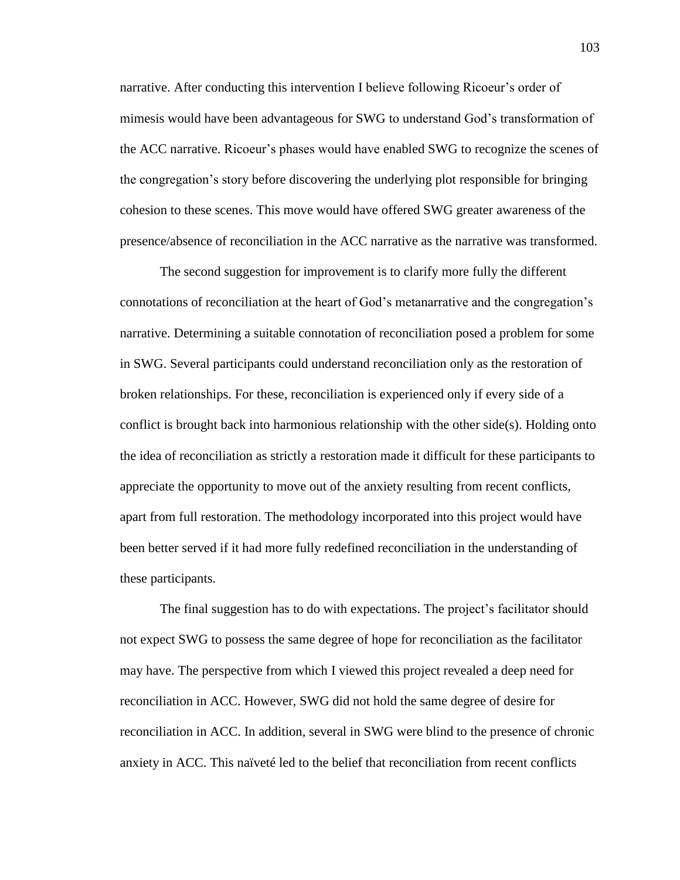narrative. After conducting this intervention I believe following Ricoeur's order of mimesis would have been advantageous for SWG to understand God's transformation of the ACC narrative. Ricoeur's phases would have enabled SWG to recognize the scenes of the congregation's story before discovering the underlying plot responsible for bringing cohesion to these scenes. This move would have offered SWG greater awareness of the presence/absence of reconciliation in the ACC narrative as the narrative was transformed.

The second suggestion for improvement is to clarify more fully the different connotations of reconciliation at the heart of God's metanarrative and the congregation's narrative. Determining a suitable connotation of reconciliation posed a problem for some in SWG. Several participants could understand reconciliation only as the restoration of broken relationships. For these, reconciliation is experienced only if every side of a conflict is brought back into harmonious relationship with the other side(s). Holding onto the idea of reconciliation as strictly a restoration made it difficult for these participants to appreciate the opportunity to move out of the anxiety resulting from recent conflicts, apart from full restoration. The methodology incorporated into this project would have been better served if it had more fully redefined reconciliation in the understanding of these participants.

The final suggestion has to do with expectations. The project's facilitator should not expect SWG to possess the same degree of hope for reconciliation as the facilitator may have. The perspective from which I viewed this project revealed a deep need for reconciliation in ACC. However, SWG did not hold the same degree of desire for reconciliation in ACC. In addition, several in SWG were blind to the presence of chronic anxiety in ACC. This naïveté led to the belief that reconciliation from recent conflicts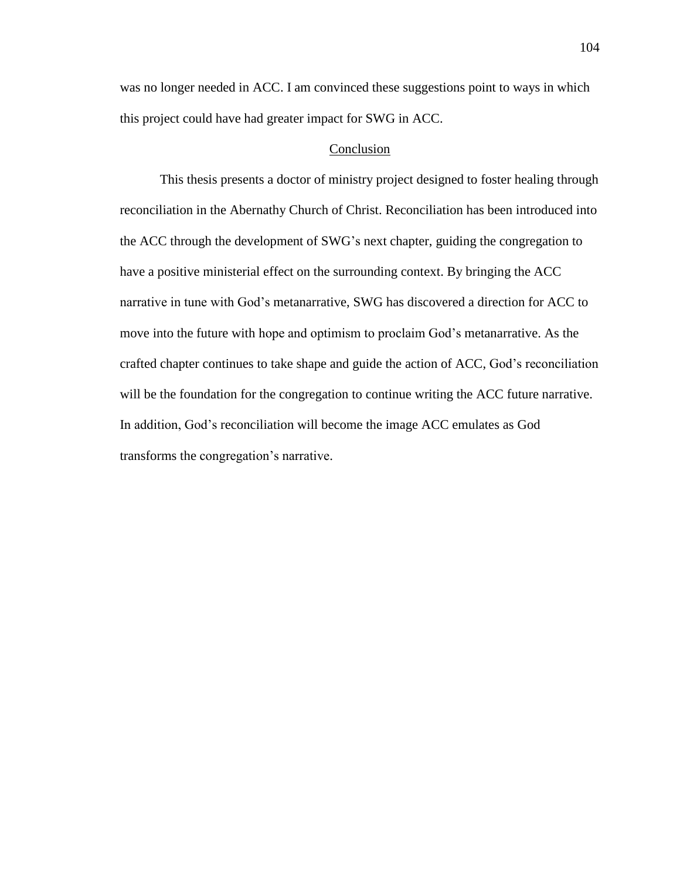was no longer needed in ACC. I am convinced these suggestions point to ways in which this project could have had greater impact for SWG in ACC.

#### Conclusion

This thesis presents a doctor of ministry project designed to foster healing through reconciliation in the Abernathy Church of Christ. Reconciliation has been introduced into the ACC through the development of SWG's next chapter, guiding the congregation to have a positive ministerial effect on the surrounding context. By bringing the ACC narrative in tune with God's metanarrative, SWG has discovered a direction for ACC to move into the future with hope and optimism to proclaim God's metanarrative. As the crafted chapter continues to take shape and guide the action of ACC, God's reconciliation will be the foundation for the congregation to continue writing the ACC future narrative. In addition, God's reconciliation will become the image ACC emulates as God transforms the congregation's narrative.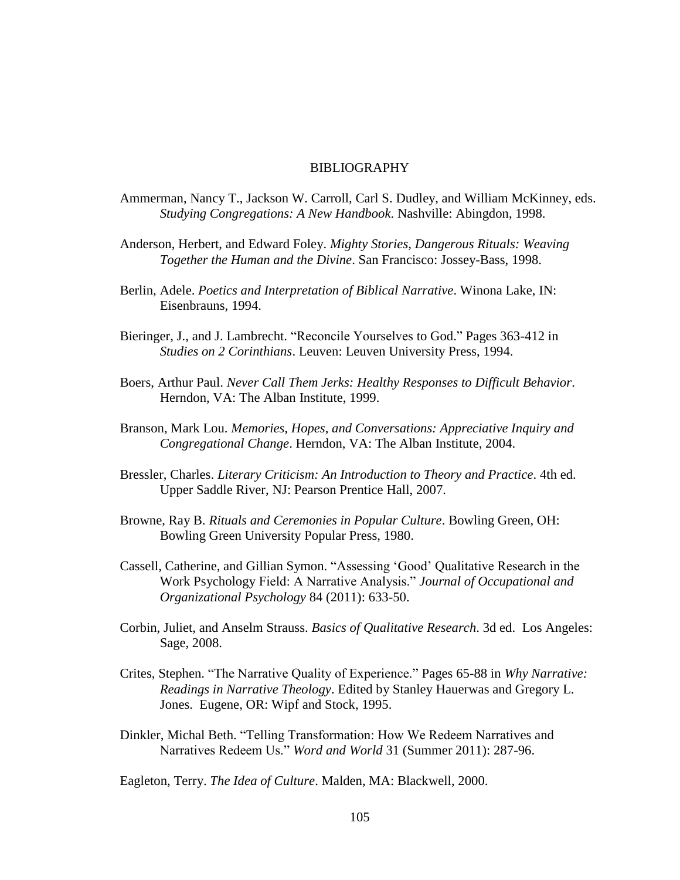#### BIBLIOGRAPHY

- Ammerman, Nancy T., Jackson W. Carroll, Carl S. Dudley, and William McKinney, eds. *Studying Congregations: A New Handbook*. Nashville: Abingdon, 1998.
- Anderson, Herbert, and Edward Foley. *Mighty Stories, Dangerous Rituals: Weaving Together the Human and the Divine*. San Francisco: Jossey-Bass, 1998.
- Berlin, Adele. *Poetics and Interpretation of Biblical Narrative*. Winona Lake, IN: Eisenbrauns, 1994.
- Bieringer, J., and J. Lambrecht. "Reconcile Yourselves to God." Pages 363-412 in *Studies on 2 Corinthians*. Leuven: Leuven University Press, 1994.
- Boers, Arthur Paul. *Never Call Them Jerks: Healthy Responses to Difficult Behavior*. Herndon, VA: The Alban Institute, 1999.
- Branson, Mark Lou. *Memories, Hopes, and Conversations: Appreciative Inquiry and Congregational Change*. Herndon, VA: The Alban Institute, 2004.
- Bressler, Charles. *Literary Criticism: An Introduction to Theory and Practice*. 4th ed. Upper Saddle River, NJ: Pearson Prentice Hall, 2007.
- Browne, Ray B. *Rituals and Ceremonies in Popular Culture*. Bowling Green, OH: Bowling Green University Popular Press, 1980.
- Cassell, Catherine, and Gillian Symon. "Assessing 'Good' Qualitative Research in the Work Psychology Field: A Narrative Analysis." *Journal of Occupational and Organizational Psychology* 84 (2011): 633-50.
- Corbin, Juliet, and Anselm Strauss. *Basics of Qualitative Research*. 3d ed. Los Angeles: Sage, 2008.
- Crites, Stephen. "The Narrative Quality of Experience." Pages 65-88 in *Why Narrative: Readings in Narrative Theology*. Edited by Stanley Hauerwas and Gregory L. Jones. Eugene, OR: Wipf and Stock, 1995.
- Dinkler, Michal Beth. "Telling Transformation: How We Redeem Narratives and Narratives Redeem Us." *Word and World* 31 (Summer 2011): 287-96.

Eagleton, Terry. *The Idea of Culture*. Malden, MA: Blackwell, 2000.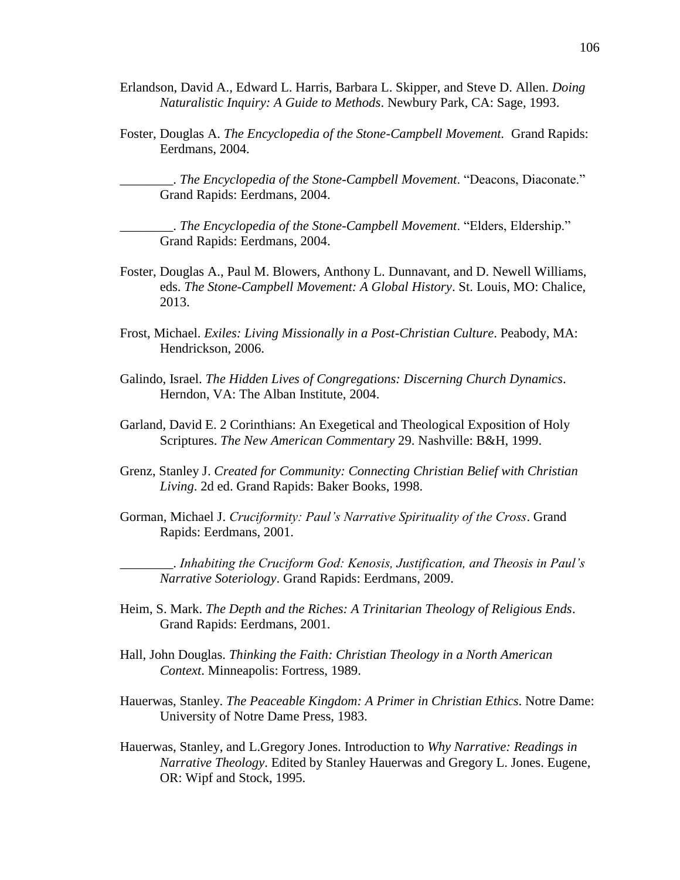- Erlandson, David A., Edward L. Harris, Barbara L. Skipper, and Steve D. Allen. *Doing Naturalistic Inquiry: A Guide to Methods*. Newbury Park, CA: Sage, 1993.
- Foster, Douglas A. *The Encyclopedia of the Stone-Campbell Movement.* Grand Rapids: Eerdmans, 2004.

\_\_\_\_\_\_\_\_. *The Encyclopedia of the Stone-Campbell Movement*. "Deacons, Diaconate." Grand Rapids: Eerdmans, 2004.

\_\_\_\_\_\_\_\_. *The Encyclopedia of the Stone-Campbell Movement*. "Elders, Eldership." Grand Rapids: Eerdmans, 2004.

- Foster, Douglas A., Paul M. Blowers, Anthony L. Dunnavant, and D. Newell Williams, eds. *The Stone-Campbell Movement: A Global History*. St. Louis, MO: Chalice, 2013.
- Frost, Michael. *Exiles: Living Missionally in a Post-Christian Culture*. Peabody, MA: Hendrickson, 2006.
- Galindo, Israel. *The Hidden Lives of Congregations: Discerning Church Dynamics*. Herndon, VA: The Alban Institute, 2004.
- Garland, David E. 2 Corinthians: An Exegetical and Theological Exposition of Holy Scriptures. *The New American Commentary* 29. Nashville: B&H, 1999.
- Grenz, Stanley J. *Created for Community: Connecting Christian Belief with Christian Living*. 2d ed. Grand Rapids: Baker Books, 1998.
- Gorman, Michael J. *Cruciformity: Paul's Narrative Spirituality of the Cross*. Grand Rapids: Eerdmans, 2001.

\_\_\_\_\_\_\_\_. *Inhabiting the Cruciform God: Kenosis, Justification, and Theosis in Paul's Narrative Soteriology*. Grand Rapids: Eerdmans, 2009.

- Heim, S. Mark. *The Depth and the Riches: A Trinitarian Theology of Religious Ends*. Grand Rapids: Eerdmans, 2001.
- Hall, John Douglas. *Thinking the Faith: Christian Theology in a North American Context*. Minneapolis: Fortress, 1989.
- Hauerwas, Stanley. *The Peaceable Kingdom: A Primer in Christian Ethics*. Notre Dame: University of Notre Dame Press, 1983.
- Hauerwas, Stanley, and L.Gregory Jones. Introduction to *Why Narrative: Readings in Narrative Theology*. Edited by Stanley Hauerwas and Gregory L. Jones. Eugene, OR: Wipf and Stock, 1995.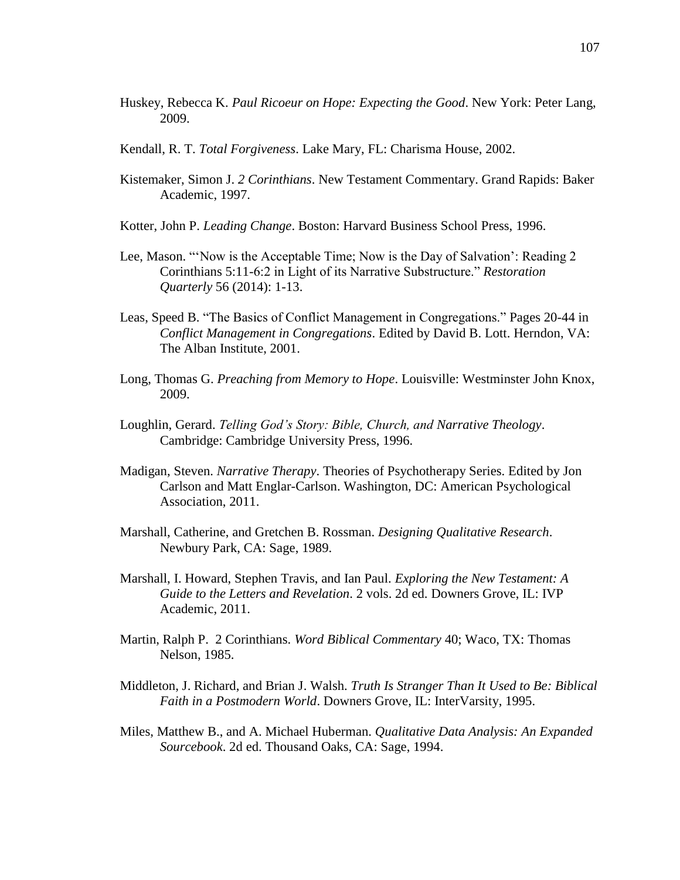- Huskey, Rebecca K. *Paul Ricoeur on Hope: Expecting the Good*. New York: Peter Lang, 2009.
- Kendall, R. T. *Total Forgiveness*. Lake Mary, FL: Charisma House, 2002.
- Kistemaker, Simon J. *2 Corinthians*. New Testament Commentary. Grand Rapids: Baker Academic, 1997.
- Kotter, John P. *Leading Change*. Boston: Harvard Business School Press, 1996.
- Lee, Mason. "'Now is the Acceptable Time; Now is the Day of Salvation': Reading 2 Corinthians 5:11-6:2 in Light of its Narrative Substructure." *Restoration Quarterly* 56 (2014): 1-13.
- Leas, Speed B. "The Basics of Conflict Management in Congregations." Pages 20-44 in *Conflict Management in Congregations*. Edited by David B. Lott. Herndon, VA: The Alban Institute, 2001.
- Long, Thomas G. *Preaching from Memory to Hope*. Louisville: Westminster John Knox, 2009.
- Loughlin, Gerard. *Telling God's Story: Bible, Church, and Narrative Theology*. Cambridge: Cambridge University Press, 1996.
- Madigan, Steven. *Narrative Therapy*. Theories of Psychotherapy Series. Edited by Jon Carlson and Matt Englar-Carlson. Washington, DC: American Psychological Association, 2011.
- Marshall, Catherine, and Gretchen B. Rossman. *Designing Qualitative Research*. Newbury Park, CA: Sage, 1989.
- Marshall, I. Howard, Stephen Travis, and Ian Paul. *Exploring the New Testament: A Guide to the Letters and Revelation*. 2 vols. 2d ed. Downers Grove, IL: IVP Academic, 2011.
- Martin, Ralph P. 2 Corinthians. *Word Biblical Commentary* 40; Waco, TX: Thomas Nelson, 1985.
- Middleton, J. Richard, and Brian J. Walsh. *Truth Is Stranger Than It Used to Be: Biblical Faith in a Postmodern World*. Downers Grove, IL: InterVarsity, 1995.
- Miles, Matthew B., and A. Michael Huberman. *Qualitative Data Analysis: An Expanded Sourcebook*. 2d ed. Thousand Oaks, CA: Sage, 1994.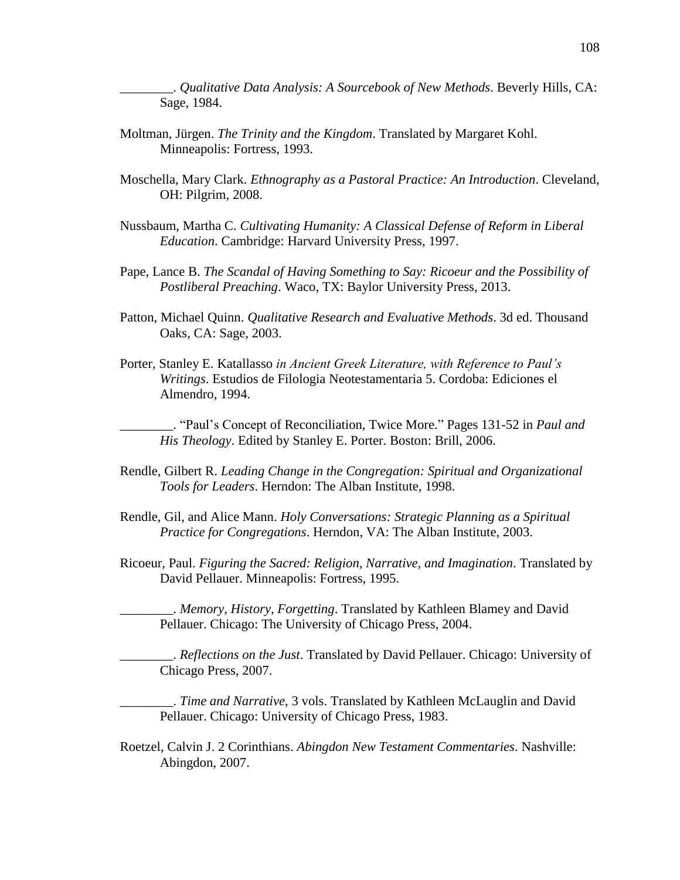\_\_\_\_\_\_\_\_. *Qualitative Data Analysis: A Sourcebook of New Methods*. Beverly Hills, CA: Sage, 1984.

- Moltman, Jürgen. *The Trinity and the Kingdom*. Translated by Margaret Kohl. Minneapolis: Fortress, 1993.
- Moschella, Mary Clark. *Ethnography as a Pastoral Practice: An Introduction*. Cleveland, OH: Pilgrim, 2008.
- Nussbaum, Martha C. *Cultivating Humanity: A Classical Defense of Reform in Liberal Education*. Cambridge: Harvard University Press, 1997.
- Pape, Lance B. *The Scandal of Having Something to Say: Ricoeur and the Possibility of Postliberal Preaching*. Waco, TX: Baylor University Press, 2013.
- Patton, Michael Quinn. *Qualitative Research and Evaluative Methods*. 3d ed. Thousand Oaks, CA: Sage, 2003.
- Porter, Stanley E. Katallasso *in Ancient Greek Literature, with Reference to Paul's Writings*. Estudios de Filologia Neotestamentaria 5. Cordoba: Ediciones el Almendro, 1994.

\_\_\_\_\_\_\_\_. "Paul's Concept of Reconciliation, Twice More." Pages 131-52 in *Paul and His Theology*. Edited by Stanley E. Porter. Boston: Brill, 2006.

- Rendle, Gilbert R. *Leading Change in the Congregation: Spiritual and Organizational Tools for Leaders*. Herndon: The Alban Institute, 1998.
- Rendle, Gil, and Alice Mann. *Holy Conversations: Strategic Planning as a Spiritual Practice for Congregations*. Herndon, VA: The Alban Institute, 2003.
- Ricoeur, Paul. *Figuring the Sacred: Religion, Narrative, and Imagination*. Translated by David Pellauer. Minneapolis: Fortress, 1995.

\_\_\_\_\_\_\_\_. *Memory, History, Forgetting*. Translated by Kathleen Blamey and David Pellauer. Chicago: The University of Chicago Press, 2004.

\_\_\_\_\_\_\_\_. *Reflections on the Just*. Translated by David Pellauer. Chicago: University of Chicago Press, 2007.

\_\_\_\_\_\_\_\_. *Time and Narrative*, 3 vols. Translated by Kathleen McLauglin and David Pellauer. Chicago: University of Chicago Press, 1983.

Roetzel, Calvin J. 2 Corinthians. *Abingdon New Testament Commentaries*. Nashville: Abingdon, 2007.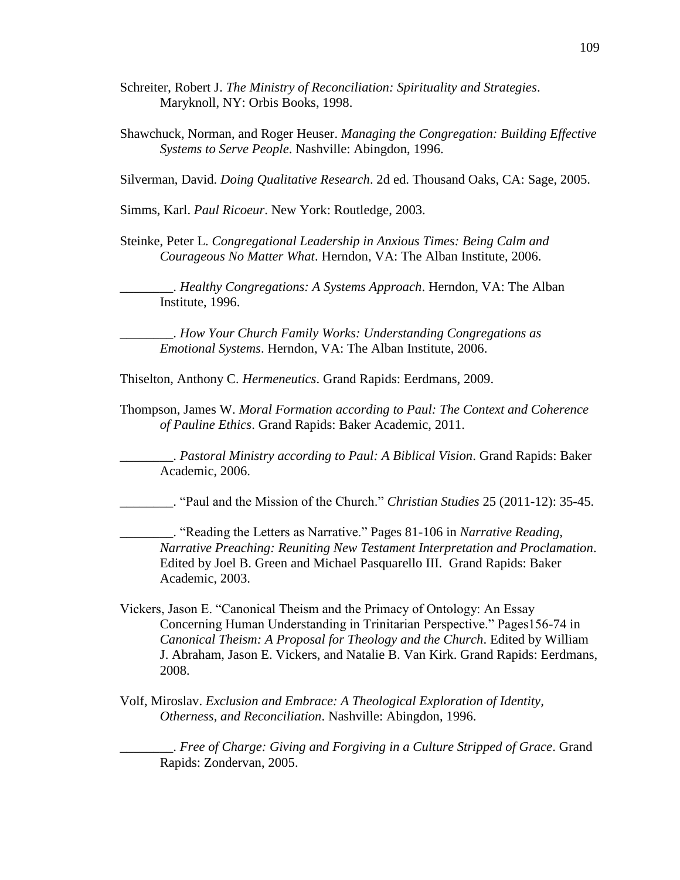- Schreiter, Robert J. *The Ministry of Reconciliation: Spirituality and Strategies*. Maryknoll, NY: Orbis Books, 1998.
- Shawchuck, Norman, and Roger Heuser. *Managing the Congregation: Building Effective Systems to Serve People*. Nashville: Abingdon, 1996.

Silverman, David. *Doing Qualitative Research*. 2d ed. Thousand Oaks, CA: Sage, 2005.

Simms, Karl. *Paul Ricoeur*. New York: Routledge, 2003.

Steinke, Peter L. *Congregational Leadership in Anxious Times: Being Calm and Courageous No Matter What*. Herndon, VA: The Alban Institute, 2006.

\_\_\_\_\_\_\_\_. *Healthy Congregations: A Systems Approach*. Herndon, VA: The Alban Institute, 1996.

\_\_\_\_\_\_\_\_. *How Your Church Family Works: Understanding Congregations as Emotional Systems*. Herndon, VA: The Alban Institute, 2006.

Thiselton, Anthony C. *Hermeneutics*. Grand Rapids: Eerdmans, 2009.

Thompson, James W. *Moral Formation according to Paul: The Context and Coherence of Pauline Ethics*. Grand Rapids: Baker Academic, 2011.

\_\_\_\_\_\_\_\_. *Pastoral Ministry according to Paul: A Biblical Vision*. Grand Rapids: Baker Academic, 2006.

\_\_\_\_\_\_\_\_. "Paul and the Mission of the Church." *Christian Studies* 25 (2011-12): 35-45.

\_\_\_\_\_\_\_\_. "Reading the Letters as Narrative." Pages 81-106 in *Narrative Reading, Narrative Preaching: Reuniting New Testament Interpretation and Proclamation*. Edited by Joel B. Green and Michael Pasquarello III. Grand Rapids: Baker Academic, 2003.

- Vickers, Jason E. "Canonical Theism and the Primacy of Ontology: An Essay Concerning Human Understanding in Trinitarian Perspective." Pages156-74 in *Canonical Theism: A Proposal for Theology and the Church*. Edited by William J. Abraham, Jason E. Vickers, and Natalie B. Van Kirk. Grand Rapids: Eerdmans, 2008.
- Volf, Miroslav. *Exclusion and Embrace: A Theological Exploration of Identity, Otherness, and Reconciliation*. Nashville: Abingdon, 1996.

\_\_\_\_\_\_\_\_. *Free of Charge: Giving and Forgiving in a Culture Stripped of Grace*. Grand Rapids: Zondervan, 2005.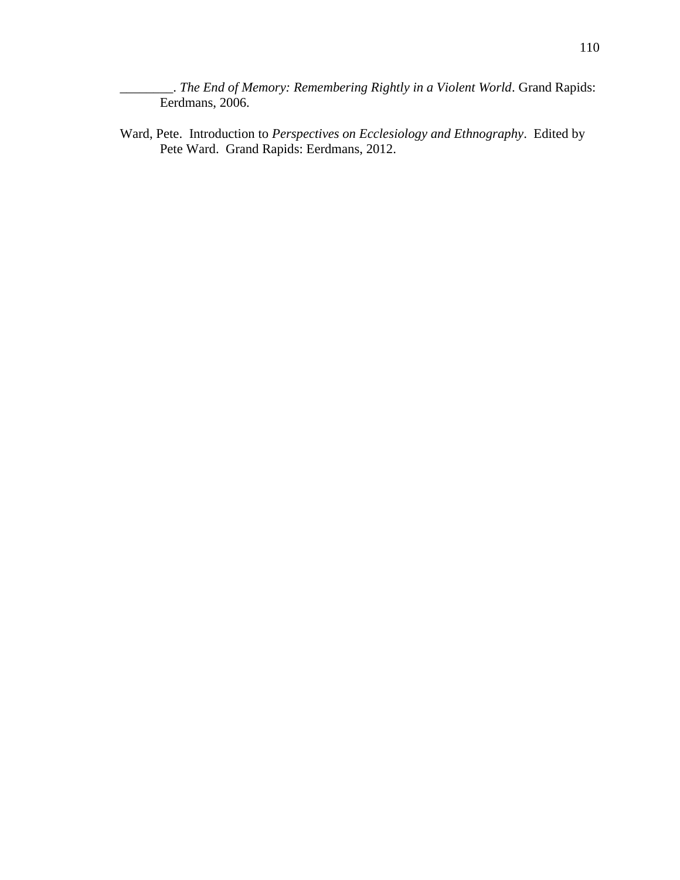\_\_\_\_\_\_\_\_. *The End of Memory: Remembering Rightly in a Violent World*. Grand Rapids: Eerdmans, 2006.

Ward, Pete. Introduction to *Perspectives on Ecclesiology and Ethnography*. Edited by Pete Ward. Grand Rapids: Eerdmans, 2012.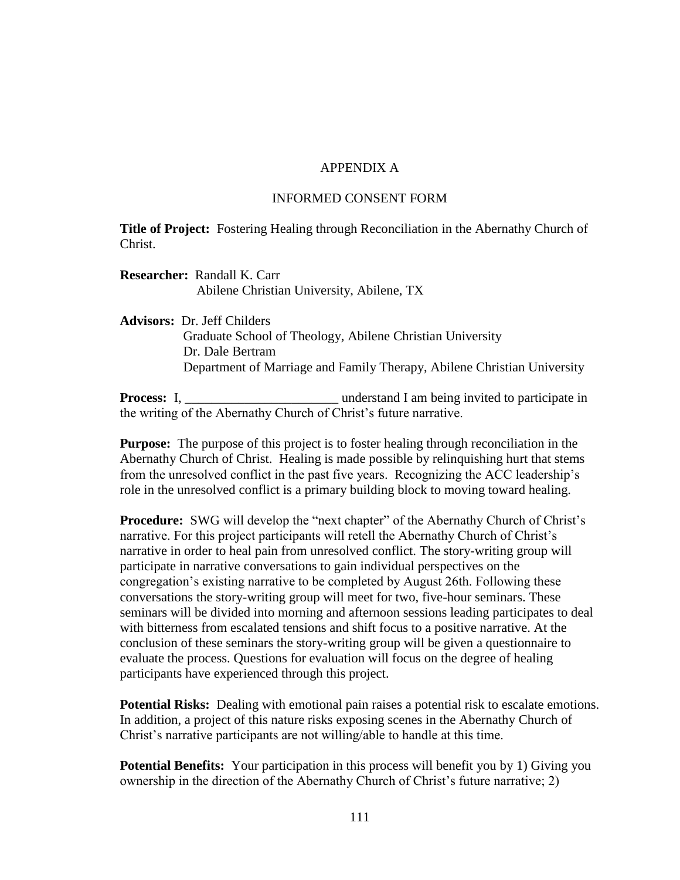#### APPENDIX A

#### INFORMED CONSENT FORM

**Title of Project:** Fostering Healing through Reconciliation in the Abernathy Church of Christ.

**Researcher:** Randall K. Carr Abilene Christian University, Abilene, TX

**Advisors:** Dr. Jeff Childers

 Graduate School of Theology, Abilene Christian University Dr. Dale Bertram Department of Marriage and Family Therapy, Abilene Christian University

**Process:** I, \_\_\_\_\_\_\_\_\_\_\_\_\_\_\_\_\_\_\_\_\_\_\_ understand I am being invited to participate in the writing of the Abernathy Church of Christ's future narrative.

**Purpose:** The purpose of this project is to foster healing through reconciliation in the Abernathy Church of Christ. Healing is made possible by relinquishing hurt that stems from the unresolved conflict in the past five years. Recognizing the ACC leadership's role in the unresolved conflict is a primary building block to moving toward healing.

**Procedure:** SWG will develop the "next chapter" of the Abernathy Church of Christ's narrative. For this project participants will retell the Abernathy Church of Christ's narrative in order to heal pain from unresolved conflict. The story-writing group will participate in narrative conversations to gain individual perspectives on the congregation's existing narrative to be completed by August 26th. Following these conversations the story-writing group will meet for two, five-hour seminars. These seminars will be divided into morning and afternoon sessions leading participates to deal with bitterness from escalated tensions and shift focus to a positive narrative. At the conclusion of these seminars the story-writing group will be given a questionnaire to evaluate the process. Questions for evaluation will focus on the degree of healing participants have experienced through this project.

**Potential Risks:** Dealing with emotional pain raises a potential risk to escalate emotions. In addition, a project of this nature risks exposing scenes in the Abernathy Church of Christ's narrative participants are not willing/able to handle at this time.

**Potential Benefits:** Your participation in this process will benefit you by 1) Giving you ownership in the direction of the Abernathy Church of Christ's future narrative; 2)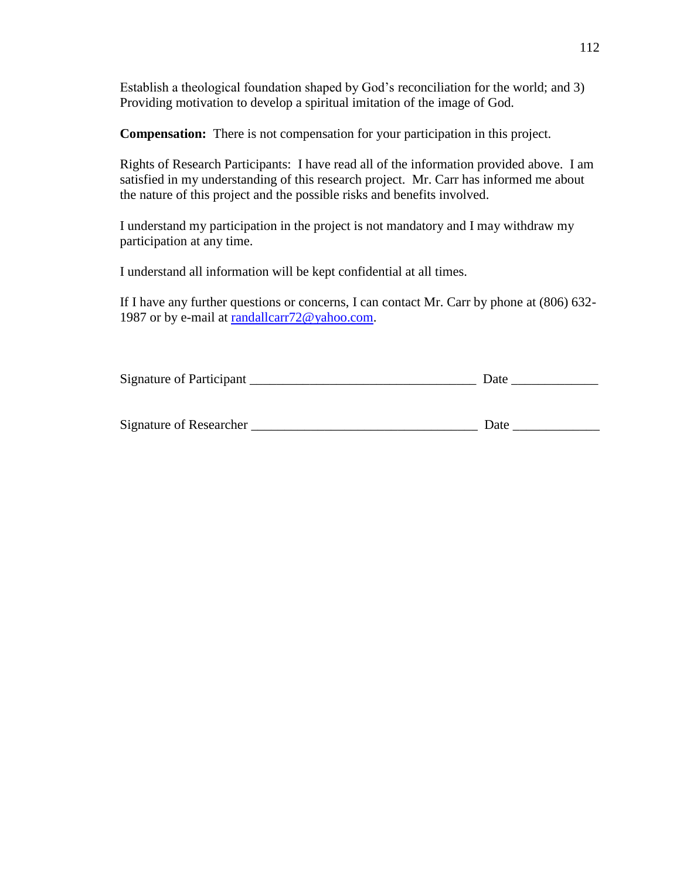Establish a theological foundation shaped by God's reconciliation for the world; and 3) Providing motivation to develop a spiritual imitation of the image of God.

**Compensation:** There is not compensation for your participation in this project.

Rights of Research Participants: I have read all of the information provided above. I am satisfied in my understanding of this research project. Mr. Carr has informed me about the nature of this project and the possible risks and benefits involved.

I understand my participation in the project is not mandatory and I may withdraw my participation at any time.

I understand all information will be kept confidential at all times.

If I have any further questions or concerns, I can contact Mr. Carr by phone at (806) 632- 1987 or by e-mail at [randallcarr72@yahoo.com.](mailto:randallcarr72@yahoo.com)

| Signature of Participant | Jate |  |
|--------------------------|------|--|
|                          |      |  |

| Signature of Researcher |  |  |
|-------------------------|--|--|
|                         |  |  |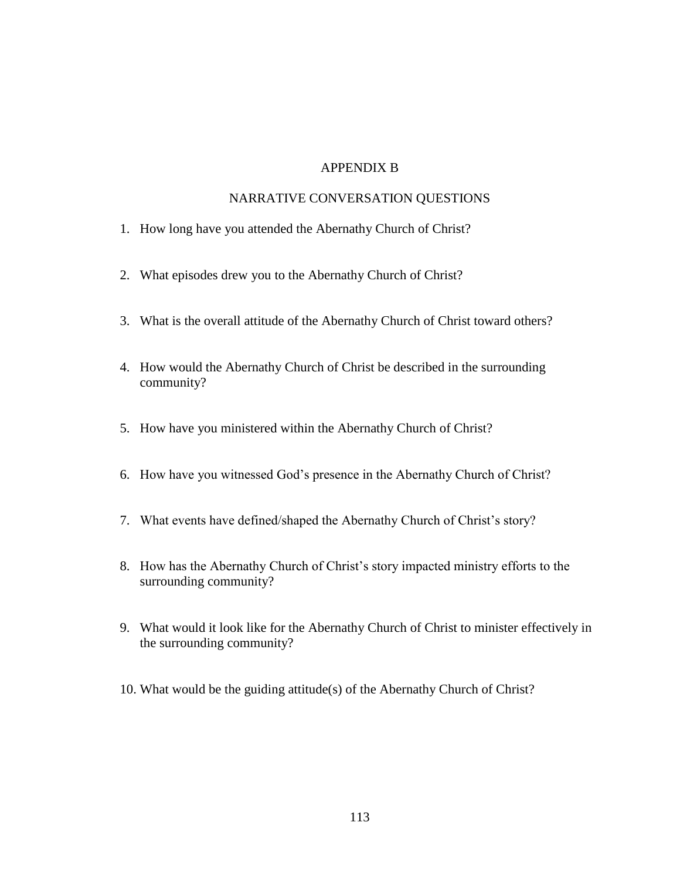## APPENDIX B

#### NARRATIVE CONVERSATION QUESTIONS

- 1. How long have you attended the Abernathy Church of Christ?
- 2. What episodes drew you to the Abernathy Church of Christ?
- 3. What is the overall attitude of the Abernathy Church of Christ toward others?
- 4. How would the Abernathy Church of Christ be described in the surrounding community?
- 5. How have you ministered within the Abernathy Church of Christ?
- 6. How have you witnessed God's presence in the Abernathy Church of Christ?
- 7. What events have defined/shaped the Abernathy Church of Christ's story?
- 8. How has the Abernathy Church of Christ's story impacted ministry efforts to the surrounding community?
- 9. What would it look like for the Abernathy Church of Christ to minister effectively in the surrounding community?
- 10. What would be the guiding attitude(s) of the Abernathy Church of Christ?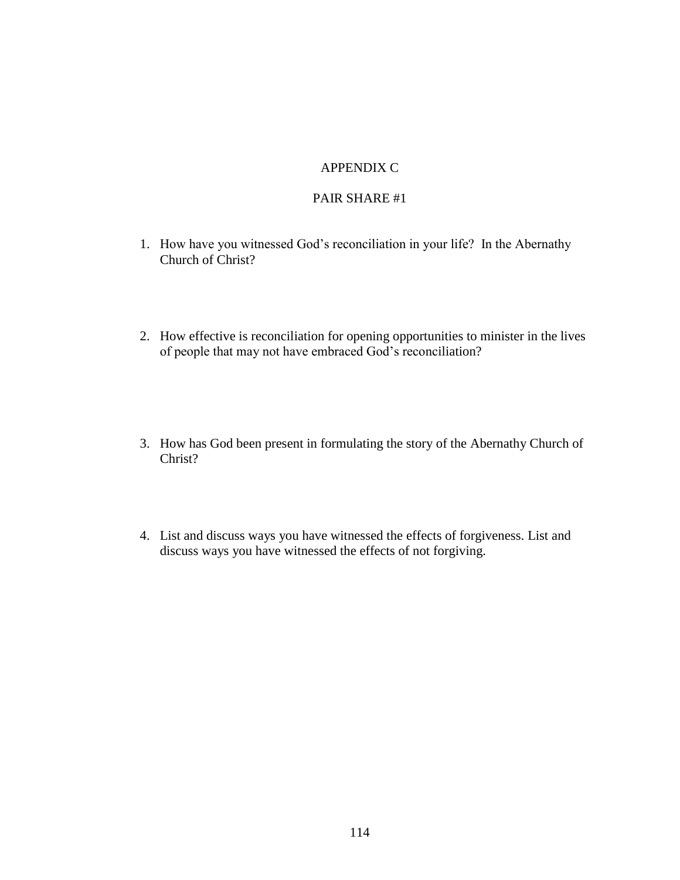# APPENDIX C

### PAIR SHARE #1

- 1. How have you witnessed God's reconciliation in your life? In the Abernathy Church of Christ?
- 2. How effective is reconciliation for opening opportunities to minister in the lives of people that may not have embraced God's reconciliation?
- 3. How has God been present in formulating the story of the Abernathy Church of Christ?
- 4. List and discuss ways you have witnessed the effects of forgiveness. List and discuss ways you have witnessed the effects of not forgiving.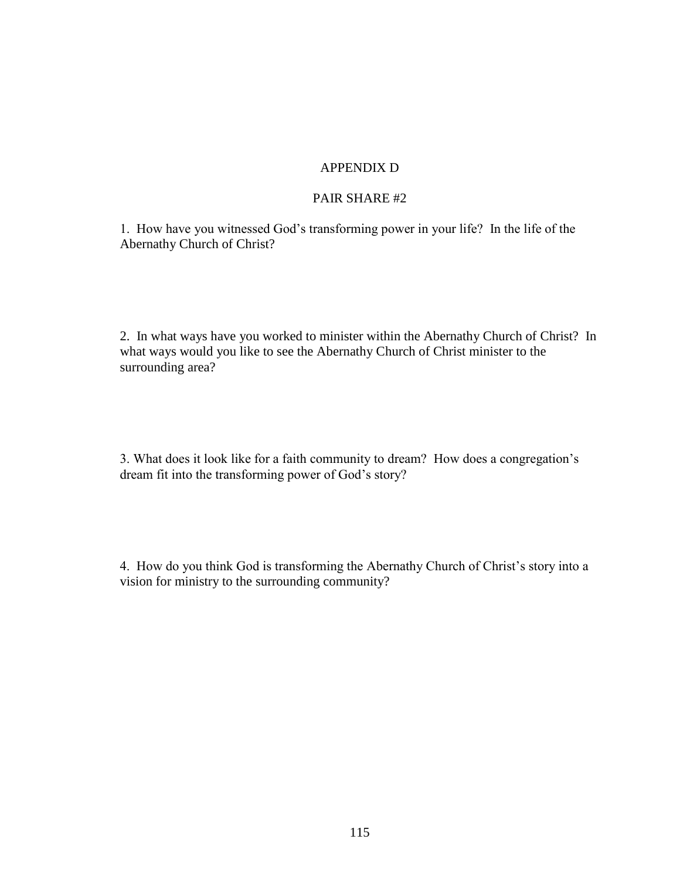# APPENDIX D

## PAIR SHARE #2

1. How have you witnessed God's transforming power in your life? In the life of the Abernathy Church of Christ?

2. In what ways have you worked to minister within the Abernathy Church of Christ? In what ways would you like to see the Abernathy Church of Christ minister to the surrounding area?

3. What does it look like for a faith community to dream? How does a congregation's dream fit into the transforming power of God's story?

4. How do you think God is transforming the Abernathy Church of Christ's story into a vision for ministry to the surrounding community?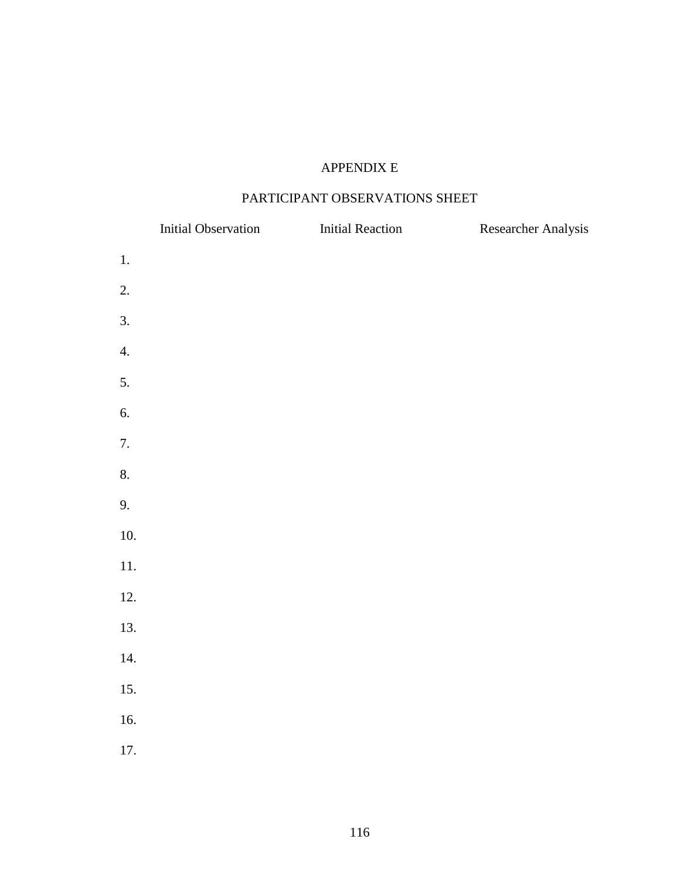# APPENDIX E

# PARTICIPANT OBSERVATIONS SHEET

|       | <b>Initial Observation</b> | <b>Initial Reaction</b> | Researcher Analysis |
|-------|----------------------------|-------------------------|---------------------|
| $1.$  |                            |                         |                     |
| 2.    |                            |                         |                     |
| 3.    |                            |                         |                     |
| 4.    |                            |                         |                     |
| 5.    |                            |                         |                     |
| 6.    |                            |                         |                     |
| 7.    |                            |                         |                     |
| 8.    |                            |                         |                     |
| 9.    |                            |                         |                     |
| 10.   |                            |                         |                     |
| $11.$ |                            |                         |                     |
| 12.   |                            |                         |                     |
| 13.   |                            |                         |                     |
| 14.   |                            |                         |                     |
| 15.   |                            |                         |                     |
| 16.   |                            |                         |                     |
| 17.   |                            |                         |                     |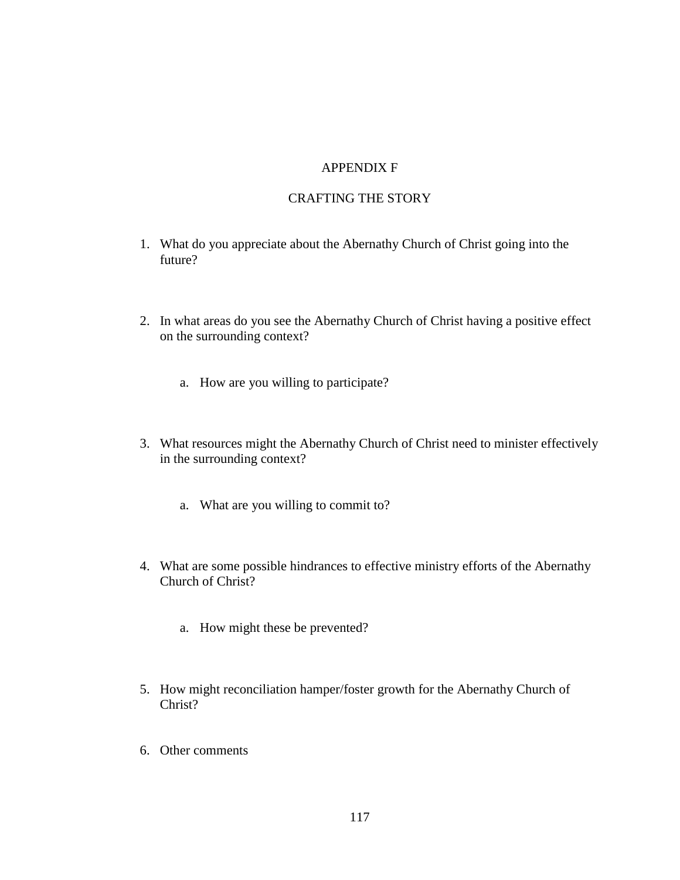## APPENDIX F

## CRAFTING THE STORY

- 1. What do you appreciate about the Abernathy Church of Christ going into the future?
- 2. In what areas do you see the Abernathy Church of Christ having a positive effect on the surrounding context?
	- a. How are you willing to participate?
- 3. What resources might the Abernathy Church of Christ need to minister effectively in the surrounding context?
	- a. What are you willing to commit to?
- 4. What are some possible hindrances to effective ministry efforts of the Abernathy Church of Christ?
	- a. How might these be prevented?
- 5. How might reconciliation hamper/foster growth for the Abernathy Church of Christ?
- 6. Other comments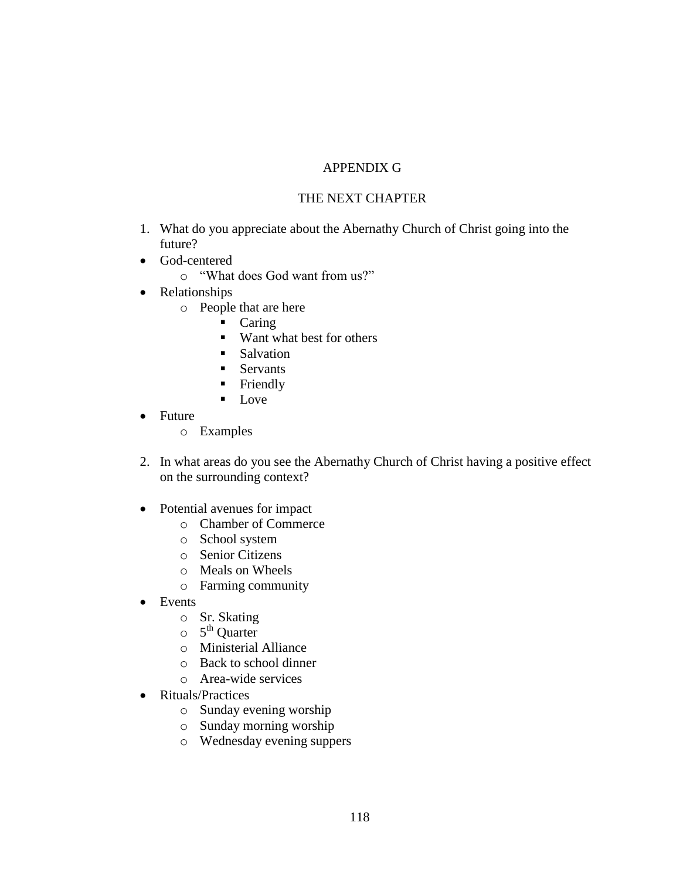# APPENDIX G

## THE NEXT CHAPTER

- 1. What do you appreciate about the Abernathy Church of Christ going into the future?
- God-centered
	- o "What does God want from us?"
- Relationships
	- o People that are here
		- Caring
		- Want what best for others
		- **Salvation**
		- Servants
		- **Friendly**
		- $\blacksquare$  Love
- Future
	- o Examples
- 2. In what areas do you see the Abernathy Church of Christ having a positive effect on the surrounding context?
- Potential avenues for impact
	- o Chamber of Commerce
	- o School system
	- o Senior Citizens
	- o Meals on Wheels
	- o Farming community
- Events
	- o Sr. Skating
	- $\circ$  5<sup>th</sup> Quarter
	- o Ministerial Alliance
	- o Back to school dinner
	- o Area-wide services
- Rituals/Practices
	- o Sunday evening worship
	- o Sunday morning worship
	- o Wednesday evening suppers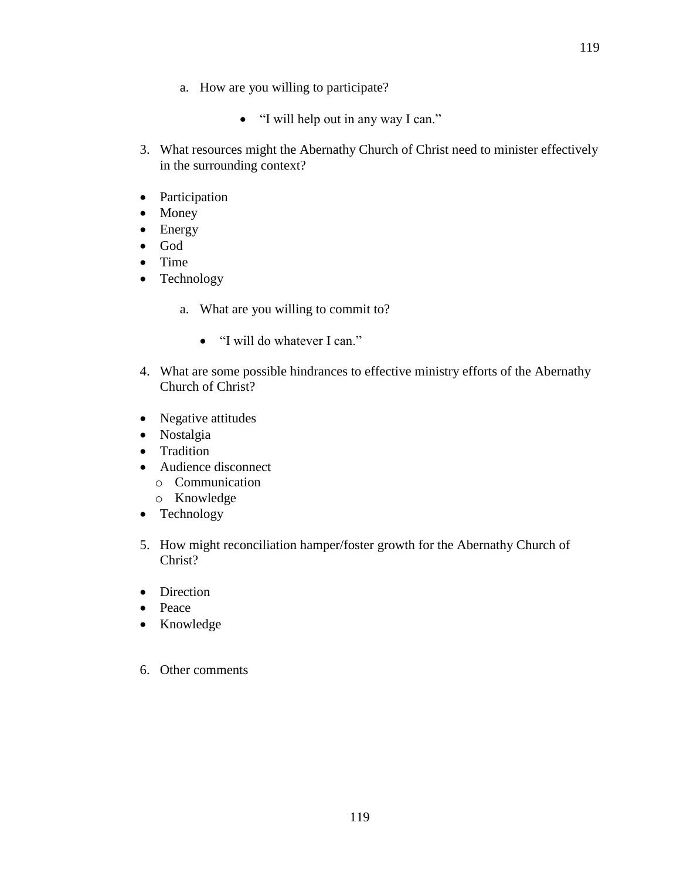- a. How are you willing to participate?
	- "I will help out in any way I can."
- 3. What resources might the Abernathy Church of Christ need to minister effectively in the surrounding context?
- Participation
- Money
- Energy
- God
- Time
- Technology
	- a. What are you willing to commit to?
		- "I will do whatever I can."
- 4. What are some possible hindrances to effective ministry efforts of the Abernathy Church of Christ?
- Negative attitudes
- Nostalgia
- Tradition
- Audience disconnect
	- o Communication
	- o Knowledge
- Technology
- 5. How might reconciliation hamper/foster growth for the Abernathy Church of Christ?
- Direction
- Peace
- Knowledge
- 6. Other comments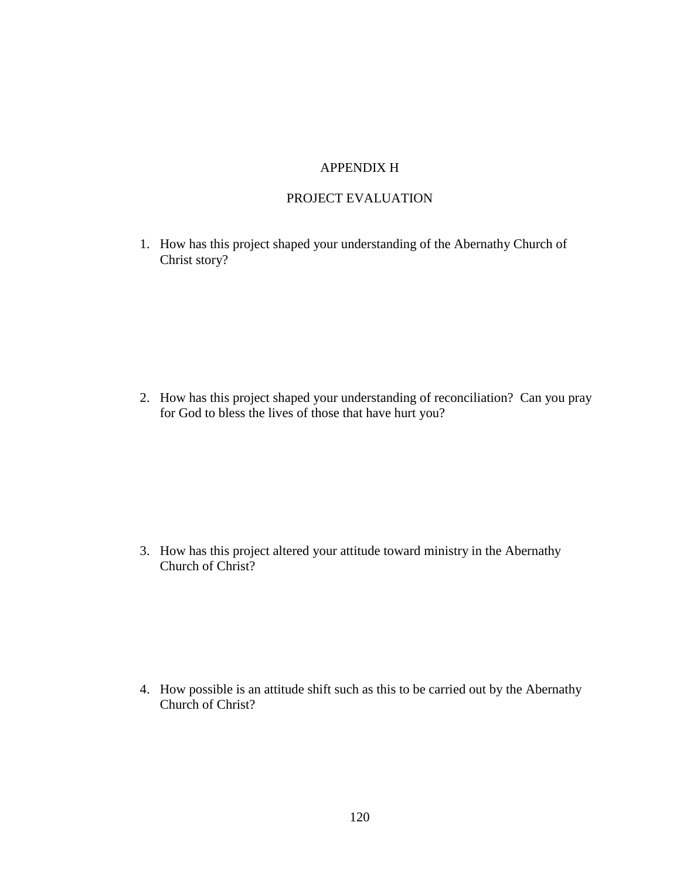# APPENDIX H

## PROJECT EVALUATION

1. How has this project shaped your understanding of the Abernathy Church of Christ story?

2. How has this project shaped your understanding of reconciliation? Can you pray for God to bless the lives of those that have hurt you?

3. How has this project altered your attitude toward ministry in the Abernathy Church of Christ?

4. How possible is an attitude shift such as this to be carried out by the Abernathy Church of Christ?